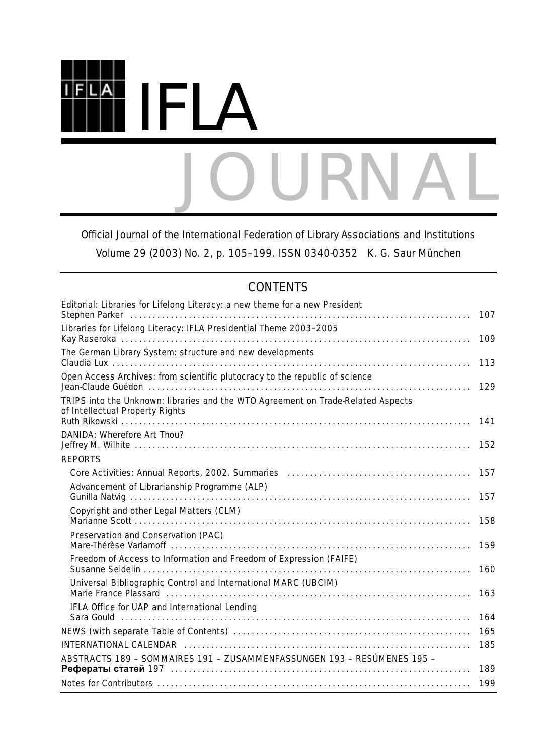

# URNZ

Official Journal of the International Federation of Library Associations and Institutions

Volume 29 (2003) No. 2, p. 105–199. ISSN 0340-0352 K. G. Saur München

# CONTENTS

| Editorial: Libraries for Lifelong Literacy: a new theme for a new President                                         | 107 |
|---------------------------------------------------------------------------------------------------------------------|-----|
| Libraries for Lifelong Literacy: IFLA Presidential Theme 2003-2005                                                  | 109 |
| The German Library System: structure and new developments                                                           | 113 |
| Open Access Archives: from scientific plutocracy to the republic of science                                         | 129 |
| TRIPS into the Unknown: libraries and the WTO Agreement on Trade-Related Aspects<br>of Intellectual Property Rights |     |
|                                                                                                                     | 141 |
| <b>DANIDA: Wherefore Art Thou?</b>                                                                                  | 152 |
| <b>REPORTS</b>                                                                                                      |     |
| Core Activities: Annual Reports, 2002. Summaries [11] [11] Core Activities: Annual Reports, 2002. Summaries [1      | 157 |
| Advancement of Librarianship Programme (ALP)                                                                        | 157 |
| Copyright and other Legal Matters (CLM)                                                                             | 158 |
| Preservation and Conservation (PAC)                                                                                 |     |
| Freedom of Access to Information and Freedom of Expression (FAIFE)                                                  |     |
|                                                                                                                     | 160 |
| Universal Bibliographic Control and International MARC (UBCIM)                                                      | 163 |
| IFLA Office for UAP and International Lending                                                                       |     |
|                                                                                                                     | 164 |
| NEWS (with separate Table of Contents) Manual Account Account Account Account Account Account Account Account       | 165 |
|                                                                                                                     | 185 |
| ABSTRACTS 189 - SOMMAIRES 191 - ZUSAMMENFASSUNGEN 193 - RESÚMENES 195 -                                             | 189 |
|                                                                                                                     | 199 |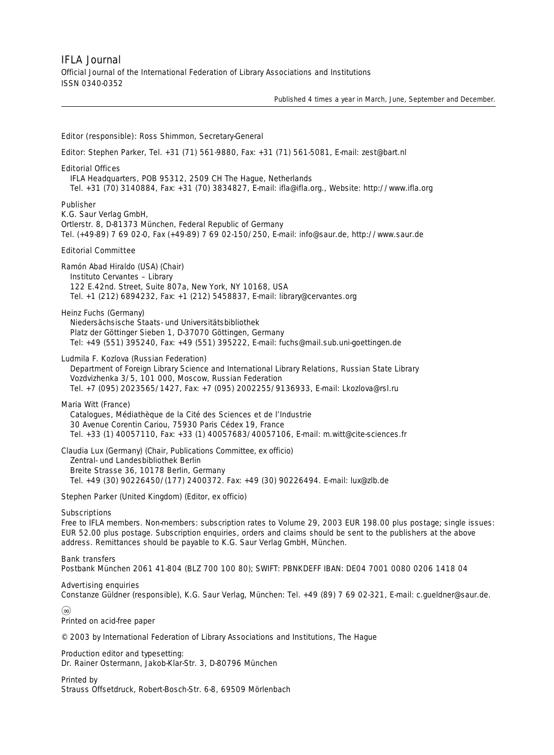#### IFLA Journal

Official Journal of the International Federation of Library Associations and Institutions ISSN 0340-0352

Published 4 times a year in March, June, September and December.

#### Editor (responsible): Ross Shimmon, Secretary-General

Editor: Stephen Parker, Tel. +31 (71) 561-9880, Fax: +31 (71) 561-5081, E-mail: zest@bart.nl

#### Editorial Offices

IFLA Headquarters, POB 95312, 2509 CH The Hague, Netherlands Tel. +31 (70) 3140884, Fax: +31 (70) 3834827, E-mail: ifla@ifla.org., Website: http://www.ifla.org

#### Publisher

K.G. Saur Verlag GmbH, Ortlerstr. 8, D-81373 München, Federal Republic of Germany Tel. (+49-89) 7 69 02-0, Fax (+49-89) 7 69 02-150/250, E-mail: info@saur.de, http://www.saur.de

#### Editorial Committee

Ramón Abad Hiraldo (USA) *(Chair)* Instituto Cervantes – Library 122 E.42nd. Street, Suite 807a, New York, NY 10168, USA Tel. +1 (212) 6894232, Fax: +1 (212) 5458837, E-mail: library@cervantes.org

Heinz Fuchs (Germany) Niedersächsische Staats- und Universitätsbibliothek Platz der Göttinger Sieben 1, D-37070 Göttingen, Germany Tel: +49 (551) 395240, Fax: +49 (551) 395222, E-mail: fuchs@mail.sub.uni-goettingen.de

Ludmila F. Kozlova (Russian Federation)

Department of Foreign Library Science and International Library Relations, Russian State Library Vozdvizhenka 3/5, 101 000, Moscow, Russian Federation Tel. +7 (095) 2023565/1427, Fax: +7 (095) 2002255/9136933, E-mail: Lkozlova@rsl.ru

Maria Witt (France)

Catalogues, Médiathèque de la Cité des Sciences et de l'Industrie 30 Avenue Corentin Cariou, 75930 Paris Cédex 19, France Tel. +33 (1) 40057110, Fax: +33 (1) 40057683/40057106, E-mail: m.witt@cite-sciences.fr

Claudia Lux (Germany) *(Chair, Publications Committee, ex officio)* Zentral- und Landesbibliothek Berlin Breite Strasse 36, 10178 Berlin, Germany Tel. +49 (30) 90226450/(177) 2400372. Fax: +49 (30) 90226494. E-mail: lux@zlb.de

Stephen Parker (United Kingdom) *(Editor, ex officio)*

#### **Subscriptions**

Free to IFLA members. Non-members: subscription rates to Volume 29, 2003 EUR 198.00 plus postage; single issues: EUR 52.00 plus postage. Subscription enquiries, orders and claims should be sent to the publishers at the above address. Remittances should be payable to K.G. Saur Verlag GmbH, München.

#### Bank transfers

Postbank München 2061 41-804 (BLZ 700 100 80); SWIFT: PBNKDEFF IBAN: DE04 7001 0080 0206 1418 04

#### Advertising enquiries

Constanze Güldner (responsible), K.G. Saur Verlag, München: Tel. +49 (89) 7 69 02-321, E-mail: c.gueldner@saur.de.

∞

Printed on acid-free paper

© 2003 by International Federation of Library Associations and Institutions, The Hague

Production editor and typesetting: Dr. Rainer Ostermann, Jakob-Klar-Str. 3, D-80796 München

Printed by Strauss Offsetdruck, Robert-Bosch-Str. 6-8, 69509 Mörlenbach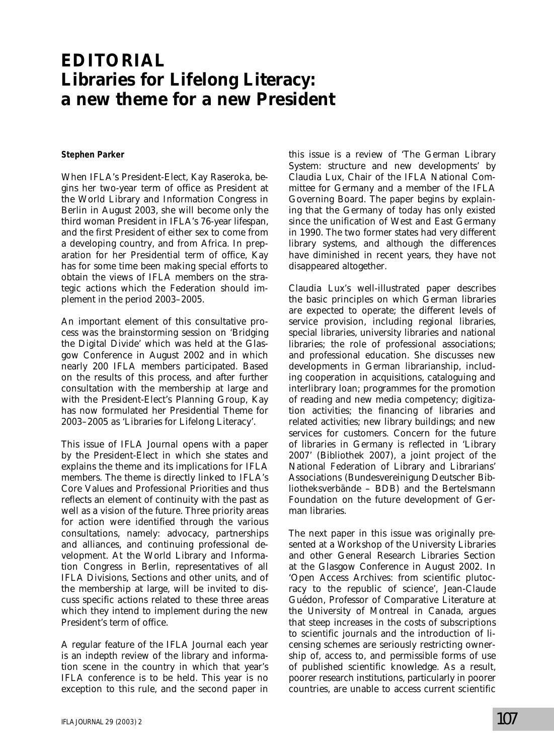# **EDITORIAL Libraries for Lifelong Literacy: a new theme for a new President**

#### *Stephen Parker*

When IFLA's President-Elect, Kay Raseroka, begins her two-year term of office as President at the World Library and Information Congress in Berlin in August 2003, she will become only the third woman President in IFLA's 76-year lifespan, and the first President of either sex to come from a developing country, and from Africa. In preparation for her Presidential term of office, Kay has for some time been making special efforts to obtain the views of IFLA members on the strategic actions which the Federation should implement in the period 2003–2005.

An important element of this consultative process was the brainstorming session on 'Bridging the Digital Divide' which was held at the Glasgow Conference in August 2002 and in which nearly 200 IFLA members participated. Based on the results of this process, and after further consultation with the membership at large and with the President-Elect's Planning Group, Kay has now formulated her Presidential Theme for 2003–2005 as 'Libraries for Lifelong Literacy'.

This issue of *IFLA Journal* opens with a paper by the President-Elect in which she states and explains the theme and its implications for IFLA members. The theme is directly linked to IFLA's Core Values and Professional Priorities and thus reflects an element of continuity with the past as well as a vision of the future. Three priority areas for action were identified through the various consultations, namely: advocacy, partnerships and alliances, and continuing professional development. At the World Library and Information Congress in Berlin, representatives of all IFLA Divisions, Sections and other units, and of the membership at large, will be invited to discuss specific actions related to these three areas which they intend to implement during the new President's term of office.

A regular feature of the *IFLA Journal* each year is an indepth review of the library and information scene in the country in which that year's IFLA conference is to be held. This year is no exception to this rule, and the second paper in this issue is a review of 'The German Library System: structure and new developments' by Claudia Lux, Chair of the IFLA National Committee for Germany and a member of the IFLA Governing Board. The paper begins by explaining that the Germany of today has only existed since the unification of West and East Germany in 1990. The two former states had very different library systems, and although the differences have diminished in recent years, they have not disappeared altogether.

Claudia Lux's well-illustrated paper describes the basic principles on which German libraries are expected to operate; the different levels of service provision, including regional libraries, special libraries, university libraries and national libraries; the role of professional associations; and professional education. She discusses new developments in German librarianship, including cooperation in acquisitions, cataloguing and interlibrary loan; programmes for the promotion of reading and new media competency; digitization activities; the financing of libraries and related activities; new library buildings; and new services for customers. Concern for the future of libraries in Germany is reflected in 'Library 2007' (Bibliothek 2007), a joint project of the National Federation of Library and Librarians' Associations (Bundesvereinigung Deutscher Bibliotheksverbände – BDB) and the Bertelsmann Foundation on the future development of German libraries.

The next paper in this issue was originally presented at a Workshop of the University Libraries and other General Research Libraries Section at the Glasgow Conference in August 2002. In 'Open Access Archives: from scientific plutocracy to the republic of science', Jean-Claude Guédon, Professor of Comparative Literature at the University of Montreal in Canada, argues that steep increases in the costs of subscriptions to scientific journals and the introduction of licensing schemes are seriously restricting ownership of, access to, and permissible forms of use of published scientific knowledge. As a result, poorer research institutions, particularly in poorer countries, are unable to access current scientific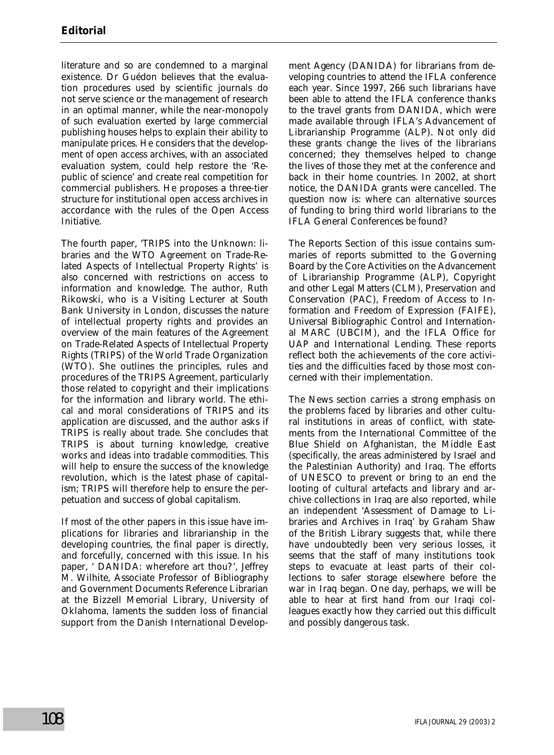literature and so are condemned to a marginal existence. Dr Guédon believes that the evaluation procedures used by scientific journals do not serve science or the management of research in an optimal manner, while the near-monopoly of such evaluation exerted by large commercial publishing houses helps to explain their ability to manipulate prices. He considers that the development of open access archives, with an associated evaluation system, could help restore the 'Republic of science' and create real competition for commercial publishers. He proposes a three-tier structure for institutional open access archives in accordance with the rules of the Open Access Initiative.

The fourth paper, 'TRIPS into the Unknown: libraries and the WTO Agreement on Trade-Related Aspects of Intellectual Property Rights' is also concerned with restrictions on access to information and knowledge. The author, Ruth Rikowski, who is a Visiting Lecturer at South Bank University in London, discusses the nature of intellectual property rights and provides an overview of the main features of the Agreement on Trade-Related Aspects of Intellectual Property Rights (TRIPS) of the World Trade Organization (WTO). She outlines the principles, rules and procedures of the TRIPS Agreement, particularly those related to copyright and their implications for the information and library world. The ethical and moral considerations of TRIPS and its application are discussed, and the author asks if TRIPS is really about trade. She concludes that TRIPS is about turning knowledge, creative works and ideas into tradable commodities. This will help to ensure the success of the knowledge revolution, which is the latest phase of capitalism; TRIPS will therefore help to ensure the perpetuation and success of global capitalism.

If most of the other papers in this issue have implications for libraries and librarianship in the developing countries, the final paper is directly, and forcefully, concerned with this issue. In his paper, ' DANIDA: wherefore art thou?', Jeffrey M. Wilhite, Associate Professor of Bibliography and Government Documents Reference Librarian at the Bizzell Memorial Library, University of Oklahoma, laments the sudden loss of financial support from the Danish International Development Agency (DANIDA) for librarians from developing countries to attend the IFLA conference each year. Since 1997, 266 such librarians have been able to attend the IFLA conference thanks to the travel grants from DANIDA, which were made available through IFLA's Advancement of Librarianship Programme (ALP). Not only did these grants change the lives of the librarians concerned; they themselves helped to change the lives of those they met at the conference and back in their home countries. In 2002, at short notice, the DANIDA grants were cancelled. The question now is: where can alternative sources of funding to bring third world librarians to the IFLA General Conferences be found?

The Reports Section of this issue contains summaries of reports submitted to the Governing Board by the Core Activities on the Advancement of Librarianship Programme (ALP), Copyright and other Legal Matters (CLM), Preservation and Conservation (PAC), Freedom of Access to Information and Freedom of Expression (FAIFE), Universal Bibliographic Control and International MARC (UBCIM), and the IFLA Office for UAP and International Lending. These reports reflect both the achievements of the core activities and the difficulties faced by those most concerned with their implementation.

The News section carries a strong emphasis on the problems faced by libraries and other cultural institutions in areas of conflict, with statements from the International Committee of the Blue Shield on Afghanistan, the Middle East (specifically, the areas administered by Israel and the Palestinian Authority) and Iraq. The efforts of UNESCO to prevent or bring to an end the looting of cultural artefacts and library and archive collections in Iraq are also reported, while an independent 'Assessment of Damage to Libraries and Archives in Iraq' by Graham Shaw of the British Library suggests that, while there have undoubtedly been very serious losses, it seems that the staff of many institutions took steps to evacuate at least parts of their collections to safer storage elsewhere before the war in Iraq began. One day, perhaps, we will be able to hear at first hand from our Iraqi colleagues exactly how they carried out this difficult and possibly dangerous task.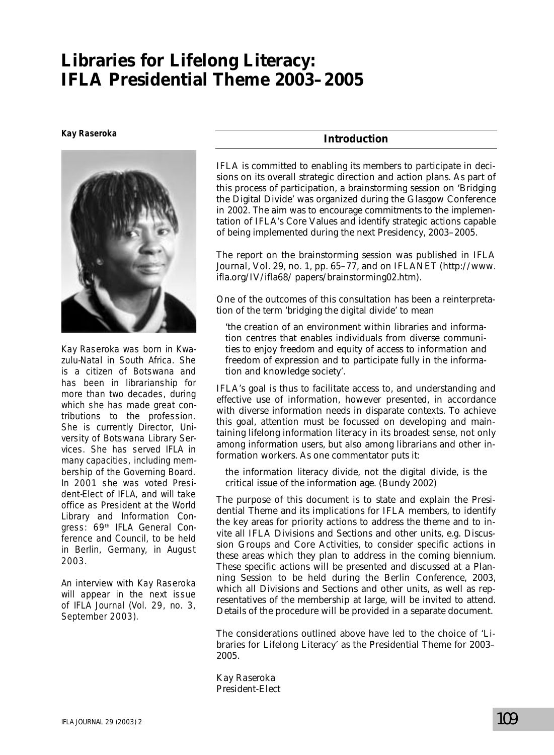# **Libraries for Lifelong Literacy: IFLA Presidential Theme 2003–2005**

*Kay Raseroka* 



Kay Raseroka was born in Kwazulu-Natal in South Africa. She is a citizen of Botswana and has been in librarianship for more than two decades, during which she has made great contributions to the profession. She is currently Director, University of Botswana Library Services. She has served IFLA in many capacities, including membership of the Governing Board. In 2001 she was voted President-Elect of IFLA, and will take office as President at the World Library and Information Congress: 69<sup>th</sup> IFLA General Conference and Council, to be held in Berlin, Germany, in August 2003.

An interview with Kay Raseroka will appear in the next issue of *IFLA Journal* (Vol. 29, no. 3, September 2003)*.*

#### **Introduction**

IFLA is committed to enabling its members to participate in decisions on its overall strategic direction and action plans. As part of this process of participation, a brainstorming session on 'Bridging the Digital Divide' was organized during the Glasgow Conference in 2002. The aim was to encourage commitments to the implementation of IFLA's Core Values and identify strategic actions capable of being implemented during the next Presidency, 2003–2005.

The report on the brainstorming session was published in *IFLA Journal,* Vol. 29, no. 1, pp. 65–77, and on IFLANET (http://www. ifla.org/IV/ifla68/ papers/brainstorming02.htm).

One of the outcomes of this consultation has been a reinterpretation of the term 'bridging the digital divide' to mean

'the creation of an environment within libraries and information centres that enables individuals from diverse communities to enjoy freedom and equity of access to information and freedom of expression and to participate fully in the information and knowledge society'.

IFLA's goal is thus to facilitate access to, and understanding and effective use of information, however presented, in accordance with diverse information needs in disparate contexts. To achieve this goal, attention must be focussed on developing and maintaining lifelong information literacy in its broadest sense, not only among information users, but also among librarians and other information workers. As one commentator puts it:

the information literacy divide, not the digital divide, is the critical issue of the information age. (Bundy 2002)

The purpose of this document is to state and explain the Presidential Theme and its implications for IFLA members, to identify the key areas for priority actions to address the theme and to invite all IFLA Divisions and Sections and other units, e.g. Discussion Groups and Core Activities, to consider specific actions in these areas which they plan to address in the coming biennium. These specific actions will be presented and discussed at a Planning Session to be held during the Berlin Conference, 2003, which all Divisions and Sections and other units, as well as representatives of the membership at large, will be invited to attend. Details of the procedure will be provided in a separate document.

The considerations outlined above have led to the choice of 'Libraries for Lifelong Literacy' as the Presidential Theme for 2003– 2005.

*Kay Raseroka President-Elect*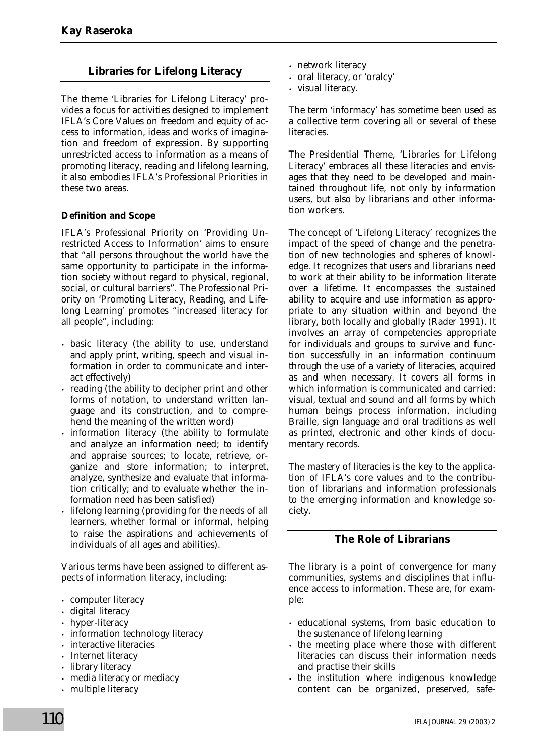# **Libraries for Lifelong Literacy**

The theme 'Libraries for Lifelong Literacy' provides a focus for activities designed to implement IFLA's Core Values on freedom and equity of access to information, ideas and works of imagination and freedom of expression. By supporting unrestricted access to information as a means of promoting literacy, reading and lifelong learning, it also embodies IFLA's Professional Priorities in these two areas.

# **Definition and Scope**

IFLA's Professional Priority on 'Providing Unrestricted Access to Information' aims to ensure that "all persons throughout the world have the same opportunity to participate in the information society without regard to physical, regional, social, or cultural barriers". The Professional Priority on 'Promoting Literacy, Reading, and Lifelong Learning' promotes "increased literacy for all people", including:

- basic literacy (the ability to use, understand and apply print, writing, speech and visual information in order to communicate and interact effectively)
- reading (the ability to decipher print and other forms of notation, to understand written language and its construction, and to comprehend the meaning of the written word)
- information literacy (the ability to formulate and analyze an information need; to identify and appraise sources; to locate, retrieve, organize and store information; to interpret, analyze, synthesize and evaluate that information critically; and to evaluate whether the information need has been satisfied)
- lifelong learning (providing for the needs of all learners, whether formal or informal, helping to raise the aspirations and achievements of individuals of all ages and abilities).

Various terms have been assigned to different aspects of information literacy, including:

- computer literacy
- digital literacy
- hyper-literacy
- information technology literacy
- interactive literacies
- Internet literacy
- library literacy
- media literacy or mediacy
- multiple literacy
- network literacy
- oral literacy, or 'oralcy'
- visual literacy.

The term 'informacy' has sometime been used as a collective term covering all or several of these literacies.

The Presidential Theme, 'Libraries for Lifelong Literacy' embraces all these literacies and envisages that they need to be developed and maintained throughout life, not only by information users, but also by librarians and other information workers.

The concept of 'Lifelong Literacy' recognizes the impact of the speed of change and the penetration of new technologies and spheres of knowledge. It recognizes that users and librarians need to work at their ability to be information literate over a lifetime. It encompasses the sustained ability to acquire and use information as appropriate to any situation within and beyond the library, both locally and globally (Rader 1991). It involves an array of competencies appropriate for individuals and groups to survive and function successfully in an information continuum through the use of a variety of literacies, acquired as and when necessary. It covers all forms in which information is communicated and carried: visual, textual and sound and all forms by which human beings process information, including Braille, sign language and oral traditions as well as printed, electronic and other kinds of documentary records.

The mastery of literacies is the key to the application of IFLA's core values and to the contribution of librarians and information professionals to the emerging information and knowledge society.

# **The Role of Librarians**

The library is a point of convergence for many communities, systems and disciplines that influence access to information. These are, for example:

- educational systems, from basic education to the sustenance of lifelong learning
- the meeting place where those with different literacies can discuss their information needs and practise their skills
- the institution where indigenous knowledge content can be organized, preserved, safe-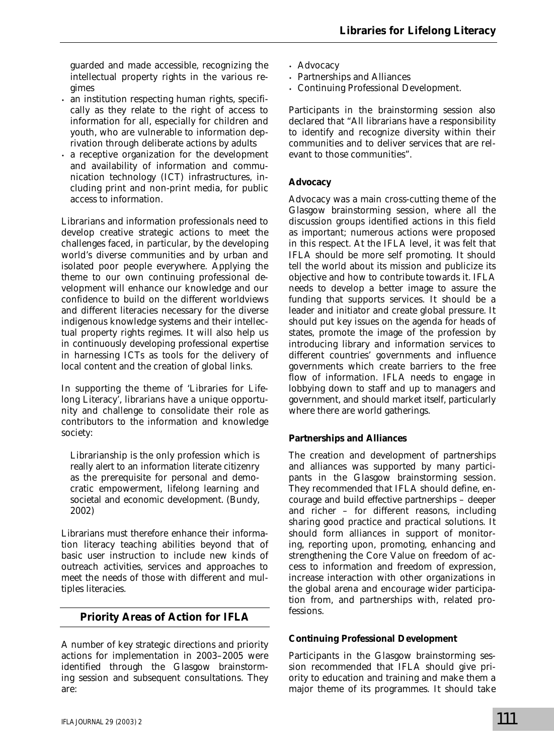guarded and made accessible, recognizing the intellectual property rights in the various regimes

- an institution respecting human rights, specifically as they relate to the right of access to information for all, especially for children and youth, who are vulnerable to information deprivation through deliberate actions by adults
- a receptive organization for the development and availability of information and communication technology (ICT) infrastructures, including print and non-print media, for public access to information.

Librarians and information professionals need to develop creative strategic actions to meet the challenges faced, in particular, by the developing world's diverse communities and by urban and isolated poor people everywhere. Applying the theme to our own continuing professional development will enhance our knowledge and our confidence to build on the different worldviews and different literacies necessary for the diverse indigenous knowledge systems and their intellectual property rights regimes. It will also help us in continuously developing professional expertise in harnessing ICTs as tools for the delivery of local content and the creation of global links.

In supporting the theme of 'Libraries for Lifelong Literacy', librarians have a unique opportunity and challenge to consolidate their role as contributors to the information and knowledge society:

Librarianship is the only profession which is really alert to an information literate citizenry as the prerequisite for personal and democratic empowerment, lifelong learning and societal and economic development. (Bundy, 2002)

Librarians must therefore enhance their information literacy teaching abilities beyond that of basic user instruction to include new kinds of outreach activities, services and approaches to meet the needs of those with different and multiples literacies.

# **Priority Areas of Action for IFLA**

A number of key strategic directions and priority actions for implementation in 2003–2005 were identified through the Glasgow brainstorming session and subsequent consultations. They are:

- Advocacy
- Partnerships and Alliances
- Continuing Professional Development.

Participants in the brainstorming session also declared that "All librarians have a responsibility to identify and recognize diversity within their communities and to deliver services that are relevant to those communities".

# **Advocacy**

Advocacy was a main cross-cutting theme of the Glasgow brainstorming session, where all the discussion groups identified actions in this field as important; numerous actions were proposed in this respect. At the IFLA level, it was felt that IFLA should be more self promoting. It should tell the world about its mission and publicize its objective and how to contribute towards it. IFLA needs to develop a better image to assure the funding that supports services. It should be a leader and initiator and create global pressure. It should put key issues on the agenda for heads of states, promote the image of the profession by introducing library and information services to different countries' governments and influence governments which create barriers to the free flow of information. IFLA needs to engage in lobbying down to staff and up to managers and government, and should market itself, particularly where there are world gatherings.

# **Partnerships and Alliances**

The creation and development of partnerships and alliances was supported by many participants in the Glasgow brainstorming session. They recommended that IFLA should define, encourage and build effective partnerships – deeper and richer – for different reasons, including sharing good practice and practical solutions. It should form alliances in support of monitoring, reporting upon, promoting, enhancing and strengthening the Core Value on freedom of access to information and freedom of expression, increase interaction with other organizations in the global arena and encourage wider participation from, and partnerships with, related professions.

# **Continuing Professional Development**

Participants in the Glasgow brainstorming session recommended that IFLA should give priority to education and training and make them a major theme of its programmes. It should take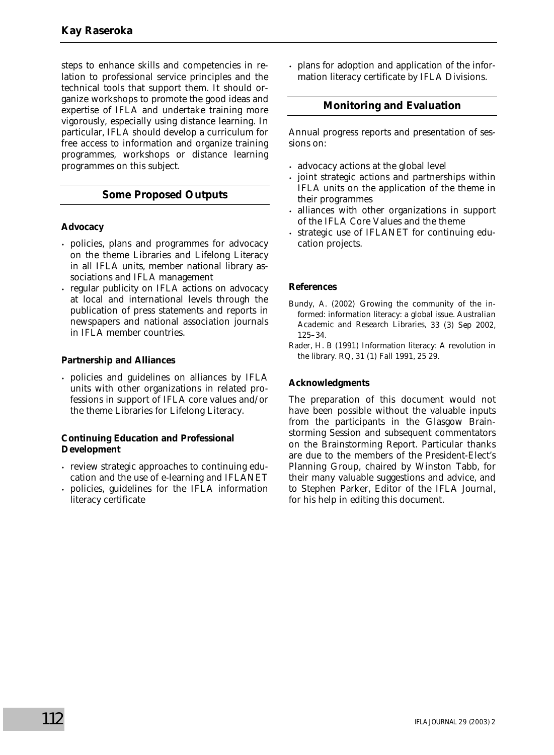steps to enhance skills and competencies in relation to professional service principles and the technical tools that support them. It should organize workshops to promote the good ideas and expertise of IFLA and undertake training more vigorously, especially using distance learning. In particular, IFLA should develop a curriculum for free access to information and organize training programmes, workshops or distance learning programmes on this subject.

# **Some Proposed Outputs**

# **Advocacy**

- policies, plans and programmes for advocacy on the theme Libraries and Lifelong Literacy in all IFLA units, member national library associations and IFLA management
- regular publicity on IFLA actions on advocacy at local and international levels through the publication of press statements and reports in newspapers and national association journals in IFLA member countries.

#### **Partnership and Alliances**

• policies and guidelines on alliances by IFLA units with other organizations in related professions in support of IFLA core values and/or the theme Libraries for Lifelong Literacy.

# **Continuing Education and Professional Development**

- review strategic approaches to continuing education and the use of e-learning and IFLANET
- policies, guidelines for the IFLA information literacy certificate

• plans for adoption and application of the information literacy certificate by IFLA Divisions.

# **Monitoring and Evaluation**

Annual progress reports and presentation of sessions on:

- advocacy actions at the global level
- joint strategic actions and partnerships within IFLA units on the application of the theme in their programmes
- alliances with other organizations in support of the IFLA Core Values and the theme
- strategic use of IFLANET for continuing education projects.

#### **References**

- Bundy, A. (2002) Growing the community of the informed: information literacy: a global issue. *Australian Academic and Research Libraries,* 33 (3) Sep 2002, 125–34.
- Rader, H. B (1991) Information literacy: A revolution in the library. *RQ,* 31 (1) Fall 1991, 25 29.

# **Acknowledgments**

The preparation of this document would not have been possible without the valuable inputs from the participants in the Glasgow Brainstorming Session and subsequent commentators on the Brainstorming Report. Particular thanks are due to the members of the President-Elect's Planning Group, chaired by Winston Tabb, for their many valuable suggestions and advice, and to Stephen Parker, Editor of the *IFLA Journal*, for his help in editing this document.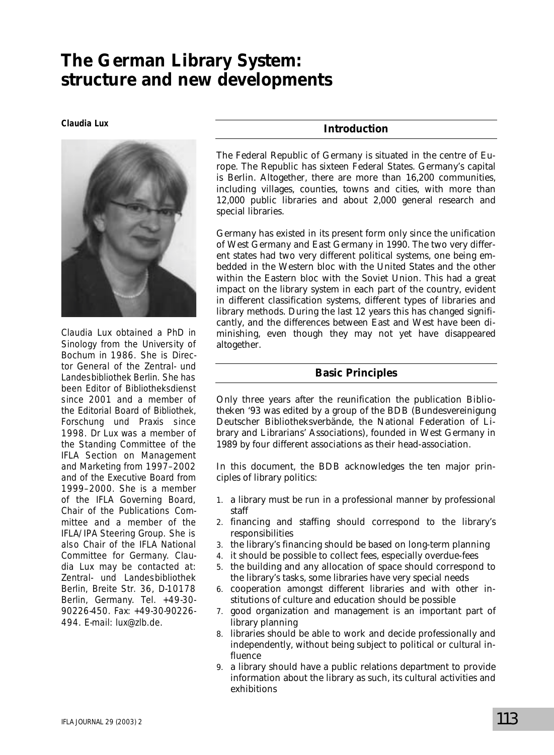# **The German Library System: structure and new developments**

*Claudia Lux* 



Claudia Lux obtained a PhD in Sinology from the University of Bochum in 1986. She is Director General of the Zentral- und Landesbibliothek Berlin. She has been Editor of *Bibliotheksdienst*  since 2001 and a member of the Editorial Board of *Bibliothek, Forschung und Praxis* since 1998. Dr Lux was a member of the Standing Committee of the IFLA Section on Management and Marketing from 1997–2002 and of the Executive Board from 1999–2000. She is a member of the IFLA Governing Board, Chair of the Publications Committee and a member of the IFLA/IPA Steering Group. She is also Chair of the IFLA National Committee for Germany. Claudia Lux may be contacted at: Zentral- und Landesbibliothek Berlin, Breite Str. 36, D-10178 Berlin, Germany. Tel. +49-30- 90226-450. Fax: +49-30-90226- 494. E-mail: lux@zlb.de.

#### **Introduction**

The Federal Republic of Germany is situated in the centre of Europe. The Republic has sixteen Federal States. Germany's capital is Berlin. Altogether, there are more than 16,200 communities, including villages, counties, towns and cities, with more than 12,000 public libraries and about 2,000 general research and special libraries.

Germany has existed in its present form only since the unification of West Germany and East Germany in 1990. The two very different states had two very different political systems, one being embedded in the Western bloc with the United States and the other within the Eastern bloc with the Soviet Union. This had a great impact on the library system in each part of the country, evident in different classification systems, different types of libraries and library methods. During the last 12 years this has changed significantly, and the differences between East and West have been diminishing, even though they may not yet have disappeared altogether.

# **Basic Principles**

Only three years after the reunification the publication *Bibliotheken '93* was edited by a group of the BDB (Bundesvereinigung Deutscher Bibliotheksverbände, the National Federation of Library and Librarians' Associations), founded in West Germany in 1989 by four different associations as their head-association.

In this document, the BDB acknowledges the ten major principles of library politics:

- 1. a library must be run in a professional manner by professional staff
- 2. financing and staffing should correspond to the library's responsibilities
- 3. the library's financing should be based on long-term planning
- 4. it should be possible to collect fees, especially overdue-fees
- 5. the building and any allocation of space should correspond to the library's tasks, some libraries have very special needs
- 6. cooperation amongst different libraries and with other institutions of culture and education should be possible
- 7. good organization and management is an important part of library planning
- 8. libraries should be able to work and decide professionally and independently, without being subject to political or cultural influence
- 9. a library should have a public relations department to provide information about the library as such, its cultural activities and exhibitions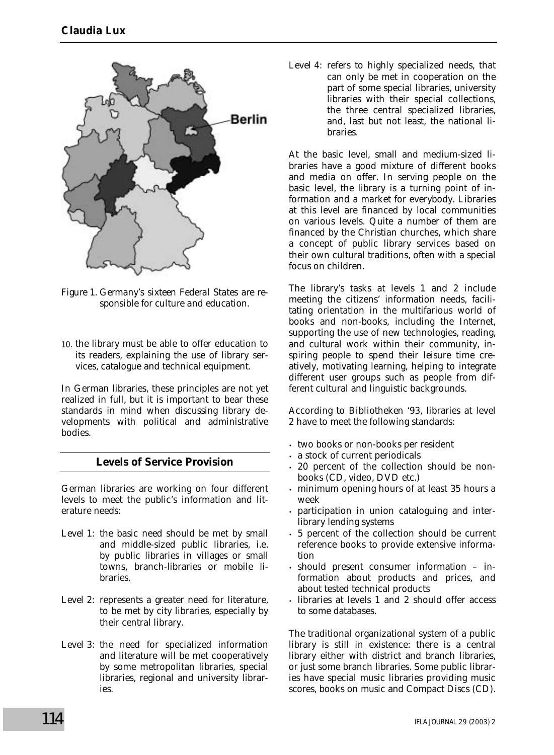

*Figure 1. Germany's sixteen Federal States are responsible for culture and education.* 

10. the library must be able to offer education to its readers, explaining the use of library services, catalogue and technical equipment.

In German libraries, these principles are not yet realized in full, but it is important to bear these standards in mind when discussing library developments with political and administrative bodies.

# **Levels of Service Provision**

German libraries are working on four different levels to meet the public's information and literature needs:

- *Level 1:* the basic need should be met by small and middle-sized public libraries, i.e. by public libraries in villages or small towns, branch-libraries or mobile libraries.
- *Level 2:* represents a greater need for literature, to be met by city libraries, especially by their central library.
- *Level 3:* the need for specialized information and literature will be met cooperatively by some metropolitan libraries, special libraries, regional and university libraries.

*Level 4:* refers to highly specialized needs, that can only be met in cooperation on the part of some special libraries, university libraries with their special collections, the three central specialized libraries, and, last but not least, the national libraries.

At the basic level, small and medium-sized libraries have a good mixture of different books and media on offer. In serving people on the basic level, the library is a turning point of information and a market for everybody. Libraries at this level are financed by local communities on various levels. Quite a number of them are financed by the Christian churches, which share a concept of public library services based on their own cultural traditions, often with a special focus on children.

The library's tasks at levels 1 and 2 include meeting the citizens' information needs, facilitating orientation in the multifarious world of books and non-books, including the Internet, supporting the use of new technologies, reading, and cultural work within their community, inspiring people to spend their leisure time creatively, motivating learning, helping to integrate different user groups such as people from different cultural and linguistic backgrounds.

According to *Bibliotheken '93*, libraries at level 2 have to meet the following standards:

- two books or non-books per resident
- a stock of current periodicals
- 20 percent of the collection should be nonbooks (CD, video, DVD etc.)
- minimum opening hours of at least 35 hours a week
- participation in union cataloguing and interlibrary lending systems
- 5 percent of the collection should be current reference books to provide extensive information
- should present consumer information information about products and prices, and about tested technical products
- libraries at levels 1 and 2 should offer access to some databases.

The traditional organizational system of a public library is still in existence: there is a central library either with district and branch libraries, or just some branch libraries. Some public libraries have special music libraries providing music scores, books on music and Compact Discs (CD).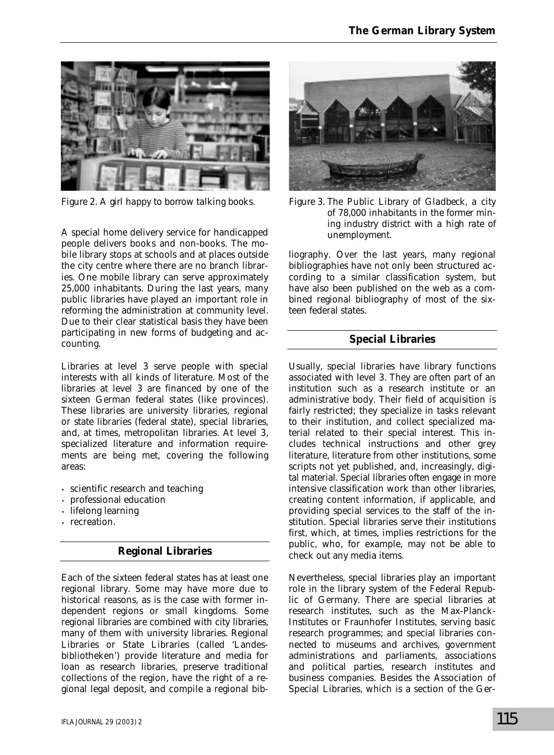

A special home delivery service for handicapped people delivers books and non-books. The mobile library stops at schools and at places outside the city centre where there are no branch libraries. One mobile library can serve approximately 25,000 inhabitants. During the last years, many public libraries have played an important role in reforming the administration at community level. Due to their clear statistical basis they have been participating in new forms of budgeting and accounting.

Libraries at level 3 serve people with special interests with all kinds of literature. Most of the libraries at level 3 are financed by one of the sixteen German federal states (like provinces). These libraries are university libraries, regional or state libraries (federal state), special libraries, and, at times, metropolitan libraries. At level 3, specialized literature and information requirements are being met, covering the following areas:

- scientific research and teaching
- professional education
- lifelong learning
- recreation.

# **Regional Libraries**

Each of the sixteen federal states has at least one regional library. Some may have more due to historical reasons, as is the case with former independent regions or small kingdoms. Some regional libraries are combined with city libraries, many of them with university libraries. Regional Libraries or State Libraries (called 'Landesbibliotheken') provide literature and media for loan as research libraries, preserve traditional collections of the region, have the right of a regional legal deposit, and compile a regional bib-



*Figure 2. A girl happy to borrow talking books. Figure 3. The Public Library of Gladbeck, a city of 78,000 inhabitants in the former mining industry district with a high rate of unemployment.* 

liography. Over the last years, many regional bibliographies have not only been structured according to a similar classification system, but have also been published on the web as a combined regional bibliography of most of the sixteen federal states.

# **Special Libraries**

Usually, special libraries have library functions associated with level 3. They are often part of an institution such as a research institute or an administrative body. Their field of acquisition is fairly restricted; they specialize in tasks relevant to their institution, and collect specialized material related to their special interest. This includes technical instructions and other grey literature, literature from other institutions, some scripts not yet published, and, increasingly, digital material. Special libraries often engage in more intensive classification work than other libraries, creating content information, if applicable, and providing special services to the staff of the institution. Special libraries serve their institutions first, which, at times, implies restrictions for the public, who, for example, may not be able to check out any media items.

Nevertheless, special libraries play an important role in the library system of the Federal Republic of Germany. There are special libraries at research institutes, such as the Max-Planck-Institutes or Fraunhofer Institutes, serving basic research programmes; and special libraries connected to museums and archives, government administrations and parliaments, associations and political parties, research institutes and business companies. Besides the Association of Special Libraries, which is a section of the Ger-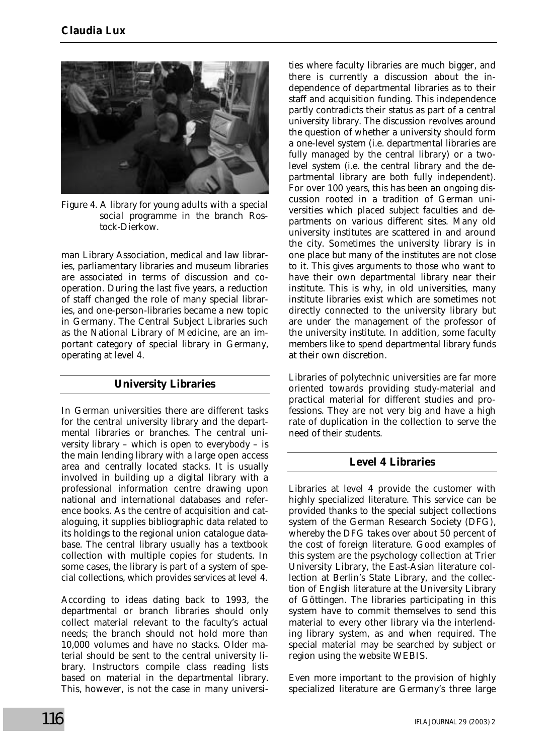

*Figure 4. A library for young adults with a special social programme in the branch Rostock-Dierkow.* 

man Library Association, medical and law libraries, parliamentary libraries and museum libraries are associated in terms of discussion and cooperation. During the last five years, a reduction of staff changed the role of many special libraries, and one-person-libraries became a new topic in Germany. The Central Subject Libraries such as the National Library of Medicine, are an important category of special library in Germany, operating at level 4.

# **University Libraries**

In German universities there are different tasks for the central university library and the departmental libraries or branches. The central university library – which is open to everybody – is the main lending library with a large open access area and centrally located stacks. It is usually involved in building up a digital library with a professional information centre drawing upon national and international databases and reference books. As the centre of acquisition and cataloguing, it supplies bibliographic data related to its holdings to the regional union catalogue database. The central library usually has a textbook collection with multiple copies for students. In some cases, the library is part of a system of special collections, which provides services at level 4.

According to ideas dating back to 1993, the departmental or branch libraries should only collect material relevant to the faculty's actual needs; the branch should not hold more than 10,000 volumes and have no stacks. Older material should be sent to the central university library. Instructors compile class reading lists based on material in the departmental library. This, however, is not the case in many universities where faculty libraries are much bigger, and there is currently a discussion about the independence of departmental libraries as to their staff and acquisition funding. This independence partly contradicts their status as part of a central university library. The discussion revolves around the question of whether a university should form a one-level system (i.e. departmental libraries are fully managed by the central library) or a twolevel system (i.e. the central library and the departmental library are both fully independent). For over 100 years, this has been an ongoing discussion rooted in a tradition of German universities which placed subject faculties and departments on various different sites. Many old university institutes are scattered in and around the city. Sometimes the university library is in one place but many of the institutes are not close to it. This gives arguments to those who want to have their own departmental library near their institute. This is why, in old universities, many institute libraries exist which are sometimes not directly connected to the university library but are under the management of the professor of the university institute. In addition, some faculty members like to spend departmental library funds at their own discretion.

Libraries of polytechnic universities are far more oriented towards providing study-material and practical material for different studies and professions. They are not very big and have a high rate of duplication in the collection to serve the need of their students.

# **Level 4 Libraries**

Libraries at level 4 provide the customer with highly specialized literature. This service can be provided thanks to the special subject collections system of the German Research Society (DFG), whereby the DFG takes over about 50 percent of the cost of foreign literature. Good examples of this system are the psychology collection at Trier University Library, the East-Asian literature collection at Berlin's State Library, and the collection of English literature at the University Library of Göttingen. The libraries participating in this system have to commit themselves to send this material to every other library via the interlending library system, as and when required. The special material may be searched by subject or region using the website WEBIS.

Even more important to the provision of highly specialized literature are Germany's three large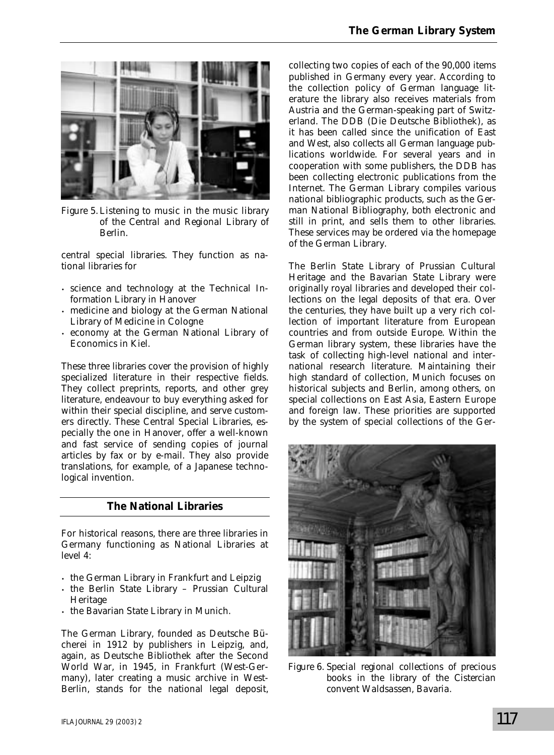

*Figure 5. Listening to music in the music library of the Central and Regional Library of Berlin.* 

central special libraries. They function as national libraries for

- science and technology at the Technical Information Library in Hanover
- medicine and biology at the German National Library of Medicine in Cologne
- economy at the German National Library of Economics in Kiel.

These three libraries cover the provision of highly specialized literature in their respective fields. They collect preprints, reports, and other grey literature, endeavour to buy everything asked for within their special discipline, and serve customers directly. These Central Special Libraries, especially the one in Hanover, offer a well-known and fast service of sending copies of journal articles by fax or by e-mail. They also provide translations, for example, of a Japanese technological invention.

# **The National Libraries**

For historical reasons, there are three libraries in Germany functioning as National Libraries at level 4:

- the German Library in Frankfurt and Leipzig
- the Berlin State Library Prussian Cultural Heritage
- the Bavarian State Library in Munich.

The German Library, founded as Deutsche Bücherei in 1912 by publishers in Leipzig, and, again, as Deutsche Bibliothek after the Second World War, in 1945, in Frankfurt (West-Germany), later creating a music archive in West-Berlin, stands for the national legal deposit,

collecting two copies of each of the 90,000 items published in Germany every year. According to the collection policy of German language literature the library also receives materials from Austria and the German-speaking part of Switzerland. The DDB (Die Deutsche Bibliothek), as it has been called since the unification of East and West, also collects all German language publications worldwide. For several years and in cooperation with some publishers, the DDB has been collecting electronic publications from the Internet. The German Library compiles various national bibliographic products, such as the *German National Bibliography*, both electronic and still in print, and sells them to other libraries. These services may be ordered via the homepage of the German Library.

The Berlin State Library of Prussian Cultural Heritage and the Bavarian State Library were originally royal libraries and developed their collections on the legal deposits of that era. Over the centuries, they have built up a very rich collection of important literature from European countries and from outside Europe. Within the German library system, these libraries have the task of collecting high-level national and international research literature. Maintaining their high standard of collection, Munich focuses on historical subjects and Berlin, among others, on special collections on East Asia, Eastern Europe and foreign law. These priorities are supported by the system of special collections of the Ger-



*Figure 6. Special regional collections of precious books in the library of the Cistercian convent Waldsassen, Bavaria.*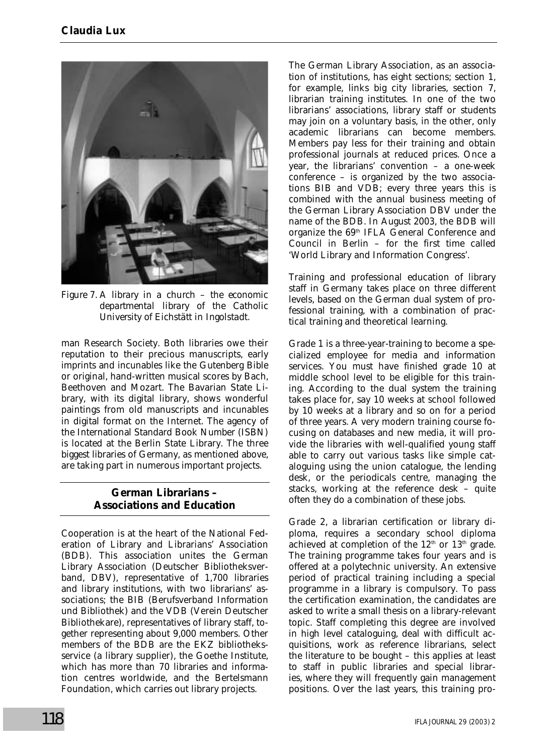

*Figure 7. A library in a church – the economic departmental library of the Catholic University of Eichstätt in Ingolstadt.* 

man Research Society. Both libraries owe their reputation to their precious manuscripts, early imprints and incunables like the Gutenberg Bible or original, hand-written musical scores by Bach, Beethoven and Mozart. The Bavarian State Library, with its digital library, shows wonderful paintings from old manuscripts and incunables in digital format on the Internet. The agency of the International Standard Book Number (ISBN) is located at the Berlin State Library. The three biggest libraries of Germany, as mentioned above, are taking part in numerous important projects.

# **German Librarians – Associations and Education**

Cooperation is at the heart of the National Federation of Library and Librarians' Association (BDB). This association unites the German Library Association (Deutscher Bibliotheksverband, DBV), representative of 1,700 libraries and library institutions, with two librarians' associations; the BIB (Berufsverband Information und Bibliothek) and the VDB (Verein Deutscher Bibliothekare), representatives of library staff, together representing about 9,000 members. Other members of the BDB are the EKZ bibliotheksservice (a library supplier), the Goethe Institute, which has more than 70 libraries and information centres worldwide, and the Bertelsmann Foundation, which carries out library projects.

The German Library Association, as an association of institutions, has eight sections; section 1, for example, links big city libraries, section 7, librarian training institutes. In one of the two librarians' associations, library staff or students may join on a voluntary basis, in the other, only academic librarians can become members. Members pay less for their training and obtain professional journals at reduced prices. Once a year, the librarians' convention – a one-week conference – is organized by the two associations BIB and VDB; every three years this is combined with the annual business meeting of the German Library Association DBV under the name of the BDB. In August 2003, the BDB will organize the 69<sup>th</sup> IFLA General Conference and Council in Berlin – for the first time called 'World Library and Information Congress'.

Training and professional education of library staff in Germany takes place on three different levels, based on the German dual system of professional training, with a combination of practical training and theoretical learning.

Grade 1 is a three-year-training to become a specialized employee for media and information services. You must have finished grade 10 at middle school level to be eligible for this training. According to the dual system the training takes place for, say 10 weeks at school followed by 10 weeks at a library and so on for a period of three years. A very modern training course focusing on databases and new media, it will provide the libraries with well-qualified young staff able to carry out various tasks like simple cataloguing using the union catalogue, the lending desk, or the periodicals centre, managing the stacks, working at the reference desk – quite often they do a combination of these jobs.

Grade 2, a librarian certification or library diploma, requires a secondary school diploma achieved at completion of the  $12<sup>th</sup>$  or  $13<sup>th</sup>$  grade. The training programme takes four years and is offered at a polytechnic university. An extensive period of practical training including a special programme in a library is compulsory. To pass the certification examination, the candidates are asked to write a small thesis on a library-relevant topic. Staff completing this degree are involved in high level cataloguing, deal with difficult acquisitions, work as reference librarians, select the literature to be bought – this applies at least to staff in public libraries and special libraries, where they will frequently gain management positions. Over the last years, this training pro-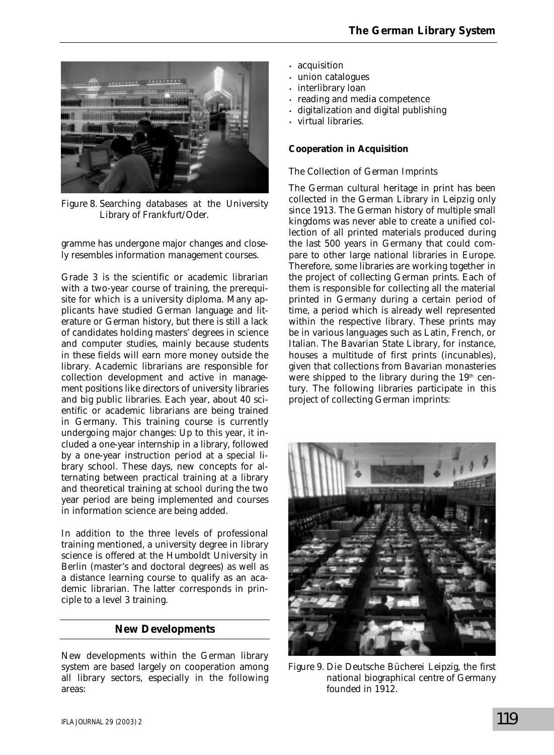

*Figure 8. Searching databases at the University Library of Frankfurt/Oder.* 

gramme has undergone major changes and closely resembles information management courses.

Grade 3 is the scientific or academic librarian with a two-year course of training, the prerequisite for which is a university diploma. Many applicants have studied German language and literature or German history, but there is still a lack of candidates holding masters' degrees in science and computer studies, mainly because students in these fields will earn more money outside the library. Academic librarians are responsible for collection development and active in management positions like directors of university libraries and big public libraries. Each year, about 40 scientific or academic librarians are being trained in Germany. This training course is currently undergoing major changes: Up to this year, it included a one-year internship in a library, followed by a one-year instruction period at a special library school. These days, new concepts for alternating between practical training at a library and theoretical training at school during the two year period are being implemented and courses in information science are being added.

In addition to the three levels of professional training mentioned, a university degree in library science is offered at the Humboldt University in Berlin (master's and doctoral degrees) as well as a distance learning course to qualify as an academic librarian. The latter corresponds in principle to a level 3 training.

# **New Developments**

New developments within the German library system are based largely on cooperation among all library sectors, especially in the following areas:

- acquisition
- union catalogues
- interlibrary loan
- reading and media competence
- digitalization and digital publishing
- virtual libraries.

# **Cooperation in Acquisition**

# *The Collection of German Imprints*

The German cultural heritage in print has been collected in the German Library in Leipzig only since 1913. The German history of multiple small kingdoms was never able to create a unified collection of all printed materials produced during the last 500 years in Germany that could compare to other large national libraries in Europe. Therefore, some libraries are working together in the project of collecting German prints. Each of them is responsible for collecting all the material printed in Germany during a certain period of time, a period which is already well represented within the respective library. These prints may be in various languages such as Latin, French, or Italian. The Bavarian State Library, for instance, houses a multitude of first prints (incunables), given that collections from Bavarian monasteries were shipped to the library during the  $19<sup>th</sup>$  century. The following libraries participate in this project of collecting German imprints:



*Figure 9. Die Deutsche Bücherei Leipzig, the first national biographical centre of Germany founded in 1912.*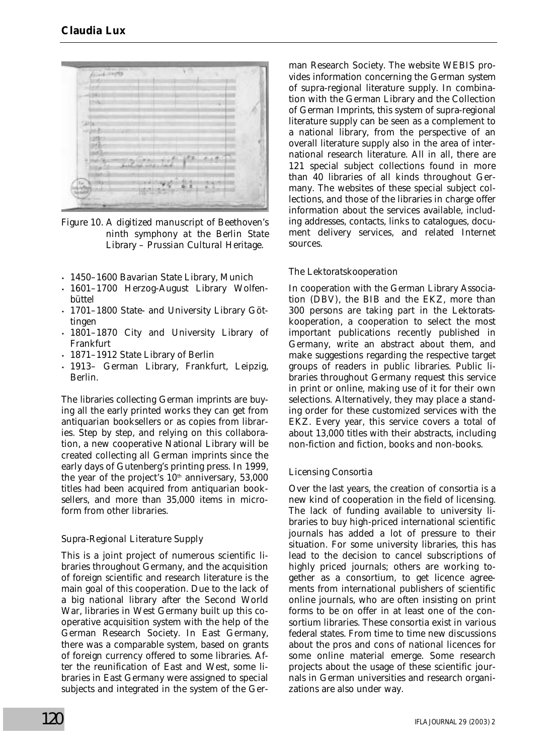

*Figure 10. A digitized manuscript of Beethoven's ninth symphony at the Berlin State Library – Prussian Cultural Heritage.* 

- 1450–1600 Bavarian State Library, Munich
- 1601–1700 Herzog-August Library Wolfenbüttel
- 1701–1800 State- and University Library Göttingen
- 1801–1870 City and University Library of Frankfurt
- 1871–1912 State Library of Berlin
- 1913– German Library, Frankfurt, Leipzig, Berlin.

The libraries collecting German imprints are buying all the early printed works they can get from antiquarian booksellers or as copies from libraries. Step by step, and relying on this collaboration, a new cooperative National Library will be created collecting all German imprints since the early days of Gutenberg's printing press. In 1999, the year of the project's  $10<sup>th</sup>$  anniversary, 53,000 titles had been acquired from antiquarian booksellers, and more than 35,000 items in microform from other libraries.

# *Supra-Regional Literature Supply*

This is a joint project of numerous scientific libraries throughout Germany, and the acquisition of foreign scientific and research literature is the main goal of this cooperation. Due to the lack of a big national library after the Second World War, libraries in West Germany built up this cooperative acquisition system with the help of the German Research Society. In East Germany, there was a comparable system, based on grants of foreign currency offered to some libraries. After the reunification of East and West, some libraries in East Germany were assigned to special subjects and integrated in the system of the German Research Society. The website WEBIS provides information concerning the German system of supra-regional literature supply. In combination with the German Library and the Collection of German Imprints, this system of supra-regional literature supply can be seen as a complement to a national library, from the perspective of an overall literature supply also in the area of international research literature. All in all, there are 121 special subject collections found in more than 40 libraries of all kinds throughout Germany. The websites of these special subject collections, and those of the libraries in charge offer information about the services available, including addresses, contacts, links to catalogues, document delivery services, and related Internet sources.

# *The Lektoratskooperation*

In cooperation with the German Library Association (DBV), the BIB and the EKZ, more than 300 persons are taking part in the Lektoratskooperation, a cooperation to select the most important publications recently published in Germany, write an abstract about them, and make suggestions regarding the respective target groups of readers in public libraries. Public libraries throughout Germany request this service in print or online, making use of it for their own selections. Alternatively, they may place a standing order for these customized services with the EKZ. Every year, this service covers a total of about 13,000 titles with their abstracts, including non-fiction and fiction, books and non-books.

# *Licensing Consortia*

Over the last years, the creation of consortia is a new kind of cooperation in the field of licensing. The lack of funding available to university libraries to buy high-priced international scientific journals has added a lot of pressure to their situation. For some university libraries, this has lead to the decision to cancel subscriptions of highly priced journals; others are working together as a consortium, to get licence agreements from international publishers of scientific online journals, who are often insisting on print forms to be on offer in at least one of the consortium libraries. These consortia exist in various federal states. From time to time new discussions about the pros and cons of national licences for some online material emerge. Some research projects about the usage of these scientific journals in German universities and research organizations are also under way.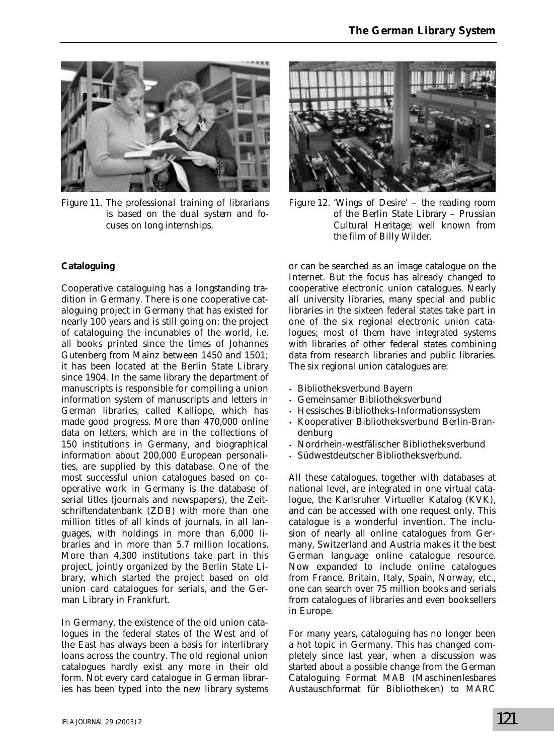

*Figure 11. The professional training of librarians is based on the dual system and focuses on long internships.* 

#### **Cataloguing**

Cooperative cataloguing has a longstanding tradition in Germany. There is one cooperative cataloguing project in Germany that has existed for nearly 100 years and is still going on: the project of cataloguing the incunables of the world, i.e. all books printed since the times of Johannes Gutenberg from Mainz between 1450 and 1501; it has been located at the Berlin State Library since 1904. In the same library the department of manuscripts is responsible for compiling a union information system of manuscripts and letters in German libraries, called Kalliope, which has made good progress. More than 470,000 online data on letters, which are in the collections of 150 institutions in Germany, and biographical information about 200,000 European personalities, are supplied by this database. One of the most successful union catalogues based on cooperative work in Germany is the database of serial titles (journals and newspapers), the Zeitschriftendatenbank (ZDB) with more than one million titles of all kinds of journals, in all languages, with holdings in more than 6,000 libraries and in more than 5.7 million locations. More than 4,300 institutions take part in this project, jointly organized by the Berlin State Library, which started the project based on old union card catalogues for serials, and the German Library in Frankfurt.

In Germany, the existence of the old union catalogues in the federal states of the West and of the East has always been a basis for interlibrary loans across the country. The old regional union catalogues hardly exist any more in their old form. Not every card catalogue in German libraries has been typed into the new library systems



*Figure 12. 'Wings of Desire' – the reading room of the Berlin State Library – Prussian Cultural Heritage; well known from the film of Billy Wilder.* 

or can be searched as an image catalogue on the Internet. But the focus has already changed to cooperative electronic union catalogues. Nearly all university libraries, many special and public libraries in the sixteen federal states take part in one of the six regional electronic union catalogues; most of them have integrated systems with libraries of other federal states combining data from research libraries and public libraries. The six regional union catalogues are:

- Bibliotheksverbund Bayern
- Gemeinsamer Bibliotheksverbund
- Hessisches Bibliotheks-Informationssystem
- Kooperativer Bibliotheksverbund Berlin-Brandenburg
- Nordrhein-westfälischer Bibliotheksverbund
- Südwestdeutscher Bibliotheksverbund.

All these catalogues, together with databases at national level, are integrated in one virtual catalogue, the Karlsruher Virtueller Katalog (KVK), and can be accessed with one request only. This catalogue is a wonderful invention. The inclusion of nearly all online catalogues from Germany, Switzerland and Austria makes it the best German language online catalogue resource. Now expanded to include online catalogues from France, Britain, Italy, Spain, Norway, etc., one can search over 75 million books and serials from catalogues of libraries and even booksellers in Europe.

For many years, cataloguing has no longer been a hot topic in Germany. This has changed completely since last year, when a discussion was started about a possible change from the German Cataloguing Format MAB (Maschinenlesbares Austauschformat für Bibliotheken) to MARC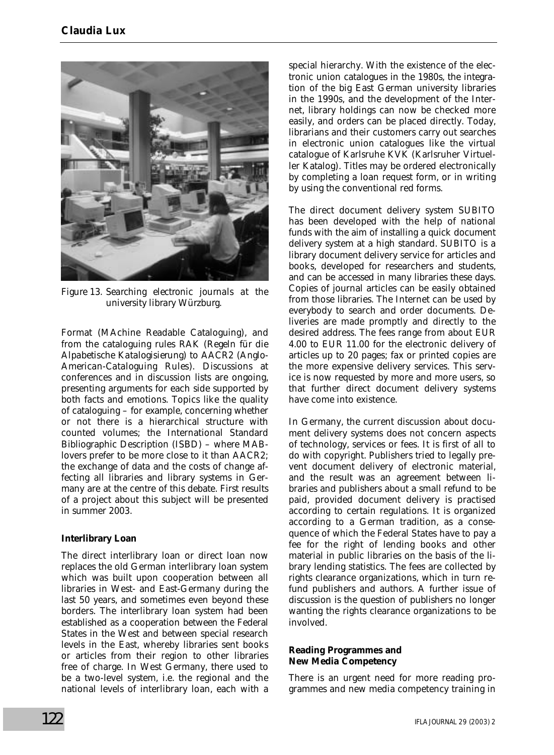

*Figure 13. Searching electronic journals at the university library Würzburg.* 

Format (MAchine Readable Cataloguing), and from the cataloguing rules RAK (*Regeln für die Alpabetische Katalogisierung*) to AACR2 (*Anglo-American-Cataloguing Rules*). Discussions at conferences and in discussion lists are ongoing, presenting arguments for each side supported by both facts and emotions. Topics like the quality of cataloguing – for example, concerning whether or not there is a hierarchical structure with counted volumes; the International Standard Bibliographic Description (ISBD) – where MABlovers prefer to be more close to it than AACR2; the exchange of data and the costs of change affecting all libraries and library systems in Germany are at the centre of this debate. First results of a project about this subject will be presented in summer 2003.

# **Interlibrary Loan**

The direct interlibrary loan or direct loan now replaces the old German interlibrary loan system which was built upon cooperation between all libraries in West- and East-Germany during the last 50 years, and sometimes even beyond these borders. The interlibrary loan system had been established as a cooperation between the Federal States in the West and between special research levels in the East, whereby libraries sent books or articles from their region to other libraries free of charge. In West Germany, there used to be a two-level system, i.e. the regional and the national levels of interlibrary loan, each with a special hierarchy. With the existence of the electronic union catalogues in the 1980s, the integration of the big East German university libraries in the 1990s, and the development of the Internet, library holdings can now be checked more easily, and orders can be placed directly. Today, librarians and their customers carry out searches in electronic union catalogues like the virtual catalogue of Karlsruhe KVK (Karlsruher Virtueller Katalog). Titles may be ordered electronically by completing a loan request form, or in writing by using the conventional red forms.

The direct document delivery system SUBITO has been developed with the help of national funds with the aim of installing a quick document delivery system at a high standard. SUBITO is a library document delivery service for articles and books, developed for researchers and students, and can be accessed in many libraries these days. Copies of journal articles can be easily obtained from those libraries. The Internet can be used by everybody to search and order documents. Deliveries are made promptly and directly to the desired address. The fees range from about EUR 4.00 to EUR 11.00 for the electronic delivery of articles up to 20 pages; fax or printed copies are the more expensive delivery services. This service is now requested by more and more users, so that further direct document delivery systems have come into existence.

In Germany, the current discussion about document delivery systems does not concern aspects of technology, services or fees. It is first of all to do with copyright. Publishers tried to legally prevent document delivery of electronic material, and the result was an agreement between libraries and publishers about a small refund to be paid, provided document delivery is practised according to certain regulations. It is organized according to a German tradition, as a consequence of which the Federal States have to pay a fee for the right of lending books and other material in public libraries on the basis of the library lending statistics. The fees are collected by rights clearance organizations, which in turn refund publishers and authors. A further issue of discussion is the question of publishers no longer wanting the rights clearance organizations to be involved.

#### **Reading Programmes and New Media Competency**

There is an urgent need for more reading programmes and new media competency training in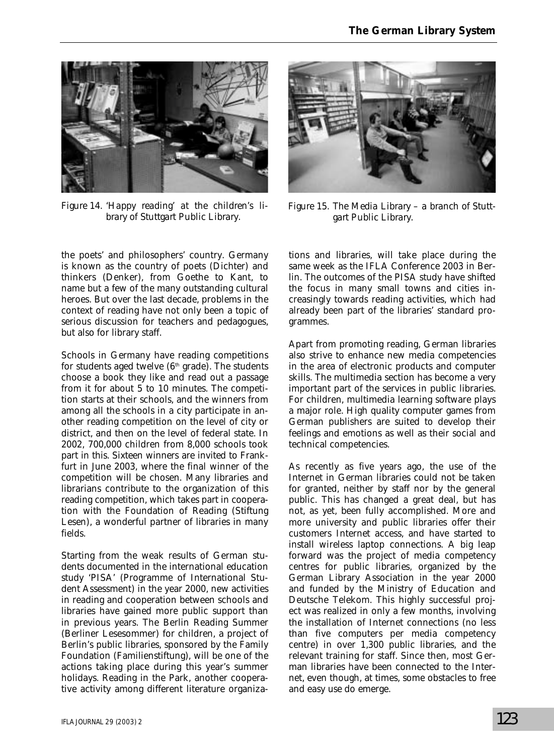

*Figure 14. 'Happy reading' at the children's library of Stuttgart Public Library.* 



*Figure 15. The Media Library – a branch of Stuttgart Public Library.* 

the poets' and philosophers' country. Germany is known as the country of poets (Dichter) and thinkers (Denker), from Goethe to Kant, to name but a few of the many outstanding cultural heroes. But over the last decade, problems in the context of reading have not only been a topic of serious discussion for teachers and pedagogues, but also for library staff.

Schools in Germany have reading competitions for students aged twelve  $(6<sup>th</sup> grade)$ . The students choose a book they like and read out a passage from it for about 5 to 10 minutes. The competition starts at their schools, and the winners from among all the schools in a city participate in another reading competition on the level of city or district, and then on the level of federal state. In 2002, 700,000 children from 8,000 schools took part in this. Sixteen winners are invited to Frankfurt in June 2003, where the final winner of the competition will be chosen. Many libraries and librarians contribute to the organization of this reading competition, which takes part in cooperation with the Foundation of Reading (Stiftung Lesen), a wonderful partner of libraries in many fields.

Starting from the weak results of German students documented in the international education study 'PISA' (Programme of International Student Assessment) in the year 2000, new activities in reading and cooperation between schools and libraries have gained more public support than in previous years. The Berlin Reading Summer (Berliner Lesesommer) for children, a project of Berlin's public libraries, sponsored by the Family Foundation (Familienstiftung), will be one of the actions taking place during this year's summer holidays. Reading in the Park, another cooperative activity among different literature organizations and libraries, will take place during the same week as the IFLA Conference 2003 in Berlin. The outcomes of the PISA study have shifted the focus in many small towns and cities increasingly towards reading activities, which had already been part of the libraries' standard programmes.

Apart from promoting reading, German libraries also strive to enhance new media competencies in the area of electronic products and computer skills. The multimedia section has become a very important part of the services in public libraries. For children, multimedia learning software plays a major role. High quality computer games from German publishers are suited to develop their feelings and emotions as well as their social and technical competencies.

As recently as five years ago, the use of the Internet in German libraries could not be taken for granted, neither by staff nor by the general public. This has changed a great deal, but has not, as yet, been fully accomplished. More and more university and public libraries offer their customers Internet access, and have started to install wireless laptop connections. A big leap forward was the project of media competency centres for public libraries, organized by the German Library Association in the year 2000 and funded by the Ministry of Education and Deutsche Telekom. This highly successful project was realized in only a few months, involving the installation of Internet connections (no less than five computers per media competency centre) in over 1,300 public libraries, and the relevant training for staff. Since then, most German libraries have been connected to the Internet, even though, at times, some obstacles to free and easy use do emerge.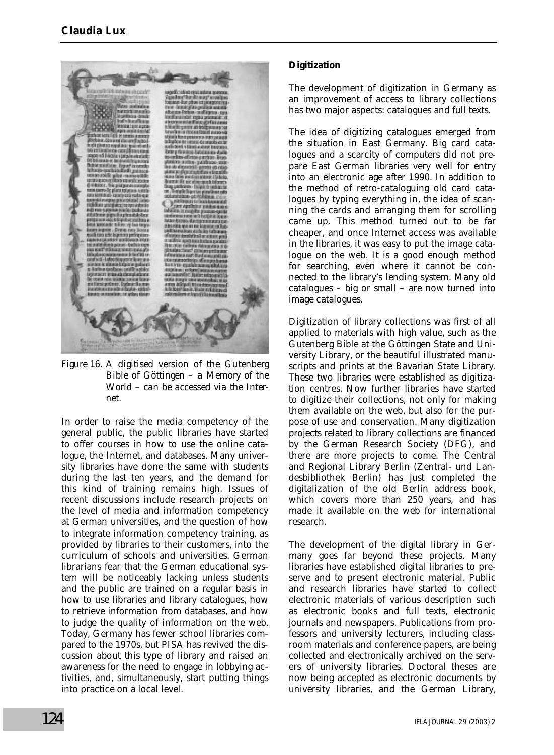

*Figure 16. A digitised version of the Gutenberg Bible of Göttingen – a Memory of the World – can be accessed via the Internet.* 

In order to raise the media competency of the general public, the public libraries have started to offer courses in how to use the online catalogue, the Internet, and databases. Many university libraries have done the same with students during the last ten years, and the demand for this kind of training remains high. Issues of recent discussions include research projects on the level of media and information competency at German universities, and the question of how to integrate information competency training, as provided by libraries to their customers, into the curriculum of schools and universities. German librarians fear that the German educational system will be noticeably lacking unless students and the public are trained on a regular basis in how to use libraries and library catalogues, how to retrieve information from databases, and how to judge the quality of information on the web. Today, Germany has fewer school libraries compared to the 1970s, but PISA has revived the discussion about this type of library and raised an awareness for the need to engage in lobbying activities, and, simultaneously, start putting things into practice on a local level.

#### **Digitization**

The development of digitization in Germany as an improvement of access to library collections has two major aspects: catalogues and full texts.

The idea of digitizing catalogues emerged from the situation in East Germany. Big card catalogues and a scarcity of computers did not prepare East German libraries very well for entry into an electronic age after 1990. In addition to the method of retro-cataloguing old card catalogues by typing everything in, the idea of scanning the cards and arranging them for scrolling came up. This method turned out to be far cheaper, and once Internet access was available in the libraries, it was easy to put the image catalogue on the web. It is a good enough method for searching, even where it cannot be connected to the library's lending system. Many old catalogues – big or small – are now turned into image catalogues.

Digitization of library collections was first of all applied to materials with high value, such as the Gutenberg Bible at the Göttingen State and University Library, or the beautiful illustrated manuscripts and prints at the Bavarian State Library. These two libraries were established as digitization centres. Now further libraries have started to digitize their collections, not only for making them available on the web, but also for the purpose of use and conservation. Many digitization projects related to library collections are financed by the German Research Society (DFG), and there are more projects to come. The Central and Regional Library Berlin (Zentral- und Landesbibliothek Berlin) has just completed the digitalization of the old Berlin address book, which covers more than 250 years, and has made it available on the web for international research.

The development of the digital library in Germany goes far beyond these projects. Many libraries have established digital libraries to preserve and to present electronic material. Public and research libraries have started to collect electronic materials of various description such as electronic books and full texts, electronic journals and newspapers. Publications from professors and university lecturers, including classroom materials and conference papers, are being collected and electronically archived on the servers of university libraries. Doctoral theses are now being accepted as electronic documents by university libraries, and the German Library,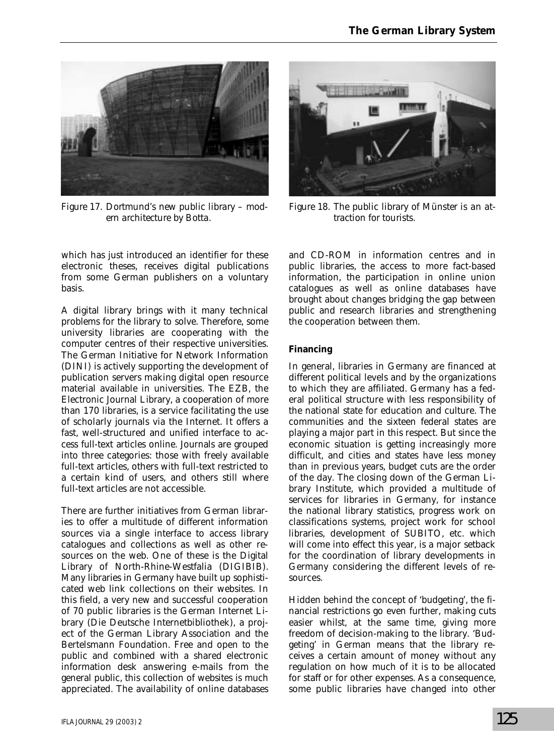

*Figure 17. Dortmund's new public library – modern architecture by Botta.* 



*Figure 18. The public library of Münster is an attraction for tourists.* 

which has just introduced an identifier for these electronic theses, receives digital publications from some German publishers on a voluntary basis.

A digital library brings with it many technical problems for the library to solve. Therefore, some university libraries are cooperating with the computer centres of their respective universities. The German Initiative for Network Information (DINI) is actively supporting the development of publication servers making digital open resource material available in universities. The EZB, the Electronic Journal Library, a cooperation of more than 170 libraries, is a service facilitating the use of scholarly journals via the Internet. It offers a fast, well-structured and unified interface to access full-text articles online. Journals are grouped into three categories: those with freely available full-text articles, others with full-text restricted to a certain kind of users, and others still where full-text articles are not accessible.

There are further initiatives from German libraries to offer a multitude of different information sources via a single interface to access library catalogues and collections as well as other resources on the web. One of these is the Digital Library of North-Rhine-Westfalia (DIGIBIB). Many libraries in Germany have built up sophisticated web link collections on their websites. In this field, a very new and successful cooperation of 70 public libraries is the German Internet Library (Die Deutsche Internetbibliothek), a project of the German Library Association and the Bertelsmann Foundation. Free and open to the public and combined with a shared electronic information desk answering e-mails from the general public, this collection of websites is much appreciated. The availability of online databases

and CD-ROM in information centres and in public libraries, the access to more fact-based information, the participation in online union catalogues as well as online databases have brought about changes bridging the gap between public and research libraries and strengthening the cooperation between them.

# **Financing**

In general, libraries in Germany are financed at different political levels and by the organizations to which they are affiliated. Germany has a federal political structure with less responsibility of the national state for education and culture. The communities and the sixteen federal states are playing a major part in this respect. But since the economic situation is getting increasingly more difficult, and cities and states have less money than in previous years, budget cuts are the order of the day. The closing down of the German Library Institute, which provided a multitude of services for libraries in Germany, for instance the national library statistics, progress work on classifications systems, project work for school libraries, development of SUBITO, etc. which will come into effect this year, is a major setback for the coordination of library developments in Germany considering the different levels of resources.

Hidden behind the concept of 'budgeting', the financial restrictions go even further, making cuts easier whilst, at the same time, giving more freedom of decision-making to the library. 'Budgeting' in German means that the library receives a certain amount of money without any regulation on how much of it is to be allocated for staff or for other expenses. As a consequence, some public libraries have changed into other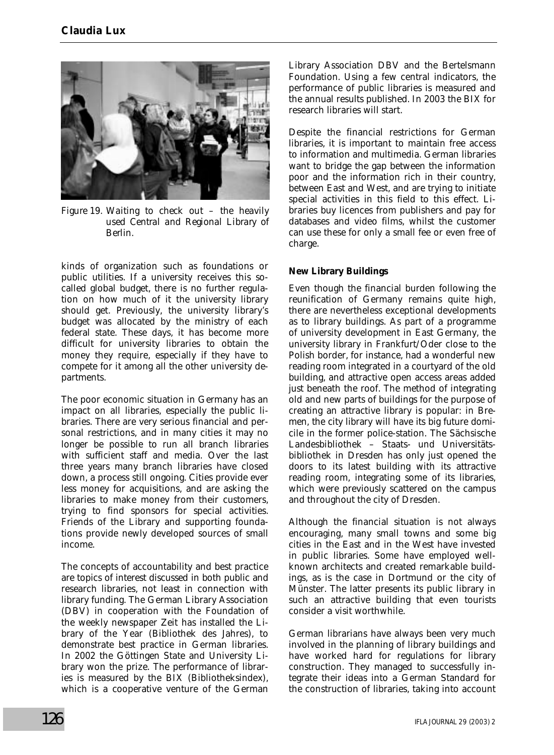

*Figure 19. Waiting to check out – the heavily used Central and Regional Library of Berlin.* 

kinds of organization such as foundations or public utilities. If a university receives this socalled global budget, there is no further regulation on how much of it the university library should get. Previously, the university library's budget was allocated by the ministry of each federal state. These days, it has become more difficult for university libraries to obtain the money they require, especially if they have to compete for it among all the other university departments.

The poor economic situation in Germany has an impact on all libraries, especially the public libraries. There are very serious financial and personal restrictions, and in many cities it may no longer be possible to run all branch libraries with sufficient staff and media. Over the last three years many branch libraries have closed down, a process still ongoing. Cities provide ever less money for acquisitions, and are asking the libraries to make money from their customers, trying to find sponsors for special activities. Friends of the Library and supporting foundations provide newly developed sources of small income.

The concepts of accountability and best practice are topics of interest discussed in both public and research libraries, not least in connection with library funding. The German Library Association (DBV) in cooperation with the Foundation of the weekly newspaper *Zeit* has installed the Library of the Year (Bibliothek des Jahres), to demonstrate best practice in German libraries. In 2002 the Göttingen State and University Library won the prize. The performance of libraries is measured by the BIX (Bibliotheksindex), which is a cooperative venture of the German

Library Association DBV and the Bertelsmann Foundation. Using a few central indicators, the performance of public libraries is measured and the annual results published. In 2003 the BIX for research libraries will start.

Despite the financial restrictions for German libraries, it is important to maintain free access to information and multimedia. German libraries want to bridge the gap between the information poor and the information rich in their country, between East and West, and are trying to initiate special activities in this field to this effect. Libraries buy licences from publishers and pay for databases and video films, whilst the customer can use these for only a small fee or even free of charge.

# **New Library Buildings**

Even though the financial burden following the reunification of Germany remains quite high, there are nevertheless exceptional developments as to library buildings. As part of a programme of university development in East Germany, the university library in Frankfurt/Oder close to the Polish border, for instance, had a wonderful new reading room integrated in a courtyard of the old building, and attractive open access areas added just beneath the roof. The method of integrating old and new parts of buildings for the purpose of creating an attractive library is popular: in Bremen, the city library will have its big future domicile in the former police-station. The Sächsische Landesbibliothek – Staats- und Universitätsbibliothek in Dresden has only just opened the doors to its latest building with its attractive reading room, integrating some of its libraries, which were previously scattered on the campus and throughout the city of Dresden.

Although the financial situation is not always encouraging, many small towns and some big cities in the East and in the West have invested in public libraries. Some have employed wellknown architects and created remarkable buildings, as is the case in Dortmund or the city of Münster. The latter presents its public library in such an attractive building that even tourists consider a visit worthwhile.

German librarians have always been very much involved in the planning of library buildings and have worked hard for regulations for library construction. They managed to successfully integrate their ideas into a German Standard for the construction of libraries, taking into account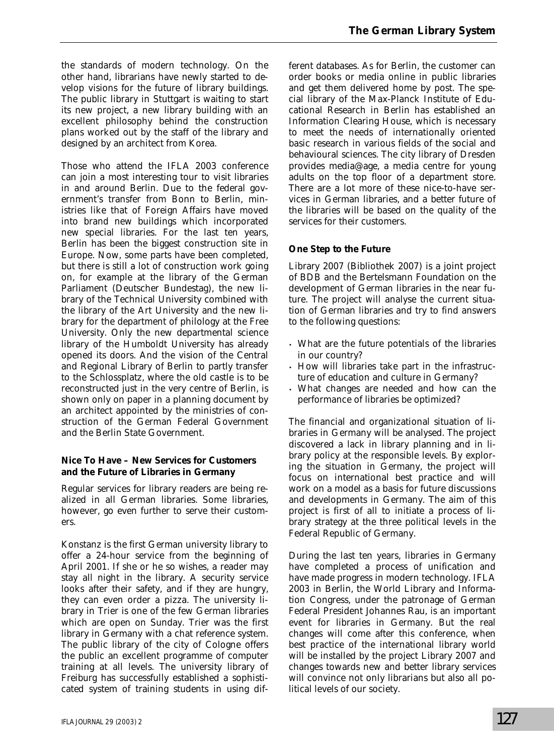the standards of modern technology. On the other hand, librarians have newly started to develop visions for the future of library buildings. The public library in Stuttgart is waiting to start its new project, a new library building with an excellent philosophy behind the construction plans worked out by the staff of the library and designed by an architect from Korea.

Those who attend the IFLA 2003 conference can join a most interesting tour to visit libraries in and around Berlin. Due to the federal government's transfer from Bonn to Berlin, ministries like that of Foreign Affairs have moved into brand new buildings which incorporated new special libraries. For the last ten years, Berlin has been the biggest construction site in Europe. Now, some parts have been completed, but there is still a lot of construction work going on, for example at the library of the German Parliament (Deutscher Bundestag), the new library of the Technical University combined with the library of the Art University and the new library for the department of philology at the Free University. Only the new departmental science library of the Humboldt University has already opened its doors. And the vision of the Central and Regional Library of Berlin to partly transfer to the Schlossplatz, where the old castle is to be reconstructed just in the very centre of Berlin, is shown only on paper in a planning document by an architect appointed by the ministries of construction of the German Federal Government and the Berlin State Government.

# **Nice To Have – New Services for Customers and the Future of Libraries in Germany**

Regular services for library readers are being realized in all German libraries. Some libraries, however, go even further to serve their customers.

Konstanz is the first German university library to offer a 24-hour service from the beginning of April 2001. If she or he so wishes, a reader may stay all night in the library. A security service looks after their safety, and if they are hungry, they can even order a pizza. The university library in Trier is one of the few German libraries which are open on Sunday. Trier was the first library in Germany with a chat reference system. The public library of the city of Cologne offers the public an excellent programme of computer training at all levels. The university library of Freiburg has successfully established a sophisticated system of training students in using different databases. As for Berlin, the customer can order books or media online in public libraries and get them delivered home by post. The special library of the Max-Planck Institute of Educational Research in Berlin has established an Information Clearing House, which is necessary to meet the needs of internationally oriented basic research in various fields of the social and behavioural sciences. The city library of Dresden provides media@age, a media centre for young adults on the top floor of a department store. There are a lot more of these nice-to-have services in German libraries, and a better future of the libraries will be based on the quality of the services for their customers.

# **One Step to the Future**

Library 2007 (Bibliothek 2007) is a joint project of BDB and the Bertelsmann Foundation on the development of German libraries in the near future. The project will analyse the current situation of German libraries and try to find answers to the following questions:

- What are the future potentials of the libraries in our country?
- How will libraries take part in the infrastructure of education and culture in Germany?
- What changes are needed and how can the performance of libraries be optimized?

The financial and organizational situation of libraries in Germany will be analysed. The project discovered a lack in library planning and in library policy at the responsible levels. By exploring the situation in Germany, the project will focus on international best practice and will work on a model as a basis for future discussions and developments in Germany. The aim of this project is first of all to initiate a process of library strategy at the three political levels in the Federal Republic of Germany.

During the last ten years, libraries in Germany have completed a process of unification and have made progress in modern technology. IFLA 2003 in Berlin, the World Library and Information Congress, under the patronage of German Federal President Johannes Rau, is an important event for libraries in Germany. But the real changes will come after this conference, when best practice of the international library world will be installed by the project Library 2007 and changes towards new and better library services will convince not only librarians but also all political levels of our society.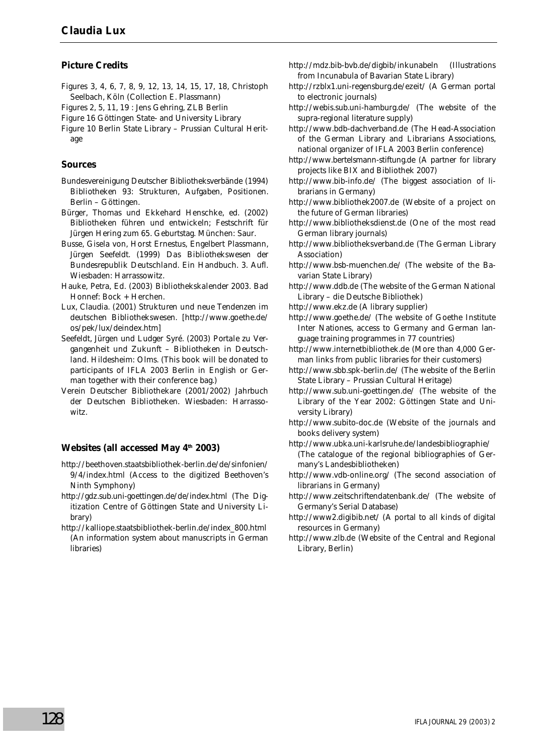#### **Picture Credits**

Figures 3, 4, 6, 7, 8, 9, 12, 13, 14, 15, 17, 18, Christoph Seelbach, Köln (Collection E. Plassmann)

Figures 2, 5, 11, 19 : Jens Gehring, ZLB Berlin

Figure 16 Göttingen State- and University Library

Figure 10 Berlin State Library – Prussian Cultural Heritage

#### **Sources**

- Bundesvereinigung Deutscher Bibliotheksverbände (1994) *Bibliotheken 93: Strukturen, Aufgaben, Positionen.*  Berlin – Göttingen.
- Bürger, Thomas und Ekkehard Henschke, ed. (2002) Bibliotheken führen und entwickeln; Festschrift für Jürgen Hering zum 65. Geburtstag. München: Saur.
- Busse, Gisela von, Horst Ernestus, Engelbert Plassmann, Jürgen Seefeldt. (1999) *Das Bibliothekswesen der Bundesrepublik Deutschland.* Ein Handbuch. 3. Aufl. Wiesbaden: Harrassowitz.
- Hauke, Petra, Ed. (2003) *Bibliothekskalender 2003.* Bad Honnef: Bock + Herchen.
- Lux, Claudia. (2001) *Strukturen und neue Tendenzen im deutschen Bibliothekswesen*. [http://www.goethe.de/ os/pek/lux/deindex.htm]
- Seefeldt, Jürgen und Ludger Syré. (2003) *Portale zu Vergangenheit und Zukunft – Bibliotheken in Deutschland.* Hildesheim: Olms. (This book will be donated to participants of IFLA 2003 Berlin in English or German together with their conference bag.)
- Verein Deutscher Bibliothekare (2001/2002) *Jahrbuch der Deutschen Bibliotheken*. Wiesbaden: Harrassowitz.

#### Websites (all accessed May 4<sup>th</sup> 2003)

- http://beethoven.staatsbibliothek-berlin.de/de/sinfonien/ 9/4/index.html (Access to the digitized Beethoven's Ninth Symphony)
- http://gdz.sub.uni-goettingen.de/de/index.html (The Digitization Centre of Göttingen State and University Library)
- http://kalliope.staatsbibliothek-berlin.de/index\_800.html (An information system about manuscripts in German libraries)
- http://mdz.bib-bvb.de/digbib/inkunabeln (Illustrations from Incunabula of Bavarian State Library)
- http://rzblx1.uni-regensburg.de/ezeit/ (A German portal to electronic journals)
- http://webis.sub.uni-hamburg.de/ (The website of the supra-regional literature supply)
- http://www.bdb-dachverband.de (The Head-Association of the German Library and Librarians Associations, national organizer of IFLA 2003 Berlin conference)

http://www.bertelsmann-stiftung.de (A partner for library projects like BIX and Bibliothek 2007)

- http://www.bib-info.de/ (The biggest association of librarians in Germany)
- http://www.bibliothek2007.de (Website of a project on the future of German libraries)
- http://www.bibliotheksdienst.de (One of the most read German library journals)
- http://www.bibliotheksverband.de (The German Library Association)
- http://www.bsb-muenchen.de/ (The website of the Bavarian State Library)
- http://www.ddb.de (The website of the German National Library – die Deutsche Bibliothek)

http://www.ekz.de (A library supplier)

- http://www.goethe.de/ (The website of Goethe Institute Inter Nationes, access to Germany and German language training programmes in 77 countries)
- http://www.internetbibliothek.de (More than 4,000 German links from public libraries for their customers)
- http://www.sbb.spk-berlin.de/ (The website of the Berlin State Library – Prussian Cultural Heritage)
- http://www.sub.uni-goettingen.de/ (The website of the Library of the Year 2002: Göttingen State and University Library)
- http://www.subito-doc.de (Website of the journals and books delivery system)
- http://www.ubka.uni-karlsruhe.de/landesbibliographie/ (The catalogue of the regional bibliographies of Germany's Landesbibliotheken)
- http://www.vdb-online.org/ (The second association of librarians in Germany)
- http://www.zeitschriftendatenbank.de/ (The website of Germany's Serial Database)
- http://www2.digibib.net/ (A portal to all kinds of digital resources in Germany)
- http://www.zlb.de (Website of the Central and Regional Library, Berlin)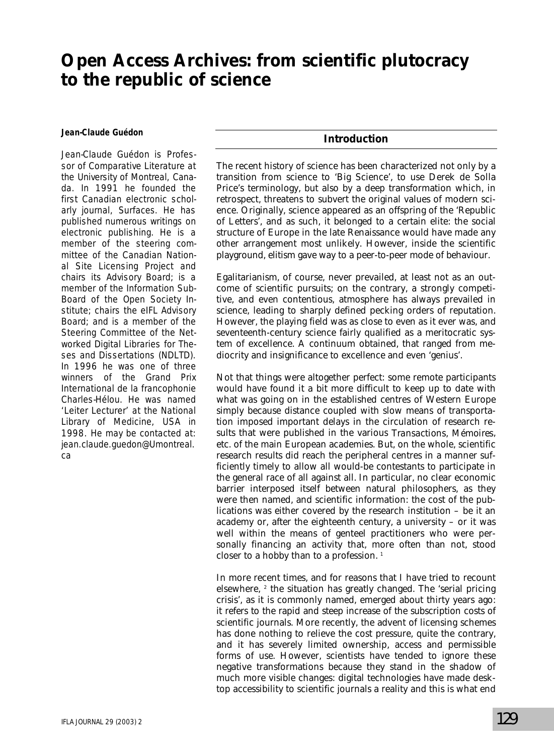# **Open Access Archives: from scientific plutocracy to the republic of science**

#### *Jean-Claude Guédon*

Jean-Claude Guédon is Professor of Comparative Literature at the University of Montreal, Canada. In 1991 he founded the first Canadian electronic scholarly journal, *Surfaces*. He has published numerous writings on electronic publishing. He is a member of the steering committee of the Canadian National Site Licensing Project and chairs its Advisory Board; is a member of the Information Sub-Board of the Open Society Institute; chairs the eIFL Advisory Board; and is a member of the Steering Committee of the Networked Digital Libraries for Theses and Dissertations (NDLTD). In 1996 he was one of three winners of the Grand Prix International de la francophonie Charles-Hélou. He was named 'Leiter Lecturer' at the National Library of Medicine, USA in 1998. He may be contacted at: jean.claude.guedon@Umontreal. ca

# **Introduction**

The recent history of science has been characterized not only by a transition from science to 'Big Science', to use Derek de Solla Price's terminology, but also by a deep transformation which, in retrospect, threatens to subvert the original values of modern science. Originally, science appeared as an offspring of the 'Republic of Letters', and as such, it belonged to a certain elite: the social structure of Europe in the late Renaissance would have made any other arrangement most unlikely. However, inside the scientific playground, elitism gave way to a peer-to-peer mode of behaviour.

Egalitarianism, of course, never prevailed, at least not as an outcome of scientific pursuits; on the contrary, a strongly competitive, and even contentious, atmosphere has always prevailed in science, leading to sharply defined pecking orders of reputation. However, the playing field was as close to even as it ever was, and seventeenth-century science fairly qualified as a meritocratic system of excellence. A continuum obtained, that ranged from mediocrity and insignificance to excellence and even 'genius'.

Not that things were altogether perfect: some remote participants would have found it a bit more difficult to keep up to date with what was going on in the established centres of Western Europe simply because distance coupled with slow means of transportation imposed important delays in the circulation of research results that were published in the various *Transactions, Mémoires*, etc. of the main European academies. But, on the whole, scientific research results did reach the peripheral centres in a manner sufficiently timely to allow all would-be contestants to participate in the general race of all against all. In particular, no clear economic barrier interposed itself between natural philosophers, as they were then named, and scientific information: the cost of the publications was either covered by the research institution – be it an academy or, after the eighteenth century, a university – or it was well within the means of genteel practitioners who were personally financing an activity that, more often than not, stood closer to a hobby than to a profession.<sup>1</sup>

In more recent times, and for reasons that I have tried to recount elsewhere, <sup>2</sup> the situation has greatly changed. The 'serial pricing crisis', as it is commonly named, emerged about thirty years ago: it refers to the rapid and steep increase of the subscription costs of scientific journals. More recently, the advent of licensing schemes has done nothing to relieve the cost pressure, quite the contrary, and it has severely limited ownership, access and permissible forms of use. However, scientists have tended to ignore these negative transformations because they stand in the shadow of much more visible changes: digital technologies have made desktop accessibility to scientific journals a reality and this is what end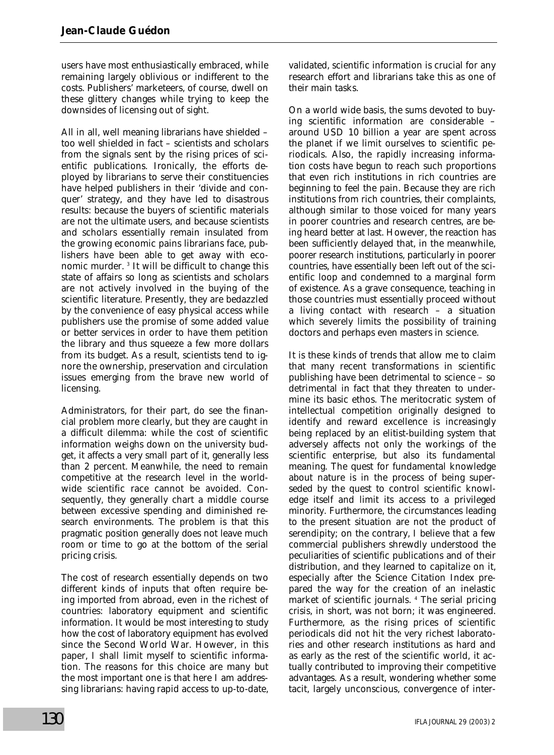users have most enthusiastically embraced, while remaining largely oblivious or indifferent to the costs. Publishers' marketeers, of course, dwell on these glittery changes while trying to keep the downsides of licensing out of sight.

All in all, well meaning librarians have shielded – too well shielded in fact – scientists and scholars from the signals sent by the rising prices of scientific publications. Ironically, the efforts deployed by librarians to serve their constituencies have helped publishers in their 'divide and conquer' strategy, and they have led to disastrous results: because the buyers of scientific materials are not the ultimate users, and because scientists and scholars essentially remain insulated from the growing economic pains librarians face, publishers have been able to get away with economic murder. 3 It will be difficult to change this state of affairs so long as scientists and scholars are not actively involved in the buying of the scientific literature. Presently, they are bedazzled by the convenience of easy physical access while publishers use the promise of some added value or better services in order to have them petition the library and thus squeeze a few more dollars from its budget. As a result, scientists tend to ignore the ownership, preservation and circulation issues emerging from the brave new world of licensing.

Administrators, for their part, do see the financial problem more clearly, but they are caught in a difficult dilemma: while the cost of scientific information weighs down on the university budget, it affects a very small part of it, generally less than 2 percent. Meanwhile, the need to remain competitive at the research level in the worldwide scientific race cannot be avoided. Consequently, they generally chart a middle course between excessive spending and diminished research environments. The problem is that this pragmatic position generally does not leave much room or time to go at the bottom of the serial pricing crisis.

The cost of research essentially depends on two different kinds of inputs that often require being imported from abroad, even in the richest of countries: laboratory equipment and scientific information. It would be most interesting to study how the cost of laboratory equipment has evolved since the Second World War. However, in this paper, I shall limit myself to scientific information. The reasons for this choice are many but the most important one is that here I am addressing librarians: having rapid access to up-to-date,

validated, scientific information is crucial for any research effort and librarians take this as one of their main tasks.

On a world wide basis, the sums devoted to buying scientific information are considerable – around USD 10 billion a year are spent across the planet if we limit ourselves to scientific periodicals. Also, the rapidly increasing information costs have begun to reach such proportions that even rich institutions in rich countries are beginning to feel the pain. Because they are rich institutions from rich countries, their complaints, although similar to those voiced for many years in poorer countries and research centres, are being heard better at last. However, the reaction has been sufficiently delayed that, in the meanwhile, poorer research institutions, particularly in poorer countries, have essentially been left out of the scientific loop and condemned to a marginal form of existence. As a grave consequence, teaching in those countries must essentially proceed without a living contact with research – a situation which severely limits the possibility of training doctors and perhaps even masters in science.

It is these kinds of trends that allow me to claim that many recent transformations in scientific publishing have been detrimental to science – so detrimental in fact that they threaten to undermine its basic ethos. The meritocratic system of intellectual competition originally designed to identify and reward excellence is increasingly being replaced by an elitist-building system that adversely affects not only the workings of the scientific enterprise, but also its fundamental meaning. The quest for fundamental knowledge about nature is in the process of being superseded by the quest to control scientific knowledge itself and limit its access to a privileged minority. Furthermore, the circumstances leading to the present situation are not the product of serendipity; on the contrary, I believe that a few commercial publishers shrewdly understood the peculiarities of scientific publications and of their distribution, and they learned to capitalize on it, especially after the *Science Citation Index* prepared the way for the creation of an inelastic market of scientific journals. 4 The serial pricing crisis, in short, was not born; it was engineered. Furthermore, as the rising prices of scientific periodicals did not hit the very richest laboratories and other research institutions as hard and as early as the rest of the scientific world, it actually contributed to improving their competitive advantages. As a result, wondering whether some tacit, largely unconscious, convergence of inter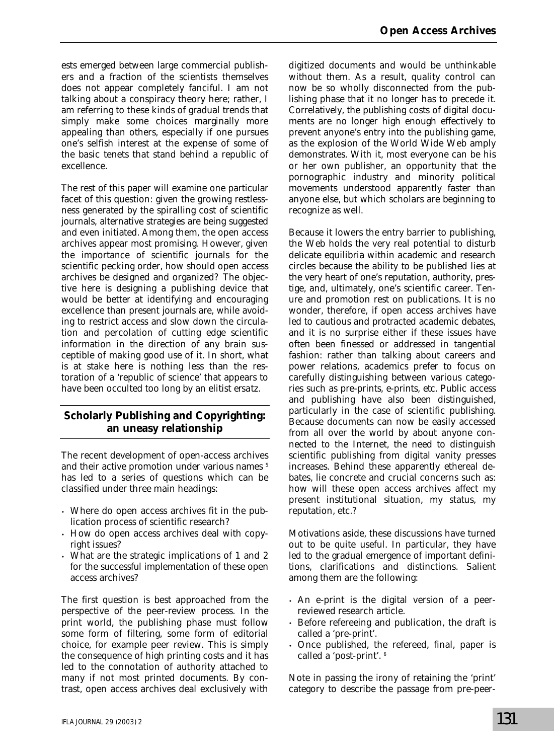ests emerged between large commercial publishers and a fraction of the scientists themselves does not appear completely fanciful. I am not talking about a conspiracy theory here; rather, I am referring to these kinds of gradual trends that simply make some choices marginally more appealing than others, especially if one pursues one's selfish interest at the expense of some of the basic tenets that stand behind a republic of excellence.

The rest of this paper will examine one particular facet of this question: given the growing restlessness generated by the spiralling cost of scientific journals, alternative strategies are being suggested and even initiated. Among them, the open access archives appear most promising. However, given the importance of scientific journals for the scientific pecking order, how should open access archives be designed and organized? The objective here is designing a publishing device that would be better at identifying and encouraging excellence than present journals are, while avoiding to restrict access and slow down the circulation and percolation of cutting edge scientific information in the direction of any brain susceptible of making good use of it. In short, what is at stake here is nothing less than the restoration of a 'republic of science' that appears to have been occulted too long by an elitist *ersatz*.

# **Scholarly Publishing and Copyrighting: an uneasy relationship**

The recent development of open-access archives and their active promotion under various names <sup>5</sup> has led to a series of questions which can be classified under three main headings:

- Where do open access archives fit in the publication process of scientific research?
- How do open access archives deal with copyright issues?
- What are the strategic implications of 1 and 2 for the successful implementation of these open access archives?

The first question is best approached from the perspective of the peer-review process. In the print world, the publishing phase must follow some form of filtering, some form of editorial choice, for example peer review. This is simply the consequence of high printing costs and it has led to the connotation of authority attached to many if not most printed documents. By contrast, open access archives deal exclusively with digitized documents and would be unthinkable without them. As a result, quality control can now be so wholly disconnected from the publishing phase that it no longer has to precede it. Correlatively, the publishing costs of digital documents are no longer high enough effectively to prevent anyone's entry into the publishing game, as the explosion of the World Wide Web amply demonstrates. With it, most everyone can be his or her own publisher, an opportunity that the pornographic industry and minority political movements understood apparently faster than anyone else, but which scholars are beginning to recognize as well.

Because it lowers the entry barrier to publishing, the Web holds the very real potential to disturb delicate equilibria within academic and research circles because the ability to be published lies at the very heart of one's reputation, authority, prestige, and, ultimately, one's scientific career. Tenure and promotion rest on publications. It is no wonder, therefore, if open access archives have led to cautious and protracted academic debates, and it is no surprise either if these issues have often been finessed or addressed in tangential fashion: rather than talking about careers and power relations, academics prefer to focus on carefully distinguishing between various categories such as pre-prints, e-prints, etc. Public access and publishing have also been distinguished, particularly in the case of scientific publishing. Because documents can now be easily accessed from all over the world by about anyone connected to the Internet, the need to distinguish scientific publishing from digital vanity presses increases. Behind these apparently ethereal debates, lie concrete and crucial concerns such as: how will these open access archives affect my present institutional situation, my status, my reputation, etc.?

Motivations aside, these discussions have turned out to be quite useful. In particular, they have led to the gradual emergence of important definitions, clarifications and distinctions. Salient among them are the following:

- An e-print is the digital version of a peerreviewed research article.
- Before refereeing and publication, the draft is called a 'pre-print'.
- Once published, the refereed, final, paper is called a 'post-print'. 6

Note in passing the irony of retaining the 'print' category to describe the passage from pre-peer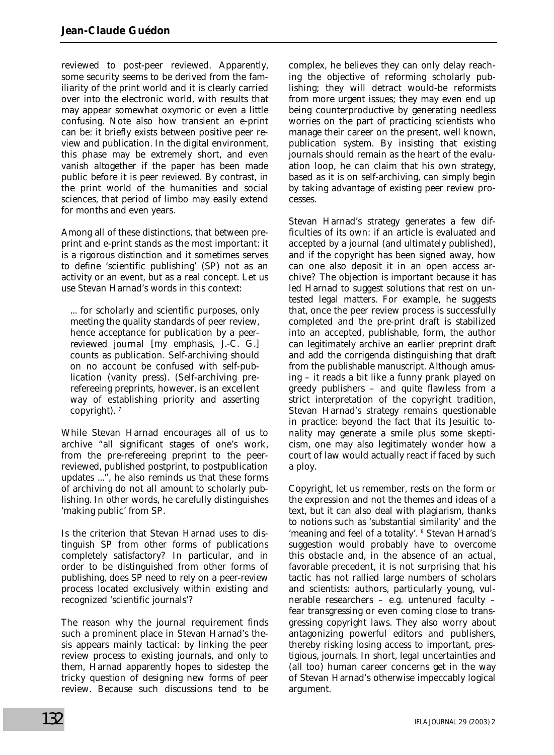reviewed to post-peer reviewed. Apparently, some security seems to be derived from the familiarity of the print world and it is clearly carried over into the electronic world, with results that may appear somewhat oxymoric or even a little confusing. Note also how transient an e-print can be: it briefly exists between positive peer review and publication. In the digital environment, this phase may be extremely short, and even vanish altogether if the paper has been made public before it is peer reviewed. By contrast, in the print world of the humanities and social sciences, that period of limbo may easily extend for months and even years.

Among all of these distinctions, that between preprint and e-print stands as the most important: it is a rigorous distinction and it sometimes serves to define 'scientific publishing' (SP) not as an activity or an event, but as a real concept. Let us use Stevan Harnad's words in this context:

... for scholarly and scientific purposes, only meeting the quality standards of peer review, *hence acceptance for publication by a peerreviewed journal* [my emphasis, J.-C. G.] counts as publication. Self-archiving should on no account be confused with self-publication (vanity press). (Self-archiving prerefereeing preprints, however, is an excellent way of establishing priority and asserting copyright). 7

While Stevan Harnad encourages all of us to archive "all significant stages of one's work, from the pre-refereeing preprint to the peerreviewed, published postprint, to postpublication updates ...", he also reminds us that these forms of archiving do not all amount to scholarly publishing. In other words, he carefully distinguishes 'making public' from SP.

Is the criterion that Stevan Harnad uses to distinguish SP from other forms of publications completely satisfactory? In particular, and in order to be distinguished from other forms of publishing, does SP need to rely on a peer-review process located exclusively within existing and recognized 'scientific journals'?

The reason why the journal requirement finds such a prominent place in Stevan Harnad's thesis appears mainly tactical: by linking the peer review process to existing journals, and only to them, Harnad apparently hopes to sidestep the tricky question of designing new forms of peer review. Because such discussions tend to be complex, he believes they can only delay reaching the objective of reforming scholarly publishing; they will detract would-be reformists from more urgent issues; they may even end up being counterproductive by generating needless worries on the part of practicing scientists who manage their career on the present, well known, publication system. By insisting that existing journals should remain as the heart of the evaluation loop, he can claim that his own strategy, based as it is on self-archiving, can simply begin by taking advantage of existing peer review processes.

Stevan Harnad's strategy generates a few difficulties of its own: if an article is evaluated and accepted by a journal (and ultimately published), and if the copyright has been signed away, how can one also deposit it in an open access archive? The objection is important because it has led Harnad to suggest solutions that rest on untested legal matters. For example, he suggests that, once the peer review process is successfully completed and the pre-print draft is stabilized into an accepted, publishable, form, the author can legitimately archive an earlier preprint draft and add the corrigenda distinguishing that draft from the publishable manuscript. Although amusing – it reads a bit like a funny prank played on greedy publishers – and quite flawless from a strict interpretation of the copyright tradition, Stevan Harnad's strategy remains questionable in practice: beyond the fact that its Jesuitic tonality may generate a smile plus some skepticism, one may also legitimately wonder how a court of law would actually react if faced by such a ploy.

Copyright, let us remember, rests on the form or the expression and not the themes and ideas of a text, but it can also deal with plagiarism, thanks to notions such as 'substantial similarity' and the 'meaning and feel of a totality'. <sup>8</sup> Stevan Harnad's suggestion would probably have to overcome this obstacle and, in the absence of an actual, favorable precedent, it is not surprising that his tactic has not rallied large numbers of scholars and scientists: authors, particularly young, vulnerable researchers – e.g. untenured faculty – fear transgressing or even coming close to transgressing copyright laws. They also worry about antagonizing powerful editors and publishers, thereby risking losing access to important, prestigious, journals. In short, legal uncertainties and (all too) human career concerns get in the way of Stevan Harnad's otherwise impeccably logical argument.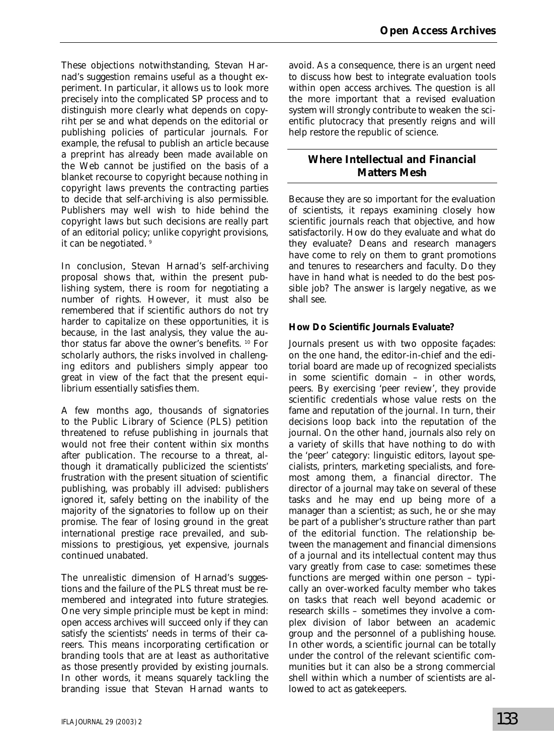These objections notwithstanding, Stevan Harnad's suggestion remains useful as a thought experiment. In particular, it allows us to look more precisely into the complicated SP process and to distinguish more clearly what depends on copyriht per se and what depends on the editorial or publishing policies of particular journals. For example, the refusal to publish an article because a preprint has already been made available on the Web cannot be justified on the basis of a blanket recourse to copyright because nothing in copyright laws prevents the contracting parties to decide that self-archiving is also permissible. Publishers may well wish to hide behind the copyright laws but such decisions are really part of an editorial policy; unlike copyright provisions, it can be negotiated. 9

In conclusion, Stevan Harnad's self-archiving proposal shows that, within the present publishing system, there is room for negotiating a number of rights. However, it must also be remembered that if scientific authors do not try harder to capitalize on these opportunities, it is because, in the last analysis, they value the author status far above the owner's benefits. 10 For scholarly authors, the risks involved in challenging editors and publishers simply appear too great in view of the fact that the present equilibrium essentially satisfies them.

A few months ago, thousands of signatories to the Public Library of Science (PLS) petition threatened to refuse publishing in journals that would not free their content within six months after publication. The recourse to a threat, although it dramatically publicized the scientists' frustration with the present situation of scientific publishing, was probably ill advised: publishers ignored it, safely betting on the inability of the majority of the signatories to follow up on their promise. The fear of losing ground in the great international prestige race prevailed, and submissions to prestigious, yet expensive, journals continued unabated.

The unrealistic dimension of Harnad's suggestions and the failure of the PLS threat must be remembered and integrated into future strategies. One very simple principle must be kept in mind: open access archives will succeed only if they can satisfy the scientists' needs in terms of their careers. *This means incorporating certification or branding tools that are at least as authoritative as those presently provided by existing journals.* In other words, it means squarely tackling the branding issue that Stevan Harnad wants to

avoid. As a consequence, there is an urgent need to discuss how best to integrate evaluation tools within open access archives. The question is all the more important that a revised evaluation system will strongly contribute to weaken the scientific plutocracy that presently reigns and will help restore the republic of science.

# **Where Intellectual and Financial Matters Mesh**

Because they are so important for the evaluation of scientists, it repays examining closely how scientific journals reach that objective, and how satisfactorily. How do they evaluate and what do they evaluate? Deans and research managers have come to rely on them to grant promotions and tenures to researchers and faculty. Do they have in hand what is needed to do the best possible job? The answer is largely negative, as we shall see.

# **How Do Scientific Journals Evaluate?**

Journals present us with two opposite façades: on the one hand, the editor-in-chief and the editorial board are made up of recognized specialists in some scientific domain – in other words, peers. By exercising 'peer review', they provide scientific credentials whose value rests on the fame and reputation of the journal. In turn, their decisions loop back into the reputation of the journal. On the other hand, journals also rely on a variety of skills that have nothing to do with the 'peer' category: linguistic editors, layout specialists, printers, marketing specialists, and foremost among them, a financial director. The director of a journal may take on several of these tasks and he may end up being more of a manager than a scientist; as such, he or she may be part of a publisher's structure rather than part of the editorial function. The relationship between the management and financial dimensions of a journal and its intellectual content may thus vary greatly from case to case: sometimes these functions are merged within one person – typically an over-worked faculty member who takes on tasks that reach well beyond academic or research skills – sometimes they involve a complex division of labor between an academic group and the personnel of a publishing house. In other words, a scientific journal can be totally under the control of the relevant scientific communities but it can also be a strong commercial shell within which a number of scientists are allowed to act as gatekeepers.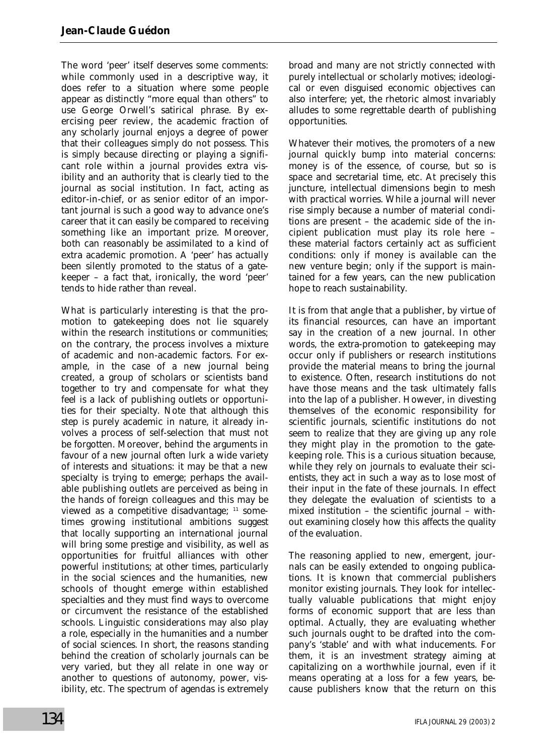The word 'peer' itself deserves some comments: while commonly used in a descriptive way, it does refer to a situation where some people appear as distinctly "more equal than others" to use George Orwell's satirical phrase. By exercising peer review, the academic fraction of any scholarly journal enjoys a degree of power that their colleagues simply do not possess. This is simply because directing or playing a significant role within a journal provides extra visibility and an authority that is clearly tied to the journal as social institution. In fact, acting as editor-in-chief, or as senior editor of an important journal is such a good way to advance one's career that it can easily be compared to receiving something like an important prize. Moreover, both can reasonably be assimilated to a kind of extra academic promotion. A 'peer' has actually been silently promoted to the status of a gatekeeper – a fact that, ironically, the word 'peer' tends to hide rather than reveal.

What is particularly interesting is that the promotion to gatekeeping does not lie squarely within the research institutions or communities; on the contrary, the process involves a mixture of academic and non-academic factors. For example, in the case of a new journal being created, a group of scholars or scientists band together to try and compensate for what they feel is a lack of publishing outlets or opportunities for their specialty. Note that although this step is purely academic in nature, it already involves a process of self-selection that must not be forgotten. Moreover, behind the arguments in favour of a new journal often lurk a wide variety of interests and situations: it may be that a new specialty is trying to emerge; perhaps the available publishing outlets are perceived as being in the hands of foreign colleagues and this may be viewed as a competitive disadvantage; <sup>11</sup> sometimes growing institutional ambitions suggest that locally supporting an international journal will bring some prestige and visibility, as well as opportunities for fruitful alliances with other powerful institutions; at other times, particularly in the social sciences and the humanities, new schools of thought emerge within established specialties and they must find ways to overcome or circumvent the resistance of the established schools. Linguistic considerations may also play a role, especially in the humanities and a number of social sciences. In short, the reasons standing behind the creation of scholarly journals can be very varied, but they all relate in one way or another to questions of autonomy, power, visibility, etc. The spectrum of agendas is extremely

broad and many are not strictly connected with purely intellectual or scholarly motives; ideological or even disguised economic objectives can also interfere; yet, the rhetoric almost invariably alludes to some regrettable dearth of publishing opportunities.

Whatever their motives, the promoters of a new journal quickly bump into material concerns: money is of the essence, of course, but so is space and secretarial time, etc. At precisely this juncture, intellectual dimensions begin to mesh with practical worries. While a journal will never rise simply because a number of material conditions are present – the academic side of the incipient publication must play its role here – these material factors certainly act as sufficient conditions: only if money is available can the new venture begin; only if the support is maintained for a few years, can the new publication hope to reach sustainability.

It is from that angle that a publisher, by virtue of its financial resources, can have an important say in the creation of a new journal. In other words, the extra-promotion to gatekeeping may occur only if publishers or research institutions provide the material means to bring the journal to existence. Often, research institutions do not have those means and the task ultimately falls into the lap of a publisher. However, in divesting themselves of the economic responsibility for scientific journals, scientific institutions do not seem to realize that they are giving up any role they might play in the promotion to the gatekeeping role. This is a curious situation because, while they rely on journals to evaluate their scientists, they act in such a way as to lose most of their input in the fate of these journals. In effect they delegate the evaluation of scientists to a mixed institution – the scientific journal – without examining closely how this affects the quality of the evaluation.

The reasoning applied to new, emergent, journals can be easily extended to ongoing publications. It is known that commercial publishers monitor existing journals. They look for intellectually valuable publications that might enjoy forms of economic support that are less than optimal. Actually, they are evaluating whether such journals ought to be drafted into the company's 'stable' and with what inducements. For them, it is an investment strategy aiming at capitalizing on a worthwhile journal, even if it means operating at a loss for a few years, because publishers know that the return on this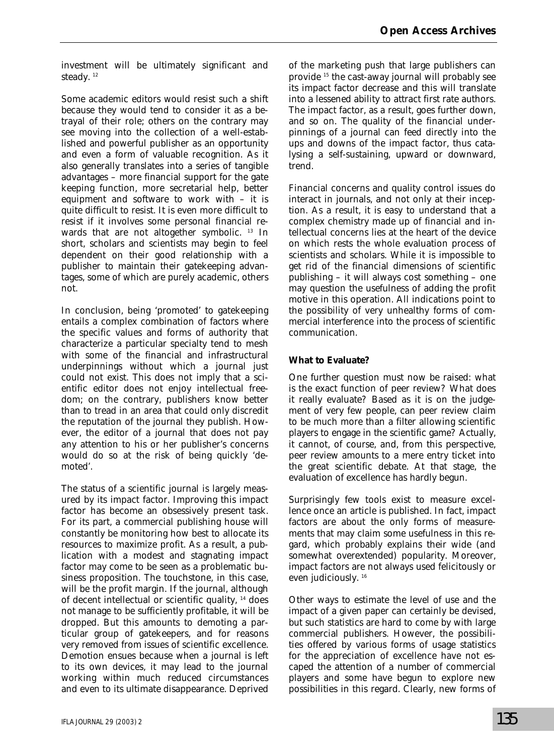investment will be ultimately significant and steady.<sup>12</sup>

Some academic editors would resist such a shift because they would tend to consider it as a betrayal of their role; others on the contrary may see moving into the collection of a well-established and powerful publisher as an opportunity and even a form of valuable recognition. As it also generally translates into a series of tangible advantages – more financial support for the gate keeping function, more secretarial help, better equipment and software to work with – it is quite difficult to resist. It is even more difficult to resist if it involves some personal financial rewards that are not altogether symbolic. <sup>13</sup> In short, scholars and scientists may begin to feel dependent on their good relationship with a publisher to maintain their gatekeeping advantages, some of which are purely academic, others not.

In conclusion, being 'promoted' to gatekeeping entails a complex combination of factors where the specific values and forms of authority that characterize a particular specialty tend to mesh with some of the financial and infrastructural underpinnings without which a journal just could not exist. This does not imply that a scientific editor does not enjoy intellectual freedom; on the contrary, publishers know better than to tread in an area that could only discredit the reputation of the journal they publish. However, the editor of a journal that does not pay any attention to his or her publisher's concerns would do so at the risk of being quickly 'demoted'.

The status of a scientific journal is largely measured by its impact factor. Improving this impact factor has become an obsessively present task. For its part, a commercial publishing house will constantly be monitoring how best to allocate its resources to maximize profit. As a result, a publication with a modest and stagnating impact factor may come to be seen as a problematic business proposition. The touchstone, in this case, will be the profit margin. If the journal, although of decent intellectual or scientific quality, 14 does not manage to be sufficiently profitable, it will be dropped. But this amounts to demoting a particular group of gatekeepers, and for reasons very removed from issues of scientific excellence. Demotion ensues because when a journal is left to its own devices, it may lead to the journal working within much reduced circumstances and even to its ultimate disappearance. Deprived of the marketing push that large publishers can provide 15 the cast-away journal will probably see its impact factor decrease and this will translate into a lessened ability to attract first rate authors. The impact factor, as a result, goes further down, and so on. The quality of the financial underpinnings of a journal can feed directly into the ups and downs of the impact factor, thus catalysing a self-sustaining, upward or downward, trend.

Financial concerns and quality control issues do interact in journals, and not only at their inception. As a result, it is easy to understand that a complex chemistry made up of financial and intellectual concerns lies at the heart of the device on which rests the whole evaluation process of scientists and scholars. While it is impossible to get rid of the financial dimensions of scientific publishing – it will always cost something – one may question the usefulness of adding the profit motive in this operation. All indications point to the possibility of very unhealthy forms of commercial interference into the process of scientific communication.

# **What to Evaluate?**

One further question must now be raised: what is the exact function of peer review? What does it really evaluate? Based as it is on the judgement of very few people, can peer review claim to be much more than a filter allowing scientific players to engage in the scientific game? Actually, it cannot, of course, and, from this perspective, peer review amounts to a mere entry ticket into the great scientific debate. At that stage, the evaluation of excellence has hardly begun.

Surprisingly few tools exist to measure excellence once an article is published. In fact, impact factors are about the only forms of measurements that may claim some usefulness in this regard, which probably explains their wide (and somewhat overextended) popularity. Moreover, impact factors are not always used felicitously or even judiciously. 16

Other ways to estimate the level of use and the impact of a given paper can certainly be devised, but such statistics are hard to come by with large commercial publishers. However, the possibilities offered by various forms of usage statistics for the appreciation of excellence have not escaped the attention of a number of commercial players and some have begun to explore new possibilities in this regard. Clearly, new forms of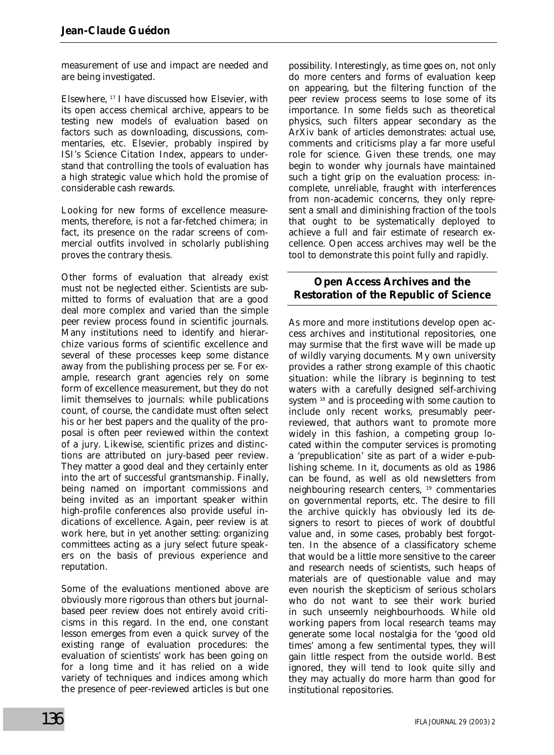measurement of use and impact are needed and are being investigated.

Elsewhere, 17 I have discussed how Elsevier, with its open access chemical archive, appears to be testing new models of evaluation based on factors such as downloading, discussions, commentaries, etc. Elsevier, probably inspired by ISI's *Science Citation Index*, appears to understand that controlling the tools of evaluation has a high strategic value which hold the promise of considerable cash rewards.

Looking for new forms of excellence measurements, therefore, is not a far-fetched chimera; in fact, its presence on the radar screens of commercial outfits involved in scholarly publishing proves the contrary thesis.

Other forms of evaluation that already exist must not be neglected either. Scientists are submitted to forms of evaluation that are a good deal more complex and varied than the simple peer review process found in scientific journals. Many institutions need to identify and hierarchize various forms of scientific excellence and several of these processes keep some distance away from the publishing process per se. For example, research grant agencies rely on some form of excellence measurement, but they do not limit themselves to journals: while publications count, of course, the candidate must often select his or her best papers and the quality of the proposal is often peer reviewed within the context of a jury. Likewise, scientific prizes and distinctions are attributed on jury-based peer review. They matter a good deal and they certainly enter into the art of successful grantsmanship. Finally, being named on important commissions and being invited as an important speaker within high-profile conferences also provide useful indications of excellence. Again, peer review is at work here, but in yet another setting: organizing committees acting as a jury select future speakers on the basis of previous experience and reputation.

Some of the evaluations mentioned above are obviously more rigorous than others but journalbased peer review does not entirely avoid criticisms in this regard. In the end, one constant lesson emerges from even a quick survey of the existing range of evaluation procedures: the evaluation of scientists' work has been going on for a long time and it has relied on a wide variety of techniques and indices among which the presence of peer-reviewed articles is but one

possibility. Interestingly, as time goes on, not only do more centers and forms of evaluation keep on appearing, but the filtering function of the peer review process seems to lose some of its importance. In some fields such as theoretical physics, such filters appear secondary as the ArXiv bank of articles demonstrates: actual use, comments and criticisms play a far more useful role for science. Given these trends, one may begin to wonder why journals have maintained such a tight grip on the evaluation process: incomplete, unreliable, fraught with interferences from non-academic concerns, they only represent a small and diminishing fraction of the tools that ought to be systematically deployed to achieve a full and fair estimate of research excellence. Open access archives may well be the tool to demonstrate this point fully and rapidly.

# **Open Access Archives and the Restoration of the Republic of Science**

As more and more institutions develop open access archives and institutional repositories, one may surmise that the first wave will be made up of wildly varying documents. My own university provides a rather strong example of this chaotic situation: while the library is beginning to test waters with a carefully designed self-archiving system 18 and is proceeding with some caution to include only recent works, presumably peerreviewed, that authors want to promote more widely in this fashion, a competing group located within the computer services is promoting a 'prepublication' site as part of a wider e-publishing scheme. In it, documents as old as 1986 can be found, as well as old newsletters from neighbouring research centers, 19 commentaries on governmental reports, etc. The desire to fill the archive quickly has obviously led its designers to resort to pieces of work of doubtful value and, in some cases, probably best forgotten. In the absence of a classificatory scheme that would be a little more sensitive to the career and research needs of scientists, such heaps of materials are of questionable value and may even nourish the skepticism of serious scholars who do not want to see their work buried in such unseemly neighbourhoods. While old working papers from local research teams may generate some local nostalgia for the 'good old times' among a few sentimental types, they will gain little respect from the outside world. Best ignored, they will tend to look quite silly and they may actually do more harm than good for institutional repositories.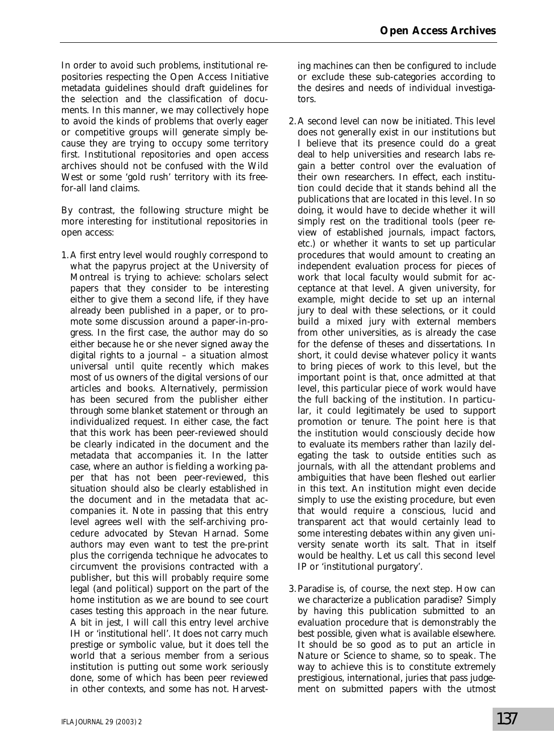In order to avoid such problems, institutional repositories respecting the Open Access Initiative metadata guidelines should draft guidelines for the selection and the classification of documents. In this manner, we may collectively hope to avoid the kinds of problems that overly eager or competitive groups will generate simply because they are trying to occupy some territory first. Institutional repositories and open access archives should not be confused with the Wild West or some 'gold rush' territory with its freefor-all land claims.

By contrast, the following structure might be more interesting for institutional repositories in open access:

1. A first entry level would roughly correspond to what the papyrus project at the University of Montreal is trying to achieve: scholars select papers that they consider to be interesting either to give them a second life, if they have already been published in a paper, or to promote some discussion around a paper-in-progress. In the first case, the author may do so either because he or she never signed away the digital rights to a journal – a situation almost universal until quite recently which makes most of us owners of the digital versions of our articles and books. Alternatively, permission has been secured from the publisher either through some blanket statement or through an individualized request. In either case, the fact that this work has been peer-reviewed should be clearly indicated in the document and the metadata that accompanies it. In the latter case, where an author is fielding a working paper that has not been peer-reviewed, this situation should also be clearly established in the document and in the metadata that accompanies it. Note in passing that this entry level agrees well with the self-archiving procedure advocated by Stevan Harnad. Some authors may even want to test the pre-print plus the corrigenda technique he advocates to circumvent the provisions contracted with a publisher, but this will probably require some legal (and political) support on the part of the home institution as we are bound to see court cases testing this approach in the near future. A bit in jest, I will call this entry level archive IH or 'institutional hell'. It does not carry much prestige or symbolic value, but it does tell the world that a serious member from a serious institution is putting out some work seriously done, some of which has been peer reviewed in other contexts, and some has not. Harvesting machines can then be configured to include or exclude these sub-categories according to the desires and needs of individual investigators.

- 2. A second level can now be initiated. This level does not generally exist in our institutions but I believe that its presence could do a great deal to help universities and research labs regain a better control over the evaluation of their own researchers. In effect, each institution could decide that it stands behind all the publications that are located in this level. In so doing, it would have to decide whether it will simply rest on the traditional tools (peer review of established journals, impact factors, etc.) or whether it wants to set up particular procedures that would amount to creating an independent evaluation process for pieces of work that local faculty would submit for acceptance at that level. A given university, for example, might decide to set up an internal jury to deal with these selections, or it could build a mixed jury with external members from other universities, as is already the case for the defense of theses and dissertations. In short, it could devise whatever policy it wants to bring pieces of work to this level, but the important point is that, once admitted at that level, this particular piece of work would have the full backing of the institution. In particular, it could legitimately be used to support promotion or tenure. The point here is that the institution would consciously decide how to evaluate its members rather than lazily delegating the task to outside entities such as journals, with all the attendant problems and ambiguities that have been fleshed out earlier in this text. An institution might even decide simply to use the existing procedure, but even that would require a conscious, lucid and transparent act that would certainly lead to some interesting debates within any given university senate worth its salt. That in itself would be healthy. Let us call this second level IP or 'institutional purgatory'.
- 3. Paradise is, of course, the next step. How can we characterize a publication paradise? Simply by having this publication submitted to an evaluation procedure that is demonstrably the best possible, given what is available elsewhere. It should be so good as to put an article in *Nature* or *Science* to shame, so to speak. The way to achieve this is to constitute extremely prestigious, international, juries that pass judgement on submitted papers with the utmost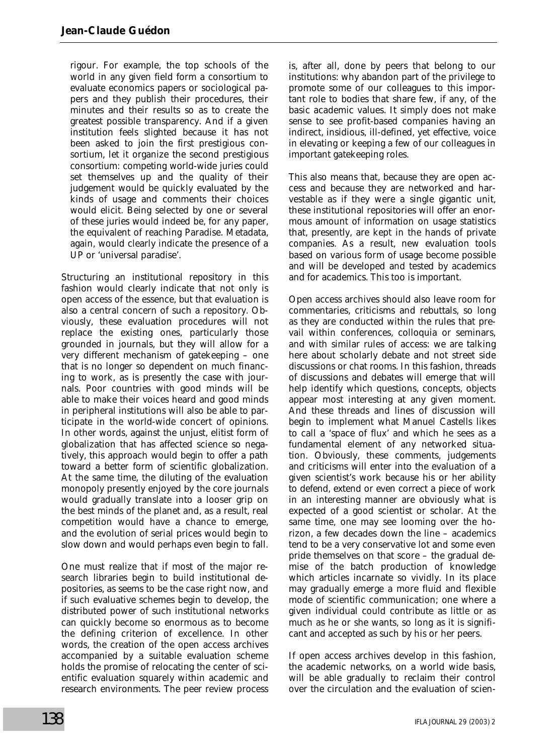rigour. For example, the top schools of the world in any given field form a consortium to evaluate economics papers or sociological papers and they publish their procedures, their minutes and their results so as to create the greatest possible transparency. And if a given institution feels slighted because it has not been asked to join the first prestigious consortium, let it organize the second prestigious consortium: competing world-wide juries could set themselves up and the quality of their judgement would be quickly evaluated by the kinds of usage and comments their choices would elicit. Being selected by one or several of these juries would indeed be, for any paper, the equivalent of reaching Paradise. Metadata, again, would clearly indicate the presence of a UP or 'universal paradise'.

Structuring an institutional repository in this fashion would clearly indicate that not only is open access of the essence, but that evaluation is also a central concern of such a repository. Obviously, these evaluation procedures will not replace the existing ones, particularly those grounded in journals, but they will allow for a very different mechanism of gatekeeping – one that is no longer so dependent on much financing to work, as is presently the case with journals. Poor countries with good minds will be able to make their voices heard and good minds in peripheral institutions will also be able to participate in the world-wide concert of opinions. In other words, against the unjust, elitist form of globalization that has affected science so negatively, this approach would begin to offer a path toward a better form of scientific globalization. At the same time, the diluting of the evaluation monopoly presently enjoyed by the core journals would gradually translate into a looser grip on the best minds of the planet and, as a result, real competition would have a chance to emerge, and the evolution of serial prices would begin to slow down and would perhaps even begin to fall.

One must realize that if most of the major research libraries begin to build institutional depositories, as seems to be the case right now, and if such evaluative schemes begin to develop, the distributed power of such institutional networks can quickly become so enormous as to become the defining criterion of excellence. In other words, the creation of the open access archives accompanied by a suitable evaluation scheme holds the promise of relocating the center of scientific evaluation squarely within academic and research environments. The peer review process

is, after all, done by peers that belong to our institutions: why abandon part of the privilege to promote some of our colleagues to this important role to bodies that share few, if any, of the basic academic values. It simply does not make sense to see profit-based companies having an indirect, insidious, ill-defined, yet effective, voice in elevating or keeping a few of our colleagues in important gatekeeping roles.

This also means that, because they are open access and because they are networked and harvestable as if they were a single gigantic unit, these institutional repositories will offer an enormous amount of information on usage statistics that, presently, are kept in the hands of private companies. As a result, new evaluation tools based on various form of usage become possible and will be developed and tested by academics and for academics. This too is important.

Open access archives should also leave room for commentaries, criticisms and rebuttals, so long as they are conducted within the rules that prevail within conferences, colloquia or seminars, and with similar rules of access: we are talking here about scholarly debate and not street side discussions or chat rooms. In this fashion, threads of discussions and debates will emerge that will help identify which questions, concepts, objects appear most interesting at any given moment. And these threads and lines of discussion will begin to implement what Manuel Castells likes to call a 'space of flux' and which he sees as a fundamental element of any networked situation. Obviously, these comments, judgements and criticisms will enter into the evaluation of a given scientist's work because his or her ability to defend, extend or even correct a piece of work in an interesting manner are obviously what is expected of a good scientist or scholar. At the same time, one may see looming over the horizon, a few decades down the line – academics tend to be a very conservative lot and some even pride themselves on that score – the gradual demise of the batch production of knowledge which articles incarnate so vividly. In its place may gradually emerge a more fluid and flexible mode of scientific communication; one where a given individual could contribute as little or as much as he or she wants, so long as it is significant and accepted as such by his or her peers.

If open access archives develop in this fashion, the academic networks, on a world wide basis, will be able gradually to reclaim their control over the circulation and the evaluation of scien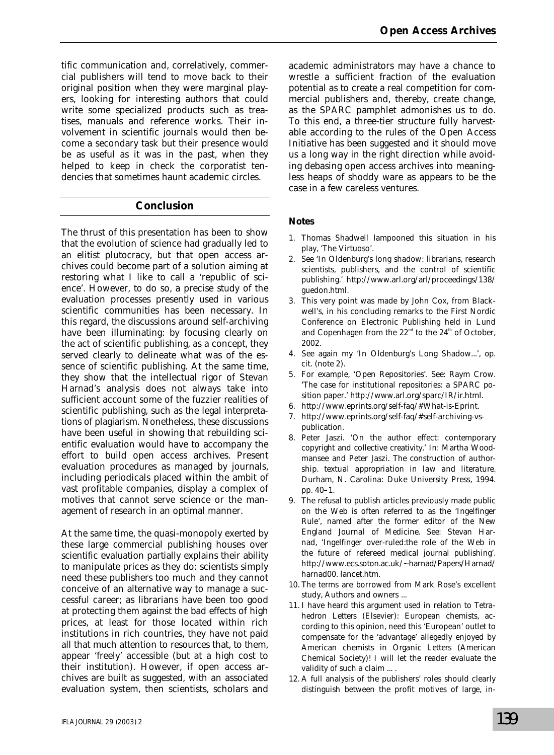tific communication and, correlatively, commercial publishers will tend to move back to their original position when they were marginal players, looking for interesting authors that could write some specialized products such as treatises, manuals and reference works. Their involvement in scientific journals would then become a secondary task but their presence would be as useful as it was in the past, when they helped to keep in check the corporatist tendencies that sometimes haunt academic circles.

# **Conclusion**

The thrust of this presentation has been to show that the evolution of science had gradually led to an elitist plutocracy, but that open access archives could become part of a solution aiming at restoring what I like to call a 'republic of science'. However, to do so, a precise study of the evaluation processes presently used in various scientific communities has been necessary. In this regard, the discussions around self-archiving have been illuminating: by focusing clearly on the act of scientific publishing, as a concept, they served clearly to delineate what was of the essence of scientific publishing. At the same time, they show that the intellectual rigor of Stevan Harnad's analysis does not always take into sufficient account some of the fuzzier realities of scientific publishing, such as the legal interpretations of plagiarism. Nonetheless, these discussions have been useful in showing that rebuilding scientific evaluation would have to accompany the effort to build open access archives. Present evaluation procedures as managed by journals, including periodicals placed within the ambit of vast profitable companies, display a complex of motives that cannot serve science or the management of research in an optimal manner.

At the same time, the quasi-monopoly exerted by these large commercial publishing houses over scientific evaluation partially explains their ability to manipulate prices as they do: scientists simply need these publishers too much and they cannot conceive of an alternative way to manage a successful career; as librarians have been too good at protecting them against the bad effects of high prices, at least for those located within rich institutions in rich countries, they have not paid all that much attention to resources that, to them, appear 'freely' accessible (but at a high cost to their institution). However, if open access archives are built as suggested, with an associated evaluation system, then scientists, scholars and

academic administrators may have a chance to wrestle a sufficient fraction of the evaluation potential as to create a real competition for commercial publishers and, thereby, create change, as the SPARC pamphlet admonishes us to do. To this end, a three-tier structure fully harvestable according to the rules of the Open Access Initiative has been suggested and it should move us a long way in the right direction while avoiding debasing open access archives into meaningless heaps of shoddy ware as appears to be the case in a few careless ventures.

#### **Notes**

- 1. Thomas Shadwell lampooned this situation in his play, 'The Virtuoso'.
- 2. *See* 'In Oldenburg's long shadow: librarians, research scientists, publishers, and the control of scientific publishing.' http://www.arl.org/arl/proceedings/138/ guedon.html.
- 3. This very point was made by John Cox, from Blackwell's, in his concluding remarks to the First Nordic Conference on Electronic Publishing held in Lund and Copenhagen from the  $22<sup>nd</sup>$  to the  $24<sup>th</sup>$  of October, 2002.
- 4. See again my 'In Oldenburg's Long Shadow...', *op. cit.* (note 2).
- 5. For example, 'Open Repositories'. *See:* Raym Crow. 'The case for institutional repositories: a SPARC position paper.' http://www.arl.org/sparc/IR/ir.html.
- 6. http://www.eprints.org/self-faq/#What-is-Eprint.
- 7. http://www.eprints.org/self-faq/#self-archiving-vspublication.
- 8. Peter Jaszi. 'On the author effect: contemporary copyright and collective creativity.' *In:* Martha Woodmansee and Peter Jaszi. *The construction of authorship. textual appropriation in law and literature.*  Durham, N. Carolina: Duke University Press, 1994. pp. 40–1.
- 9. The refusal to publish articles previously made public on the Web is often referred to as the 'Ingelfinger Rule', named after the former editor of the *New England Journal of Medicine*. *See:* Stevan Harnad, 'Ingelfinger over-ruled:the role of the Web in the future of refereed medical journal publishing'. http://www.ecs.soton.ac.uk/~harnad/Papers/Harnad/ harnad00. lancet.htm.
- 10. The terms are borrowed from Mark Rose's excellent study, *Authors and owners ...*
- 11. I have heard this argument used in relation to *Tetrahedron Letters* (Elsevier): European chemists, according to this opinion, need this 'European' outlet to compensate for the 'advantage' allegedly enjoyed by American chemists in *Organic Letters* (American Chemical Society)! I will let the reader evaluate the validity of such a claim ... .
- 12. A full analysis of the publishers' roles should clearly distinguish between the profit motives of large, in-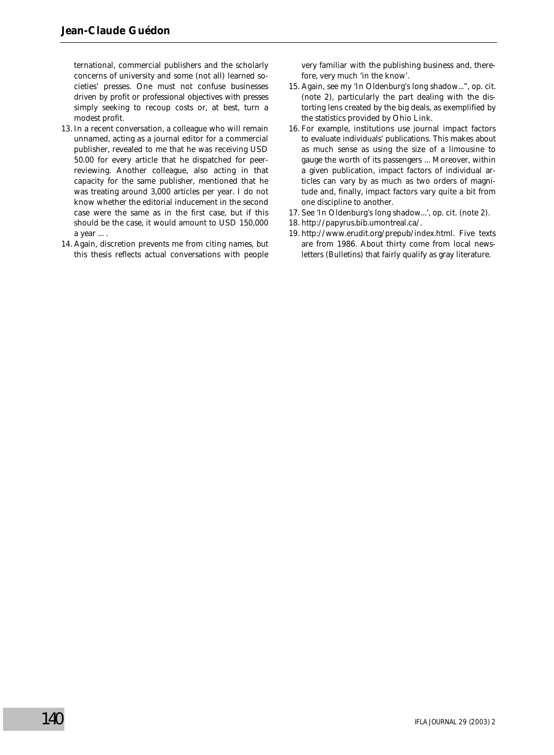ternational, commercial publishers and the scholarly concerns of university and some (not all) learned societies' presses. One must not confuse businesses driven by profit or professional objectives with presses simply seeking to recoup costs or, at best, turn a modest profit.

- 13. In a recent conversation, a colleague who will remain unnamed, acting as a journal editor for a commercial publisher, revealed to me that he was receiving USD 50.00 for every article that he dispatched for peerreviewing. Another colleague, also acting in that capacity for the same publisher, mentioned that he was treating around 3,000 articles per year. I do not know whether the editorial inducement in the second case were the same as in the first case, but if this should be the case, it would amount to USD 150,000 a year ... .
- 14. Again, discretion prevents me from citing names, but this thesis reflects actual conversations with people

very familiar with the publishing business and, therefore, very much 'in the know'.

- 15. Again, see my 'In Oldenburg's long shadow...", *op. cit.*  (note 2), particularly the part dealing with the distorting lens created by the big deals, as exemplified by the statistics provided by Ohio Link.
- 16. For example, institutions use journal impact factors to evaluate individuals' publications. This makes about as much sense as using the size of a limousine to gauge the worth of its passengers ... Moreover, within a given publication, impact factors of individual articles can vary by as much as two orders of magnitude and, finally, impact factors vary quite a bit from one discipline to another.
- 17. See 'In Oldenburg's long shadow...', *op. cit.* (note 2).
- 18. http://papyrus.bib.umontreal.ca/.
- 19. http://www.erudit.org/prepub/index.html. Five texts are from 1986. About thirty come from local newsletters (Bulletins) that fairly qualify as gray literature.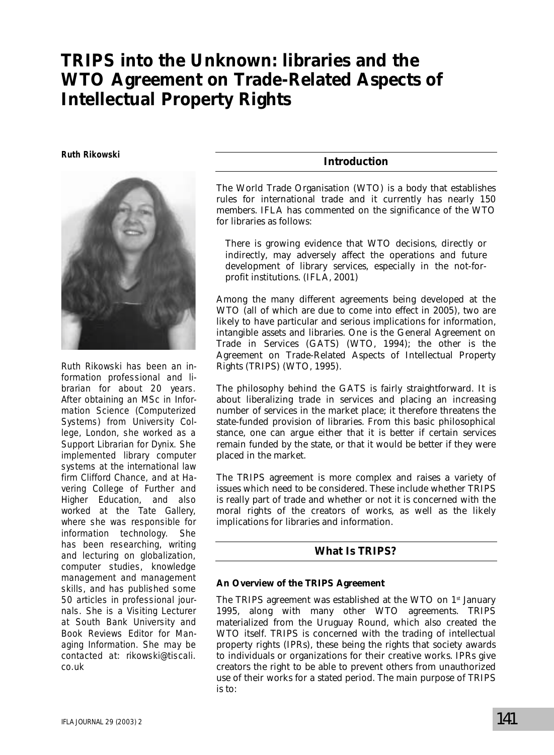# **TRIPS into the Unknown: libraries and the WTO Agreement on Trade-Related Aspects of Intellectual Property Rights**

*Ruth Rikowski* 



Ruth Rikowski has been an information professional and librarian for about 20 years. After obtaining an MSc in Information Science (Computerized Systems) from University College, London, she worked as a Support Librarian for Dynix. She implemented library computer systems at the international law firm Clifford Chance, and at Havering College of Further and Higher Education, and also worked at the Tate Gallery, where she was responsible for information technology. She has been researching, writing and lecturing on globalization, computer studies, knowledge management and management skills, and has published some 50 articles in professional journals. She is a Visiting Lecturer at South Bank University and Book Reviews Editor for *Managing Information.* She may be contacted at: rikowski@tiscali. co.uk

# **Introduction**

The World Trade Organisation (WTO) is a body that establishes rules for international trade and it currently has nearly 150 members. IFLA has commented on the significance of the WTO for libraries as follows:

There is growing evidence that WTO decisions, directly or indirectly, may adversely affect the operations and future development of library services, especially in the not-forprofit institutions. (IFLA, 2001)

Among the many different agreements being developed at the WTO (all of which are due to come into effect in 2005), two are likely to have particular and serious implications for information, intangible assets and libraries. One is the General Agreement on Trade in Services (GATS) (WTO, 1994); the other is the Agreement on Trade-Related Aspects of Intellectual Property Rights (TRIPS) (WTO, 1995).

The philosophy behind the GATS is fairly straightforward. It is about liberalizing trade in services and placing an increasing number of services in the market place; it therefore threatens the state-funded provision of libraries. From this basic philosophical stance, one can argue either that it is better if certain services remain funded by the state, or that it would be better if they were placed in the market.

The TRIPS agreement is more complex and raises a variety of issues which need to be considered. These include whether TRIPS is really part of trade and whether or not it is concerned with the moral rights of the creators of works, as well as the likely implications for libraries and information.

# **What Is TRIPS?**

#### **An Overview of the TRIPS Agreement**

The TRIPS agreement was established at the WTO on  $1<sup>*</sup>$  January 1995, along with many other WTO agreements. TRIPS materialized from the Uruguay Round, which also created the WTO itself. TRIPS is concerned with the trading of intellectual property rights (IPRs), these being the rights that society awards to individuals or organizations for their creative works. IPRs give creators the right to be able to prevent others from unauthorized use of their works for a stated period. The main purpose of TRIPS is to: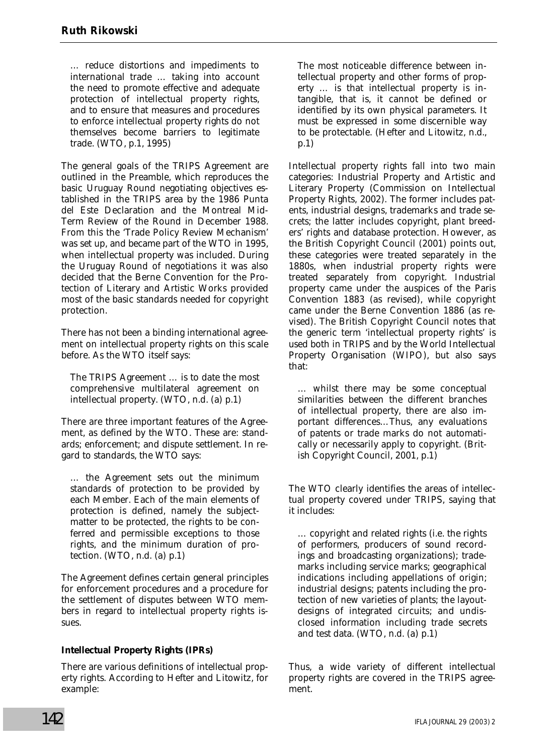… reduce distortions and impediments to international trade … taking into account the need to promote effective and adequate protection of intellectual property rights, and to ensure that measures and procedures to enforce intellectual property rights do not themselves become barriers to legitimate trade. (WTO, p.1, 1995)

The general goals of the TRIPS Agreement are outlined in the Preamble, which reproduces the basic Uruguay Round negotiating objectives established in the TRIPS area by the 1986 Punta del Este Declaration and the Montreal Mid-Term Review of the Round in December 1988. From this the 'Trade Policy Review Mechanism' was set up, and became part of the WTO in 1995, when intellectual property was included. During the Uruguay Round of negotiations it was also decided that the Berne Convention for the Protection of Literary and Artistic Works provided most of the basic standards needed for copyright protection.

There has not been a binding international agreement on intellectual property rights on this scale before. As the WTO itself says:

The TRIPS Agreement … is to date the most comprehensive multilateral agreement on intellectual property. (WTO, n.d. (a) p.1)

There are three important features of the Agreement, as defined by the WTO. These are: standards; enforcement; and dispute settlement. In regard to standards, the WTO says:

… the Agreement sets out the minimum standards of protection to be provided by each Member. Each of the main elements of protection is defined, namely the subjectmatter to be protected, the rights to be conferred and permissible exceptions to those rights, and the minimum duration of protection. (WTO, n.d. (a) p.1)

The Agreement defines certain general principles for enforcement procedures and a procedure for the settlement of disputes between WTO members in regard to intellectual property rights issues.

# **Intellectual Property Rights (IPRs)**

There are various definitions of intellectual property rights. According to Hefter and Litowitz, for example:

The most noticeable difference between intellectual property and other forms of property … is that intellectual property is intangible, that is, it cannot be defined or identified by its own physical parameters. It must be expressed in some discernible way to be protectable. (Hefter and Litowitz, n.d., p.1)

Intellectual property rights fall into two main categories: Industrial Property and Artistic and Literary Property (Commission on Intellectual Property Rights, 2002). The former includes patents, industrial designs, trademarks and trade secrets; the latter includes copyright, plant breeders' rights and database protection. However, as the British Copyright Council (2001) points out, these categories were treated separately in the 1880s, when industrial property rights were treated separately from copyright. Industrial property came under the auspices of the Paris Convention 1883 (as revised), while copyright came under the Berne Convention 1886 (as revised). The British Copyright Council notes that the generic term 'intellectual property rights' is used both in TRIPS and by the World Intellectual Property Organisation (WIPO), but also says that:

… whilst there may be some conceptual similarities between the different branches of intellectual property, there are also important differences…Thus, any evaluations of patents or trade marks do not automatically or necessarily apply to copyright. (British Copyright Council, 2001, p.1)

The WTO clearly identifies the areas of intellectual property covered under TRIPS, saying that it includes:

… copyright and related rights (i.e. the rights of performers, producers of sound recordings and broadcasting organizations); trademarks including service marks; geographical indications including appellations of origin; industrial designs; patents including the protection of new varieties of plants; the layoutdesigns of integrated circuits; and undisclosed information including trade secrets and test data. (WTO, n.d. (a) p.1)

Thus, a wide variety of different intellectual property rights are covered in the TRIPS agreement.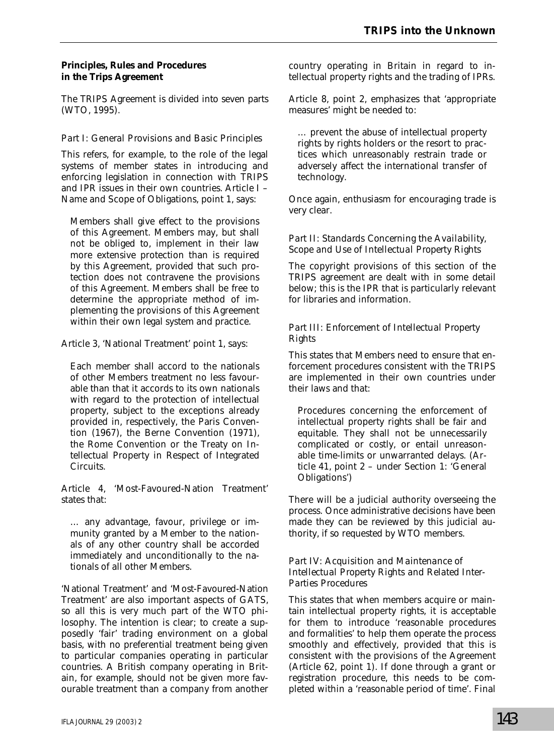### **Principles, Rules and Procedures in the Trips Agreement**

The TRIPS Agreement is divided into seven parts (WTO, 1995).

# *Part I: General Provisions and Basic Principles*

This refers, for example, to the role of the legal systems of member states in introducing and enforcing legislation in connection with TRIPS and IPR issues in their own countries. Article I – Name and Scope of Obligations, point 1, says:

Members shall give effect to the provisions of this Agreement. Members may, but shall not be obliged to, implement in their law more extensive protection than is required by this Agreement, provided that such protection does not contravene the provisions of this Agreement. Members shall be free to determine the appropriate method of implementing the provisions of this Agreement within their own legal system and practice.

Article 3, 'National Treatment' point 1, says:

Each member shall accord to the nationals of other Members treatment no less favourable than that it accords to its own nationals with regard to the protection of intellectual property, subject to the exceptions already provided in, respectively, the Paris Convention (1967), the Berne Convention (1971), the Rome Convention or the Treaty on Intellectual Property in Respect of Integrated Circuits.

Article 4, 'Most-Favoured-Nation Treatment' states that:

… any advantage, favour, privilege or immunity granted by a Member to the nationals of any other country shall be accorded immediately and unconditionally to the nationals of all other Members.

'National Treatment' and 'Most-Favoured-Nation Treatment' are also important aspects of GATS, so all this is very much part of the WTO philosophy. The intention is clear; to create a supposedly 'fair' trading environment on a global basis, with no preferential treatment being given to particular companies operating in particular countries. A British company operating in Britain, for example, should not be given more favourable treatment than a company from another country operating in Britain in regard to intellectual property rights and the trading of IPRs.

Article 8, point 2, emphasizes that 'appropriate measures' might be needed to:

… prevent the abuse of intellectual property rights by rights holders or the resort to practices which unreasonably restrain trade or adversely affect the international transfer of technology.

Once again, enthusiasm for encouraging trade is very clear.

# *Part II: Standards Concerning the Availability, Scope and Use of Intellectual Property Rights*

The copyright provisions of this section of the TRIPS agreement are dealt with in some detail below; this is the IPR that is particularly relevant for libraries and information.

# *Part III: Enforcement of Intellectual Property Rights*

This states that Members need to ensure that enforcement procedures consistent with the TRIPS are implemented in their own countries under their laws and that:

Procedures concerning the enforcement of intellectual property rights shall be fair and equitable. They shall not be unnecessarily complicated or costly, or entail unreasonable time-limits or unwarranted delays. (Article 41, point 2 – under Section 1: 'General Obligations')

There will be a judicial authority overseeing the process. Once administrative decisions have been made they can be reviewed by this judicial authority, if so requested by WTO members.

# *Part IV: Acquisition and Maintenance of Intellectual Property Rights and Related Inter-Parties Procedures*

This states that when members acquire or maintain intellectual property rights, it is acceptable for them to introduce 'reasonable procedures and formalities' to help them operate the process smoothly and effectively, provided that this is consistent with the provisions of the Agreement (Article 62, point 1). If done through a grant or registration procedure, this needs to be completed within a 'reasonable period of time'. Final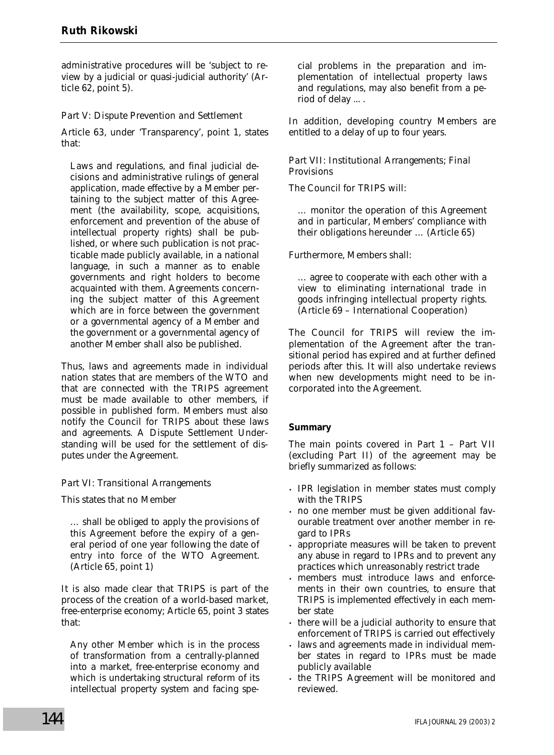administrative procedures will be 'subject to review by a judicial or quasi-judicial authority' (Article 62, point 5).

# *Part V: Dispute Prevention and Settlement*

Article 63, under 'Transparency', point 1, states that:

Laws and regulations, and final judicial decisions and administrative rulings of general application, made effective by a Member pertaining to the subject matter of this Agreement (the availability, scope, acquisitions, enforcement and prevention of the abuse of intellectual property rights) shall be published, or where such publication is not practicable made publicly available, in a national language, in such a manner as to enable governments and right holders to become acquainted with them. Agreements concerning the subject matter of this Agreement which are in force between the government or a governmental agency of a Member and the government or a governmental agency of another Member shall also be published.

Thus, laws and agreements made in individual nation states that are members of the WTO and that are connected with the TRIPS agreement must be made available to other members, if possible in published form. Members must also notify the Council for TRIPS about these laws and agreements. A Dispute Settlement Understanding will be used for the settlement of disputes under the Agreement.

# *Part VI: Transitional Arrangements*

This states that no Member

… shall be obliged to apply the provisions of this Agreement before the expiry of a general period of one year following the date of entry into force of the WTO Agreement. (Article 65, point 1)

It is also made clear that TRIPS is part of the process of the creation of a world-based market, free-enterprise economy; Article 65, point 3 states that:

Any other Member which is in the process of transformation from a centrally-planned into a market, free-enterprise economy and which is undertaking structural reform of its intellectual property system and facing special problems in the preparation and implementation of intellectual property laws and regulations, may also benefit from a period of delay ... .

In addition, developing country Members are entitled to a delay of up to four years.

# *Part VII: Institutional Arrangements; Final Provisions*

The Council for TRIPS will:

… monitor the operation of this Agreement and in particular, Members' compliance with their obligations hereunder … (Article 65)

Furthermore, Members shall:

… agree to cooperate with each other with a view to eliminating international trade in goods infringing intellectual property rights. (Article 69 – International Cooperation)

The Council for TRIPS will review the implementation of the Agreement after the transitional period has expired and at further defined periods after this. It will also undertake reviews when new developments might need to be incorporated into the Agreement.

# **Summary**

The main points covered in Part 1 – Part VII (excluding Part II) of the agreement may be briefly summarized as follows:

- IPR legislation in member states must comply with the TRIPS
- no one member must be given additional favourable treatment over another member in regard to IPRs
- appropriate measures will be taken to prevent any abuse in regard to IPRs and to prevent any practices which unreasonably restrict trade
- members must introduce laws and enforcements in their own countries, to ensure that TRIPS is implemented effectively in each member state
- there will be a judicial authority to ensure that enforcement of TRIPS is carried out effectively
- laws and agreements made in individual member states in regard to IPRs must be made publicly available
- the TRIPS Agreement will be monitored and reviewed.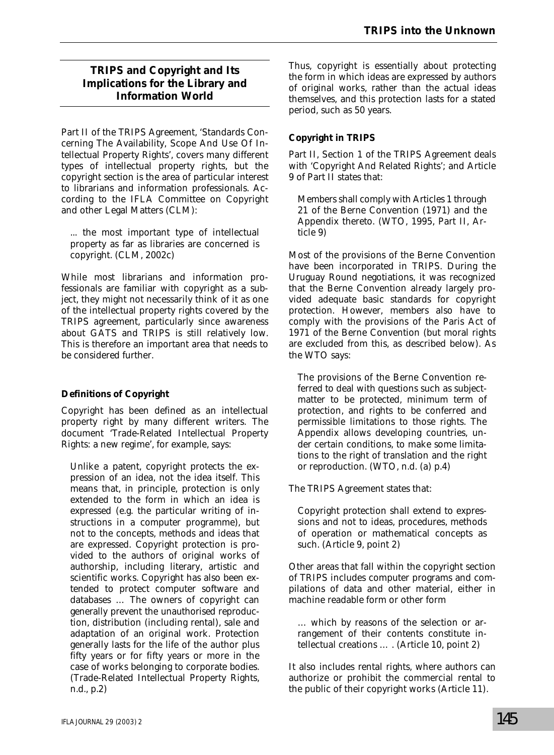# **TRIPS and Copyright and Its Implications for the Library and Information World**

Part II of the TRIPS Agreement, 'Standards Concerning The Availability, Scope And Use Of Intellectual Property Rights', covers many different types of intellectual property rights, but the copyright section is the area of particular interest to librarians and information professionals. According to the IFLA Committee on Copyright and other Legal Matters (CLM):

... the most important type of intellectual property as far as libraries are concerned is copyright. (CLM, 2002c)

While most librarians and information professionals are familiar with copyright as a subject, they might not necessarily think of it as one of the intellectual property rights covered by the TRIPS agreement, particularly since awareness about GATS and TRIPS is still relatively low. This is therefore an important area that needs to be considered further.

# **Definitions of Copyright**

Copyright has been defined as an intellectual property right by many different writers. The document 'Trade-Related Intellectual Property Rights: a new regime', for example, says:

Unlike a patent, copyright protects the expression of an idea, not the idea itself. This means that, in principle, protection is only extended to the form in which an idea is expressed (e.g. the particular writing of instructions in a computer programme), but not to the concepts, methods and ideas that are expressed. Copyright protection is provided to the authors of original works of authorship, including literary, artistic and scientific works. Copyright has also been extended to protect computer software and databases … The owners of copyright can generally prevent the unauthorised reproduction, distribution (including rental), sale and adaptation of an original work. Protection generally lasts for the life of the author plus fifty years or for fifty years or more in the case of works belonging to corporate bodies. (Trade-Related Intellectual Property Rights, n.d., p.2)

Thus, copyright is essentially about protecting the form in which ideas are expressed by authors of original works, rather than the actual ideas themselves, and this protection lasts for a stated period, such as 50 years.

# **Copyright in TRIPS**

Part II, Section 1 of the TRIPS Agreement deals with 'Copyright And Related Rights'; and Article 9 of Part II states that:

Members shall comply with Articles 1 through 21 of the Berne Convention (1971) and the Appendix thereto. (WTO, 1995, Part II, Article 9)

Most of the provisions of the Berne Convention have been incorporated in TRIPS. During the Uruguay Round negotiations, it was recognized that the Berne Convention already largely provided adequate basic standards for copyright protection. However, members also have to comply with the provisions of the Paris Act of 1971 of the Berne Convention (but moral rights are excluded from this, as described below). As the WTO says:

The provisions of the Berne Convention referred to deal with questions such as subjectmatter to be protected, minimum term of protection, and rights to be conferred and permissible limitations to those rights. The Appendix allows developing countries, under certain conditions, to make some limitations to the right of translation and the right or reproduction. (WTO, n.d. (a) p.4)

The TRIPS Agreement states that:

Copyright protection shall extend to expressions and not to ideas, procedures, methods of operation or mathematical concepts as such. (Article 9, point 2)

Other areas that fall within the copyright section of TRIPS includes computer programs and compilations of data and other material, either in machine readable form or other form

… which by reasons of the selection or arrangement of their contents constitute intellectual creations … . (Article 10, point 2)

It also includes rental rights, where authors can authorize or prohibit the commercial rental to the public of their copyright works (Article 11).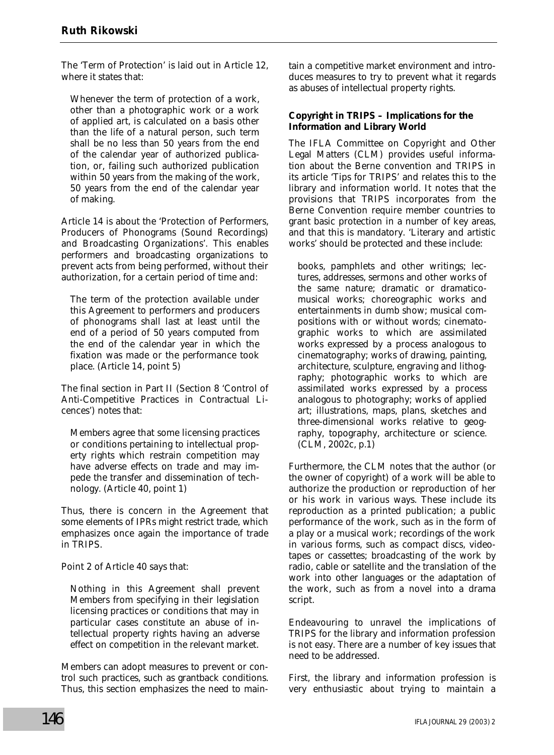The 'Term of Protection' is laid out in Article 12, where it states that:

Whenever the term of protection of a work, other than a photographic work or a work of applied art, is calculated on a basis other than the life of a natural person, such term shall be no less than 50 years from the end of the calendar year of authorized publication, or, failing such authorized publication within 50 years from the making of the work, 50 years from the end of the calendar year of making.

Article 14 is about the 'Protection of Performers, Producers of Phonograms (Sound Recordings) and Broadcasting Organizations'. This enables performers and broadcasting organizations to prevent acts from being performed, without their authorization, for a certain period of time and:

The term of the protection available under this Agreement to performers and producers of phonograms shall last at least until the end of a period of 50 years computed from the end of the calendar year in which the fixation was made or the performance took place. (Article 14, point 5)

The final section in Part II (Section 8 'Control of Anti-Competitive Practices in Contractual Licences') notes that:

Members agree that some licensing practices or conditions pertaining to intellectual property rights which restrain competition may have adverse effects on trade and may impede the transfer and dissemination of technology. (Article 40, point 1)

Thus, there is concern in the Agreement that some elements of IPRs might restrict trade, which emphasizes once again the importance of trade in TRIPS.

Point 2 of Article 40 says that:

Nothing in this Agreement shall prevent Members from specifying in their legislation licensing practices or conditions that may in particular cases constitute an abuse of intellectual property rights having an adverse effect on competition in the relevant market.

Members can adopt measures to prevent or control such practices, such as grantback conditions. Thus, this section emphasizes the need to maintain a competitive market environment and introduces measures to try to prevent what it regards as abuses of intellectual property rights.

# **Copyright in TRIPS – Implications for the Information and Library World**

The IFLA Committee on Copyright and Other Legal Matters (CLM) provides useful information about the Berne convention and TRIPS in its article 'Tips for TRIPS' and relates this to the library and information world. It notes that the provisions that TRIPS incorporates from the Berne Convention require member countries to grant basic protection in a number of key areas, and that this is mandatory. 'Literary and artistic works' should be protected and these include:

books, pamphlets and other writings; lectures, addresses, sermons and other works of the same nature; dramatic or dramaticomusical works; choreographic works and entertainments in dumb show; musical compositions with or without words; cinematographic works to which are assimilated works expressed by a process analogous to cinematography; works of drawing, painting, architecture, sculpture, engraving and lithography; photographic works to which are assimilated works expressed by a process analogous to photography; works of applied art; illustrations, maps, plans, sketches and three-dimensional works relative to geography, topography, architecture or science. (CLM, 2002c, p.1)

Furthermore, the CLM notes that the author (or the owner of copyright) of a work will be able to authorize the production or reproduction of her or his work in various ways. These include its reproduction as a printed publication; a public performance of the work, such as in the form of a play or a musical work; recordings of the work in various forms, such as compact discs, videotapes or cassettes; broadcasting of the work by radio, cable or satellite and the translation of the work into other languages or the adaptation of the work, such as from a novel into a drama script.

Endeavouring to unravel the implications of TRIPS for the library and information profession is not easy. There are a number of key issues that need to be addressed.

First, the library and information profession is very enthusiastic about trying to maintain a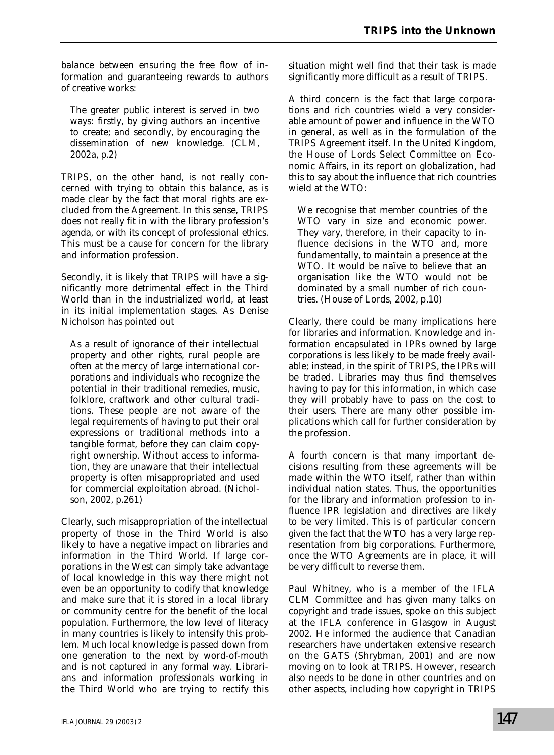balance between ensuring the free flow of information and guaranteeing rewards to authors of creative works:

The greater public interest is served in two ways: firstly, by giving authors an incentive to create; and secondly, by encouraging the dissemination of new knowledge. (CLM, 2002a, p.2)

TRIPS, on the other hand, is not really concerned with trying to obtain this balance, as is made clear by the fact that moral rights are excluded from the Agreement. In this sense, TRIPS does not really fit in with the library profession's agenda, or with its concept of professional ethics. This must be a cause for concern for the library and information profession.

Secondly, it is likely that TRIPS will have a significantly more detrimental effect in the Third World than in the industrialized world, at least in its initial implementation stages. As Denise Nicholson has pointed out

As a result of ignorance of their intellectual property and other rights, rural people are often at the mercy of large international corporations and individuals who recognize the potential in their traditional remedies, music, folklore, craftwork and other cultural traditions. These people are not aware of the legal requirements of having to put their oral expressions or traditional methods into a tangible format, before they can claim copyright ownership. Without access to information, they are unaware that their intellectual property is often misappropriated and used for commercial exploitation abroad. (Nicholson, 2002, p.261)

Clearly, such misappropriation of the intellectual property of those in the Third World is also likely to have a negative impact on libraries and information in the Third World. If large corporations in the West can simply take advantage of local knowledge in this way there might not even be an opportunity to codify that knowledge and make sure that it is stored in a local library or community centre for the benefit of the local population. Furthermore, the low level of literacy in many countries is likely to intensify this problem. Much local knowledge is passed down from one generation to the next by word-of-mouth and is not captured in any formal way. Librarians and information professionals working in the Third World who are trying to rectify this

situation might well find that their task is made significantly more difficult as a result of TRIPS.

A third concern is the fact that large corporations and rich countries wield a very considerable amount of power and influence in the WTO in general, as well as in the formulation of the TRIPS Agreement itself. In the United Kingdom, the House of Lords Select Committee on Economic Affairs, in its report on globalization, had this to say about the influence that rich countries wield at the WTO:

We recognise that member countries of the WTO vary in size and economic power. They vary, therefore, in their capacity to influence decisions in the WTO and, more fundamentally, to maintain a presence at the WTO. It would be naïve to believe that an organisation like the WTO would not be dominated by a small number of rich countries. (House of Lords, 2002, p.10)

Clearly, there could be many implications here for libraries and information. Knowledge and information encapsulated in IPRs owned by large corporations is less likely to be made freely available; instead, in the spirit of TRIPS, the IPRs will be traded. Libraries may thus find themselves having to pay for this information, in which case they will probably have to pass on the cost to their users. There are many other possible implications which call for further consideration by the profession.

A fourth concern is that many important decisions resulting from these agreements will be made within the WTO itself, rather than within individual nation states. Thus, the opportunities for the library and information profession to influence IPR legislation and directives are likely to be very limited. This is of particular concern given the fact that the WTO has a very large representation from big corporations. Furthermore, once the WTO Agreements are in place, it will be very difficult to reverse them.

Paul Whitney, who is a member of the IFLA CLM Committee and has given many talks on copyright and trade issues, spoke on this subject at the IFLA conference in Glasgow in August 2002. He informed the audience that Canadian researchers have undertaken extensive research on the GATS (Shrybman, 2001) and are now moving on to look at TRIPS. However, research also needs to be done in other countries and on other aspects, including how copyright in TRIPS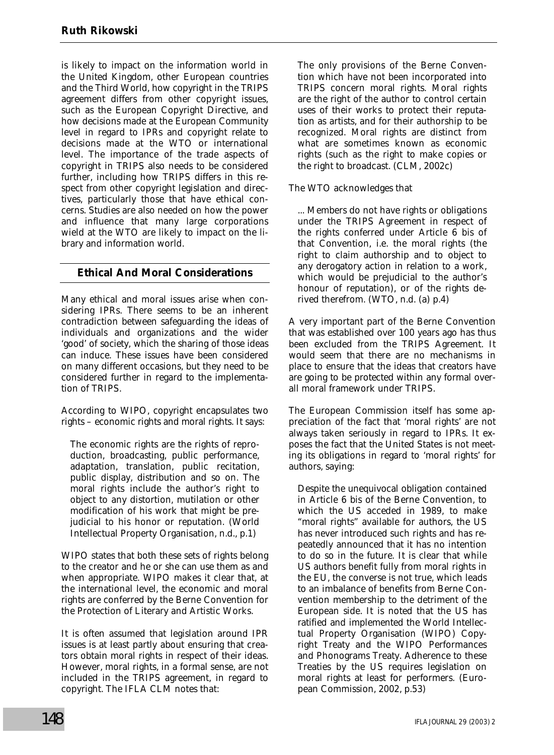is likely to impact on the information world in the United Kingdom, other European countries and the Third World, how copyright in the TRIPS agreement differs from other copyright issues, such as the European Copyright Directive, and how decisions made at the European Community level in regard to IPRs and copyright relate to decisions made at the WTO or international level. The importance of the trade aspects of copyright in TRIPS also needs to be considered further, including how TRIPS differs in this respect from other copyright legislation and directives, particularly those that have ethical concerns. Studies are also needed on how the power and influence that many large corporations wield at the WTO are likely to impact on the library and information world.

# **Ethical And Moral Considerations**

Many ethical and moral issues arise when considering IPRs. There seems to be an inherent contradiction between safeguarding the ideas of individuals and organizations and the wider 'good' of society, which the sharing of those ideas can induce. These issues have been considered on many different occasions, but they need to be considered further in regard to the implementation of TRIPS.

According to WIPO, copyright encapsulates two rights – economic rights and moral rights. It says:

The economic rights are the rights of reproduction, broadcasting, public performance, adaptation, translation, public recitation, public display, distribution and so on. The moral rights include the author's right to object to any distortion, mutilation or other modification of his work that might be prejudicial to his honor or reputation. (World Intellectual Property Organisation, n.d., p.1)

WIPO states that both these sets of rights belong to the creator and he or she can use them as and when appropriate. WIPO makes it clear that, at the international level, the economic and moral rights are conferred by the Berne Convention for the Protection of Literary and Artistic Works.

It is often assumed that legislation around IPR issues is at least partly about ensuring that creators obtain moral rights in respect of their ideas. However, moral rights, in a formal sense, are not included in the TRIPS agreement, in regard to copyright. The IFLA CLM notes that:

The only provisions of the Berne Convention which have not been incorporated into TRIPS concern moral rights. Moral rights are the right of the author to control certain uses of their works to protect their reputation as artists, and for their authorship to be recognized. Moral rights are distinct from what are sometimes known as economic rights (such as the right to make copies or the right to broadcast. (CLM, 2002c)

# The WTO acknowledges that

... Members do not have rights or obligations under the TRIPS Agreement in respect of the rights conferred under Article 6 bis of that Convention, i.e. the moral rights (the right to claim authorship and to object to any derogatory action in relation to a work, which would be prejudicial to the author's honour of reputation), or of the rights derived therefrom. (WTO, n.d. (a) p.4)

A very important part of the Berne Convention that was established over 100 years ago has thus been excluded from the TRIPS Agreement. It would seem that there are no mechanisms in place to ensure that the ideas that creators have are going to be protected within any formal overall moral framework under TRIPS.

The European Commission itself has some appreciation of the fact that 'moral rights' are not always taken seriously in regard to IPRs. It exposes the fact that the United States is not meeting its obligations in regard to 'moral rights' for authors, saying:

Despite the unequivocal obligation contained in Article 6 bis of the Berne Convention, to which the US acceded in 1989, to make "moral rights" available for authors, the US has never introduced such rights and has repeatedly announced that it has no intention to do so in the future. It is clear that while US authors benefit fully from moral rights in the EU, the converse is not true, which leads to an imbalance of benefits from Berne Convention membership to the detriment of the European side. It is noted that the US has ratified and implemented the World Intellectual Property Organisation (WIPO) Copyright Treaty and the WIPO Performances and Phonograms Treaty. Adherence to these Treaties by the US requires legislation on moral rights at least for performers. (European Commission, 2002, p.53)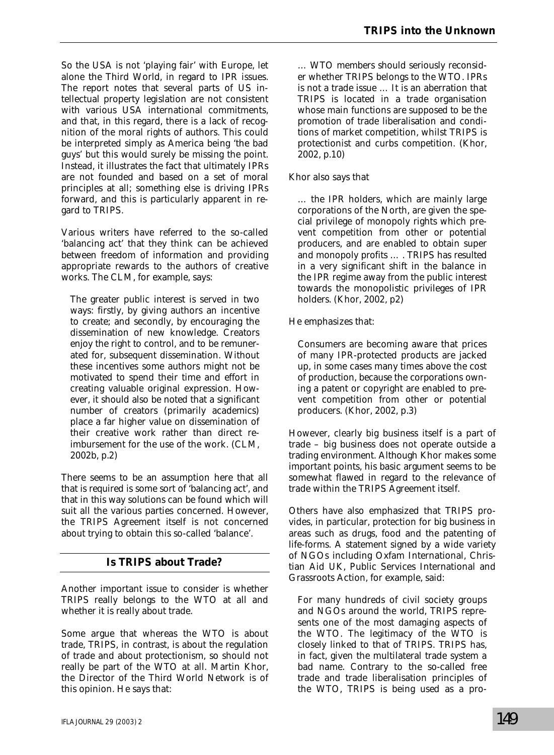So the USA is not 'playing fair' with Europe, let alone the Third World, in regard to IPR issues. The report notes that several parts of US intellectual property legislation are not consistent with various USA international commitments, and that, in this regard, there is a lack of recognition of the moral rights of authors. This could be interpreted simply as America being 'the bad guys' but this would surely be missing the point. Instead, it illustrates the fact that ultimately IPRs are not founded and based on a set of moral principles at all; something else is driving IPRs forward, and this is particularly apparent in regard to TRIPS.

Various writers have referred to the so-called 'balancing act' that they think can be achieved between freedom of information and providing appropriate rewards to the authors of creative works. The CLM, for example, says:

The greater public interest is served in two ways: firstly, by giving authors an incentive to create; and secondly, by encouraging the dissemination of new knowledge. Creators enjoy the right to control, and to be remunerated for, subsequent dissemination. Without these incentives some authors might not be motivated to spend their time and effort in creating valuable original expression. However, it should also be noted that a significant number of creators (primarily academics) place a far higher value on dissemination of their creative work rather than direct reimbursement for the use of the work. (CLM, 2002b, p.2)

There seems to be an assumption here that all that is required is some sort of 'balancing act', and that in this way solutions can be found which will suit all the various parties concerned. However, the TRIPS Agreement itself is not concerned about trying to obtain this so-called 'balance'.

# **Is TRIPS about Trade?**

Another important issue to consider is whether TRIPS really belongs to the WTO at all and whether it is really about trade.

Some argue that whereas the WTO is about trade, TRIPS, in contrast, is about the regulation of trade and about protectionism, so should not really be part of the WTO at all. Martin Khor, the Director of the Third World Network is of this opinion. He says that:

… WTO members should seriously reconsider whether TRIPS belongs to the WTO. IPRs is not a trade issue … It is an aberration that TRIPS is located in a trade organisation whose main functions are supposed to be the promotion of trade liberalisation and conditions of market competition, whilst TRIPS is protectionist and curbs competition. (Khor, 2002, p.10)

# Khor also says that

… the IPR holders, which are mainly large corporations of the North, are given the special privilege of monopoly rights which prevent competition from other or potential producers, and are enabled to obtain super and monopoly profits … . TRIPS has resulted in a very significant shift in the balance in the IPR regime away from the public interest towards the monopolistic privileges of IPR holders. (Khor, 2002, p2)

He emphasizes that:

Consumers are becoming aware that prices of many IPR-protected products are jacked up, in some cases many times above the cost of production, because the corporations owning a patent or copyright are enabled to prevent competition from other or potential producers. (Khor, 2002, p.3)

However, clearly big business itself is a part of trade – big business does not operate outside a trading environment. Although Khor makes some important points, his basic argument seems to be somewhat flawed in regard to the relevance of trade within the TRIPS Agreement itself.

Others have also emphasized that TRIPS provides, in particular, protection for big business in areas such as drugs, food and the patenting of life-forms. A statement signed by a wide variety of NGOs including Oxfam International, Christian Aid UK, Public Services International and Grassroots Action, for example, said:

For many hundreds of civil society groups and NGOs around the world, TRIPS represents one of the most damaging aspects of the WTO. The legitimacy of the WTO is closely linked to that of TRIPS. TRIPS has, in fact, given the multilateral trade system a bad name. Contrary to the so-called free trade and trade liberalisation principles of the WTO, TRIPS is being used as a pro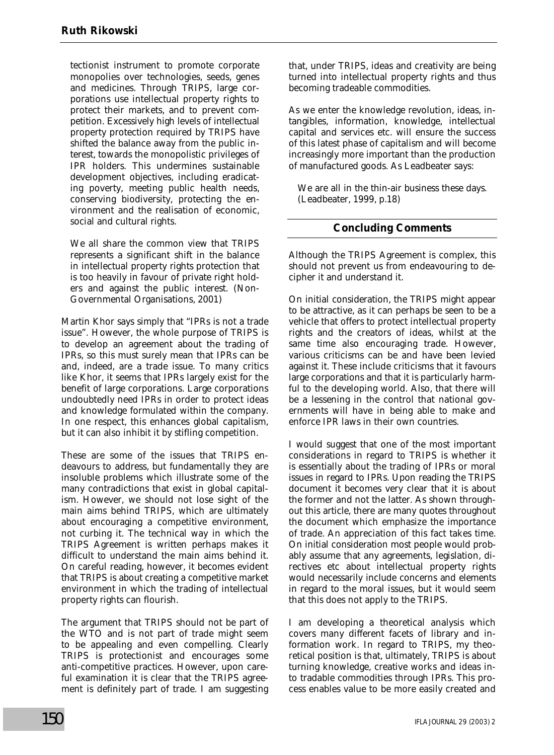tectionist instrument to promote corporate monopolies over technologies, seeds, genes and medicines. Through TRIPS, large corporations use intellectual property rights to protect their markets, and to prevent competition. Excessively high levels of intellectual property protection required by TRIPS have shifted the balance away from the public interest, towards the monopolistic privileges of IPR holders. This undermines sustainable development objectives, including eradicating poverty, meeting public health needs, conserving biodiversity, protecting the environment and the realisation of economic, social and cultural rights.

We all share the common view that TRIPS represents a significant shift in the balance in intellectual property rights protection that is too heavily in favour of private right holders and against the public interest. (Non-Governmental Organisations, 2001)

Martin Khor says simply that "IPRs is not a trade issue". However, the whole purpose of TRIPS is to develop an agreement about the trading of IPRs, so this must surely mean that IPRs can be and, indeed, are a trade issue. To many critics like Khor, it seems that IPRs largely exist for the benefit of large corporations. Large corporations undoubtedly need IPRs in order to protect ideas and knowledge formulated within the company. In one respect, this enhances global capitalism, but it can also inhibit it by stifling competition.

These are some of the issues that TRIPS endeavours to address, but fundamentally they are insoluble problems which illustrate some of the many contradictions that exist in global capitalism. However, we should not lose sight of the main aims behind TRIPS, which are ultimately about encouraging a competitive environment, not curbing it. The technical way in which the TRIPS Agreement is written perhaps makes it difficult to understand the main aims behind it. On careful reading, however, it becomes evident that TRIPS is about creating a competitive market environment in which the trading of intellectual property rights can flourish.

The argument that TRIPS should not be part of the WTO and is not part of trade might seem to be appealing and even compelling. Clearly TRIPS is protectionist and encourages some anti-competitive practices. However, upon careful examination it is clear that the TRIPS agreement is definitely part of trade. I am suggesting

that, under TRIPS, ideas and creativity are being turned into intellectual property rights and thus becoming tradeable commodities.

As we enter the knowledge revolution, ideas, intangibles, information, knowledge, intellectual capital and services etc. will ensure the success of this latest phase of capitalism and will become increasingly more important than the production of manufactured goods. As Leadbeater says:

We are all in the thin-air business these days. (Leadbeater, 1999, p.18)

# **Concluding Comments**

Although the TRIPS Agreement is complex, this should not prevent us from endeavouring to decipher it and understand it.

On initial consideration, the TRIPS might appear to be attractive, as it can perhaps be seen to be a vehicle that offers to protect intellectual property rights and the creators of ideas, whilst at the same time also encouraging trade. However, various criticisms can be and have been levied against it. These include criticisms that it favours large corporations and that it is particularly harmful to the developing world. Also, that there will be a lessening in the control that national governments will have in being able to make and enforce IPR laws in their own countries.

I would suggest that one of the most important considerations in regard to TRIPS is whether it is essentially about the trading of IPRs or moral issues in regard to IPRs. Upon reading the TRIPS document it becomes very clear that it is about the former and not the latter. As shown throughout this article, there are many quotes throughout the document which emphasize the importance of trade. An appreciation of this fact takes time. On initial consideration most people would probably assume that any agreements, legislation, directives etc about intellectual property rights would necessarily include concerns and elements in regard to the moral issues, but it would seem that this does not apply to the TRIPS.

I am developing a theoretical analysis which covers many different facets of library and information work. In regard to TRIPS, my theoretical position is that, ultimately, TRIPS is about turning knowledge, creative works and ideas into tradable commodities through IPRs. This process enables value to be more easily created and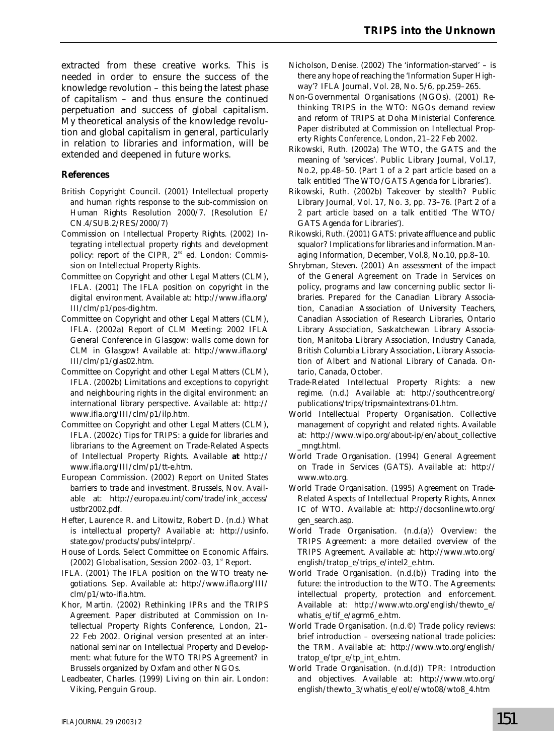extracted from these creative works. This is needed in order to ensure the success of the knowledge revolution – this being the latest phase of capitalism – and thus ensure the continued perpetuation and success of global capitalism. My theoretical analysis of the knowledge revolution and global capitalism in general, particularly in relation to libraries and information, will be extended and deepened in future works.

#### **References**

- British Copyright Council. (2001) Intellectual property and human rights response to the sub-commission on Human Rights Resolution 2000/7. (Resolution E/ CN.4/SUB.2/RES/2000/7)
- Commission on Intellectual Property Rights. (2002) *Integrating intellectual property rights and development*  policy: report of the CIPR,  $2^{nd}$  ed. London: Commission on Intellectual Property Rights.
- Committee on Copyright and other Legal Matters (CLM), IFLA. (2001) *The IFLA position on copyright in the digital environment.* Available at: http://www.ifla.org/ III/clm/p1/pos-dig.htm.
- Committee on Copyright and other Legal Matters (CLM), IFLA. (2002a) *Report of CLM Meeting: 2002 IFLA General Conference in Glasgow: walls come down for CLM in Glasgow!* Available at: http://www.ifla.org/ III/clm/p1/glas02.htm.
- Committee on Copyright and other Legal Matters (CLM), IFLA. (2002b) Limitations and exceptions to copyright and neighbouring rights in the digital environment: an international library perspective. Available at: http:// www.ifla.org/III/clm/p1/ilp.htm.
- Committee on Copyright and other Legal Matters (CLM), IFLA. (2002c) Tips for TRIPS: a guide for libraries and librarians to the Agreement on Trade-Related Aspects of Intellectual Property Rights. Available **at** http:// www.ifla.org/III/clm/p1/tt-e.htm.
- European Commission. (2002) *Report on United States barriers to trade and investment.* Brussels, Nov. Available at: http://europa.eu.int/com/trade/ink\_access/ ustbr2002.pdf.
- Hefter, Laurence R. and Litowitz, Robert D. (n.d.) *What is intellectual property?* Available at: http://usinfo. state.gov/products/pubs/intelprp/.
- House of Lords. Select Committee on Economic Affairs. (2002) *Globalisation, Session 2002–03, 1st Report.*
- IFLA. (2001) *The IFLA position on the WTO treaty negotiations.* Sep. Available at: http://www.ifla.org/III/ clm/p1/wto-ifla.htm.
- Khor, Martin. (2002) *Rethinking IPRs and the TRIPS Agreement.* Paper distributed at Commission on Intellectual Property Rights Conference, London, 21– 22 Feb 2002. Original version presented at an international seminar on Intellectual Property and Development: what future for the WTO TRIPS Agreement? in Brussels organized by Oxfam and other NGOs.
- Leadbeater, Charles. (1999) *Living on thin air.* London: Viking, Penguin Group.
- Nicholson, Denise. (2002) The 'information-starved' is there any hope of reaching the 'Information Super Highway'? *IFLA Journal,* Vol. 28, No. 5/6, pp.259–265.
- Non-Governmental Organisations (NGOs). (2001) *Rethinking TRIPS in the WTO: NGOs demand review and reform of TRIPS at Doha Ministerial Conference.*  Paper distributed at Commission on Intellectual Property Rights Conference, London, 21–22 Feb 2002.
- Rikowski, Ruth. (2002a) The WTO, the GATS and the meaning of 'services'. *Public Library Journal,* Vol.17, No.2, pp.48–50. (Part 1 of a 2 part article based on a talk entitled 'The WTO/GATS Agenda for Libraries').
- Rikowski, Ruth. (2002b) Takeover by stealth? *Public Library Journal,* Vol. 17, No. 3, pp. 73–76. (Part 2 of a 2 part article based on a talk entitled 'The WTO/ GATS Agenda for Libraries').
- Rikowski, Ruth. (2001) GATS: private affluence and public squalor? Implications for libraries and information. Man*aging Information,* December, Vol.8, No.10, pp.8–10.
- Shrybman, Steven. (2001) An assessment of the impact of the General Agreement on Trade in Services on policy, programs and law concerning public sector libraries. Prepared for the Canadian Library Association, Canadian Association of University Teachers, Canadian Association of Research Libraries, Ontario Library Association, Saskatchewan Library Association, Manitoba Library Association, Industry Canada, British Columbia Library Association, Library Association of Albert and National Library of Canada. Ontario, Canada, October.
- *Trade-Related Intellectual Property Rights: a new regime.* (n.d.) Available at: http://southcentre.org/ publications/trips/tripsmaintextrans-01.htm.
- World Intellectual Property Organisation. *Collective management of copyright and related rights.* Available at: http://www.wipo.org/about-ip/en/about\_collective \_mngt.html.
- World Trade Organisation. (1994) *General Agreement on Trade in Services (GATS).* Available at: http:// www.wto.org.
- World Trade Organisation. (1995) *Agreement on Trade-Related Aspects of Intellectual Property Rights, Annex IC of WTO.* Available at: http://docsonline.wto.org/ gen\_search.asp.
- World Trade Organisation. (n.d.(a)) *Overview: the TRIPS Agreement: a more detailed overview of the TRIPS Agreement.* Available at: http://www.wto.org/ english/tratop\_e/trips\_e/intel2\_e.htm.
- World Trade Organisation. (n.d.(b)) Trading into the future: the introduction to the WTO. The Agreements: intellectual property, protection and enforcement. Available at: http://www.wto.org/english/thewto\_e/ whatis\_e/tif\_e/agrm6\_e.htm.
- World Trade Organisation. (n.d.©) *Trade policy reviews: brief introduction – overseeing national trade policies: the TRM.* Available at: http://www.wto.org/english/ tratop\_e/tpr\_e/tp\_int\_e.htm.
- World Trade Organisation. (n.d.(d)) *TPR: Introduction and objectives.* Available at: http://www.wto.org/ english/thewto\_3/whatis\_e/eol/e/wto08/wto8\_4.htm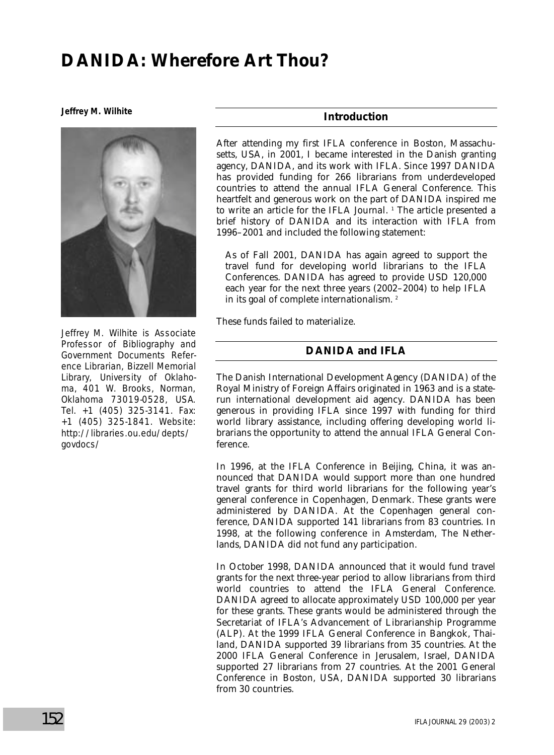# **DANIDA: Wherefore Art Thou?**

*Jeffrey M. Wilhite* 



Jeffrey M. Wilhite is Associate Professor of Bibliography and Government Documents Reference Librarian, Bizzell Memorial Library, University of Oklahoma, 401 W. Brooks, Norman, Oklahoma 73019-0528, USA. Tel. +1 (405) 325-3141. Fax: +1 (405) 325-1841. Website: http://libraries.ou.edu/depts/ govdocs/

# **Introduction**

After attending my first IFLA conference in Boston, Massachusetts, USA, in 2001, I became interested in the Danish granting agency, DANIDA, and its work with IFLA. Since 1997 DANIDA has provided funding for 266 librarians from underdeveloped countries to attend the annual IFLA General Conference. This heartfelt and generous work on the part of DANIDA inspired me to write an article for the *IFLA Journal*. <sup>1</sup> The article presented a brief history of DANIDA and its interaction with IFLA from 1996–2001 and included the following statement:

As of Fall 2001, DANIDA has again agreed to support the travel fund for developing world librarians to the IFLA Conferences. DANIDA has agreed to provide USD 120,000 each year for the next three years (2002–2004) to help IFLA in its goal of complete internationalism.  $2$ 

These funds failed to materialize.

# **DANIDA and IFLA**

The Danish International Development Agency (DANIDA) of the Royal Ministry of Foreign Affairs originated in 1963 and is a staterun international development aid agency. DANIDA has been generous in providing IFLA since 1997 with funding for third world library assistance, including offering developing world librarians the opportunity to attend the annual IFLA General Conference.

In 1996, at the IFLA Conference in Beijing, China, it was announced that DANIDA would support more than one hundred travel grants for third world librarians for the following year's general conference in Copenhagen, Denmark. These grants were administered by DANIDA. At the Copenhagen general conference, DANIDA supported 141 librarians from 83 countries. In 1998, at the following conference in Amsterdam, The Netherlands, DANIDA did not fund any participation.

In October 1998, DANIDA announced that it would fund travel grants for the next three-year period to allow librarians from third world countries to attend the IFLA General Conference. DANIDA agreed to allocate approximately USD 100,000 per year for these grants. These grants would be administered through the Secretariat of IFLA's Advancement of Librarianship Programme (ALP). At the 1999 IFLA General Conference in Bangkok, Thailand, DANIDA supported 39 librarians from 35 countries. At the 2000 IFLA General Conference in Jerusalem, Israel, DANIDA supported 27 librarians from 27 countries. At the 2001 General Conference in Boston, USA, DANIDA supported 30 librarians from 30 countries.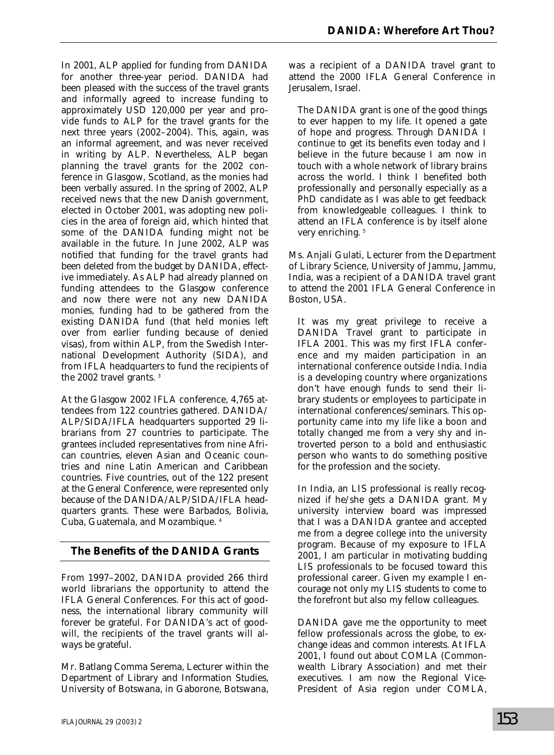In 2001, ALP applied for funding from DANIDA for another three-year period. DANIDA had been pleased with the success of the travel grants and informally agreed to increase funding to approximately USD 120,000 per year and provide funds to ALP for the travel grants for the next three years (2002–2004). This, again, was an informal agreement, and was never received in writing by ALP. Nevertheless, ALP began planning the travel grants for the 2002 conference in Glasgow, Scotland, as the monies had been verbally assured. In the spring of 2002, ALP received news that the new Danish government, elected in October 2001, was adopting new policies in the area of foreign aid, which hinted that some of the DANIDA funding might not be available in the future. In June 2002, ALP was notified that funding for the travel grants had been deleted from the budget by DANIDA, effective immediately. As ALP had already planned on funding attendees to the Glasgow conference and now there were not any new DANIDA monies, funding had to be gathered from the existing DANIDA fund (that held monies left over from earlier funding because of denied visas), from within ALP, from the Swedish International Development Authority (SIDA), and from IFLA headquarters to fund the recipients of the 2002 travel grants.<sup>3</sup>

At the Glasgow 2002 IFLA conference, 4,765 attendees from 122 countries gathered. DANIDA/ ALP/SIDA/IFLA headquarters supported 29 librarians from 27 countries to participate. The grantees included representatives from nine African countries, eleven Asian and Oceanic countries and nine Latin American and Caribbean countries. Five countries, out of the 122 present at the General Conference, were represented only because of the DANIDA/ALP/SIDA/IFLA headquarters grants. These were Barbados, Bolivia, Cuba, Guatemala, and Mozambique. 4

# **The Benefits of the DANIDA Grants**

From 1997–2002, DANIDA provided 266 third world librarians the opportunity to attend the IFLA General Conferences. For this act of goodness, the international library community will forever be grateful. For DANIDA's act of goodwill, the recipients of the travel grants will always be grateful.

Mr. Batlang Comma Serema, Lecturer within the Department of Library and Information Studies, University of Botswana, in Gaborone, Botswana,

was a recipient of a DANIDA travel grant to attend the 2000 IFLA General Conference in Jerusalem, Israel.

The DANIDA grant is one of the good things to ever happen to my life. It opened a gate of hope and progress. Through DANIDA I continue to get its benefits even today and I believe in the future because I am now in touch with a whole network of library brains across the world. I think I benefited both professionally and personally especially as a PhD candidate as I was able to get feedback from knowledgeable colleagues. I think to attend an IFLA conference is by itself alone very enriching. <sup>5</sup>

Ms. Anjali Gulati, Lecturer from the Department of Library Science, University of Jammu, Jammu, India, was a recipient of a DANIDA travel grant to attend the 2001 IFLA General Conference in Boston, USA.

It was my great privilege to receive a DANIDA Travel grant to participate in IFLA 2001. This was my first IFLA conference and my maiden participation in an international conference outside India. India is a developing country where organizations don't have enough funds to send their library students or employees to participate in international conferences/seminars. This opportunity came into my life like a boon and totally changed me from a very shy and introverted person to a bold and enthusiastic person who wants to do something positive for the profession and the society.

In India, an LIS professional is really recognized if he/she gets a DANIDA grant. My university interview board was impressed that I was a DANIDA grantee and accepted me from a degree college into the university program. Because of my exposure to IFLA 2001, I am particular in motivating budding LIS professionals to be focused toward this professional career. Given my example I encourage not only my LIS students to come to the forefront but also my fellow colleagues.

DANIDA gave me the opportunity to meet fellow professionals across the globe, to exchange ideas and common interests. At IFLA 2001, I found out about COMLA (Commonwealth Library Association) and met their executives. I am now the Regional Vice-President of Asia region under COMLA,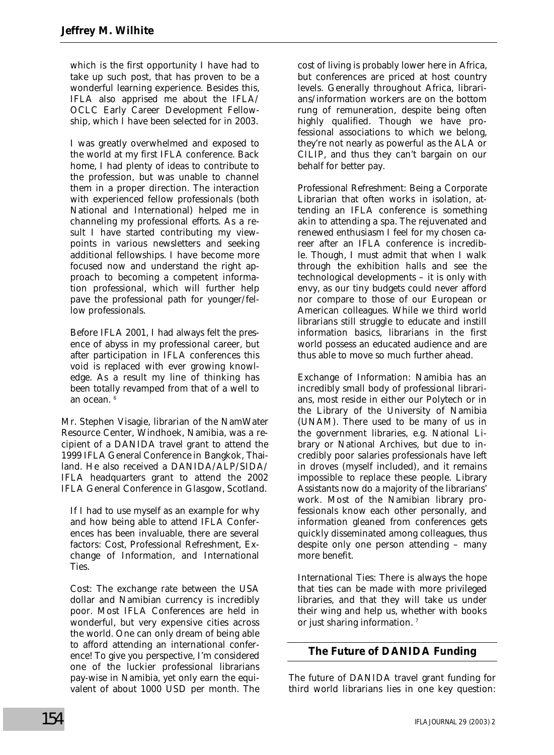which is the first opportunity I have had to take up such post, that has proven to be a wonderful learning experience. Besides this, IFLA also apprised me about the IFLA/ OCLC Early Career Development Fellowship, which I have been selected for in 2003.

I was greatly overwhelmed and exposed to the world at my first IFLA conference. Back home, I had plenty of ideas to contribute to the profession, but was unable to channel them in a proper direction. The interaction with experienced fellow professionals (both National and International) helped me in channeling my professional efforts. As a result I have started contributing my viewpoints in various newsletters and seeking additional fellowships. I have become more focused now and understand the right approach to becoming a competent information professional, which will further help pave the professional path for younger/fellow professionals.

Before IFLA 2001, I had always felt the presence of abyss in my professional career, but after participation in IFLA conferences this void is replaced with ever growing knowledge. As a result my line of thinking has been totally revamped from that of a well to an ocean. 6

Mr. Stephen Visagie, librarian of the NamWater Resource Center, Windhoek, Namibia, was a recipient of a DANIDA travel grant to attend the 1999 IFLA General Conference in Bangkok, Thailand. He also received a DANIDA/ALP/SIDA/ IFLA headquarters grant to attend the 2002 IFLA General Conference in Glasgow, Scotland.

If I had to use myself as an example for why and how being able to attend IFLA Conferences has been invaluable, there are several factors: Cost, Professional Refreshment, Exchange of Information, and International Ties.

Cost: The exchange rate between the USA dollar and Namibian currency is incredibly poor. Most IFLA Conferences are held in wonderful, but very expensive cities across the world. One can only dream of being able to afford attending an international conference! To give you perspective, I'm considered one of the luckier professional librarians pay-wise in Namibia, yet only earn the equivalent of about 1000 USD per month. The

cost of living is probably lower here in Africa, but conferences are priced at host country levels. Generally throughout Africa, librarians/information workers are on the bottom rung of remuneration, despite being often highly qualified. Though we have professional associations to which we belong, they're not nearly as powerful as the ALA or CILIP, and thus they can't bargain on our behalf for better pay.

Professional Refreshment: Being a Corporate Librarian that often works in isolation, attending an IFLA conference is something akin to attending a spa. The rejuvenated and renewed enthusiasm I feel for my chosen career after an IFLA conference is incredible. Though, I must admit that when I walk through the exhibition halls and see the technological developments – it is only with envy, as our tiny budgets could never afford nor compare to those of our European or American colleagues. While we third world librarians still struggle to educate and instill information basics, librarians in the first world possess an educated audience and are thus able to move so much further ahead.

Exchange of Information: Namibia has an incredibly small body of professional librarians, most reside in either our Polytech or in the Library of the University of Namibia (UNAM). There used to be many of us in the government libraries, e.g. National Library or National Archives, but due to incredibly poor salaries professionals have left in droves (myself included), and it remains impossible to replace these people. Library Assistants now do a majority of the librarians' work. Most of the Namibian library professionals know each other personally, and information gleaned from conferences gets quickly disseminated among colleagues, thus despite only one person attending – many more benefit.

International Ties: There is always the hope that ties can be made with more privileged libraries, and that they will take us under their wing and help us, whether with books or just sharing information.<sup>7</sup>

# **The Future of DANIDA Funding**

The future of DANIDA travel grant funding for third world librarians lies in one key question: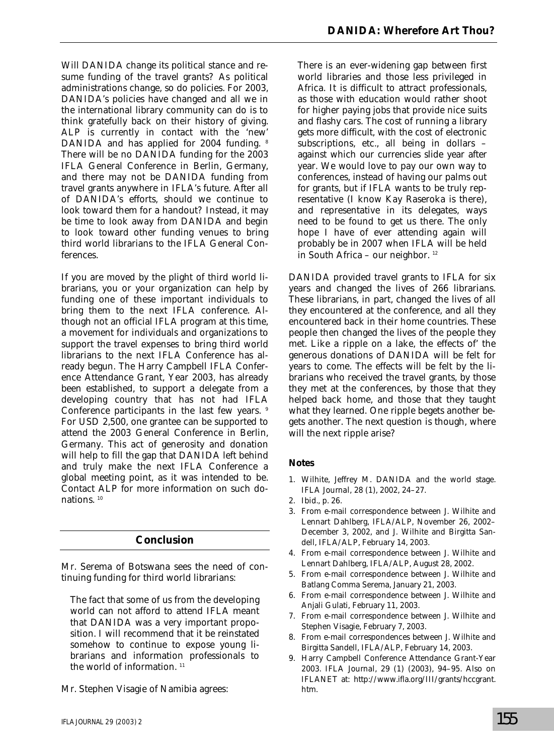Will DANIDA change its political stance and resume funding of the travel grants? As political administrations change, so do policies. For 2003, DANIDA's policies have changed and all we in the international library community can do is to think gratefully back on their history of giving. ALP is currently in contact with the 'new' DANIDA and has applied for 2004 funding. <sup>8</sup> There will be no DANIDA funding for the 2003 IFLA General Conference in Berlin, Germany, and there may not be DANIDA funding from travel grants anywhere in IFLA's future. After all of DANIDA's efforts, should we continue to look toward them for a handout? Instead, it may be time to look away from DANIDA and begin to look toward other funding venues to bring third world librarians to the IFLA General Conferences.

If you are moved by the plight of third world librarians, you or your organization can help by funding one of these important individuals to bring them to the next IFLA conference. Although not an official IFLA program at this time, a movement for individuals and organizations to support the travel expenses to bring third world librarians to the next IFLA Conference has already begun. The Harry Campbell IFLA Conference Attendance Grant, Year 2003, has already been established, to support a delegate from a developing country that has not had IFLA Conference participants in the last few years. <sup>9</sup> For USD 2,500, one grantee can be supported to attend the 2003 General Conference in Berlin, Germany. This act of generosity and donation will help to fill the gap that DANIDA left behind and truly make the next IFLA Conference a global meeting point, as it was intended to be. Contact ALP for more information on such donations. 10

# **Conclusion**

Mr. Serema of Botswana sees the need of continuing funding for third world librarians:

The fact that some of us from the developing world can not afford to attend IFLA meant that DANIDA was a very important proposition. I will recommend that it be reinstated somehow to continue to expose young librarians and information professionals to the world of information.<sup>11</sup>

Mr. Stephen Visagie of Namibia agrees:

There is an ever-widening gap between first world libraries and those less privileged in Africa. It is difficult to attract professionals, as those with education would rather shoot for higher paying jobs that provide nice suits and flashy cars. The cost of running a library gets more difficult, with the cost of electronic subscriptions, etc., all being in dollars – against which our currencies slide year after year. We would love to pay our own way to conferences, instead of having our palms out for grants, but if IFLA wants to be truly representative (I know Kay Raseroka is there), and representative in its delegates, ways need to be found to get us there. The only hope I have of ever attending again will probably be in 2007 when IFLA will be held in South Africa – our neighbor. 12

DANIDA provided travel grants to IFLA for six years and changed the lives of 266 librarians. These librarians, in part, changed the lives of all they encountered at the conference, and all they encountered back in their home countries. These people then changed the lives of the people they met. Like a ripple on a lake, the effects of' the generous donations of DANIDA will be felt for years to come. The effects will be felt by the librarians who received the travel grants, by those they met at the conferences, by those that they helped back home, and those that they taught what they learned. One ripple begets another begets another. The next question is though, where will the next ripple arise?

# **Notes**

- 1. Wilhite, Jeffrey M. DANIDA and the world stage. *IFLA Journal,* 28 (1), 2002, 24–27.
- 2. *Ibid.,* p. 26.
- 3. From e-mail correspondence between J. Wilhite and Lennart Dahlberg, IFLA/ALP, November 26, 2002– December 3, 2002, and J. Wilhite and Birgitta Sandell, IFLA/ALP, February 14, 2003.
- 4. From e-mail correspondence between J. Wilhite and Lennart Dahlberg, IFLA/ALP, August 28, 2002.
- 5. From e-mail correspondence between J. Wilhite and Batlang Comma Serema, January 21, 2003.
- 6. From e-mail correspondence between J. Wilhite and Anjali Gulati, February 11, 2003.
- 7. From e-mail correspondence between J. Wilhite and Stephen Visagie, February 7, 2003.
- 8. From e-mail correspondences between J. Wilhite and Birgitta Sandell, IFLA/ALP, February 14, 2003.
- 9. Harry Campbell Conference Attendance Grant-Year 2003. *IFLA Journal,* 29 (1) (2003), 94–95. Also on IFLANET at: http://www.ifla.org/III/grants/hccgrant. htm.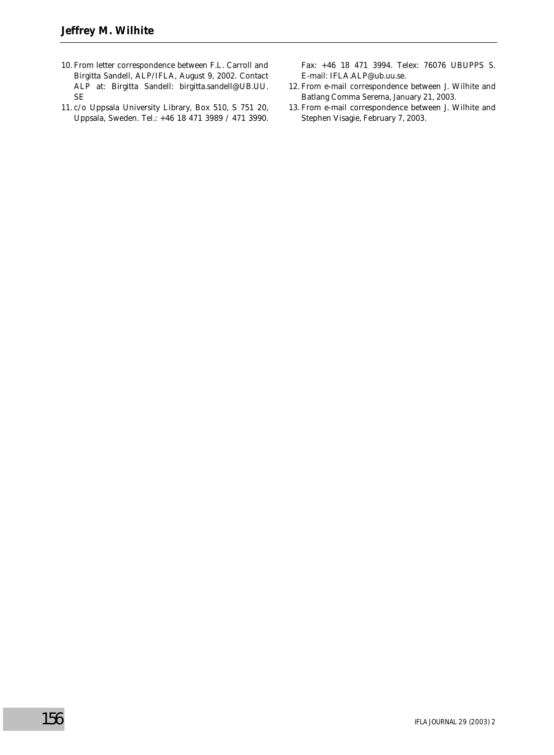- 10. From letter correspondence between F.L. Carroll and Birgitta Sandell, ALP/IFLA, August 9, 2002. Contact ALP at: Birgitta Sandell: birgitta.sandell@UB.UU. SE
- 11. c/o Uppsala University Library, Box 510, S 751 20, Uppsala, Sweden. Tel.: +46 18 471 3989 / 471 3990.

Fax: +46 18 471 3994. Telex: 76076 UBUPPS S. E-mail: IFLA.ALP@ub.uu.se.

- 12. From e-mail correspondence between J. Wilhite and Batlang Comma Serema, January 21, 2003.
- 13. From e-mail correspondence between J. Wilhite and Stephen Visagie, February 7, 2003.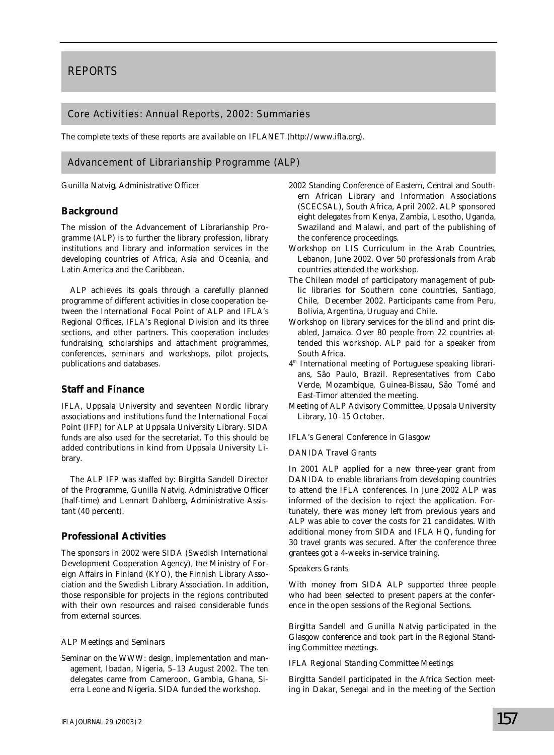# REPORTS

#### Core Activities: Annual Reports, 2002: Summaries

*The complete texts of these reports are available on IFLANET (http://www.ifla.org).* 

### Advancement of Librarianship Programme (ALP)

Gunilla Natvig, Administrative Officer

#### **Background**

The mission of the Advancement of Librarianship Programme (ALP) is to further the library profession, library institutions and library and information services in the developing countries of Africa, Asia and Oceania, and Latin America and the Caribbean.

ALP achieves its goals through a carefully planned programme of different activities in close cooperation between the International Focal Point of ALP and IFLA's Regional Offices, IFLA's Regional Division and its three sections, and other partners. This cooperation includes fundraising, scholarships and attachment programmes, conferences, seminars and workshops, pilot projects, publications and databases.

#### **Staff and Finance**

IFLA, Uppsala University and seventeen Nordic library associations and institutions fund the International Focal Point (IFP) for ALP at Uppsala University Library. SIDA funds are also used for the secretariat. To this should be added contributions in kind from Uppsala University Library.

The ALP IFP was staffed by: Birgitta Sandell Director of the Programme, Gunilla Natvig, Administrative Officer (half-time) and Lennart Dahlberg, Administrative Assistant (40 percent).

#### **Professional Activities**

The sponsors in 2002 were SIDA (Swedish International Development Cooperation Agency), the Ministry of Foreign Affairs in Finland (KYO), the Finnish Library Association and the Swedish Library Association. In addition, those responsible for projects in the regions contributed with their own resources and raised considerable funds from external sources.

#### *ALP Meetings and Seminars*

Seminar on the WWW: design, implementation and management, Ibadan, Nigeria, 5–13 August 2002. The ten delegates came from Cameroon, Gambia, Ghana, Sierra Leone and Nigeria. SIDA funded the workshop.

- 2002 Standing Conference of Eastern, Central and Southern African Library and Information Associations (SCECSAL), South Africa, April 2002. ALP sponsored eight delegates from Kenya, Zambia, Lesotho, Uganda, Swaziland and Malawi, and part of the publishing of the conference proceedings.
- Workshop on LIS Curriculum in the Arab Countries, Lebanon, June 2002. Over 50 professionals from Arab countries attended the workshop.
- The Chilean model of participatory management of public libraries for Southern cone countries, Santiago, Chile, December 2002. Participants came from Peru, Bolivia, Argentina, Uruguay and Chile.
- Workshop on library services for the blind and print disabled, Jamaica. Over 80 people from 22 countries attended this workshop. ALP paid for a speaker from South Africa.
- 4<sup>th</sup> International meeting of Portuguese speaking librarians, São Paulo, Brazil. Representatives from Cabo Verde, Mozambique, Guinea-Bissau, São Tomé and East-Timor attended the meeting.
- Meeting of ALP Advisory Committee, Uppsala University Library, 10–15 October.

#### *IFLA's General Conference in Glasgow*

#### DANIDA Travel Grants

In 2001 ALP applied for a new three-year grant from DANIDA to enable librarians from developing countries to attend the IFLA conferences. In June 2002 ALP was informed of the decision to reject the application. Fortunately, there was money left from previous years and ALP was able to cover the costs for 21 candidates. With additional money from SIDA and IFLA HQ, funding for 30 travel grants was secured. After the conference three grantees got a 4-weeks in-service training.

#### Speakers Grants

With money from SIDA ALP supported three people who had been selected to present papers at the conference in the open sessions of the Regional Sections.

Birgitta Sandell and Gunilla Natvig participated in the Glasgow conference and took part in the Regional Standing Committee meetings.

#### *IFLA Regional Standing Committee Meetings*

Birgitta Sandell participated in the Africa Section meeting in Dakar, Senegal and in the meeting of the Section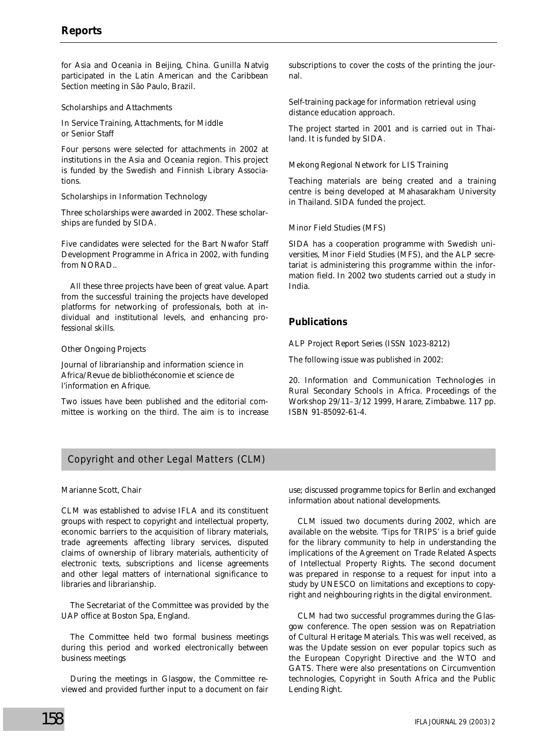for Asia and Oceania in Beijing, China. Gunilla Natvig participated in the Latin American and the Caribbean Section meeting in São Paulo, Brazil.

#### *Scholarships and Attachments*

In Service Training, Attachments, for Middle or Senior Staff

Four persons were selected for attachments in 2002 at institutions in the Asia and Oceania region. This project is funded by the Swedish and Finnish Library Associations.

Scholarships in Information Technology

Three scholarships were awarded in 2002. These scholarships are funded by SIDA.

Five candidates were selected for the Bart Nwafor Staff Development Programme in Africa in 2002, with funding from NORAD..

All these three projects have been of great value. Apart from the successful training the projects have developed platforms for networking of professionals, both at individual and institutional levels, and enhancing professional skills.

#### *Other Ongoing Projects*

Journal of librarianship and information science in Africa/Revue de bibliothéconomie et science de l'information en Afrique.

Two issues have been published and the editorial committee is working on the third. The aim is to increase subscriptions to cover the costs of the printing the journal.

Self-training package for information retrieval using distance education approach.

The project started in 2001 and is carried out in Thailand. It is funded by SIDA.

Mekong Regional Network for LIS Training

Teaching materials are being created and a training centre is being developed at Mahasarakham University in Thailand. SIDA funded the project.

Minor Field Studies (MFS)

SIDA has a cooperation programme with Swedish universities, Minor Field Studies (MFS), and the ALP secretariat is administering this programme within the information field. In 2002 two students carried out a study in India.

# **Publications**

*ALP Project Report Series (ISSN 1023-8212)* 

The following issue was published in 2002:

20. *Information and Communication Technologies in Rural Secondary Schools in Africa. Proceedings of the Workshop 29/11–3/12 1999, Harare, Zimbabwe.* 117 pp. ISBN 91-85092-61-4.

# Copyright and other Legal Matters (CLM)

#### Marianne Scott, Chair

CLM was established to advise IFLA and its constituent groups with respect to copyright and intellectual property, economic barriers to the acquisition of library materials, trade agreements affecting library services, disputed claims of ownership of library materials, authenticity of electronic texts, subscriptions and license agreements and other legal matters of international significance to libraries and librarianship.

The Secretariat of the Committee was provided by the UAP office at Boston Spa, England.

The Committee held two formal business meetings during this period and worked electronically between business meetings

During the meetings in Glasgow, the Committee reviewed and provided further input to a document on fair use; discussed programme topics for Berlin and exchanged information about national developments.

CLM issued two documents during 2002, which are available on the website. 'Tips for TRIPS' is a brief guide for the library community to help in understanding the implications of the Agreement on Trade Related Aspects of Intellectual Property Rights. The second document was prepared in response to a request for input into a study by UNESCO on limitations and exceptions to copyright and neighbouring rights in the digital environment.

CLM had two successful programmes during the Glasgow conference. The open session was on Repatriation of Cultural Heritage Materials. This was well received, as was the Update session on ever popular topics such as the European Copyright Directive and the WTO and GATS. There were also presentations on Circumvention technologies, Copyright in South Africa and the Public Lending Right.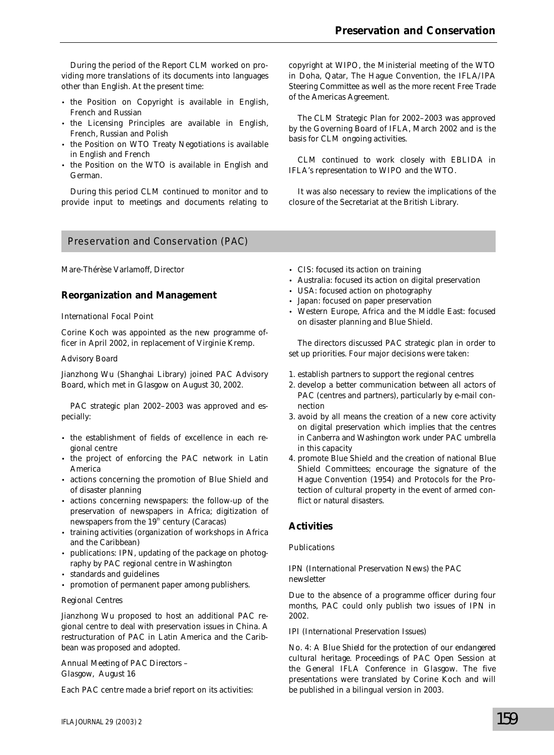During the period of the Report CLM worked on providing more translations of its documents into languages other than English. At the present time:

- the Position on Copyright is available in English, French and Russian
- the Licensing Principles are available in English, French, Russian and Polish
- the Position on WTO Treaty Negotiations is available in English and French
- the Position on the WTO is available in English and German.

During this period CLM continued to monitor and to provide input to meetings and documents relating to copyright at WIPO, the Ministerial meeting of the WTO in Doha, Qatar, The Hague Convention, the IFLA/IPA Steering Committee as well as the more recent Free Trade of the Americas Agreement.

The CLM Strategic Plan for 2002–2003 was approved by the Governing Board of IFLA, March 2002 and is the basis for CLM ongoing activities.

CLM continued to work closely with EBLIDA in IFLA's representation to WIPO and the WTO.

It was also necessary to review the implications of the closure of the Secretariat at the British Library.

# Preservation and Conservation (PAC)

Mare-Thérèse Varlamoff, Director

# **Reorganization and Management**

#### *International Focal Point*

Corine Koch was appointed as the new programme officer in April 2002, in replacement of Virginie Kremp.

#### *Advisory Board*

Jianzhong Wu (Shanghai Library) joined PAC Advisory Board, which met in Glasgow on August 30, 2002.

PAC strategic plan 2002–2003 was approved and especially:

- the establishment of fields of excellence in each regional centre
- the project of enforcing the PAC network in Latin America
- actions concerning the promotion of Blue Shield and of disaster planning
- actions concerning newspapers: the follow-up of the preservation of newspapers in Africa; digitization of newspapers from the  $19<sup>th</sup>$  century (Caracas)
- training activities (organization of workshops in Africa and the Caribbean)
- publications: *IPN*, updating of the package on photography by PAC regional centre in Washington
- standards and guidelines
- promotion of permanent paper among publishers.

#### *Regional Centres*

Jianzhong Wu proposed to host an additional PAC regional centre to deal with preservation issues in China. A restructuration of PAC in Latin America and the Caribbean was proposed and adopted.

#### *Annual Meeting of PAC Directors – Glasgow, August 16*

Each PAC centre made a brief report on its activities:

- CIS: focused its action on training
- Australia: focused its action on digital preservation
- USA: focused action on photography
- Japan: focused on paper preservation
- Western Europe, Africa and the Middle East: focused on disaster planning and Blue Shield.

The directors discussed PAC strategic plan in order to set up priorities. Four major decisions were taken:

- 1. establish partners to support the regional centres
- 2. develop a better communication between all actors of PAC (centres and partners), particularly by e-mail connection
- 3. avoid by all means the creation of a new core activity on digital preservation which implies that the centres in Canberra and Washington work under PAC umbrella in this capacity
- 4. promote Blue Shield and the creation of national Blue Shield Committees; encourage the signature of the Hague Convention (1954) and Protocols for the Protection of cultural property in the event of armed conflict or natural disasters.

# **Activities**

#### *Publications*

IPN (International Preservation News) the PAC newsletter

Due to the absence of a programme officer during four months, PAC could only publish two issues of *IPN* in 2002.

IPI (International Preservation Issues)

No. 4: *A Blue Shield for the protection of our endangered cultural heritage. Proceedings of PAC Open Session at the General IFLA Conference in Glasgow.* The five presentations were translated by Corine Koch and will be published in a bilingual version in 2003.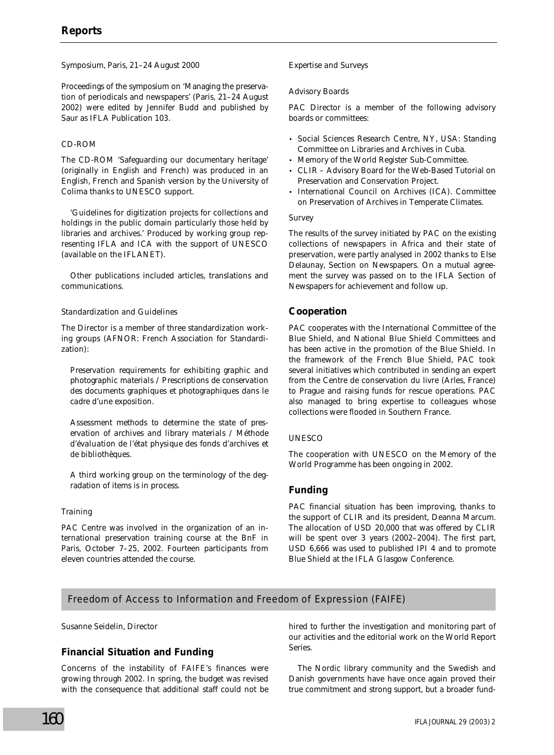Symposium, Paris, 21–24 August 2000

Proceedings of the symposium on 'Managing the preservation of periodicals and newspapers' (Paris, 21–24 August 2002) were edited by Jennifer Budd and published by Saur as IFLA Publication 103.

#### CD-ROM

The CD-ROM 'Safeguarding our documentary heritage' (originally in English and French) was produced in an English, French and Spanish version by the University of Colima thanks to UNESCO support.

'Guidelines for digitization projects for collections and holdings in the public domain particularly those held by libraries and archives.' Produced by working group representing IFLA and ICA with the support of UNESCO (available on the IFLANET).

Other publications included articles, translations and communications.

#### *Standardization and Guidelines*

The Director is a member of three standardization working groups (AFNOR: French Association for Standardization):

*Preservation requirements for exhibiting graphic and photographic materials / Prescriptions de conservation des documents graphiques et photographiques dans le cadre d'une exposition.* 

*Assessment methods to determine the state of preservation of archives and library materials / Méthode d'évaluation de l'état physique des fonds d'archives et de bibliothèques.* 

A third working group on the terminology of the degradation of items is in process.

#### *Training*

PAC Centre was involved in the organization of an international preservation training course at the BnF in Paris, October 7–25, 2002. Fourteen participants from eleven countries attended the course.

#### *Expertise and Surveys*

#### Advisory Boards

PAC Director is a member of the following advisory boards or committees:

- Social Sciences Research Centre, NY, USA: Standing Committee on Libraries and Archives in Cuba.
- Memory of the World Register Sub-Committee.
- CLIR Advisory Board for the Web-Based Tutorial on Preservation and Conservation Project.
- International Council on Archives (ICA). Committee on Preservation of Archives in Temperate Climates.

#### Survey

The results of the survey initiated by PAC on the existing collections of newspapers in Africa and their state of preservation, were partly analysed in 2002 thanks to Else Delaunay, Section on Newspapers. On a mutual agreement the survey was passed on to the IFLA Section of Newspapers for achievement and follow up.

# **Cooperation**

PAC cooperates with the International Committee of the Blue Shield, and National Blue Shield Committees and has been active in the promotion of the Blue Shield. In the framework of the French Blue Shield, PAC took several initiatives which contributed in sending an expert from the Centre de conservation du livre (Arles, France) to Prague and raising funds for rescue operations. PAC also managed to bring expertise to colleagues whose collections were flooded in Southern France.

#### *UNESCO*

The cooperation with UNESCO on the Memory of the World Programme has been ongoing in 2002.

#### **Funding**

PAC financial situation has been improving, thanks to the support of CLIR and its president, Deanna Marcum. The allocation of USD 20,000 that was offered by CLIR will be spent over 3 years (2002–2004). The first part, USD 6,666 was used to published IPI 4 and to promote Blue Shield at the IFLA Glasgow Conference.

# Freedom of Access to Information and Freedom of Expression (FAIFE)

Susanne Seidelin, Director

### **Financial Situation and Funding**

Concerns of the instability of FAIFE's finances were growing through 2002. In spring, the budget was revised with the consequence that additional staff could not be hired to further the investigation and monitoring part of our activities and the editorial work on the World Report Series.

The Nordic library community and the Swedish and Danish governments have have once again proved their true commitment and strong support, but a broader fund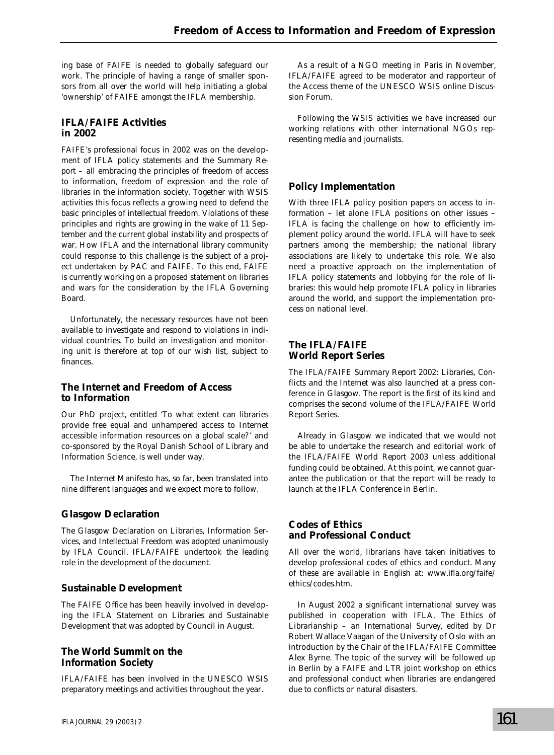ing base of FAIFE is needed to globally safeguard our work. The principle of having a range of smaller sponsors from all over the world will help initiating a global 'ownership' of FAIFE amongst the IFLA membership.

# **IFLA/FAIFE Activities in 2002**

FAIFE's professional focus in 2002 was on the development of IFLA policy statements and the *Summary Report* – all embracing the principles of freedom of access to information, freedom of expression and the role of libraries in the information society. Together with WSIS activities this focus reflects a growing need to defend the basic principles of intellectual freedom. Violations of these principles and rights are growing in the wake of 11 September and the current global instability and prospects of war. How IFLA and the international library community could response to this challenge is the subject of a project undertaken by PAC and FAIFE. To this end, FAIFE is currently working on a proposed statement on libraries and wars for the consideration by the IFLA Governing Board.

Unfortunately, the necessary resources have not been available to investigate and respond to violations in individual countries. To build an investigation and monitoring unit is therefore at top of our wish list, subject to finances.

# **The Internet and Freedom of Access to Information**

Our PhD project, entitled 'To what extent can libraries provide free equal and unhampered access to Internet accessible information resources on a global scale?' and co-sponsored by the Royal Danish School of Library and Information Science, is well under way.

The Internet Manifesto has, so far, been translated into nine different languages and we expect more to follow.

# **Glasgow Declaration**

The Glasgow Declaration on Libraries, Information Services, and Intellectual Freedom was adopted unanimously by IFLA Council. IFLA/FAIFE undertook the leading role in the development of the document.

# **Sustainable Development**

The FAIFE Office has been heavily involved in developing the IFLA Statement on Libraries and Sustainable Development that was adopted by Council in August.

# **The World Summit on the Information Society**

IFLA/FAIFE has been involved in the UNESCO WSIS preparatory meetings and activities throughout the year.

As a result of a NGO meeting in Paris in November, IFLA/FAIFE agreed to be moderator and rapporteur of the Access theme of the UNESCO WSIS online Discussion Forum.

Following the WSIS activities we have increased our working relations with other international NGOs representing media and journalists.

# **Policy Implementation**

With three IFLA policy position papers on access to information – let alone IFLA positions on other issues – IFLA is facing the challenge on how to efficiently implement policy around the world. IFLA will have to seek partners among the membership; the national library associations are likely to undertake this role. We also need a proactive approach on the implementation of IFLA policy statements and lobbying for the role of libraries: this would help promote IFLA policy in libraries around the world, and support the implementation process on national level.

# **The IFLA/FAIFE World Report Series**

The *IFLA/FAIFE Summary Report 2002: Libraries, Conflicts and the Internet* was also launched at a press conference in Glasgow. The report is the first of its kind and comprises the second volume of the IFLA/FAIFE World Report Series.

Already in Glasgow we indicated that we would not be able to undertake the research and editorial work of the *IFLA/FAIFE World Report 2003* unless additional funding could be obtained. At this point, we cannot guarantee the publication or that the report will be ready to launch at the IFLA Conference in Berlin.

# **Codes of Ethics and Professional Conduct**

All over the world, librarians have taken initiatives to develop professional codes of ethics and conduct. Many of these are available in English at: www.ifla.org/faife/ ethics/codes.htm.

In August 2002 a significant international survey was published in cooperation with IFLA, *The Ethics of Librarianship – an International Survey*, edited by Dr Robert Wallace Vaagan of the University of Oslo with an introduction by the Chair of the IFLA/FAIFE Committee Alex Byrne. The topic of the survey will be followed up in Berlin by a FAIFE and LTR joint workshop on ethics and professional conduct when libraries are endangered due to conflicts or natural disasters.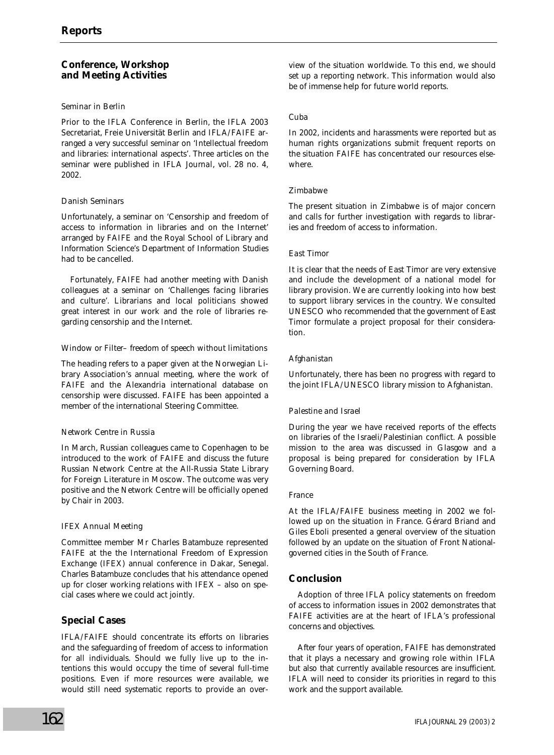#### **Conference, Workshop and Meeting Activities**

#### *Seminar in Berlin*

Prior to the IFLA Conference in Berlin, the IFLA 2003 Secretariat, Freie Universität Berlin and IFLA/FAIFE arranged a very successful seminar on 'Intellectual freedom and libraries: international aspects'. Three articles on the seminar were published in *IFLA Journal*, vol. 28 no. 4, 2002.

#### *Danish Seminars*

Unfortunately, a seminar on 'Censorship and freedom of access to information in libraries and on the Internet' arranged by FAIFE and the Royal School of Library and Information Science's Department of Information Studies had to be cancelled.

Fortunately, FAIFE had another meeting with Danish colleagues at a seminar on 'Challenges facing libraries and culture'. Librarians and local politicians showed great interest in our work and the role of libraries regarding censorship and the Internet.

#### *Window or Filter– freedom of speech without limitations*

The heading refers to a paper given at the Norwegian Library Association's annual meeting, where the work of FAIFE and the Alexandria international database on censorship were discussed. FAIFE has been appointed a member of the international Steering Committee.

#### *Network Centre in Russia*

In March, Russian colleagues came to Copenhagen to be introduced to the work of FAIFE and discuss the future Russian Network Centre at the All-Russia State Library for Foreign Literature in Moscow. The outcome was very positive and the Network Centre will be officially opened by Chair in 2003.

#### *IFEX Annual Meeting*

Committee member Mr Charles Batambuze represented FAIFE at the the International Freedom of Expression Exchange (IFEX) annual conference in Dakar, Senegal. Charles Batambuze concludes that his attendance opened up for closer working relations with IFEX – also on special cases where we could act jointly.

# **Special Cases**

IFLA/FAIFE should concentrate its efforts on libraries and the safeguarding of freedom of access to information for all individuals. Should we fully live up to the intentions this would occupy the time of several full-time positions. Even if more resources were available, we would still need systematic reports to provide an overview of the situation worldwide. To this end, we should set up a reporting network. This information would also be of immense help for future world reports.

#### *Cuba*

In 2002, incidents and harassments were reported but as human rights organizations submit frequent reports on the situation FAIFE has concentrated our resources elsewhere.

#### *Zimbabwe*

The present situation in Zimbabwe is of major concern and calls for further investigation with regards to libraries and freedom of access to information.

#### *East Timor*

It is clear that the needs of East Timor are very extensive and include the development of a national model for library provision. We are currently looking into how best to support library services in the country. We consulted UNESCO who recommended that the government of East Timor formulate a project proposal for their consideration.

#### *Afghanistan*

Unfortunately, there has been no progress with regard to the joint IFLA/UNESCO library mission to Afghanistan.

#### *Palestine and Israel*

During the year we have received reports of the effects on libraries of the Israeli/Palestinian conflict. A possible mission to the area was discussed in Glasgow and a proposal is being prepared for consideration by IFLA Governing Board.

#### *France*

At the IFLA/FAIFE business meeting in 2002 we followed up on the situation in France. Gérard Briand and Giles Eboli presented a general overview of the situation followed by an update on the situation of Front Nationalgoverned cities in the South of France.

# **Conclusion**

Adoption of three IFLA policy statements on freedom of access to information issues in 2002 demonstrates that FAIFE activities are at the heart of IFLA's professional concerns and objectives.

After four years of operation, FAIFE has demonstrated that it plays a necessary and growing role within IFLA but also that currently available resources are insufficient. IFLA will need to consider its priorities in regard to this work and the support available.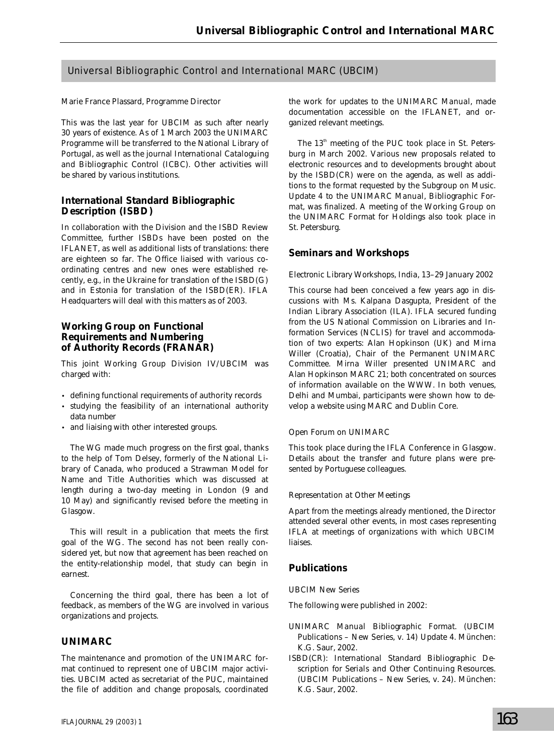### Universal Bibliographic Control and International MARC (UBCIM)

Marie France Plassard, Programme Director

This was the last year for UBCIM as such after nearly 30 years of existence. As of 1 March 2003 the UNIMARC Programme will be transferred to the National Library of Portugal, as well as the journal *International Cataloguing and Bibliographic Control* (*ICBC*). Other activities will be shared by various institutions.

### **International Standard Bibliographic Description (ISBD)**

In collaboration with the Division and the ISBD Review Committee, further ISBDs have been posted on the IFLANET, as well as additional lists of translations: there are eighteen so far. The Office liaised with various coordinating centres and new ones were established recently, e.g., in the Ukraine for translation of the ISBD(G) and in Estonia for translation of the ISBD(ER). IFLA Headquarters will deal with this matters as of 2003.

### **Working Group on Functional Requirements and Numbering of Authority Records (FRANAR)**

This joint Working Group Division IV/UBCIM was charged with:

- defining functional requirements of authority records
- studying the feasibility of an international authority data number
- and liaising with other interested groups.

The WG made much progress on the first goal, thanks to the help of Tom Delsey, formerly of the National Library of Canada, who produced a Strawman Model for Name and Title Authorities which was discussed at length during a two-day meeting in London (9 and 10 May) and significantly revised before the meeting in Glasgow.

This will result in a publication that meets the first goal of the WG. The second has not been really considered yet, but now that agreement has been reached on the entity-relationship model, that study can begin in earnest.

Concerning the third goal, there has been a lot of feedback, as members of the WG are involved in various organizations and projects.

#### **UNIMARC**

The maintenance and promotion of the UNIMARC format continued to represent one of UBCIM major activities. UBCIM acted as secretariat of the PUC, maintained the file of addition and change proposals, coordinated the work for updates to the *UNIMARC Manual*, made documentation accessible on the IFLANET, and organized relevant meetings.

The 13<sup>th</sup> meeting of the PUC took place in St. Petersburg in March 2002. Various new proposals related to electronic resources and to developments brought about by the ISBD(CR) were on the agenda, as well as additions to the format requested by the Subgroup on Music. Update 4 to the *UNIMARC Manual, Bibliographic Format*, was finalized. A meeting of the Working Group on the UNIMARC Format for Holdings also took place in St. Petersburg.

#### **Seminars and Workshops**

#### *Electronic Library Workshops, India, 13–29 January 2002*

This course had been conceived a few years ago in discussions with Ms. Kalpana Dasgupta, President of the Indian Library Association (ILA). IFLA secured funding from the US National Commission on Libraries and Information Services (NCLIS) for travel and accommodation of two experts: Alan Hopkinson (UK) and Mirna Willer (Croatia), Chair of the Permanent UNIMARC Committee. Mirna Willer presented UNIMARC and Alan Hopkinson MARC 21; both concentrated on sources of information available on the WWW. In both venues, Delhi and Mumbai, participants were shown how to develop a website using MARC and Dublin Core.

#### *Open Forum on UNIMARC*

This took place during the IFLA Conference in Glasgow. Details about the transfer and future plans were presented by Portuguese colleagues.

#### *Representation at Other Meetings*

Apart from the meetings already mentioned, the Director attended several other events, in most cases representing IFLA at meetings of organizations with which UBCIM liaises.

#### **Publications**

#### *UBCIM New Series*

The following were published in 2002:

- *UNIMARC Manual Bibliographic Format.* (UBCIM Publications – New Series, v. 14) Update 4. München: K.G. Saur, 2002.
- *ISBD(CR): International Standard Bibliographic Description for Serials and Other Continuing Resources.* (UBCIM Publications – New Series, v. 24). München: K.G. Saur, 2002.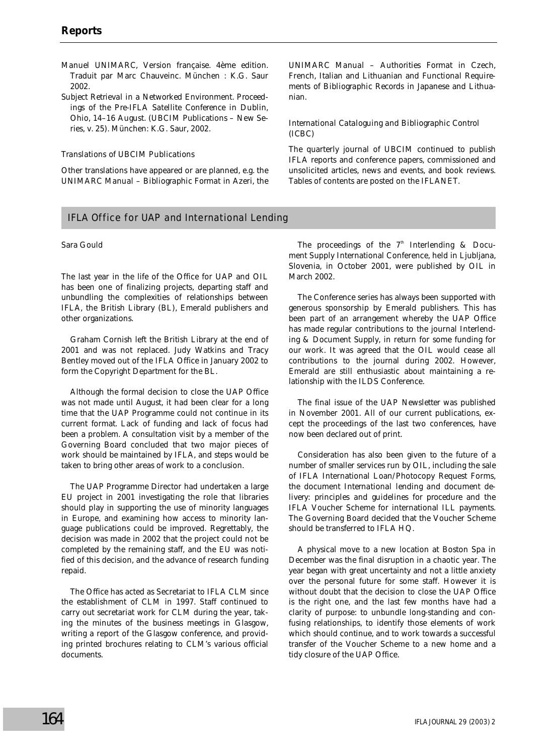- *Manuel UNIMARC,* Version française. 4ème edition. Traduit par Marc Chauveinc. München : K.G. Saur 2002.
- *Subject Retrieval in a Networked Environment. Proceedings of the Pre-IFLA Satellite Conference in Dublin, Ohio, 14–16 August.* (UBCIM Publications – New Series, v. 25). München: K.G. Saur, 2002.

#### *Translations of UBCIM Publications*

Other translations have appeared or are planned, e.g. the *UNIMARC Manual – Bibliographic Format* in Azeri, the

*UNIMARC Manual – Authorities Format* in Czech, French, Italian and Lithuanian and *Functional Requirements of Bibliographic Records* in Japanese and Lithuanian.

#### *International Cataloguing and Bibliographic Control (ICBC)*

The quarterly journal of UBCIM continued to publish IFLA reports and conference papers, commissioned and unsolicited articles, news and events, and book reviews. Tables of contents are posted on the IFLANET.

# IFLA Office for UAP and International Lending

#### Sara Gould

The last year in the life of the Office for UAP and OIL has been one of finalizing projects, departing staff and unbundling the complexities of relationships between IFLA, the British Library (BL), Emerald publishers and other organizations.

Graham Cornish left the British Library at the end of 2001 and was not replaced. Judy Watkins and Tracy Bentley moved out of the IFLA Office in January 2002 to form the Copyright Department for the BL.

Although the formal decision to close the UAP Office was not made until August, it had been clear for a long time that the UAP Programme could not continue in its current format. Lack of funding and lack of focus had been a problem. A consultation visit by a member of the Governing Board concluded that two major pieces of work should be maintained by IFLA, and steps would be taken to bring other areas of work to a conclusion.

The UAP Programme Director had undertaken a large EU project in 2001 investigating the role that libraries should play in supporting the use of minority languages in Europe, and examining how access to minority language publications could be improved. Regrettably, the decision was made in 2002 that the project could not be completed by the remaining staff, and the EU was notified of this decision, and the advance of research funding repaid.

The Office has acted as Secretariat to IFLA CLM since the establishment of CLM in 1997. Staff continued to carry out secretariat work for CLM during the year, taking the minutes of the business meetings in Glasgow, writing a report of the Glasgow conference, and providing printed brochures relating to CLM's various official documents.

The proceedings of the  $7<sup>th</sup>$  Interlending & Document Supply International Conference, held in Ljubljana, Slovenia, in October 2001, were published by OIL in March 2002.

The Conference series has always been supported with generous sponsorship by Emerald publishers. This has been part of an arrangement whereby the UAP Office has made regular contributions to the journal *Interlending & Document Supply*, in return for some funding for our work. It was agreed that the OIL would cease all contributions to the journal during 2002. However, Emerald are still enthusiastic about maintaining a relationship with the ILDS Conference.

The final issue of the *UAP Newsletter* was published in November 2001. All of our current publications, except the proceedings of the last two conferences, have now been declared out of print.

Consideration has also been given to the future of a number of smaller services run by OIL, including the sale of IFLA International Loan/Photocopy Request Forms, the document *International lending and document delivery: principles and guidelines for procedure* and the IFLA Voucher Scheme for international ILL payments. The Governing Board decided that the Voucher Scheme should be transferred to IFLA HQ.

A physical move to a new location at Boston Spa in December was the final disruption in a chaotic year. The year began with great uncertainty and not a little anxiety over the personal future for some staff. However it is without doubt that the decision to close the UAP Office is the right one, and the last few months have had a clarity of purpose: to unbundle long-standing and confusing relationships, to identify those elements of work which should continue, and to work towards a successful transfer of the Voucher Scheme to a new home and a tidy closure of the UAP Office.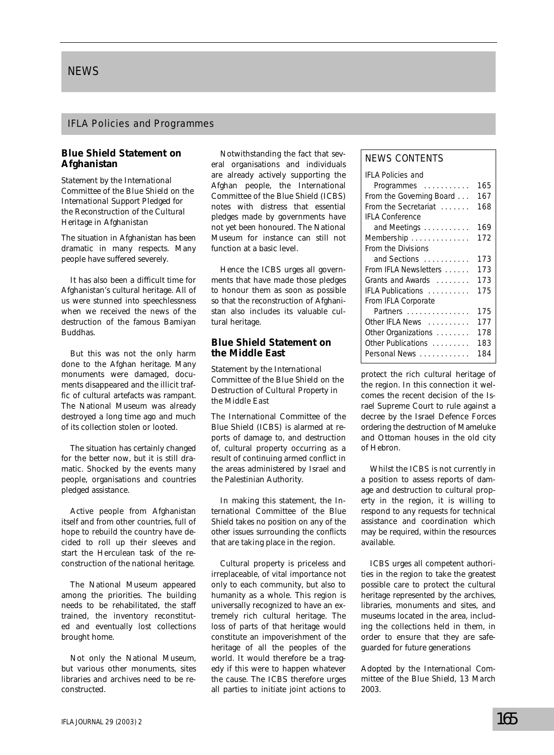# **NEWS**

#### IFLA Policies and Programmes

#### **Blue Shield Statement on Afghanistan**

*Statement by the International Committee of the Blue Shield on the International Support Pledged for the Reconstruction of the Cultural Heritage in Afghanistan* 

The situation in Afghanistan has been dramatic in many respects. Many people have suffered severely.

It has also been a difficult time for Afghanistan's cultural heritage. All of us were stunned into speechlessness when we received the news of the destruction of the famous Bamiyan Buddhas.

But this was not the only harm done to the Afghan heritage. Many monuments were damaged, documents disappeared and the illicit traffic of cultural artefacts was rampant. The National Museum was already destroyed a long time ago and much of its collection stolen or looted.

The situation has certainly changed for the better now, but it is still dramatic. Shocked by the events many people, organisations and countries pledged assistance.

Active people from Afghanistan itself and from other countries, full of hope to rebuild the country have decided to roll up their sleeves and start the Herculean task of the reconstruction of the national heritage.

The National Museum appeared among the priorities. The building needs to be rehabilitated, the staff trained, the inventory reconstituted and eventually lost collections brought home.

Not only the National Museum, but various other monuments, sites libraries and archives need to be reconstructed.

Notwithstanding the fact that several organisations and individuals are already actively supporting the Afghan people, the International Committee of the Blue Shield (ICBS) notes with distress that essential pledges made by governments have not yet been honoured. The National Museum for instance can still not function at a basic level.

Hence the ICBS urges all governments that have made those pledges to honour them as soon as possible so that the reconstruction of Afghanistan also includes its valuable cultural heritage.

#### **Blue Shield Statement on the Middle East**

*Statement by the International Committee of the Blue Shield on the Destruction of Cultural Property in the Middle East* 

The International Committee of the Blue Shield (ICBS) is alarmed at reports of damage to, and destruction of, cultural property occurring as a result of continuing armed conflict in the areas administered by Israel and the Palestinian Authority.

In making this statement, the International Committee of the Blue Shield takes no position on any of the other issues surrounding the conflicts that are taking place in the region.

Cultural property is priceless and irreplaceable, of vital importance not only to each community, but also to humanity as a whole. This region is universally recognized to have an extremely rich cultural heritage. The loss of parts of that heritage would constitute an impoverishment of the heritage of all the peoples of the world. It would therefore be a tragedy if this were to happen whatever the cause. The ICBS therefore urges all parties to initiate joint actions to

### NEWS CONTENTS

| <b>IFLA Policies and</b>  |     |
|---------------------------|-----|
| Programmes                | 165 |
| From the Governing Board  | 167 |
| From the Secretariat      | 168 |
| IFLA Conference           |     |
| and Meetings              | 169 |
| Membership                | 172 |
| From the Divisions        |     |
| and Sections              | 173 |
| From IFLA Newsletters     | 173 |
| Grants and Awards         | 173 |
| <b>IFLA Publications </b> | 175 |
| From IFLA Corporate       |     |
| Partners                  | 175 |
| Other IFLA News           | 177 |
| Other Organizations       | 178 |
| Other Publications        | 183 |
| Personal News             | 184 |

protect the rich cultural heritage of the region. In this connection it welcomes the recent decision of the Israel Supreme Court to rule against a decree by the Israel Defence Forces ordering the destruction of Mameluke and Ottoman houses in the old city of Hebron.

Whilst the ICBS is not currently in a position to assess reports of damage and destruction to cultural property in the region, it is willing to respond to any requests for technical assistance and coordination which may be required, within the resources available.

ICBS urges all competent authorities in the region to take the greatest possible care to protect the cultural heritage represented by the archives. libraries, monuments and sites, and museums located in the area, including the collections held in them, in order to ensure that they are safeguarded for future generations

*Adopted by the International Committee of the Blue Shield, 13 March 2003.*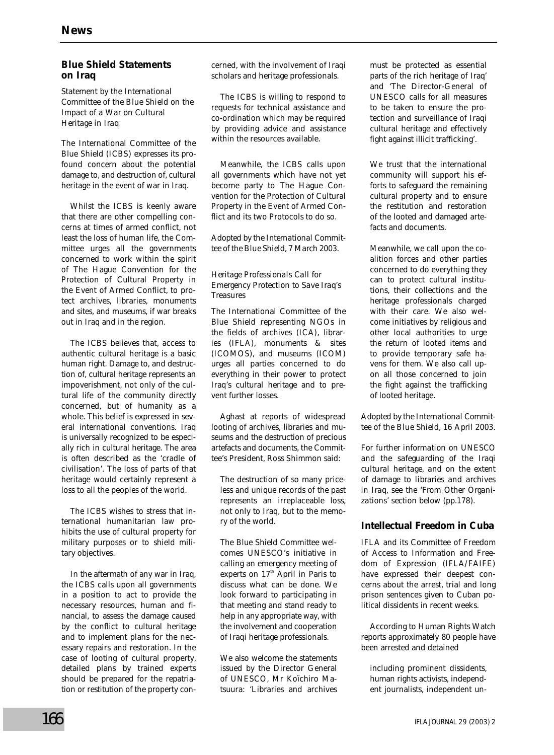### **Blue Shield Statements on Iraq**

*Statement by the International Committee of the Blue Shield on the Impact of a War on Cultural Heritage in Iraq* 

The International Committee of the Blue Shield (ICBS) expresses its profound concern about the potential damage to, and destruction of, cultural heritage in the event of war in Iraq.

Whilst the ICBS is keenly aware that there are other compelling concerns at times of armed conflict, not least the loss of human life, the Committee urges all the governments concerned to work within the spirit of The Hague Convention for the Protection of Cultural Property in the Event of Armed Conflict, to protect archives, libraries, monuments and sites, and museums, if war breaks out in Iraq and in the region.

The ICBS believes that, access to authentic cultural heritage is a basic human right. Damage to, and destruction of, cultural heritage represents an impoverishment, not only of the cultural life of the community directly concerned, but of humanity as a whole. This belief is expressed in several international conventions. Iraq is universally recognized to be especially rich in cultural heritage. The area is often described as the 'cradle of civilisation'. The loss of parts of that heritage would certainly represent a loss to all the peoples of the world.

The ICBS wishes to stress that international humanitarian law prohibits the use of cultural property for military purposes or to shield military objectives.

In the aftermath of any war in Iraq, the ICBS calls upon all governments in a position to act to provide the necessary resources, human and financial, to assess the damage caused by the conflict to cultural heritage and to implement plans for the necessary repairs and restoration. In the case of looting of cultural property, detailed plans by trained experts should be prepared for the repatriation or restitution of the property concerned, with the involvement of Iraqi scholars and heritage professionals.

The ICBS is willing to respond to requests for technical assistance and co-ordination which may be required by providing advice and assistance within the resources available.

Meanwhile, the ICBS calls upon all governments which have not yet become party to The Hague Convention for the Protection of Cultural Property in the Event of Armed Conflict and its two Protocols to do so.

*Adopted by the International Committee of the Blue Shield, 7 March 2003.* 

#### *Heritage Professionals Call for Emergency Protection to Save Iraq's Treasures*

The International Committee of the Blue Shield representing NGOs in the fields of archives (ICA), libraries (IFLA), monuments & sites (ICOMOS), and museums (ICOM) urges all parties concerned to do everything in their power to protect Iraq's cultural heritage and to prevent further losses.

Aghast at reports of widespread looting of archives, libraries and museums and the destruction of precious artefacts and documents, the Committee's President, Ross Shimmon said:

The destruction of so many priceless and unique records of the past represents an irreplaceable loss, not only to Iraq, but to the memory of the world.

The Blue Shield Committee welcomes UNESCO's initiative in calling an emergency meeting of experts on  $17<sup>th</sup>$  April in Paris to discuss what can be done. We look forward to participating in that meeting and stand ready to help in any appropriate way, with the involvement and cooperation of Iraqi heritage professionals.

We also welcome the statements issued by the Director General of UNESCO, Mr Koïchiro Matsuura: 'Libraries and archives

must be protected as essential parts of the rich heritage of Iraq' and 'The Director-General of UNESCO calls for all measures to be taken to ensure the protection and surveillance of Iraqi cultural heritage and effectively fight against illicit trafficking'.

We trust that the international community will support his efforts to safeguard the remaining cultural property and to ensure the restitution and restoration of the looted and damaged artefacts and documents.

Meanwhile, we call upon the coalition forces and other parties concerned to do everything they can to protect cultural institutions, their collections and the heritage professionals charged with their care. We also welcome initiatives by religious and other local authorities to urge the return of looted items and to provide temporary safe havens for them. We also call upon all those concerned to join the fight against the trafficking of looted heritage.

*Adopted by the International Committee of the Blue Shield, 16 April 2003.* 

*For further information on UNESCO and the safeguarding of the Iraqi cultural heritage, and on the extent of damage to libraries and archives in Iraq, see the 'From Other Organizations' section below (pp.178).* 

# **Intellectual Freedom in Cuba**

IFLA and its Committee of Freedom of Access to Information and Freedom of Expression (IFLA/FAIFE) have expressed their deepest concerns about the arrest, trial and long prison sentences given to Cuban political dissidents in recent weeks.

According to Human Rights Watch reports approximately 80 people have been arrested and detained

including prominent dissidents, human rights activists, independent journalists, independent un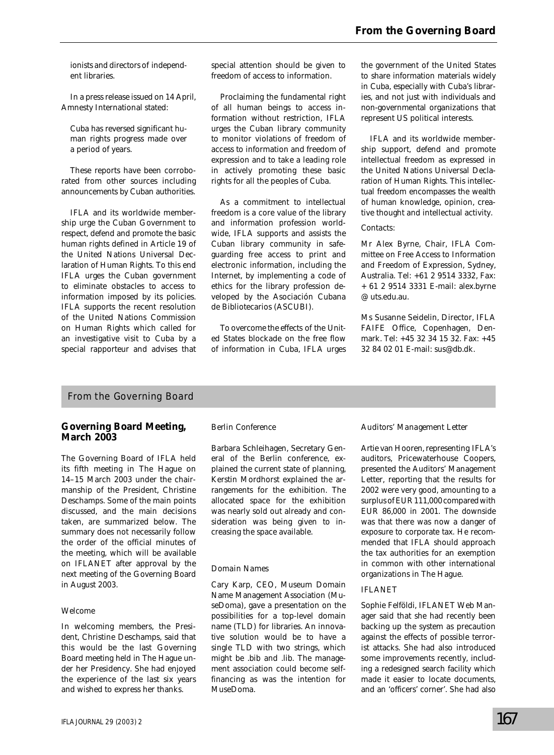ionists and directors of independent libraries.

In a press release issued on 14 April, Amnesty International stated:

Cuba has reversed significant human rights progress made over a period of years.

These reports have been corroborated from other sources including announcements by Cuban authorities.

IFLA and its worldwide membership urge the Cuban Government to respect, defend and promote the basic human rights defined in Article 19 of the United Nations Universal Declaration of Human Rights. To this end IFLA urges the Cuban government to eliminate obstacles to access to information imposed by its policies. IFLA supports the recent resolution of the United Nations Commission on Human Rights which called for an investigative visit to Cuba by a special rapporteur and advises that

special attention should be given to freedom of access to information.

Proclaiming the fundamental right of all human beings to access information without restriction, IFLA urges the Cuban library community to monitor violations of freedom of access to information and freedom of expression and to take a leading role in actively promoting these basic rights for all the peoples of Cuba.

As a commitment to intellectual freedom is a core value of the library and information profession worldwide, IFLA supports and assists the Cuban library community in safeguarding free access to print and electronic information, including the Internet, by implementing a code of ethics for the library profession developed by the Asociación Cubana de Bibliotecarios (ASCUBI).

To overcome the effects of the United States blockade on the free flow of information in Cuba, IFLA urges the government of the United States to share information materials widely in Cuba, especially with Cuba's libraries, and not just with individuals and non-governmental organizations that represent US political interests.

IFLA and its worldwide membership support, defend and promote intellectual freedom as expressed in the United Nations Universal Declaration of Human Rights. This intellectual freedom encompasses the wealth of human knowledge, opinion, creative thought and intellectual activity.

#### *Contacts:*

Mr Alex Byrne, Chair, IFLA Committee on Free Access to Information and Freedom of Expression, Sydney, Australia. Tel: +61 2 9514 3332, Fax: + 61 2 9514 3331 E-mail: alex.byrne @ uts.edu.au.

Ms Susanne Seidelin, Director, IFLA FAIFE Office, Copenhagen, Denmark. Tel: +45 32 34 15 32. Fax: +45 32 84 02 01 E-mail: sus@db.dk.

# From the Governing Board

#### **Governing Board Meeting, March 2003**

The Governing Board of IFLA held its fifth meeting in The Hague on 14–15 March 2003 under the chairmanship of the President, Christine Deschamps. Some of the main points discussed, and the main decisions taken, are summarized below. The summary does not necessarily follow the order of the official minutes of the meeting, which will be available on IFLANET after approval by the next meeting of the Governing Board in August 2003.

#### *Welcome*

In welcoming members, the President, Christine Deschamps, said that this would be the last Governing Board meeting held in The Hague under her Presidency. She had enjoyed the experience of the last six years and wished to express her thanks.

#### *Berlin Conference*

Barbara Schleihagen, Secretary General of the Berlin conference, explained the current state of planning, Kerstin Mordhorst explained the arrangements for the exhibition. The allocated space for the exhibition was nearly sold out already and consideration was being given to increasing the space available.

#### *Domain Names*

Cary Karp, CEO, Museum Domain Name Management Association (MuseDoma), gave a presentation on the possibilities for a top-level domain name (TLD) for libraries. An innovative solution would be to have a single TLD with two strings, which might be .bib and .lib. The management association could become selffinancing as was the intention for MuseDoma.

#### *Auditors' Management Letter*

Artie van Hooren, representing IFLA's auditors, Pricewaterhouse Coopers, presented the Auditors' Management Letter, reporting that the results for 2002 were very good, amounting to a surplus of EUR 111,000 compared with EUR 86,000 in 2001. The downside was that there was now a danger of exposure to corporate tax. He recommended that IFLA should approach the tax authorities for an exemption in common with other international organizations in The Hague.

# *IFLANET*

Sophie Felföldi, IFLANET Web Manager said that she had recently been backing up the system as precaution against the effects of possible terrorist attacks. She had also introduced some improvements recently, including a redesigned search facility which made it easier to locate documents, and an 'officers' corner'. She had also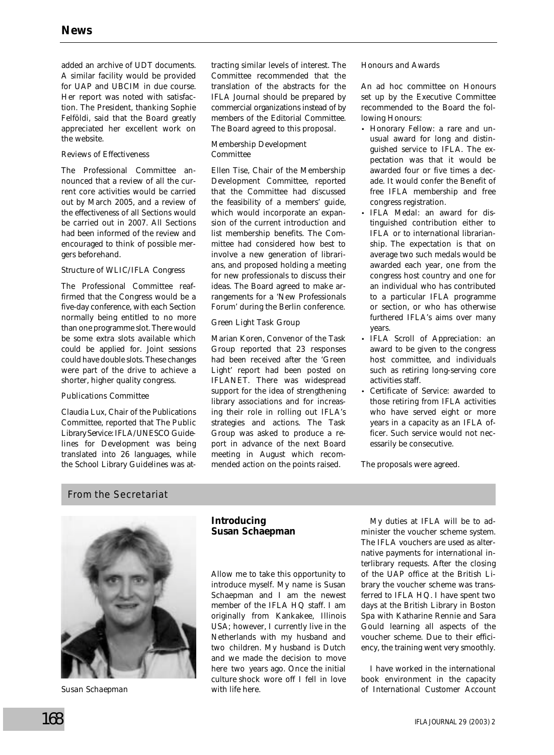added an archive of UDT documents. A similar facility would be provided for UAP and UBCIM in due course. Her report was noted with satisfaction. The President, thanking Sophie Felföldi, said that the Board greatly appreciated her excellent work on the website.

#### *Reviews of Effectiveness*

The Professional Committee announced that a review of all the current core activities would be carried out by March 2005, and a review of the effectiveness of all Sections would be carried out in 2007. All Sections had been informed of the review and encouraged to think of possible mergers beforehand.

#### *Structure of WLIC/IFLA Congress*

The Professional Committee reaffirmed that the Congress would be a five-day conference, with each Section normally being entitled to no more than one programme slot. There would be some extra slots available which could be applied for. Joint sessions could have double slots. These changes were part of the drive to achieve a shorter, higher quality congress.

#### *Publications Committee*

Claudia Lux, Chair of the Publications Committee, reported that *The Public Library Service:IFLA/UNESCO Guidelines for Development* was being translated into 26 languages, while the *School Library Guidelines* was attracting similar levels of interest. The Committee recommended that the translation of the abstracts for the *IFLA Journal* should be prepared by commercial organizations instead of by members of the Editorial Committee. The Board agreed to this proposal.

#### *Membership Development Committee*

Ellen Tise, Chair of the Membership Development Committee, reported that the Committee had discussed the feasibility of a members' guide, which would incorporate an expansion of the current introduction and list membership benefits. The Committee had considered how best to involve a new generation of librarians, and proposed holding a meeting for new professionals to discuss their ideas. The Board agreed to make arrangements for a 'New Professionals Forum' during the Berlin conference.

#### *Green Light Task Group*

Marian Koren, Convenor of the Task Group reported that 23 responses had been received after the 'Green Light' report had been posted on IFLANET. There was widespread support for the idea of strengthening library associations and for increasing their role in rolling out IFLA's strategies and actions. The Task Group was asked to produce a report in advance of the next Board meeting in August which recommended action on the points raised.

#### *Honours and Awards*

An ad hoc committee on Honours set up by the Executive Committee recommended to the Board the following Honours:

- *Honorary Fellow:* a rare and unusual award for long and distinguished service to IFLA. The expectation was that it would be awarded four or five times a decade. It would confer the Benefit of free IFLA membership and free congress registration.
- *IFLA Medal:* an award for distinguished contribution either to IFLA or to international librarianship. The expectation is that on average two such medals would be awarded each year, one from the congress host country and one for an individual who has contributed to a particular IFLA programme or section, or who has otherwise furthered IFLA's aims over many years.
- *IFLA Scroll of Appreciation:* an award to be given to the congress host committee, and individuals such as retiring long-serving core activities staff.
- *Certificate of Service:* awarded to those retiring from IFLA activities who have served eight or more years in a capacity as an IFLA officer. Such service would not necessarily be consecutive.

The proposals were agreed.

# From the Secretariat



*Susan Schaepman* 

# **Introducing Susan Schaepman**

Allow me to take this opportunity to introduce myself. My name is Susan Schaepman and I am the newest member of the IFLA HQ staff. I am originally from Kankakee, Illinois USA; however, I currently live in the Netherlands with my husband and two children. My husband is Dutch and we made the decision to move here two years ago. Once the initial culture shock wore off I fell in love with life here.

My duties at IFLA will be to administer the voucher scheme system. The IFLA vouchers are used as alternative payments for international interlibrary requests. After the closing of the UAP office at the British Library the voucher scheme was transferred to IFLA HQ. I have spent two days at the British Library in Boston Spa with Katharine Rennie and Sara Gould learning all aspects of the voucher scheme. Due to their efficiency, the training went very smoothly.

I have worked in the international book environment in the capacity of International Customer Account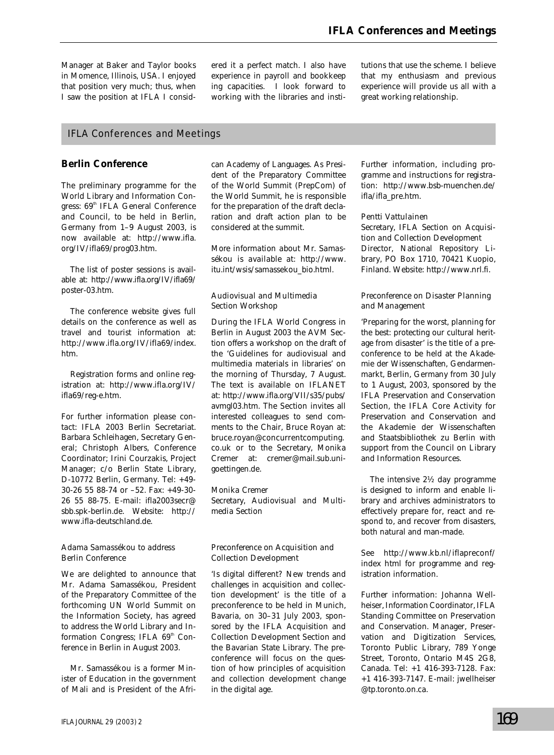Manager at Baker and Taylor books in Momence, Illinois, USA. I enjoyed that position very much; thus, when I saw the position at IFLA I considered it a perfect match. I also have experience in payroll and bookkeep ing capacities. I look forward to working with the libraries and institutions that use the scheme. I believe that my enthusiasm and previous experience will provide us all with a great working relationship.

### IFLA Conferences and Meetings

### **Berlin Conference**

The preliminary programme for the World Library and Information Congress: 69<sup>th</sup> IFLA General Conference and Council, to be held in Berlin, Germany from 1–9 August 2003, is now available at: http://www.ifla. org/IV/ifla69/prog03.htm.

The list of poster sessions is available at: http://www.ifla.org/IV/ifla69/ poster-03.htm.

The conference website gives full details on the conference as well as travel and tourist information at: http://www.ifla.org/IV/ifla69/index. htm.

Registration forms and online registration at: http://www.ifla.org/IV/ ifla69/reg-e.htm.

*For further information please contact:* IFLA 2003 Berlin Secretariat. Barbara Schleihagen, Secretary General; Christoph Albers, Conference Coordinator; Irini Courzakis, Project Manager; c/o Berlin State Library, D-10772 Berlin, Germany. Tel: +49- 30-26 55 88-74 or –52. Fax: +49-30- 26 55 88-75. E-mail: ifla2003secr@ sbb.spk-berlin.de. Website: http:// www.ifla-deutschland.de.

#### *Adama Samassékou to address Berlin Conference*

We are delighted to announce that Mr. Adama Samassékou, President of the Preparatory Committee of the forthcoming UN World Summit on the Information Society, has agreed to address the World Library and Information Congress; IFLA  $69<sup>th</sup>$  Conference in Berlin in August 2003.

Mr. Samassékou is a former Minister of Education in the government of Mali and is President of the African Academy of Languages. As President of the Preparatory Committee of the World Summit (PrepCom) of the World Summit, he is responsible for the preparation of the draft declaration and draft action plan to be considered at the summit.

*More information about Mr. Samassékou is available at:* http://www. itu.int/wsis/samassekou\_bio.html.

#### *Audiovisual and Multimedia Section Workshop*

During the IFLA World Congress in Berlin in August 2003 the AVM Section offers a workshop on the draft of the 'Guidelines for audiovisual and multimedia materials in libraries' on the morning of Thursday, 7 August. The text is available on IFLANET at: http://www.ifla.org/VII/s35/pubs/ avmgl03.htm. The Section invites all interested colleagues to send comments to the Chair, Bruce Royan at: bruce.royan@concurrentcomputing. co.uk or to the Secretary, Monika Cremer at: cremer@mail.sub.unigoettingen.de.

#### *Monika Cremer*

*Secretary, Audiovisual and Multimedia Section* 

#### *Preconference on Acquisition and Collection Development*

'Is digital different? New trends and challenges in acquisition and collection development' is the title of a preconference to be held in Munich, Bavaria, on 30–31 July 2003, sponsored by the IFLA Acquisition and Collection Development Section and the Bavarian State Library. The preconference will focus on the question of how principles of acquisition and collection development change in the digital age.

*Further information, including programme and instructions for registration:* http://www.bsb-muenchen.de/ ifla/ifla\_pre.htm.

#### *Pentti Vattulainen*

*Secretary, IFLA Section on Acquisition and Collection Development*  Director, National Repository Library, PO Box 1710, 70421 Kuopio, Finland. Website: http://www.nrl.fi.

#### *Preconference on Disaster Planning and Management*

'Preparing for the worst, planning for the best: protecting our cultural heritage from disaster' is the title of a preconference to be held at the Akademie der Wissenschaften, Gendarmenmarkt, Berlin, Germany from 30 July to 1 August, 2003, sponsored by the IFLA Preservation and Conservation Section, the IFLA Core Activity for Preservation and Conservation and the Akademie der Wissenschaften and Staatsbibliothek zu Berlin with support from the Council on Library and Information Resources.

The intensive 2½ day programme is designed to inform and enable library and archives administrators to effectively prepare for, react and respond to, and recover from disasters, both natural and man-made.

See http://www.kb.nl/iflapreconf/ index html for programme and registration information.

*Further information:* Johanna Wellheiser, Information Coordinator, IFLA Standing Committee on Preservation and Conservation. Manager, Preservation and Digitization Services, Toronto Public Library, 789 Yonge Street, Toronto, Ontario M4S 2G8, Canada. Tel: +1 416-393-7128. Fax: +1 416-393-7147. E-mail: jwellheiser @tp.toronto.on.ca.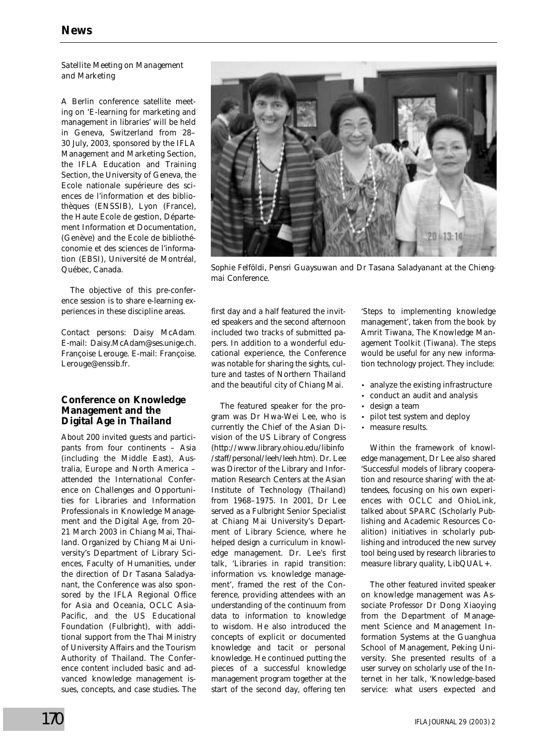#### *Satellite Meeting on Management and Marketing*

A Berlin conference satellite meeting on 'E-learning for marketing and management in libraries' will be held in Geneva, Switzerland from 28– 30 July, 2003, sponsored by the IFLA Management and Marketing Section, the IFLA Education and Training Section, the University of Geneva, the Ecole nationale supérieure des sciences de l'information et des bibliothèques (ENSSIB), Lyon (France), the Haute Ecole de gestion, Département Information et Documentation, (Genève) and the Ecole de bibliothéconomie et des sciences de l'information (EBSI), Université de Montréal, Québec, Canada.

The objective of this pre-conference session is to share e-learning experiences in these discipline areas.

*Contact persons:* Daisy McAdam. E-mail: Daisy.McAdam@ses.unige.ch. Françoise Lerouge. E-mail: Françoise. Lerouge@enssib.fr.

#### **Conference on Knowledge Management and the Digital Age in Thailand**

About 200 invited guests and participants from four continents – Asia (including the Middle East), Australia, Europe and North America – attended the International Conference on Challenges and Opportunities for Libraries and Information Professionals in Knowledge Management and the Digital Age, from 20– 21 March 2003 in Chiang Mai, Thailand. Organized by Chiang Mai University's Department of Library Sciences, Faculty of Humanities, under the direction of Dr Tasana Saladyanant, the Conference was also sponsored by the IFLA Regional Office for Asia and Oceania, OCLC Asia-Pacific, and the US Educational Foundation (Fulbright), with additional support from the Thai Ministry of University Affairs and the Tourism Authority of Thailand. The Conference content included basic and advanced knowledge management issues, concepts, and case studies. The



*Sophie Felföldi, Pensri Guaysuwan and Dr Tasana Saladyanant at the Chiengmai Conference.* 

first day and a half featured the invited speakers and the second afternoon included two tracks of submitted papers. In addition to a wonderful educational experience, the Conference was notable for sharing the sights, culture and tastes of Northern Thailand and the beautiful city of Chiang Mai.

The featured speaker for the program was Dr Hwa-Wei Lee, who is currently the Chief of the Asian Division of the US Library of Congress (http://www.library.ohiou.edu/libinfo /staff/personal/leeh/leeh.htm). Dr. Lee was Director of the Library and Information Research Centers at the Asian Institute of Technology (Thailand) from 1968–1975. In 2001, Dr Lee served as a Fulbright Senior Specialist at Chiang Mai University's Department of Library Science, where he helped design a curriculum in knowledge management. Dr. Lee's first talk, 'Libraries in rapid transition: information vs. knowledge management', framed the rest of the Conference, providing attendees with an understanding of the continuum from data to information to knowledge to wisdom. He also introduced the concepts of explicit or documented knowledge and tacit or personal knowledge. He continued putting the pieces of a successful knowledge management program together at the start of the second day, offering ten 'Steps to implementing knowledge management', taken from the book by Amrit Tiwana, *The Knowledge Management Toolkit* (Tiwana). The steps would be useful for any new information technology project. They include:

- analyze the existing infrastructure
- conduct an audit and analysis
- design a team
- pilot test system and deploy
- measure results.

Within the framework of knowledge management, Dr Lee also shared 'Successful models of library cooperation and resource sharing' with the attendees, focusing on his own experiences with OCLC and OhioLink, talked about SPARC (Scholarly Publishing and Academic Resources Coalition) initiatives in scholarly publishing and introduced the new survey tool being used by research libraries to measure library quality, LibQUAL+.

The other featured invited speaker on knowledge management was Associate Professor Dr Dong Xiaoying from the Department of Management Science and Management Information Systems at the Guanghua School of Management, Peking University. She presented results of a user survey on scholarly use of the Internet in her talk, 'Knowledge-based service: what users expected and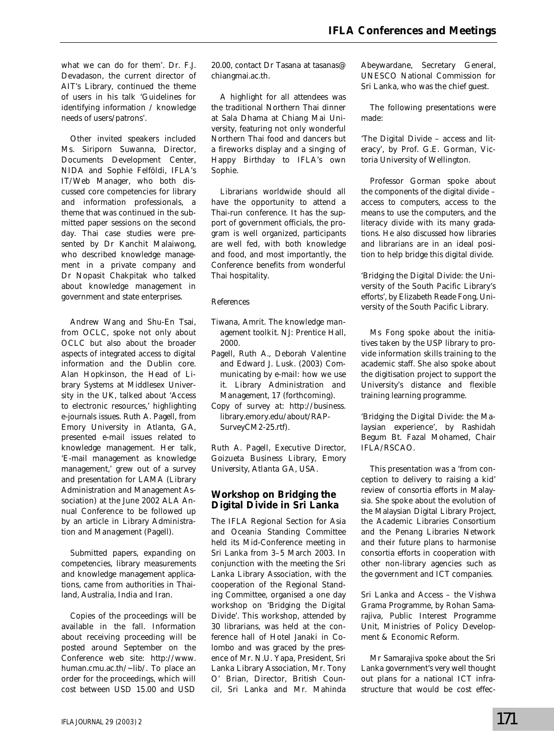what we can do for them'. Dr. F.J. Devadason, the current director of AIT's Library, continued the theme of users in his talk 'Guidelines for identifying information / knowledge needs of users/patrons'.

Other invited speakers included Ms. Siriporn Suwanna, Director, Documents Development Center, NIDA and Sophie Felföldi, IFLA's IT/Web Manager, who both discussed core competencies for library and information professionals, a theme that was continued in the submitted paper sessions on the second day. Thai case studies were presented by Dr Kanchit Malaiwong, who described knowledge management in a private company and Dr Nopasit Chakpitak who talked about knowledge management in government and state enterprises.

Andrew Wang and Shu-En Tsai, from OCLC, spoke not only about OCLC but also about the broader aspects of integrated access to digital information and the Dublin core. Alan Hopkinson, the Head of Library Systems at Middlesex University in the UK, talked about 'Access to electronic resources,' highlighting e-journals issues. Ruth A. Pagell, from Emory University in Atlanta, GA, presented e-mail issues related to knowledge management. Her talk, 'E-mail management as knowledge management,' grew out of a survey and presentation for LAMA (Library Administration and Management Association) at the June 2002 ALA Annual Conference to be followed up by an article in *Library Administration and Management* (Pagell).

Submitted papers, expanding on competencies, library measurements and knowledge management applications, came from authorities in Thailand, Australia, India and Iran.

Copies of the proceedings will be available in the fall. Information about receiving proceeding will be posted around September on the Conference web site: http://www. human.cmu.ac.th/~lib/. To place an order for the proceedings, which will cost between USD 15.00 and USD

A highlight for all attendees was the traditional Northern Thai dinner at Sala Dhama at Chiang Mai University, featuring not only wonderful Northern Thai food and dancers but a fireworks display and a singing of Happy Birthday to IFLA's own Sophie.

Librarians worldwide should all have the opportunity to attend a Thai-run conference. It has the support of government officials, the program is well organized, participants are well fed, with both knowledge and food, and most importantly, the Conference benefits from wonderful Thai hospitality.

#### *References*

- Tiwana, Amrit. *The knowledge management toolkit.* NJ: Prentice Hall, 2000.
- Pagell, Ruth A., Deborah Valentine and Edward J. Lusk. (2003) Communicating by e-mail: how we use it. *Library Administration and Management,* 17 (forthcoming).
- *Copy of survey at:* http://business. library.emory.edu/about/RAP-SurveyCM2-25.rtf).

*Ruth A. Pagell, Executive Director, Goizueta Business Library, Emory University, Atlanta GA, USA.* 

# **Workshop on Bridging the Digital Divide in Sri Lanka**

The IFLA Regional Section for Asia and Oceania Standing Committee held its Mid-Conference meeting in Sri Lanka from 3–5 March 2003. In conjunction with the meeting the Sri Lanka Library Association, with the cooperation of the Regional Standing Committee, organised a one day workshop on 'Bridging the Digital Divide'. This workshop, attended by 30 librarians, was held at the conference hall of Hotel Janaki in Colombo and was graced by the presence of Mr. N.U. Yapa, President, Sri Lanka Library Association, Mr. Tony O' Brian, Director, British Council, Sri Lanka and Mr. Mahinda Abeywardane, Secretary General, UNESCO National Commission for Sri Lanka, who was the chief guest.

The following presentations were made:

'The Digital Divide – access and literacy', by Prof. G.E. Gorman, Victoria University of Wellington.

Professor Gorman spoke about the components of the digital divide – access to computers, access to the means to use the computers, and the literacy divide with its many gradations. He also discussed how libraries and librarians are in an ideal position to help bridge this digital divide.

'Bridging the Digital Divide: the University of the South Pacific Library's efforts', by Elizabeth Reade Fong, University of the South Pacific Library.

Ms Fong spoke about the initiatives taken by the USP library to provide information skills training to the academic staff. She also spoke about the digitisation project to support the University's distance and flexible training learning programme.

'Bridging the Digital Divide: the Malaysian experience', by Rashidah Begum Bt. Fazal Mohamed, Chair IFLA/RSCAO.

This presentation was a 'from conception to delivery to raising a kid' review of consortia efforts in Malaysia. She spoke about the evolution of the Malaysian Digital Library Project, the Academic Libraries Consortium and the Penang Libraries Network and their future plans to harmonise consortia efforts in cooperation with other non-library agencies such as the government and ICT companies.

Sri Lanka and Access – the Vishwa Grama Programme, by Rohan Samarajiva, Public Interest Programme Unit, Ministries of Policy Development & Economic Reform.

Mr Samarajiva spoke about the Sri Lanka government's very well thought out plans for a national ICT infrastructure that would be cost effec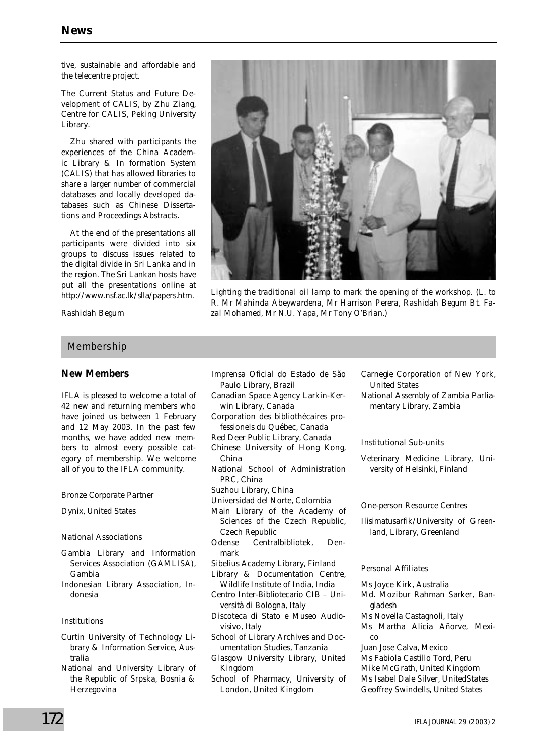tive, sustainable and affordable and the telecentre project.

The Current Status and Future Development of CALIS, by Zhu Ziang, Centre for CALIS, Peking University Library.

Zhu shared with participants the experiences of the China Academic Library & In formation System (CALIS) that has allowed libraries to share a larger number of commercial databases and locally developed databases such as *Chinese Dissertations and Proceedings Abstracts*.

At the end of the presentations all participants were divided into six groups to discuss issues related to the digital divide in Sri Lanka and in the region. The Sri Lankan hosts have put all the presentations online at http://www.nsf.ac.lk/slla/papers.htm.

*Rashidah Begum* 



*Lighting the traditional oil lamp to mark the opening of the workshop. (L. to R. Mr Mahinda Abeywardena, Mr Harrison Perera, Rashidah Begum Bt. Fazal Mohamed, Mr N.U. Yapa, Mr Tony O'Brian.)* 

# Membership

# **New Members**

IFLA is pleased to welcome a total of 42 new and returning members who have joined us between 1 February and 12 May 2003. In the past few months, we have added new members to almost every possible category of membership. We welcome all of you to the IFLA community.

#### *Bronze Corporate Partner*

Dynix, United States

#### *National Associations*

- Gambia Library and Information Services Association (GAMLISA), Gambia
- Indonesian Library Association, Indonesia

#### *Institutions*

- Curtin University of Technology Library & Information Service, Australia
- National and University Library of the Republic of Srpska, Bosnia & Herzegovina
- Imprensa Oficial do Estado de São Paulo Library, Brazil
- Canadian Space Agency Larkin-Kerwin Library, Canada
- Corporation des bibliothécaires professionels du Québec, Canada
- Red Deer Public Library, Canada Chinese University of Hong Kong,
- China National School of Administration
- PRC, China
- Suzhou Library, China
- Universidad del Norte, Colombia
- Main Library of the Academy of Sciences of the Czech Republic, Czech Republic
- Odense Centralbibliotek, Denmark
- Sibelius Academy Library, Finland Library & Documentation Centre,
- Wildlife Institute of India, India
- Centro Inter-Bibliotecario CIB Università di Bologna, Italy
- Discoteca di Stato e Museo Audiovisivo, Italy
- School of Library Archives and Documentation Studies, Tanzania
- Glasgow University Library, United Kingdom
- School of Pharmacy, University of London, United Kingdom
- Carnegie Corporation of New York, United States
- National Assembly of Zambia Parliamentary Library, Zambia

#### *Institutional Sub-units*

Veterinary Medicine Library, University of Helsinki, Finland

#### *One-person Resource Centres*

Ilisimatusarfik/University of Greenland, Library, Greenland

#### *Personal Affiliates*

Ms Joyce Kirk, Australia Md. Mozibur Rahman Sarker, Bangladesh Ms Novella Castagnoli, Italy Ms Martha Alicia Añorve, Mexico Juan Jose Calva, Mexico Ms Fabiola Castillo Tord, Peru Mike McGrath, United Kingdom Ms Isabel Dale Silver, UnitedStates Geoffrey Swindells, United States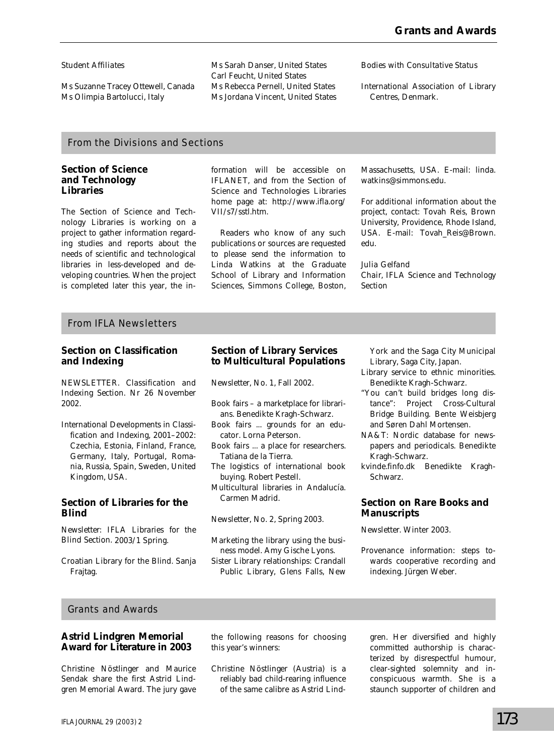#### *Student Affiliates*

Ms Suzanne Tracey Ottewell, Canada Ms Olimpia Bartolucci, Italy

Ms Sarah Danser, United States Carl Feucht, United States Ms Rebecca Pernell, United States Ms Jordana Vincent, United States

*Bodies with Consultative Status* 

International Association of Library Centres, Denmark.

#### From the Divisions and Sections

#### **Section of Science and Technology Libraries**

The Section of Science and Technology Libraries is working on a project to gather information regarding studies and reports about the needs of scientific and technological libraries in less-developed and developing countries. When the project is completed later this year, the information will be accessible on IFLANET, and from the Section of Science and Technologies Libraries home page at: http://www.ifla.org/ VII/s7/sstl.htm.

Readers who know of any such publications or sources are requested to please send the information to Linda Watkins at the Graduate School of Library and Information Sciences, Simmons College, Boston, Massachusetts, USA. E-mail: linda. watkins@simmons.edu.

*For additional information about the project, contact:* Tovah Reis, Brown University, Providence, Rhode Island, USA. E-mail: Tovah\_Reis@Brown. edu.

#### *Julia Gelfand*

*Chair, IFLA Science and Technology Section* 

# From IFLA Newsletters

#### **Section on Classification and Indexing**

*NEWSLETTER. Classification and Indexing Section.* Nr 26 November 2002.

International Developments in Classification and Indexing, 2001–2002: Czechia, Estonia, Finland, France, Germany, Italy, Portugal, Romania, Russia, Spain, Sweden, United Kingdom, USA.

#### **Section of Libraries for the Blind**

*Newsletter: IFLA Libraries for the Blind Section.* 2003/1 Spring.

Croatian Library for the Blind. Sanja Frajtag.

### **Section of Library Services to Multicultural Populations**

*Newsletter,* No. 1, Fall 2002.

- Book fairs a marketplace for librarians. Benedikte Kragh-Schwarz.
- Book fairs ... grounds for an educator. Lorna Peterson.
- Book fairs ... a place for researchers. Tatiana de la Tierra.
- The logistics of international book buying. Robert Pestell.
- Multicultural libraries in Andalucía. Carmen Madrid.

*Newsletter,* No. 2, Spring 2003.

Marketing the library using the business model. Amy Gische Lyons.

Sister Library relationships: Crandall Public Library, Glens Falls, New

York and the Saga City Municipal Library, Saga City, Japan.

- Library service to ethnic minorities. Benedikte Kragh-Schwarz.
- "You can't build bridges long distance": Project Cross-Cultural Bridge Building. Bente Weisbjerg and Søren Dahl Mortensen.
- NA&T: Nordic database for newspapers and periodicals. Benedikte Kragh-Schwarz.
- kvinde.finfo.dk Benedikte Kragh-Schwarz.

#### **Section on Rare Books and Manuscripts**

*Newsletter.* Winter 2003.

Provenance information: steps towards cooperative recording and indexing. Jürgen Weber.

### Grants and Awards

# **Astrid Lindgren Memorial Award for Literature in 2003**

Christine Nöstlinger and Maurice Sendak share the first Astrid Lindgren Memorial Award. The jury gave

the following reasons for choosing this year's winners:

Christine Nöstlinger (Austria) is a reliably bad child-rearing influence of the same calibre as Astrid Lindgren. Her diversified and highly committed authorship is characterized by disrespectful humour, clear-sighted solemnity and inconspicuous warmth. She is a staunch supporter of children and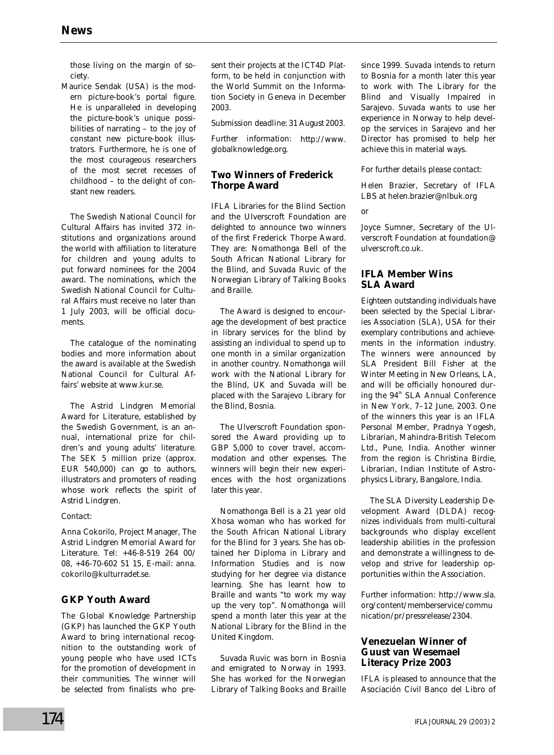those living on the margin of society.

Maurice Sendak (USA) is the modern picture-book's portal figure. He is unparalleled in developing the picture-book's unique possibilities of narrating – to the joy of constant new picture-book illustrators. Furthermore, he is one of the most courageous researchers of the most secret recesses of childhood – to the delight of constant new readers.

The Swedish National Council for Cultural Affairs has invited 372 institutions and organizations around the world with affiliation to literature for children and young adults to put forward nominees for the 2004 award. The nominations, which the Swedish National Council for Cultural Affairs must receive no later than 1 July 2003, will be official documents.

The catalogue of the nominating bodies and more information about the award is available at the Swedish National Council for Cultural Affairs' website at www.kur.se.

The Astrid Lindgren Memorial Award for Literature, established by the Swedish Government, is an annual, international prize for children's and young adults' literature. The SEK 5 million prize (approx. EUR 540,000) can go to authors, illustrators and promoters of reading whose work reflects the spirit of Astrid Lindgren.

#### *Contact:*

Anna Cokorilo, Project Manager, The Astrid Lindgren Memorial Award for Literature. Tel: +46-8-519 264 00/ 08, +46-70-602 51 15, E-mail: anna. cokorilo@kulturradet.se.

# **GKP Youth Award**

The Global Knowledge Partnership (GKP) has launched the GKP Youth Award to bring international recognition to the outstanding work of young people who have used ICTs for the promotion of development in their communities. The winner will be selected from finalists who present their projects at the ICT4D Platform, to be held in conjunction with the World Summit on the Information Society in Geneva in December 2003.

*Submission deadline:* 31 August 2003.

*Further information:* http://www. globalknowledge.org.

# **Two Winners of Frederick Thorpe Award**

IFLA Libraries for the Blind Section and the Ulverscroft Foundation are delighted to announce two winners of the first Frederick Thorpe Award. They are: Nomathonga Bell of the South African National Library for the Blind, and Suvada Ruvic of the Norwegian Library of Talking Books and Braille.

The Award is designed to encourage the development of best practice in library services for the blind by assisting an individual to spend up to one month in a similar organization in another country. Nomathonga will work with the National Library for the Blind, UK and Suvada will be placed with the Sarajevo Library for the Blind, Bosnia.

The Ulverscroft Foundation sponsored the Award providing up to GBP 5,000 to cover travel, accommodation and other expenses. The winners will begin their new experiences with the host organizations later this year.

Nomathonga Bell is a 21 year old Xhosa woman who has worked for the South African National Library for the Blind for 3 years. She has obtained her Diploma in Library and Information Studies and is now studying for her degree via distance learning. She has learnt how to Braille and wants "to work my way up the very top". Nomathonga will spend a month later this year at the National Library for the Blind in the United Kingdom.

Suvada Ruvic was born in Bosnia and emigrated to Norway in 1993. She has worked for the Norwegian Library of Talking Books and Braille since 1999. Suvada intends to return to Bosnia for a month later this year to work with The Library for the Blind and Visually Impaired in Sarajevo. Suvada wants to use her experience in Norway to help develop the services in Sarajevo and her Director has promised to help her achieve this in material ways.

#### *For further details please contact:*

Helen Brazier, Secretary of IFLA LBS at helen.brazier@nlbuk.org

*or* 

Joyce Sumner, Secretary of the Ulverscroft Foundation at foundation@ ulverscroft.co.uk.

# **IFLA Member Wins SLA Award**

Eighteen outstanding individuals have been selected by the Special Libraries Association (SLA), USA for their exemplary contributions and achievements in the information industry. The winners were announced by SLA President Bill Fisher at the Winter Meeting in New Orleans, LA, and will be officially honoured during the 94<sup>th</sup> SLA Annual Conference in New York, 7–12 June, 2003. One of the winners this year is an IFLA Personal Member, Pradnya Yogesh, Librarian, Mahindra-British Telecom Ltd., Pune, India. Another winner from the region is Christina Birdie, Librarian, Indian Institute of Astrophysics Library, Bangalore, India.

The SLA Diversity Leadership Development Award (DLDA) recognizes individuals from multi-cultural backgrounds who display excellent leadership abilities in the profession and demonstrate a willingness to develop and strive for leadership opportunities within the Association.

*Further information:* http://www.sla. org/content/memberservice/commu nication/pr/pressrelease/2304.

# **Venezuelan Winner of Guust van Wesemael Literacy Prize 2003**

IFLA is pleased to announce that the Asociación Civil Banco del Libro of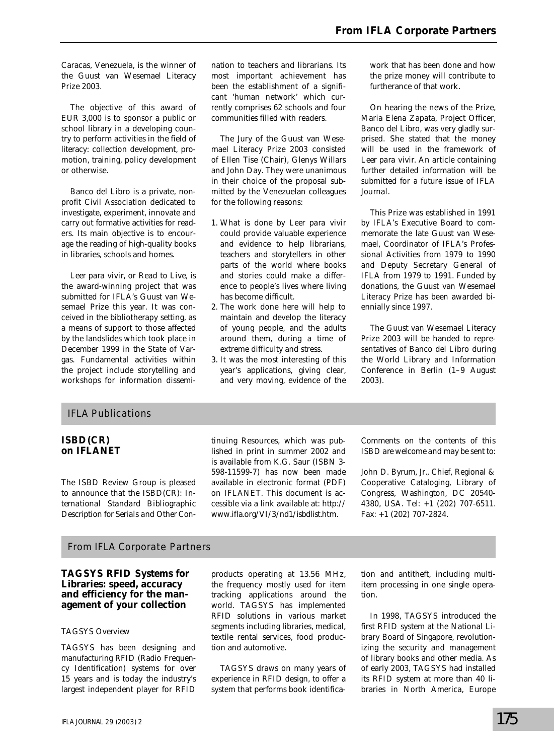Caracas, Venezuela, is the winner of the Guust van Wesemael Literacy Prize 2003.

The objective of this award of EUR 3,000 is to sponsor a public or school library in a developing country to perform activities in the field of literacy: collection development, promotion, training, policy development or otherwise.

Banco del Libro is a private, nonprofit Civil Association dedicated to investigate, experiment, innovate and carry out formative activities for readers. Its main objective is to encourage the reading of high-quality books in libraries, schools and homes.

*Leer para vivir*, or *Read to Live*, is the award-winning project that was submitted for IFLA's Guust van Wesemael Prize this year. It was conceived in the bibliotherapy setting, as a means of support to those affected by the landslides which took place in December 1999 in the State of Vargas. Fundamental activities within the project include storytelling and workshops for information dissemination to teachers and librarians. Its most important achievement has been the establishment of a significant 'human network' which currently comprises 62 schools and four communities filled with readers.

The Jury of the Guust van Wesemael Literacy Prize 2003 consisted of Ellen Tise (Chair), Glenys Willars and John Day. They were unanimous in their choice of the proposal submitted by the Venezuelan colleagues for the following reasons:

- 1. What is done by *Leer para vivir*  could provide valuable experience and evidence to help librarians, teachers and storytellers in other parts of the world where books and stories could make a difference to people's lives where living has become difficult.
- 2. The work done here will help to maintain and develop the literacy of young people, and the adults around them, during a time of extreme difficulty and stress.
- 3. It was the most interesting of this year's applications, giving clear, and very moving, evidence of the

work that has been done and how the prize money will contribute to furtherance of that work.

On hearing the news of the Prize, Maria Elena Zapata, Project Officer, Banco del Libro, was very gladly surprised. She stated that the money will be used in the framework of *Leer para vivir*. An article containing further detailed information will be submitted for a future issue of *IFLA Journal*.

This Prize was established in 1991 by IFLA's Executive Board to commemorate the late Guust van Wesemael, Coordinator of IFLA's Professional Activities from 1979 to 1990 and Deputy Secretary General of IFLA from 1979 to 1991. Funded by donations, the Guust van Wesemael Literacy Prize has been awarded biennially since 1997.

The Guust van Wesemael Literacy Prize 2003 will be handed to representatives of Banco del Libro during the World Library and Information Conference in Berlin (1–9 August 2003).

# IFLA Publications

### **ISBD(CR) on IFLANET**

The ISBD Review Group is pleased to announce that the *ISBD(CR): International Standard Bibliographic Description for Serials and Other Con-*

# From IFLA Corporate Partners

### **TAGSYS RFID Systems for Libraries: speed, accuracy and efficiency for the management of your collection**

#### *TAGSYS Overview*

TAGSYS has been designing and manufacturing RFID (Radio Frequency Identification) systems for over 15 years and is today the industry's largest independent player for RFID

*tinuing Resources*, which was published in print in summer 2002 and is available from K.G. Saur (ISBN 3- 598-11599-7) has now been made available in electronic format (PDF) on IFLANET. This document is accessible via a link available at: http:// www.ifla.org/VI/3/nd1/isbdlist.htm.

*Comments on the contents of this ISBD are welcome and may be sent to:* 

John D. Byrum, Jr., Chief, Regional & Cooperative Cataloging, Library of Congress, Washington, DC 20540- 4380, USA. Tel: +1 (202) 707-6511. Fax: +1 (202) 707-2824.

products operating at 13.56 MHz, the frequency mostly used for item tracking applications around the world. TAGSYS has implemented RFID solutions in various market segments including libraries, medical, textile rental services, food production and automotive.

TAGSYS draws on many years of experience in RFID design, to offer a system that performs book identification and antitheft, including multiitem processing in one single operation.

In 1998, TAGSYS introduced the first RFID system at the National Library Board of Singapore, revolutionizing the security and management of library books and other media. As of early 2003, TAGSYS had installed its RFID system at more than 40 libraries in North America, Europe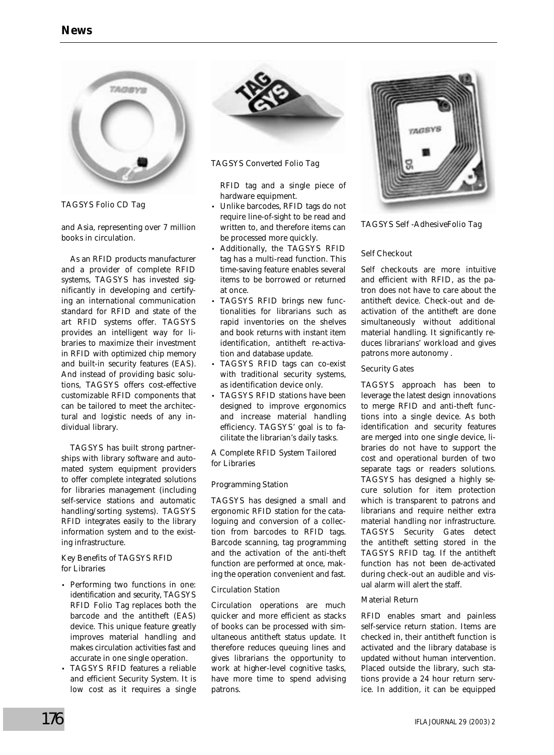

*TAGSYS Folio CD Tag*

and Asia, representing over 7 million books in circulation.

As an RFID products manufacturer and a provider of complete RFID systems, TAGSYS has invested significantly in developing and certifying an international communication standard for RFID and state of the art RFID systems offer. TAGSYS provides an intelligent way for libraries to maximize their investment in RFID with optimized chip memory and built-in security features (EAS). And instead of providing basic solutions, TAGSYS offers cost-effective customizable RFID components that can be tailored to meet the architectural and logistic needs of any individual library.

TAGSYS has built strong partnerships with library software and automated system equipment providers to offer complete integrated solutions for libraries management (including self-service stations and automatic handling/sorting systems). TAGSYS RFID integrates easily to the library information system and to the existing infrastructure.

#### *Key Benefits of TAGSYS RFID for Libraries*

- Performing two functions in one: identification and security, TAGSYS RFID Folio Tag replaces both the barcode and the antitheft (EAS) device. This unique feature greatly improves material handling and makes circulation activities fast and accurate in one single operation.
- TAGSYS RFID features a reliable and efficient Security System. It is low cost as it requires a single



#### *TAGSYS Converted Folio Tag*

RFID tag and a single piece of hardware equipment.

- Unlike barcodes, RFID tags do not require line-of-sight to be read and written to, and therefore items can be processed more quickly.
- Additionally, the TAGSYS RFID tag has a multi-read function. This time-saving feature enables several items to be borrowed or returned at once.
- TAGSYS RFID brings new functionalities for librarians such as rapid inventories on the shelves and book returns with instant item identification, antitheft re-activation and database update.
- TAGSYS RFID tags can co-exist with traditional security systems, as identification device only.
- TAGSYS RFID stations have been designed to improve ergonomics and increase material handling efficiency. TAGSYS' goal is to facilitate the librarian's daily tasks.

#### *A Complete RFID System Tailored for Libraries*

#### Programming Station

TAGSYS has designed a small and ergonomic RFID station for the cataloguing and conversion of a collection from barcodes to RFID tags. Barcode scanning, tag programming and the activation of the anti-theft function are performed at once, making the operation convenient and fast.

#### Circulation Station

Circulation operations are much quicker and more efficient as stacks of books can be processed with simultaneous antitheft status update. It therefore reduces queuing lines and gives librarians the opportunity to work at higher-level cognitive tasks, have more time to spend advising patrons.



*TAGSYS Self -AdhesiveFolio Tag*

# Self Checkout

Self checkouts are more intuitive and efficient with RFID, as the patron does not have to care about the antitheft device. Check-out and deactivation of the antitheft are done simultaneously without additional material handling. It significantly reduces librarians' workload and gives patrons more autonomy .

#### Security Gates

TAGSYS approach has been to leverage the latest design innovations to merge RFID and anti-theft functions into a single device. As both identification and security features are merged into one single device, libraries do not have to support the cost and operational burden of two separate tags or readers solutions. TAGSYS has designed a highly secure solution for item protection which is transparent to patrons and librarians and require neither extra material handling nor infrastructure. TAGSYS Security Gates detect the antitheft setting stored in the TAGSYS RFID tag. If the antitheft function has not been de-activated during check-out an audible and visual alarm will alert the staff.

# Material Return

RFID enables smart and painless self-service return station. Items are checked in, their antitheft function is activated and the library database is updated without human intervention. Placed outside the library, such stations provide a 24 hour return service. In addition, it can be equipped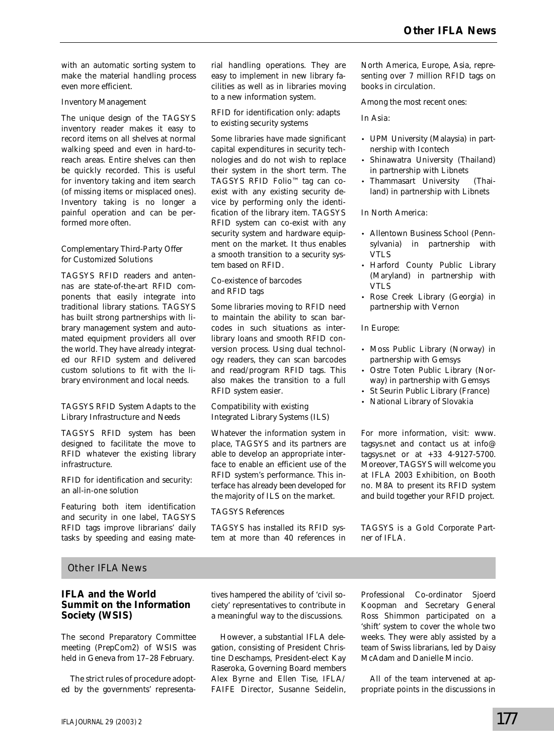with an automatic sorting system to make the material handling process even more efficient.

## Inventory Management

The unique design of the TAGSYS inventory reader makes it easy to record items on all shelves at normal walking speed and even in hard-toreach areas. Entire shelves can then be quickly recorded. This is useful for inventory taking and item search (of missing items or misplaced ones). Inventory taking is no longer a painful operation and can be performed more often.

## *Complementary Third-Party Offer for Customized Solutions*

TAGSYS RFID readers and antennas are state-of-the-art RFID components that easily integrate into traditional library stations. TAGSYS has built strong partnerships with library management system and automated equipment providers all over the world. They have already integrated our RFID system and delivered custom solutions to fit with the library environment and local needs.

## *TAGSYS RFID System Adapts to the Library Infrastructure and Needs*

TAGSYS RFID system has been designed to facilitate the move to RFID whatever the existing library infrastructure.

RFID for identification and security: an all-in-one solution

Featuring both item identification and security in one label, TAGSYS RFID tags improve librarians' daily tasks by speeding and easing mate-

# Other IFLA News

# **IFLA and the World Summit on the Information Society (WSIS)**

The second Preparatory Committee meeting (PrepCom2) of WSIS was held in Geneva from 17–28 February.

The strict rules of procedure adopted by the governments' representarial handling operations. They are easy to implement in new library facilities as well as in libraries moving to a new information system.

RFID for identification only: adapts to existing security systems

Some libraries have made significant capital expenditures in security technologies and do not wish to replace their system in the short term. The TAGSYS RFID Folio™ tag can coexist with any existing security device by performing only the identification of the library item. TAGSYS RFID system can co-exist with any security system and hardware equipment on the market. It thus enables a smooth transition to a security system based on RFID.

## Co-existence of barcodes and RFID tags

Some libraries moving to RFID need to maintain the ability to scan barcodes in such situations as interlibrary loans and smooth RFID conversion process. Using dual technology readers, they can scan barcodes and read/program RFID tags. This also makes the transition to a full RFID system easier.

Compatibility with existing Integrated Library Systems (ILS)

Whatever the information system in place, TAGSYS and its partners are able to develop an appropriate interface to enable an efficient use of the RFID system's performance. This interface has already been developed for the majority of ILS on the market.

# *TAGSYS References*

TAGSYS has installed its RFID system at more than 40 references in North America, Europe, Asia, representing over 7 million RFID tags on books in circulation.

Among the most recent ones:

# *In Asia:*

- UPM University (Malaysia) in partnership with Icontech
- Shinawatra University (Thailand) in partnership with Libnets
- Thammasart University (Thailand) in partnership with Libnets

# *In North America:*

- Allentown Business School (Pennsylvania) in partnership with VTLS
- Harford County Public Library (Maryland) in partnership with VTLS
- Rose Creek Library (Georgia) in partnership with Vernon

## *In Europe:*

- Moss Public Library (Norway) in partnership with Gemsys
- Ostre Toten Public Library (Norway) in partnership with Gemsys
- St Seurin Public Library (France)
- National Library of Slovakia

*For more information,* visit: www. tagsys.net and contact us at info@ tagsys.net or at +33 4-9127-5700. Moreover, TAGSYS will welcome you at IFLA 2003 Exhibition, on Booth no. M8A to present its RFID system and build together your RFID project.

*TAGSYS is a Gold Corporate Partner of IFLA.* 

tives hampered the ability of 'civil society' representatives to contribute in a meaningful way to the discussions.

However, a substantial IFLA delegation, consisting of President Christine Deschamps, President-elect Kay Raseroka, Governing Board members Alex Byrne and Ellen Tise, IFLA/ FAIFE Director, Susanne Seidelin,

Professional Co-ordinator Sjoerd Koopman and Secretary General Ross Shimmon participated on a 'shift' system to cover the whole two weeks. They were ably assisted by a team of Swiss librarians, led by Daisy McAdam and Danielle Mincio.

All of the team intervened at appropriate points in the discussions in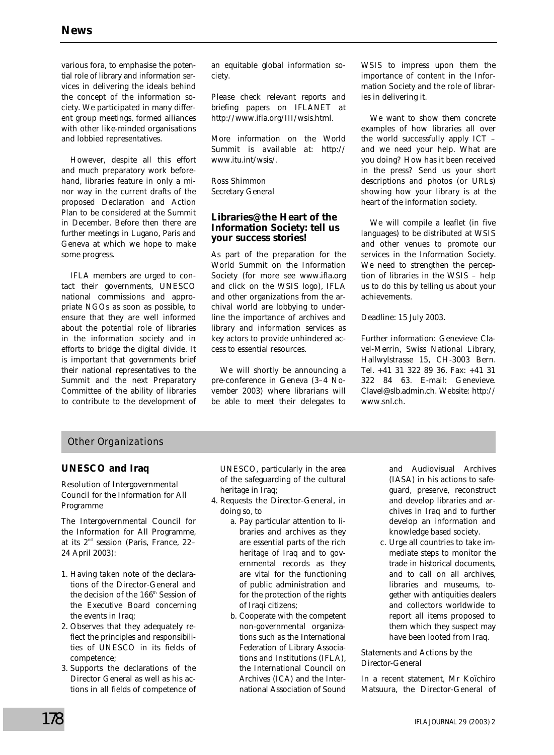various fora, to emphasise the potential role of library and information services in delivering the ideals behind the concept of the information society. We participated in many different group meetings, formed alliances with other like-minded organisations and lobbied representatives.

However, despite all this effort and much preparatory work beforehand, libraries feature in only a minor way in the current drafts of the proposed Declaration and Action Plan to be considered at the Summit in December. Before then there are further meetings in Lugano, Paris and Geneva at which we hope to make some progress.

IFLA members are urged to contact their governments, UNESCO national commissions and appropriate NGOs as soon as possible, to ensure that they are well informed about the potential role of libraries in the information society and in efforts to bridge the digital divide. It is important that governments brief their national representatives to the Summit and the next Preparatory Committee of the ability of libraries to contribute to the development of an equitable global information society.

*Please check relevant reports and briefing papers on IFLANET at*  http://www.ifla.org/III/wsis.html.

*More information on the World Summit is available at:* http:// www.itu.int/wsis/.

*Ross Shimmon Secretary General* 

## **Libraries@the Heart of the Information Society: tell us your success stories!**

As part of the preparation for the World Summit on the Information Society (for more see www.ifla.org and click on the WSIS logo), IFLA and other organizations from the archival world are lobbying to underline the importance of archives and library and information services as key actors to provide unhindered access to essential resources.

We will shortly be announcing a pre-conference in Geneva (3–4 November 2003) where librarians will be able to meet their delegates to WSIS to impress upon them the importance of content in the Information Society and the role of libraries in delivering it.

We want to show them concrete examples of how libraries all over the world successfully apply ICT – and we need your help. What are you doing? How has it been received in the press? Send us your short descriptions and photos (or URLs) showing how your library is at the heart of the information society.

We will compile a leaflet (in five languages) to be distributed at WSIS and other venues to promote our services in the Information Society. We need to strengthen the perception of libraries in the WSIS – help us to do this by telling us about your achievements.

Deadline: 15 July 2003.

*Further information:* Genevieve Clavel-Merrin, Swiss National Library, Hallwylstrasse 15, CH-3003 Bern. Tel. +41 31 322 89 36. Fax: +41 31 322 84 63. E-mail: Genevieve. Clavel@slb.admin.ch. Website: http:// www.snl.ch.

# Other Organizations

## **UNESCO and Iraq**

*Resolution of Intergovernmental Council for the Information for All Programme* 

The Intergovernmental Council for the Information for All Programme, at its 2<sup>nd</sup> session (Paris, France, 22-24 April 2003):

- 1. Having taken note of the declarations of the Director-General and the decision of the 166<sup>th</sup> Session of the Executive Board concerning the events in Iraq;
- 2. Observes that they adequately reflect the principles and responsibilities of UNESCO in its fields of competence;
- 3. Supports the declarations of the Director General as well as his actions in all fields of competence of

UNESCO, particularly in the area of the safeguarding of the cultural heritage in Iraq;

- 4. Requests the Director-General, in doing so, to
	- a. Pay particular attention to libraries and archives as they are essential parts of the rich heritage of Iraq and to governmental records as they are vital for the functioning of public administration and for the protection of the rights of Iraqi citizens;
	- b. Cooperate with the competent non-governmental organizations such as the International Federation of Library Associations and Institutions (IFLA), the International Council on Archives (ICA) and the International Association of Sound

and Audiovisual Archives (IASA) in his actions to safeguard, preserve, reconstruct and develop libraries and archives in Iraq and to further develop an information and knowledge based society.

c. Urge all countries to take immediate steps to monitor the trade in historical documents, and to call on all archives, libraries and museums, together with antiquities dealers and collectors worldwide to report all items proposed to them which they suspect may have been looted from Iraq.

## *Statements and Actions by the Director-General*

In a recent statement, Mr Koïchiro Matsuura, the Director-General of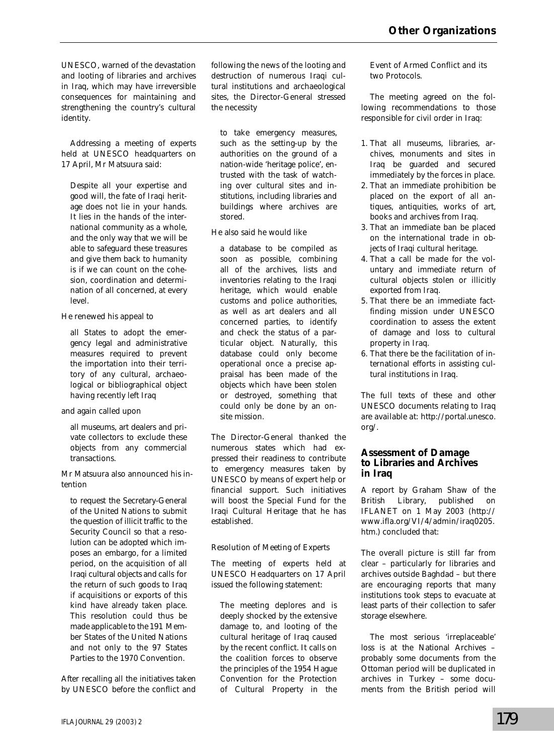UNESCO, warned of the devastation and looting of libraries and archives in Iraq, which may have irreversible consequences for maintaining and strengthening the country's cultural identity.

Addressing a meeting of experts held at UNESCO headquarters on 17 April, Mr Matsuura said:

Despite all your expertise and good will, the fate of Iraqi heritage does not lie in your hands. It lies in the hands of the international community as a whole, and the only way that we will be able to safeguard these treasures and give them back to humanity is if we can count on the cohesion, coordination and determination of all concerned, at every level.

He renewed his appeal to

all States to adopt the emergency legal and administrative measures required to prevent the importation into their territory of any cultural, archaeological or bibliographical object having recently left Iraq

and again called upon

all museums, art dealers and private collectors to exclude these objects from any commercial transactions.

Mr Matsuura also announced his intention

to request the Secretary-General of the United Nations to submit the question of illicit traffic to the Security Council so that a resolution can be adopted which imposes an embargo, for a limited period, on the acquisition of all Iraqi cultural objects and calls for the return of such goods to Iraq if acquisitions or exports of this kind have already taken place. This resolution could thus be made applicable to the 191 Member States of the United Nations and not only to the 97 States Parties to the 1970 Convention.

After recalling all the initiatives taken by UNESCO before the conflict and following the news of the looting and destruction of numerous Iraqi cultural institutions and archaeological sites, the Director-General stressed the necessity

to take emergency measures, such as the setting-up by the authorities on the ground of a nation-wide 'heritage police', entrusted with the task of watching over cultural sites and institutions, including libraries and buildings where archives are stored.

He also said he would like

a database to be compiled as soon as possible, combining all of the archives, lists and inventories relating to the Iraqi heritage, which would enable customs and police authorities, as well as art dealers and all concerned parties, to identify and check the status of a particular object. Naturally, this database could only become operational once a precise appraisal has been made of the objects which have been stolen or destroyed, something that could only be done by an onsite mission.

The Director-General thanked the numerous states which had expressed their readiness to contribute to emergency measures taken by UNESCO by means of expert help or financial support. Such initiatives will boost the Special Fund for the Iraqi Cultural Heritage that he has established.

## *Resolution of Meeting of Experts*

The meeting of experts held at UNESCO Headquarters on 17 April issued the following statement:

The meeting deplores and is deeply shocked by the extensive damage to, and looting of the cultural heritage of Iraq caused by the recent conflict. It calls on the coalition forces to observe the principles of the 1954 Hague Convention for the Protection of Cultural Property in the

Event of Armed Conflict and its two Protocols.

The meeting agreed on the following recommendations to those responsible for civil order in Iraq:

- 1. That all museums, libraries, archives, monuments and sites in Iraq be guarded and secured immediately by the forces in place.
- 2. That an immediate prohibition be placed on the export of all antiques, antiquities, works of art, books and archives from Iraq.
- 3. That an immediate ban be placed on the international trade in objects of Iraqi cultural heritage.
- 4. That a call be made for the voluntary and immediate return of cultural objects stolen or illicitly exported from Iraq.
- 5. That there be an immediate factfinding mission under UNESCO coordination to assess the extent of damage and loss to cultural property in Iraq.
- 6. That there be the facilitation of international efforts in assisting cultural institutions in Iraq.

*The full texts of these and other UNESCO documents relating to Iraq are available at:* http://portal.unesco. org/.

## **Assessment of Damage to Libraries and Archives in Iraq**

A report by Graham Shaw of the British Library, published on IFLANET on 1 May 2003 (http:// www.ifla.org/VI/4/admin/iraq0205. htm.) concluded that:

The overall picture is still far from clear – particularly for libraries and archives outside Baghdad – but there are encouraging reports that many institutions took steps to evacuate at least parts of their collection to safer storage elsewhere.

The most serious 'irreplaceable' loss is at the National Archives – probably some documents from the Ottoman period will be duplicated in archives in Turkey – some documents from the British period will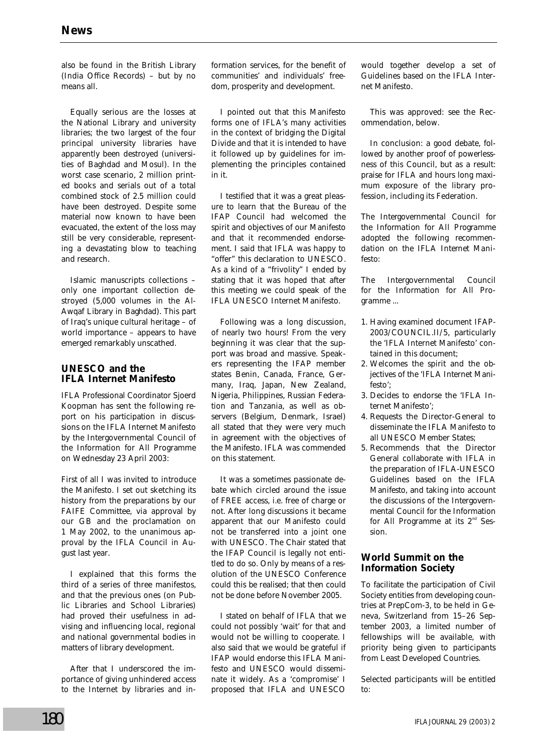also be found in the British Library (India Office Records) – but by no means all.

Equally serious are the losses at the National Library and university libraries; the two largest of the four principal university libraries have apparently been destroyed (universities of Baghdad and Mosul). In the worst case scenario, 2 million printed books and serials out of a total combined stock of 2.5 million could have been destroyed. Despite some material now known to have been evacuated, the extent of the loss may still be very considerable, representing a devastating blow to teaching and research.

Islamic manuscripts collections – only one important collection destroyed (5,000 volumes in the Al-Awqaf Library in Baghdad). This part of Iraq's unique cultural heritage – of world importance – appears to have emerged remarkably unscathed.

## **UNESCO and the IFLA Internet Manifesto**

IFLA Professional Coordinator Sjoerd Koopman has sent the following report on his participation in discussions on the IFLA Internet Manifesto by the Intergovernmental Council of the Information for All Programme on Wednesday 23 April 2003:

First of all I was invited to introduce the Manifesto. I set out sketching its history from the preparations by our FAIFE Committee, via approval by our GB and the proclamation on 1 May 2002, to the unanimous approval by the IFLA Council in August last year.

I explained that this forms the third of a series of three manifestos, and that the previous ones (on Public Libraries and School Libraries) had proved their usefulness in advising and influencing local, regional and national governmental bodies in matters of library development.

After that I underscored the importance of giving unhindered access to the Internet by libraries and information services, for the benefit of communities' and individuals' freedom, prosperity and development.

I pointed out that this Manifesto forms one of IFLA's many activities in the context of bridging the Digital Divide and that it is intended to have it followed up by guidelines for implementing the principles contained in it.

I testified that it was a great pleasure to learn that the Bureau of the IFAP Council had welcomed the spirit and objectives of our Manifesto and that it recommended endorsement. I said that IFLA was happy to "offer" this declaration to UNESCO. As a kind of a "frivolity" I ended by stating that it was hoped that after this meeting we could speak of the IFLA UNESCO Internet Manifesto.

Following was a long discussion, of nearly two hours! From the very beginning it was clear that the support was broad and massive. Speakers representing the IFAP member states Benin, Canada, France, Germany, Iraq, Japan, New Zealand, Nigeria, Philippines, Russian Federation and Tanzania, as well as observers (Belgium, Denmark, Israel) all stated that they were very much in agreement with the objectives of the Manifesto. IFLA was commended on this statement.

It was a sometimes passionate debate which circled around the issue of FREE access, i.e. free of charge or not. After long discussions it became apparent that our Manifesto could not be transferred into a joint one with UNESCO. The Chair stated that the IFAP Council is legally not entitled to do so. Only by means of a resolution of the UNESCO Conference could this be realised; that then could not be done before November 2005.

I stated on behalf of IFLA that we could not possibly 'wait' for that and would not be willing to cooperate. I also said that we would be grateful if IFAP would endorse this IFLA Manifesto and UNESCO would disseminate it widely. As a 'compromise' I proposed that IFLA and UNESCO would together develop a set of Guidelines based on the IFLA Internet Manifesto.

This was approved: see the Recommendation, below.

In conclusion: a good debate, followed by another proof of powerlessness of this Council, but as a result: praise for IFLA and hours long maximum exposure of the library profession, including its Federation.

*The Intergovernmental Council for the Information for All Programme adopted the following recommendation on the IFLA Internet Manifesto:* 

The Intergovernmental Council for the Information for All Programme ...

- 1. Having examined document IFAP-2003/COUNCIL.II/5, particularly the 'IFLA Internet Manifesto' contained in this document;
- 2. Welcomes the spirit and the objectives of the 'IFLA Internet Manifesto';
- 3. Decides to endorse the 'IFLA Internet Manifesto';
- 4. Requests the Director-General to disseminate the IFLA Manifesto to all UNESCO Member States;
- 5. Recommends that the Director General collaborate with IFLA in the preparation of IFLA-UNESCO Guidelines based on the IFLA Manifesto, and taking into account the discussions of the Intergovernmental Council for the Information for All Programme at its  $2<sup>nd</sup>$  Session.

## **World Summit on the Information Society**

To facilitate the participation of Civil Society entities from developing countries at PrepCom-3, to be held in Geneva, Switzerland from 15–26 September 2003, a limited number of fellowships will be available, with priority being given to participants from Least Developed Countries.

Selected participants will be entitled to: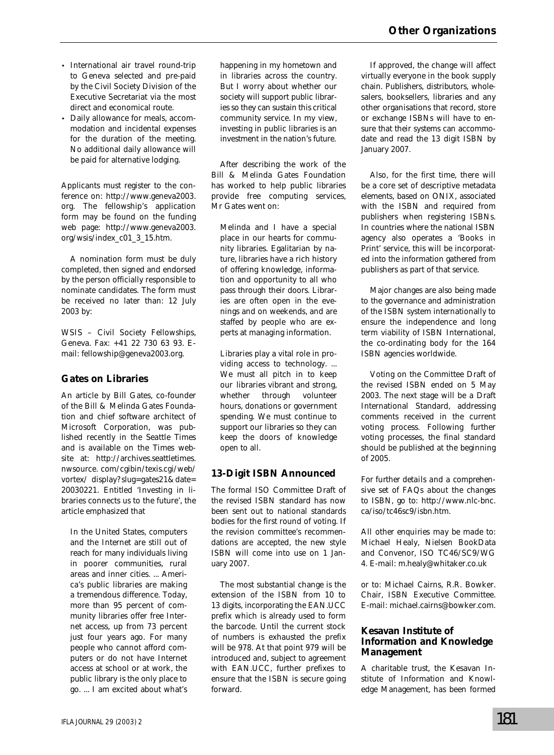- International air travel round-trip to Geneva selected and pre-paid by the Civil Society Division of the Executive Secretariat via the most direct and economical route.
- Daily allowance for meals, accommodation and incidental expenses for the duration of the meeting. No additional daily allowance will be paid for alternative lodging.

Applicants must register to the conference on: http://www.geneva2003. org. The fellowship's application form may be found on the funding web page: http://www.geneva2003. org/wsis/index\_c01\_3\_15.htm.

A nomination form must be duly completed, then signed and endorsed by the person officially responsible to nominate candidates. The form must be received no later than: 12 July 2003 by:

WSIS – Civil Society Fellowships, Geneva. Fax: +41 22 730 63 93. Email: fellowship@geneva2003.org.

# **Gates on Libraries**

An article by Bill Gates, co-founder of the Bill & Melinda Gates Foundation and chief software architect of Microsoft Corporation, was published recently in the *Seattle Times*  and is available on the *Times* website at: http://archives.seattletimes. nwsource. com/cgibin/texis.cgi/web/ vortex/ display?slug=gates21&date= 20030221. Entitled 'Investing in libraries connects us to the future', the article emphasized that

In the United States, computers and the Internet are still out of reach for many individuals living in poorer communities, rural areas and inner cities. ... America's public libraries are making a tremendous difference. Today, more than 95 percent of community libraries offer free Internet access, up from 73 percent just four years ago. For many people who cannot afford computers or do not have Internet access at school or at work, the public library is the only place to go. ... I am excited about what's happening in my hometown and in libraries across the country. But I worry about whether our society will support public libraries so they can sustain this critical community service. In my view, investing in public libraries is an investment in the nation's future.

After describing the work of the Bill & Melinda Gates Foundation has worked to help public libraries provide free computing services, Mr Gates went on:

Melinda and I have a special place in our hearts for community libraries. Egalitarian by nature, libraries have a rich history of offering knowledge, information and opportunity to all who pass through their doors. Libraries are often open in the evenings and on weekends, and are staffed by people who are experts at managing information.

Libraries play a vital role in providing access to technology. ... We must all pitch in to keep our libraries vibrant and strong, whether through volunteer hours, donations or government spending. We must continue to support our libraries so they can keep the doors of knowledge open to all.

# **13-Digit ISBN Announced**

The formal ISO Committee Draft of the revised ISBN standard has now been sent out to national standards bodies for the first round of voting. If the revision committee's recommendations are accepted, the new style ISBN will come into use on 1 January 2007.

The most substantial change is the extension of the ISBN from 10 to 13 digits, incorporating the EAN.UCC prefix which is already used to form the barcode. Until the current stock of numbers is exhausted the prefix will be 978. At that point 979 will be introduced and, subject to agreement with EAN.UCC, further prefixes to ensure that the ISBN is secure going forward.

If approved, the change will affect virtually everyone in the book supply chain. Publishers, distributors, wholesalers, booksellers, libraries and any other organisations that record, store or exchange ISBNs will have to ensure that their systems can accommodate and read the 13 digit ISBN by January 2007.

Also, for the first time, there will be a core set of descriptive metadata elements, based on ONIX, associated with the ISBN and required from publishers when registering ISBNs. In countries where the national ISBN agency also operates a 'Books in Print' service, this will be incorporated into the information gathered from publishers as part of that service.

Major changes are also being made to the governance and administration of the ISBN system internationally to ensure the independence and long term viability of ISBN International, the co-ordinating body for the 164 ISBN agencies worldwide.

Voting on the Committee Draft of the revised ISBN ended on 5 May 2003. The next stage will be a Draft International Standard, addressing comments received in the current voting process. Following further voting processes, the final standard should be published at the beginning of 2005.

*For further details and a comprehensive set of FAQs about the changes to ISBN, go to:* http://www.nlc-bnc. ca/iso/tc46sc9/isbn.htm.

*All other enquiries may be made to:*  Michael Healy, Nielsen BookData and Convenor, ISO TC46/SC9/WG 4. E-mail: m.healy@whitaker.co.uk

*or to:* Michael Cairns, R.R. Bowker. Chair, ISBN Executive Committee. E-mail: michael.cairns@bowker.com.

## **Kesavan Institute of Information and Knowledge Management**

A charitable trust, the Kesavan Institute of Information and Knowledge Management, has been formed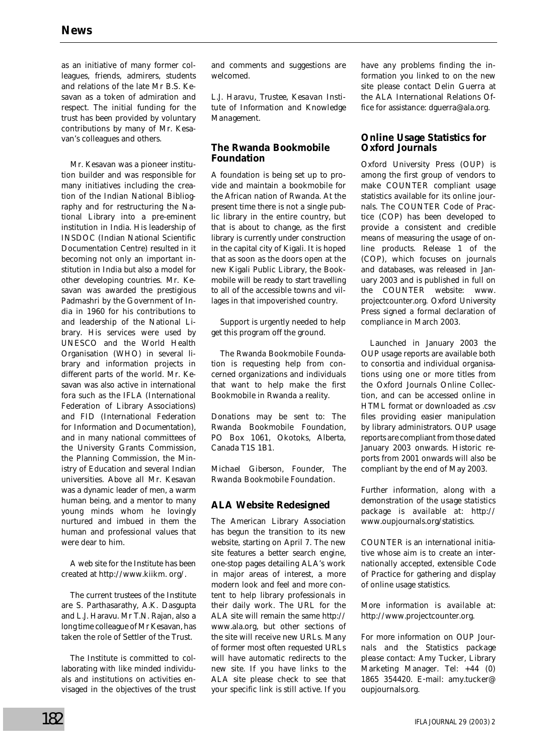as an initiative of many former colleagues, friends, admirers, students and relations of the late Mr B.S. Kesavan as a token of admiration and respect. The initial funding for the trust has been provided by voluntary contributions by many of Mr. Kesavan's colleagues and others.

Mr. Kesavan was a pioneer institution builder and was responsible for many initiatives including the creation of the *Indian National Bibliography* and for restructuring the National Library into a pre-eminent institution in India. His leadership of INSDOC (Indian National Scientific Documentation Centre) resulted in it becoming not only an important institution in India but also a model for other developing countries. Mr. Kesavan was awarded the prestigious Padmashri by the Government of India in 1960 for his contributions to and leadership of the National Library. His services were used by UNESCO and the World Health Organisation (WHO) in several library and information projects in different parts of the world. Mr. Kesavan was also active in international fora such as the IFLA (International Federation of Library Associations) and FID (International Federation for Information and Documentation), and in many national committees of the University Grants Commission, the Planning Commission, the Ministry of Education and several Indian universities. Above all Mr. Kesavan was a dynamic leader of men, a warm human being, and a mentor to many young minds whom he lovingly nurtured and imbued in them the human and professional values that were dear to him.

A web site for the Institute has been created at http://www.kiikm. org/.

The current trustees of the Institute are S. Parthasarathy, A.K. Dasgupta and L.J. Haravu. Mr T.N. Rajan, also a long time colleague of Mr Kesavan, has taken the role of Settler of the Trust.

The Institute is committed to collaborating with like minded individuals and institutions on activities envisaged in the objectives of the trust and comments and suggestions are welcomed.

*L.J. Haravu, Trustee, Kesavan Institute of Information and Knowledge Management.* 

## **The Rwanda Bookmobile Foundation**

A foundation is being set up to provide and maintain a bookmobile for the African nation of Rwanda. At the present time there is not a single public library in the entire country, but that is about to change, as the first library is currently under construction in the capital city of Kigali. It is hoped that as soon as the doors open at the new Kigali Public Library, the Bookmobile will be ready to start travelling to all of the accessible towns and villages in that impoverished country.

Support is urgently needed to help get this program off the ground.

The Rwanda Bookmobile Foundation is requesting help from concerned organizations and individuals that want to help make the first Bookmobile in Rwanda a reality.

*Donations may be sent to:* The Rwanda Bookmobile Foundation, PO Box 1061, Okotoks, Alberta, Canada T1S 1B1.

*Michael Giberson, Founder, The Rwanda Bookmobile Foundation.* 

# **ALA Website Redesigned**

The American Library Association has begun the transition to its new website, starting on April 7. The new site features a better search engine, one-stop pages detailing ALA's work in major areas of interest, a more modern look and feel and more content to help library professionals in their daily work. The URL for the ALA site will remain the same http:// www.ala.org, but other sections of the site will receive new URLs. Many of former most often requested URLs will have automatic redirects to the new site. If you have links to the ALA site please check to see that your specific link is still active. If you have any problems finding the information you linked to on the new site please contact Delin Guerra at the ALA International Relations Office for assistance: dguerra@ala.org.

## **Online Usage Statistics for Oxford Journals**

Oxford University Press (OUP) is among the first group of vendors to make COUNTER compliant usage statistics available for its online journals. The COUNTER Code of Practice (COP) has been developed to provide a consistent and credible means of measuring the usage of online products. Release 1 of the (COP), which focuses on journals and databases, was released in January 2003 and is published in full on the COUNTER website: www. projectcounter.org. Oxford University Press signed a formal declaration of compliance in March 2003.

Launched in January 2003 the OUP usage reports are available both to consortia and individual organisations using one or more titles from the Oxford Journals Online Collection, and can be accessed online in HTML format or downloaded as .csv files providing easier manipulation by library administrators. OUP usage reports are compliant from those dated January 2003 onwards. Historic reports from 2001 onwards will also be compliant by the end of May 2003.

*Further information, along with a demonstration of the usage statistics package is available at:* http:// www.oupjournals.org/statistics.

COUNTER is an international initiative whose aim is to create an internationally accepted, extensible Code of Practice for gathering and display of online usage statistics.

*More information is available at:*  http://www.projectcounter.org.

*For more information on OUP Journals and the Statistics package please contact:* Amy Tucker, Library Marketing Manager. Tel: +44 (0) 1865 354420. E*-*mail: amy.tucker@ oupjournals.org*.*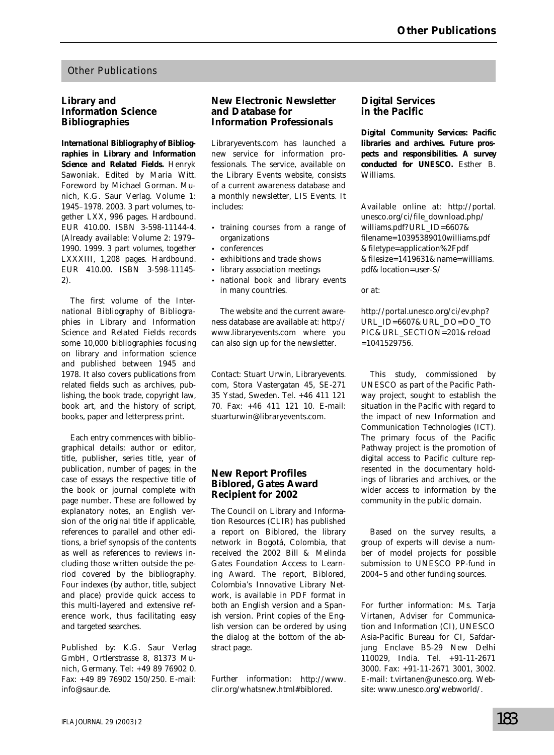## Other Publications

## **Library and Information Science Bibliographies**

*International Bibliography of Bibliographies in Library and Information Science and Related Fields.* Henryk Sawoniak. Edited by Maria Witt. Foreword by Michael Gorman. Munich, K.G. Saur Verlag. Volume 1: 1945–1978. 2003. 3 part volumes, together LXX, 996 pages. Hardbound. EUR 410.00. ISBN 3-598-11144-4. (Already available: Volume 2: 1979– 1990. 1999. 3 part volumes, together LXXXIII, 1,208 pages. Hardbound. EUR 410.00. ISBN 3-598-11145- 2).

The first volume of the *International Bibliography of Bibliographies in Library and Information Science and Related Fields* records some 10,000 bibliographies focusing on library and information science and published between 1945 and 1978. It also covers publications from related fields such as archives, publishing, the book trade, copyright law, book art, and the history of script, books, paper and letterpress print.

Each entry commences with bibliographical details: author or editor, title, publisher, series title, year of publication, number of pages; in the case of essays the respective title of the book or journal complete with page number. These are followed by explanatory notes, an English version of the original title if applicable, references to parallel and other editions, a brief synopsis of the contents as well as references to reviews including those written outside the period covered by the bibliography. Four indexes (by author, title, subject and place) provide quick access to this multi-layered and extensive reference work, thus facilitating easy and targeted searches.

*Published by:* K.G. Saur Verlag GmbH, Ortlerstrasse 8, 81373 Munich, Germany. Tel: +49 89 76902 0. Fax: +49 89 76902 150/250. E-mail: info@saur.de.

## **New Electronic Newsletter and Database for Information Professionals**

Libraryevents.com has launched a new service for information professionals. The service, available on the Library Events website, consists of a current awareness database and a monthly newsletter, *LIS Events*. It includes:

- training courses from a range of organizations
- conferences
- exhibitions and trade shows
- library association meetings
- national book and library events in many countries.

The website and the current awareness database are available at: http:// www.libraryevents.com where you can also sign up for the newsletter.

*Contact:* Stuart Urwin, Libraryevents. com, Stora Vastergatan 45, SE-271 35 Ystad, Sweden. Tel. +46 411 121 70. Fax: +46 411 121 10. E-mail: stuarturwin@libraryevents.com.

## **New Report Profiles Biblored, Gates Award Recipient for 2002**

The Council on Library and Information Resources (CLIR) has published a report on Biblored, the library network in Bogotá, Colombia, that received the 2002 Bill & Melinda Gates Foundation Access to Learning Award. The report, *Biblored, Colombia's Innovative Library Network*, is available in PDF format in both an English version and a Spanish version. Print copies of the English version can be ordered by using the dialog at the bottom of the abstract page.

*Further information:* http://www. clir.org/whatsnew.html#biblored.

## **Digital Services in the Pacific**

*Digital Community Services: Pacific libraries and archives. Future prospects and responsibilities. A survey conducted for UNESCO.* Esther B. Williams.

*Available online at:* http://portal. unesco.org/ci/file\_download.php/ williams.pdf?URL\_ID=6607& filename=10395389010williams.pdf &filetype=application%2Fpdf &filesize=1419631&name=williams. pdf&location=user-S/

*or at:* 

http://portal.unesco.org/ci/ev.php? URL\_ID=6607&URL\_DO=DO\_TO PIC&URL\_SECTION=201&reload  $=1041529756.$ 

This study, commissioned by UNESCO as part of the Pacific Pathway project, sought to establish the situation in the Pacific with regard to the impact of new Information and Communication Technologies (ICT). The primary focus of the Pacific Pathway project is the promotion of digital access to Pacific culture represented in the documentary holdings of libraries and archives, or the wider access to information by the community in the public domain.

Based on the survey results, a group of experts will devise a number of model projects for possible submission to UNESCO PP-fund in 2004–5 and other funding sources.

*For further information:* Ms. Tarja Virtanen, Adviser for Communication and Information (CI), UNESCO Asia-Pacific Bureau for CI, Safdarjung Enclave B5-29 New Delhi 110029, India. Tel. +91-11-2671 3000. Fax: +91-11-2671 3001, 3002. E-mail: t.virtanen@unesco.org. Website: www.unesco.org/webworld/.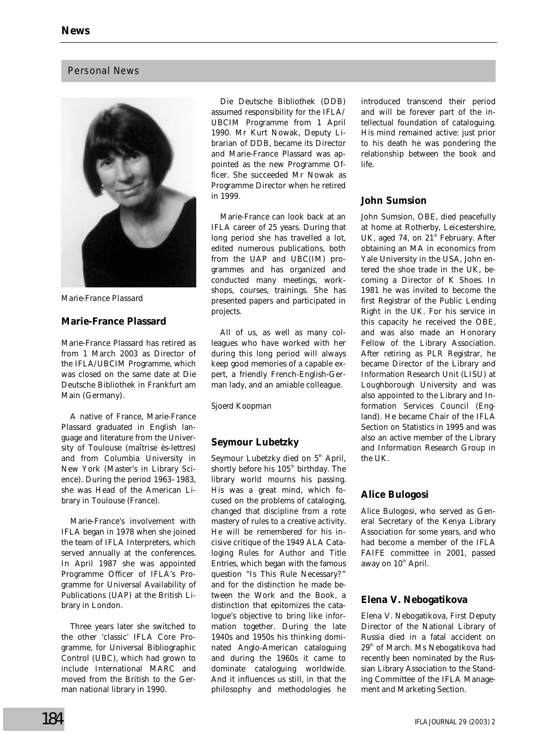## Personal News



*Marie-France Plassard* 

## **Marie-France Plassard**

Marie-France Plassard has retired as from 1 March 2003 as Director of the IFLA/UBCIM Programme, which was closed on the same date at Die Deutsche Bibliothek in Frankfurt am Main (Germany).

A native of France, Marie-France Plassard graduated in English language and literature from the University of Toulouse (maîtrise ès-lettres) and from Columbia University in New York (Master's in Library Science). During the period 1963–1983, she was Head of the American Library in Toulouse (France).

Marie-France's involvement with IFLA began in 1978 when she joined the team of IFLA Interpreters, which served annually at the conferences. In April 1987 she was appointed Programme Officer of IFLA's Programme for Universal Availability of Publications (UAP) at the British Library in London.

Three years later she switched to the other 'classic' IFLA Core Programme, for Universal Bibliographic Control (UBC), which had grown to include International MARC and moved from the British to the German national library in 1990.

Die Deutsche Bibliothek (DDB) assumed responsibility for the IFLA/ UBCIM Programme from 1 April 1990. Mr Kurt Nowak, Deputy Librarian of DDB, became its Director and Marie-France Plassard was appointed as the new Programme Officer. She succeeded Mr Nowak as Programme Director when he retired in 1999.

Marie-France can look back at an IFLA career of 25 years. During that long period she has travelled a lot, edited numerous publications, both from the UAP and UBC(IM) programmes and has organized and conducted many meetings, workshops, courses, trainings. She has presented papers and participated in projects.

All of us, as well as many colleagues who have worked with her during this long period will always keep good memories of a capable expert, a friendly French-English-German lady, and an amiable colleague.

*Sjoerd Koopman* 

## **Seymour Lubetzky**

Seymour Lubetzky died on 5<sup>th</sup> April, shortly before his 105<sup>th</sup> birthday. The library world mourns his passing. His was a great mind, which focused on the problems of cataloging, changed that discipline from a rote mastery of rules to a creative activity. He will be remembered for his incisive critique of the 1949 ALA Cataloging Rules for Author and Title Entries, which began with the famous question "Is This Rule Necessary?" and for the distinction he made between the Work and the Book, a distinction that epitomizes the catalogue's objective to bring like information together. During the late 1940s and 1950s his thinking dominated Anglo-American cataloguing and during the 1960s it came to dominate cataloguing worldwide. And it influences us still, in that the philosophy and methodologies he introduced transcend their period and will be forever part of the intellectual foundation of cataloguing. His mind remained active: just prior to his death he was pondering the relationship between the book and  $l$ ife.

## **John Sumsion**

John Sumsion, OBE, died peacefully at home at Rotherby, Leicestershire, UK, aged 74, on  $21<sup>st</sup>$  February. After obtaining an MA in economics from Yale University in the USA, John entered the shoe trade in the UK, becoming a Director of K Shoes. In 1981 he was invited to become the first Registrar of the Public Lending Right in the UK. For his service in this capacity he received the OBE, and was also made an Honorary Fellow of the Library Association. After retiring as PLR Registrar, he became Director of the Library and Information Research Unit (LISU) at Loughborough University and was also appointed to the Library and Information Services Council (England). He became Chair of the IFLA Section on Statistics in 1995 and was also an active member of the Library and Information Research Group in the UK.

## **Alice Bulogosi**

Alice Bulogosi, who served as General Secretary of the Kenya Library Association for some years, and who had become a member of the IFLA FAIFE committee in 2001, passed away on 10<sup>th</sup> April.

## **Elena V. Nebogatikova**

Elena V. Nebogatikova, First Deputy Director of the National Library of Russia died in a fatal accident on 29<sup>th</sup> of March. Ms Nebogatikova had recently been nominated by the Russian Library Association to the Standing Committee of the IFLA Management and Marketing Section.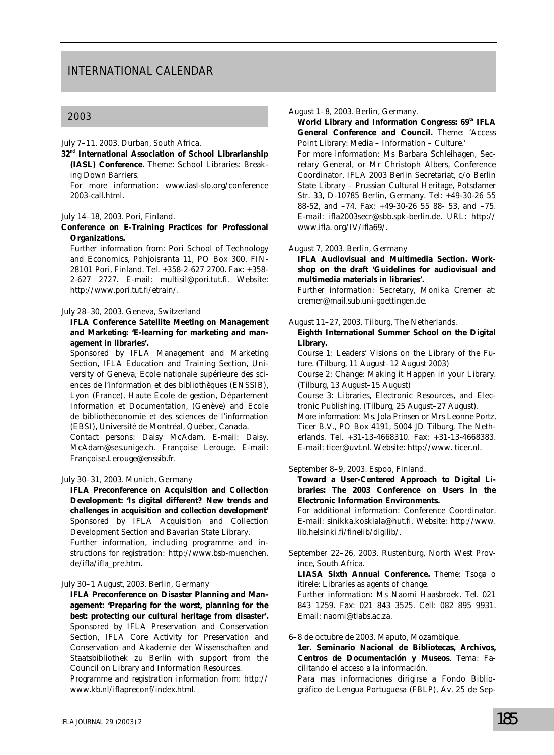# INTERNATIONAL CALENDAR

## 2003

- July 7–11, 2003. Durban, South Africa.
- **32nd International Association of School Librarianship (IASL) Conference.** *Theme:* School Libraries: Breaking Down Barriers.

*For more information:* www.iasl-slo.org/conference 2003-call.html.

#### July 14–18, 2003. Pori, Finland.

**Conference on E-Training Practices for Professional Organizations.** 

*Further information from:* Pori School of Technology and Economics, Pohjoisranta 11, PO Box 300, FIN-28101 Pori, Finland. Tel. +358-2-627 2700. Fax: +358- 2-627 2727. E-mail: multisil@pori.tut.fi. Website: http://www.pori.tut.fi/etrain/.

### July 28–30, 2003. Geneva, Switzerland

### **IFLA Conference Satellite Meeting on Management and Marketing: 'E-learning for marketing and management in libraries'.**

Sponsored by IFLA Management and Marketing Section, IFLA Education and Training Section, University of Geneva, Ecole nationale supérieure des sciences de l'information et des bibliothèques (ENSSIB), Lyon (France), Haute Ecole de gestion, Département Information et Documentation, (Genève) and Ecole de bibliothéconomie et des sciences de l'information (EBSI), Université de Montréal, Québec, Canada.

*Contact persons:* Daisy McAdam. E-mail: Daisy. McAdam@ses.unige.ch. Françoise Lerouge. E-mail: Françoise.Lerouge@enssib.fr.

### July 30–31, 2003. Munich, Germany

**IFLA Preconference on Acquisition and Collection Development: 'Is digital different? New trends and challenges in acquisition and collection development'**  Sponsored by IFLA Acquisition and Collection Development Section and Bavarian State Library.

*Further information, including programme and instructions for registration:* http://www.bsb-muenchen. de/ifla/ifla\_pre.htm.

### July 30–1 August, 2003. Berlin, Germany

**IFLA Preconference on Disaster Planning and Management: 'Preparing for the worst, planning for the best: protecting our cultural heritage from disaster'.**  Sponsored by IFLA Preservation and Conservation Section, IFLA Core Activity for Preservation and Conservation and Akademie der Wissenschaften and Staatsbibliothek zu Berlin with support from the Council on Library and Information Resources.

*Programme and registration information from:* http:// www.kb.nl/iflapreconf/index.html.

### August 1–8, 2003. Berlin, Germany.

**World Library and Information Congress: 69<sup>th</sup> IFLA General Conference and Council.** *Theme:* 'Access Point Library: Media – Information – Culture.'

*For more information:* Ms Barbara Schleihagen, Secretary General, or Mr Christoph Albers, Conference Coordinator, IFLA 2003 Berlin Secretariat, c/o Berlin State Library – Prussian Cultural Heritage, Potsdamer Str. 33, D-10785 Berlin, Germany. Tel: +49-30-26 55 88-52, and –74. Fax: +49-30-26 55 88- 53, and –75. E-mail: ifla2003secr@sbb.spk-berlin.de. URL: http:// www.ifla. org/IV/ifla69/.

#### August 7, 2003. Berlin, Germany

**IFLA Audiovisual and Multimedia Section. Workshop on the draft 'Guidelines for audiovisual and multimedia materials in libraries'.** 

*Further information:* Secretary, Monika Cremer at: cremer@mail.sub.uni-goettingen.de.

August 11–27, 2003. Tilburg, The Netherlands.

### **Eighth International Summer School on the Digital Library.**

*Course 1:* Leaders' Visions on the Library of the Future. (Tilburg, 11 August–12 August 2003) *Course 2:* Change: Making it Happen in your Library. (Tilburg, 13 August–15 August) *Course 3:* Libraries, Electronic Resources, and Elec-

tronic Publishing. (Tilburg, 25 August–27 August).

*More information:* Ms. Jola Prinsen or Mrs Leonne Portz, Ticer B.V., PO Box 4191, 5004 JD Tilburg, The Netherlands. Tel. +31-13-4668310. Fax: +31-13-4668383. E-mail: ticer@uvt.nl. Website: http://www. ticer.nl.

### September 8–9, 2003. Espoo, Finland.

**Toward a User-Centered Approach to Digital Libraries: The 2003 Conference on Users in the Electronic Information Environments.** 

*For additional information:* Conference Coordinator. E-mail: sinikka.koskiala@hut.fi. Website: http://www. lib.helsinki.fi/finelib/digilib/.

September 22–26, 2003. Rustenburg, North West Province, South Africa.

**LIASA Sixth Annual Conference.** *Theme:* Tsoga o itirele: Libraries as agents of change.

*Further information:* Ms Naomi Haasbroek. Tel. 021 843 1259. Fax: 021 843 3525. Cell: 082 895 9931. Email: naomi@tlabs.ac.za.

#### 6–8 de octubre de 2003. Maputo, Mozambique.

### **1er. Seminario Nacional de Bibliotecas, Archivos, Centros de Documentación y Museos**. *Tema:* Facilitando el acceso a la información.

*Para mas informaciones dirigirse a* Fondo Bibliográfico de Lengua Portuguesa (FBLP), Av. 25 de Sep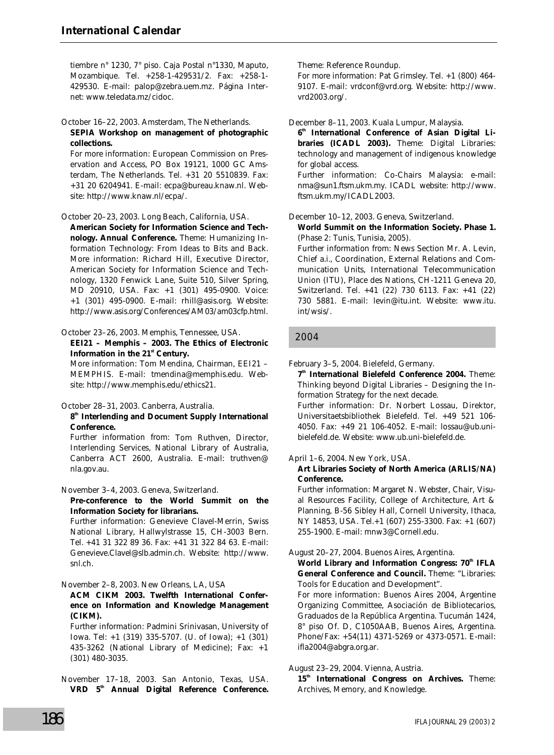tiembre n° 1230, 7° piso. Caja Postal n°1330, Maputo, Mozambique. Tel. +258-1-429531/2. Fax: +258-1- 429530. E-mail: palop@zebra.uem.mz. Página Internet: www.teledata.mz/cidoc.

October 16–22, 2003. Amsterdam, The Netherlands.

**SEPIA Workshop on management of photographic collections.** 

*For more information:* European Commission on Preservation and Access, PO Box 19121, 1000 GC Amsterdam, The Netherlands. Tel. +31 20 5510839. Fax: +31 20 6204941. E-mail: ecpa@bureau.knaw.nl. Website: http://www.knaw.nl/ecpa/.

October 20–23, 2003. Long Beach, California, USA.

**American Society for Information Science and Technology. Annual Conference.** *Theme:* Humanizing Information Technology: From Ideas to Bits and Back. *More information:* Richard Hill, Executive Director, American Society for Information Science and Technology, 1320 Fenwick Lane, Suite 510, Silver Spring, MD 20910, USA. Fax: +1 (301) 495-0900. Voice: +1 (301) 495-0900. E-mail: rhill@asis.org. Website: http://www.asis.org/Conferences/AM03/am03cfp.html.

### October 23–26, 2003. Memphis, Tennessee, USA.

### **EEI21 – Memphis – 2003. The Ethics of Electronic Information in the 21<sup>st</sup> Century.**

*More information:* Tom Mendina, Chairman, EEI21 – MEMPHIS. E-mail: tmendina@memphis.edu. Website: http://www.memphis.edu/ethics21.

October 28–31, 2003. Canberra, Australia.

## $8<sup>th</sup>$  Interlending and Document Supply International **Conference.**

*Further information from:* Tom Ruthven, Director, Interlending Services, National Library of Australia, Canberra ACT 2600, Australia. E-mail: truthven@ nla.gov.au.

November 3–4, 2003. Geneva, Switzerland.

#### **Pre-conference to the World Summit on the Information Society for librarians.**

*Further information:* Genevieve Clavel-Merrin, Swiss National Library, Hallwylstrasse 15, CH-3003 Bern. Tel. +41 31 322 89 36. Fax: +41 31 322 84 63. E-mail: Genevieve.Clavel@slb.admin.ch. Website: http://www. snl.ch.

November 2–8, 2003. New Orleans, LA, USA

## **ACM CIKM 2003. Twelfth International Conference on Information and Knowledge Management (CIKM).**

*Further information:* Padmini Srinivasan, University of Iowa. Tel: +1 (319) 335-5707. (U. of Iowa); +1 (301) 435-3262 (National Library of Medicine); Fax: +1 (301) 480-3035.

November 17–18, 2003. San Antonio, Texas, USA. **VRD 5th Annual Digital Reference Conference.**  *Theme:* Reference Roundup.

*For more information:* Pat Grimsley. Tel. +1 (800) 464- 9107. E-mail: vrdconf@vrd.org. Website: http://www. vrd2003.org/.

### December 8–11, 2003. Kuala Lumpur, Malaysia.

 $6<sup>th</sup>$  International Conference of Asian Digital Li**braries (ICADL 2003).** *Theme:* Digital Libraries: technology and management of indigenous knowledge for global access.

*Further information:* Co-Chairs Malaysia: e-mail: nma@sun1.ftsm.ukm.my. ICADL website: http://www. ftsm.ukm.my/ICADL2003.

### December 10–12, 2003. Geneva, Switzerland.

**World Summit on the Information Society. Phase 1.**  (Phase 2: Tunis, Tunisia, 2005).

*Further information from:* News Section Mr. A. Levin, Chief a.i., Coordination, External Relations and Communication Units, International Telecommunication Union (ITU), Place des Nations, CH-1211 Geneva 20, Switzerland. Tel. +41 (22) 730 6113. Fax: +41 (22) 730 5881. E-mail: levin@itu.int. Website: www.itu. int/wsis/.

## 2004

February 3–5, 2004. Bielefeld, Germany.

**7th International Bielefeld Conference 2004.** *Theme:*  Thinking beyond Digital Libraries – Designing the Information Strategy for the next decade.

*Further information:* Dr. Norbert Lossau, Direktor, Universitaetsbibliothek Bielefeld. Tel. +49 521 106- 4050. Fax: +49 21 106-4052. E-mail: lossau@ub.unibielefeld.de. Website: www.ub.uni-bielefeld.de.

### April 1–6, 2004. New York, USA.

### **Art Libraries Society of North America (ARLIS/NA) Conference.**

*Further information:* Margaret N. Webster, Chair, Visual Resources Facility, College of Architecture, Art & Planning, B-56 Sibley Hall, Cornell University, Ithaca, NY 14853, USA. Tel.+1 (607) 255-3300. Fax: +1 (607) 255-1900. E-mail: mnw3@Cornell.edu.

### August 20–27, 2004. Buenos Aires, Argentina.

**World Library and Information Congress: 70<sup>th</sup> IFLA General Conference and Council.** *Theme:* "Libraries: Tools for Education and Development".

*For more information:* Buenos Aires 2004, Argentine Organizing Committee, Asociación de Bibliotecarios, Graduados de la República Argentina. Tucumán 1424, 8° piso Of. D, C1050AAB, Buenos Aires, Argentina. Phone/Fax: +54(11) 4371-5269 or 4373-0571. E-mail: ifla2004@abgra.org.ar.

### August 23–29, 2004. Vienna, Austria.

**15th International Congress on Archives.** *Theme:*  Archives, Memory, and Knowledge.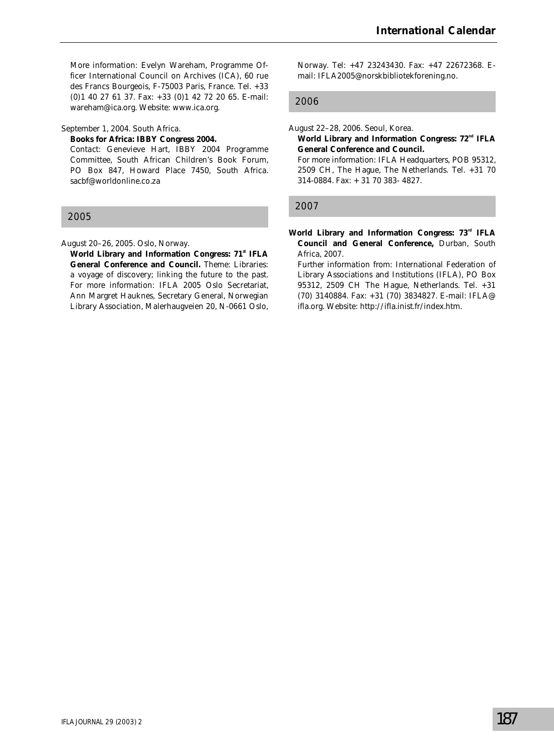*More information:* Evelyn Wareham, Programme Officer International Council on Archives (ICA), 60 rue des Francs Bourgeois, F-75003 Paris, France. Tel. +33 (0)1 40 27 61 37. Fax: +33 (0)1 42 72 20 65. E-mail: wareham@ica.org. Website: www.ica.org.

## September 1, 2004. South Africa.

#### **Books for Africa: IBBY Congress 2004.**

*Contact:* Genevieve Hart, IBBY 2004 Programme Committee, South African Children's Book Forum, PO Box 847, Howard Place 7450, South Africa. sacbf@worldonline.co.za

## 2005

August 20–26, 2005. Oslo, Norway.

**World Library and Information Congress: 71<sup>st</sup> IFLA General Conference and Council.** *Theme:* Libraries: a voyage of discovery; linking the future to the past. *For more information:* IFLA 2005 Oslo Secretariat, Ann Margret Hauknes, Secretary General, Norwegian Library Association, Malerhaugveien 20, N-0661 Oslo, Norway. Tel: +47 23243430. Fax: +47 22672368. Email: IFLA2005@norskbibliotekforening.no.

### 2006

August 22–28, 2006. Seoul, Korea.

## World Library and Information Congress: 72<sup>nd</sup> IFLA **General Conference and Council.**

*For more information:* IFLA Headquarters, POB 95312, 2509 CH, The Hague, The Netherlands. Tel. +31 70 314-0884. Fax: + 31 70 383- 4827.

## 2007

### **World Library and Information Congress: 73rd IFLA Council and General Conference,** Durban, South Africa, 2007.

*Further information from:* International Federation of Library Associations and Institutions (IFLA), PO Box 95312, 2509 CH The Hague, Netherlands. Tel. +31 (70) 3140884. Fax: +31 (70) 3834827. E-mail: IFLA@ ifla.org. Website: http://ifla.inist.fr/index.htm.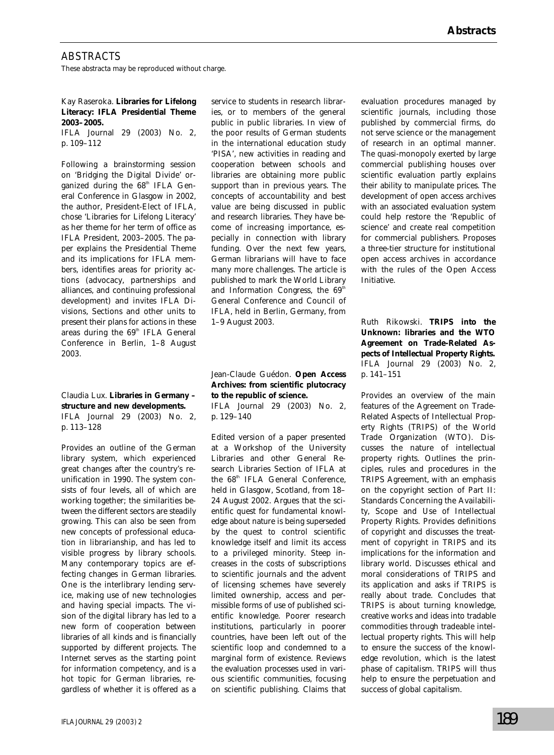# ABSTRACTS

These abstracta may be reproduced without charge.

### Kay Raseroka. **Libraries for Lifelong Literacy: IFLA Presidential Theme 2003–2005.**

IFLA Journal 29 (2003) No. 2, p. 109–112

Following a brainstorming session on 'Bridging the Digital Divide' organized during the  $68<sup>th</sup>$  IFLA General Conference in Glasgow in 2002, the author, President-Elect of IFLA, chose 'Libraries for Lifelong Literacy' as her theme for her term of office as IFLA President, 2003–2005. The paper explains the Presidential Theme and its implications for IFLA members, identifies areas for priority actions (advocacy, partnerships and alliances, and continuing professional development) and invites IFLA Divisions, Sections and other units to present their plans for actions in these areas during the  $69<sup>th</sup>$  IFLA General Conference in Berlin, 1–8 August 2003.

Claudia Lux. **Libraries in Germany – structure and new developments.**  IFLA Journal 29 (2003) No. 2, p. 113–128

Provides an outline of the German library system, which experienced great changes after the country's reunification in 1990. The system consists of four levels, all of which are working together; the similarities between the different sectors are steadily growing. This can also be seen from new concepts of professional education in librarianship, and has led to visible progress by library schools. Many contemporary topics are effecting changes in German libraries. One is the interlibrary lending service, making use of new technologies and having special impacts. The vision of the digital library has led to a new form of cooperation between libraries of all kinds and is financially supported by different projects. The Internet serves as the starting point for information competency, and is a hot topic for German libraries, regardless of whether it is offered as a

service to students in research libraries, or to members of the general public in public libraries. In view of the poor results of German students in the international education study 'PISA', new activities in reading and cooperation between schools and libraries are obtaining more public support than in previous years. The concepts of accountability and best value are being discussed in public and research libraries. They have become of increasing importance, especially in connection with library funding. Over the next few years, German librarians will have to face many more challenges. The article is published to mark the World Library and Information Congress, the  $69<sup>th</sup>$ General Conference and Council of IFLA, held in Berlin, Germany, from 1–9 August 2003.

### Jean-Claude Guédon. **Open Access Archives: from scientific plutocracy to the republic of science.**

IFLA Journal 29 (2003) No. 2, p. 129–140

Edited version of a paper presented at a Workshop of the University Libraries and other General Research Libraries Section of IFLA at the 68<sup>th</sup> IFLA General Conference, held in Glasgow, Scotland, from 18– 24 August 2002. Argues that the scientific quest for fundamental knowledge about nature is being superseded by the quest to control scientific knowledge itself and limit its access to a privileged minority. Steep increases in the costs of subscriptions to scientific journals and the advent of licensing schemes have severely limited ownership, access and permissible forms of use of published scientific knowledge. Poorer research institutions, particularly in poorer countries, have been left out of the scientific loop and condemned to a marginal form of existence. Reviews the evaluation processes used in various scientific communities, focusing on scientific publishing. Claims that

evaluation procedures managed by scientific journals, including those published by commercial firms, do not serve science or the management of research in an optimal manner. The quasi-monopoly exerted by large commercial publishing houses over scientific evaluation partly explains their ability to manipulate prices. The development of open access archives with an associated evaluation system could help restore the 'Republic of science' and create real competition for commercial publishers. Proposes a three-tier structure for institutional open access archives in accordance with the rules of the Open Access Initiative.

Ruth Rikowski. **TRIPS into the Unknown: libraries and the WTO Agreement on Trade-Related Aspects of Intellectual Property Rights.**  IFLA Journal 29 (2003) No. 2, p. 141–151

Provides an overview of the main features of the Agreement on Trade-Related Aspects of Intellectual Property Rights (TRIPS) of the World Trade Organization (WTO). Discusses the nature of intellectual property rights. Outlines the principles, rules and procedures in the TRIPS Agreement, with an emphasis on the copyright section of Part II: Standards Concerning the Availability, Scope and Use of Intellectual Property Rights. Provides definitions of copyright and discusses the treatment of copyright in TRIPS and its implications for the information and library world. Discusses ethical and moral considerations of TRIPS and its application and asks if TRIPS is really about trade. Concludes that TRIPS is about turning knowledge, creative works and ideas into tradable commodities through tradeable intellectual property rights. This will help to ensure the success of the knowledge revolution, which is the latest phase of capitalism. TRIPS will thus help to ensure the perpetuation and success of global capitalism.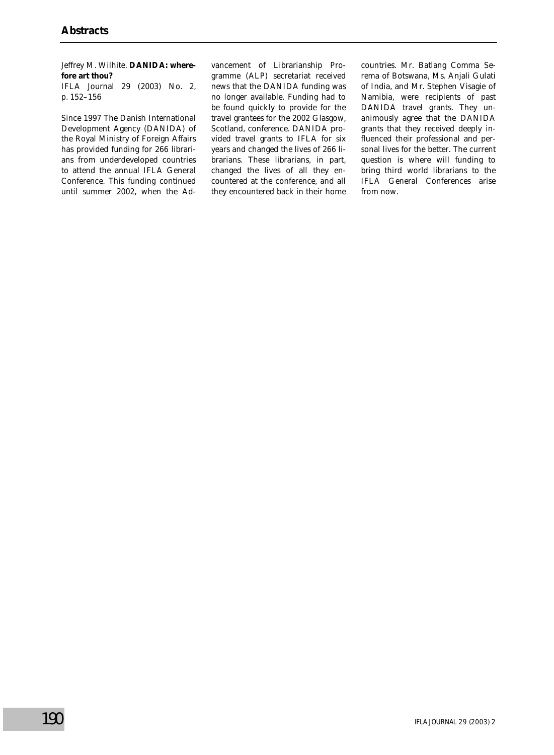### Jeffrey M. Wilhite. **DANIDA: wherefore art thou?**

IFLA Journal 29 (2003) No. 2, p. 152–156

Since 1997 The Danish International Development Agency (DANIDA) of the Royal Ministry of Foreign Affairs has provided funding for 266 librarians from underdeveloped countries to attend the annual IFLA General Conference. This funding continued until summer 2002, when the Advancement of Librarianship Programme (ALP) secretariat received news that the DANIDA funding was no longer available. Funding had to be found quickly to provide for the travel grantees for the 2002 Glasgow, Scotland, conference. DANIDA provided travel grants to IFLA for six years and changed the lives of 266 librarians. These librarians, in part, changed the lives of all they encountered at the conference, and all they encountered back in their home

countries. Mr. Batlang Comma Serema of Botswana, Ms. Anjali Gulati of India, and Mr. Stephen Visagie of Namibia, were recipients of past DANIDA travel grants. They unanimously agree that the DANIDA grants that they received deeply influenced their professional and personal lives for the better. The current question is where will funding to bring third world librarians to the IFLA General Conferences arise from now.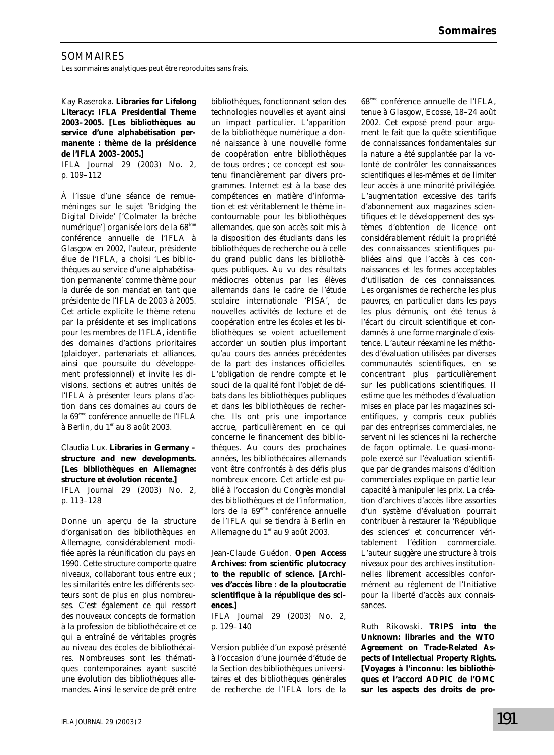## SOMMAIRES

Les sommaires analytiques peut être reproduites sans frais.

### Kay Raseroka. **Libraries for Lifelong Literacy: IFLA Presidential Theme 2003–2005. [Les bibliothèques au service d'une alphabétisation permanente : thème de la présidence de l'IFLA 2003–2005.]**

IFLA Journal 29 (2003) No. 2, p. 109–112

À l'issue d'une séance de remueméninges sur le sujet 'Bridging the Digital Divide' ['Colmater la brèche numérique'] organisée lors de la 68ème conférence annuelle de l'IFLA à Glasgow en 2002, l'auteur, présidente élue de l'IFLA, a choisi 'Les bibliothèques au service d'une alphabétisation permanente' comme thème pour la durée de son mandat en tant que présidente de l'IFLA de 2003 à 2005. Cet article explicite le thème retenu par la présidente et ses implications pour les membres de l'IFLA, identifie des domaines d'actions prioritaires (plaidoyer, partenariats et alliances, ainsi que poursuite du développement professionnel) et invite les divisions, sections et autres unités de l'IFLA à présenter leurs plans d'action dans ces domaines au cours de la 69ème conférence annuelle de l'IFLA à Berlin, du  $1<sup>er</sup>$  au 8 août 2003.

## Claudia Lux. **Libraries in Germany – structure and new developments. [Les bibliothèques en Allemagne: structure et évolution récente.]**

IFLA Journal 29 (2003) No. 2, p. 113–128

Donne un aperçu de la structure d'organisation des bibliothèques en Allemagne, considérablement modifiée après la réunification du pays en 1990. Cette structure comporte quatre niveaux, collaborant tous entre eux ; les similarités entre les différents secteurs sont de plus en plus nombreuses. C'est également ce qui ressort des nouveaux concepts de formation à la profession de bibliothécaire et ce qui a entraîné de véritables progrès au niveau des écoles de bibliothécaires. Nombreuses sont les thématiques contemporaines ayant suscité une évolution des bibliothèques allemandes. Ainsi le service de prêt entre

bibliothèques, fonctionnant selon des technologies nouvelles et ayant ainsi un impact particulier. L'apparition de la bibliothèque numérique a donné naissance à une nouvelle forme de coopération entre bibliothèques de tous ordres ; ce concept est soutenu financièrement par divers programmes. Internet est à la base des compétences en matière d'information et est véritablement le thème incontournable pour les bibliothèques allemandes, que son accès soit mis à la disposition des étudiants dans les bibliothèques de recherche ou à celle du grand public dans les bibliothèques publiques. Au vu des résultats médiocres obtenus par les élèves allemands dans le cadre de l'étude scolaire internationale 'PISA', de nouvelles activités de lecture et de coopération entre les écoles et les bibliothèques se voient actuellement accorder un soutien plus important qu'au cours des années précédentes de la part des instances officielles. L'obligation de rendre compte et le souci de la qualité font l'objet de débats dans les bibliothèques publiques et dans les bibliothèques de recherche. Ils ont pris une importance accrue, particulièrement en ce qui concerne le financement des bibliothèques. Au cours des prochaines années, les bibliothécaires allemands vont être confrontés à des défis plus nombreux encore. Cet article est publié à l'occasion du Congrès mondial des bibliothèques et de l'information, lors de la 69<sup>ème</sup> conférence annuelle de l'IFLA qui se tiendra à Berlin en Allemagne du 1<sup>er</sup> au 9 août 2003.

### Jean-Claude Guédon. **Open Access Archives: from scientific plutocracy to the republic of science. [Archives d'accès libre : de la ploutocratie scientifique à la république des sciences.]**

IFLA Journal 29 (2003) No. 2, p. 129–140

Version publiée d'un exposé présenté à l'occasion d'une journée d'étude de la Section des bibliothèques universitaires et des bibliothèques générales de recherche de l'IFLA lors de la

68ème conférence annuelle de l'IFLA, tenue à Glasgow, Ecosse, 18–24 août 2002. Cet exposé prend pour argument le fait que la quête scientifique de connaissances fondamentales sur la nature a été supplantée par la volonté de contrôler les connaissances scientifiques elles-mêmes et de limiter leur accès à une minorité privilégiée. L'augmentation excessive des tarifs d'abonnement aux magazines scientifiques et le développement des systèmes d'obtention de licence ont considérablement réduit la propriété des connaissances scientifiques publiées ainsi que l'accès à ces connaissances et les formes acceptables d'utilisation de ces connaissances. Les organismes de recherche les plus pauvres, en particulier dans les pays les plus démunis, ont été tenus à l'écart du circuit scientifique et condamnés à une forme marginale d'existence. L'auteur réexamine les méthodes d'évaluation utilisées par diverses communautés scientifiques, en se concentrant plus particulièrement sur les publications scientifiques. Il estime que les méthodes d'évaluation mises en place par les magazines scientifiques, y compris ceux publiés par des entreprises commerciales, ne servent ni les sciences ni la recherche de façon optimale. Le quasi-monopole exercé sur l'évaluation scientifique par de grandes maisons d'édition commerciales explique en partie leur capacité à manipuler les prix. La création d'archives d'accès libre assorties d'un système d'évaluation pourrait contribuer à restaurer la 'République des sciences' et concurrencer véritablement l'édition commerciale. L'auteur suggère une structure à trois niveaux pour des archives institutionnelles librement accessibles conformément au règlement de l'Initiative pour la liberté d'accès aux connaissances.

Ruth Rikowski. **TRIPS into the Unknown: libraries and the WTO Agreement on Trade-Related Aspects of Intellectual Property Rights. [Voyages à l'inconnu: les bibliothèques et l'accord ADPIC de l'OMC sur les aspects des droits de pro-**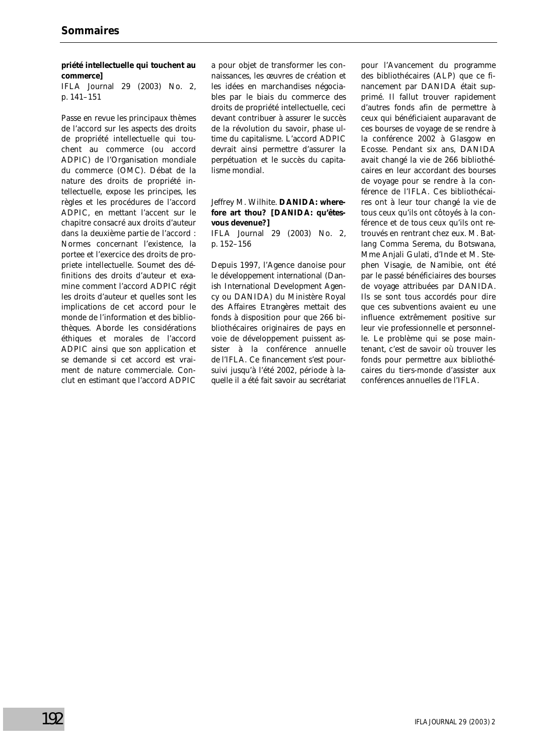### **priété intellectuelle qui touchent au commerce]**

IFLA Journal 29 (2003) No. 2, p. 141–151

Passe en revue les principaux thèmes de l'accord sur les aspects des droits de propriété intellectuelle qui touchent au commerce (ou accord ADPIC) de l'Organisation mondiale du commerce (OMC). Débat de la nature des droits de propriété intellectuelle, expose les principes, les règles et les procédures de l'accord ADPIC, en mettant l'accent sur le chapitre consacré aux droits d'auteur dans la deuxième partie de l'accord : Normes concernant l'existence, la portee et l'exercice des droits de propriete intellectuelle. Soumet des définitions des droits d'auteur et examine comment l'accord ADPIC régit les droits d'auteur et quelles sont les implications de cet accord pour le monde de l'information et des bibliothèques. Aborde les considérations éthiques et morales de l'accord ADPIC ainsi que son application et se demande si cet accord est vraiment de nature commerciale. Conclut en estimant que l'accord ADPIC

a pour objet de transformer les connaissances, les œuvres de création et les idées en marchandises négociables par le biais du commerce des droits de propriété intellectuelle, ceci devant contribuer à assurer le succès de la révolution du savoir, phase ultime du capitalisme. L'accord ADPIC devrait ainsi permettre d'assurer la perpétuation et le succès du capitalisme mondial.

### Jeffrey M. Wilhite. **DANIDA: wherefore art thou? [DANIDA: qu'êtesvous devenue?]**

IFLA Journal 29 (2003) No. 2, p. 152–156

Depuis 1997, l'Agence danoise pour le développement international (Danish International Development Agency ou DANIDA) du Ministère Royal des Affaires Etrangères mettait des fonds à disposition pour que 266 bibliothécaires originaires de pays en voie de développement puissent assister à la conférence annuelle de l'IFLA. Ce financement s'est poursuivi jusqu'à l'été 2002, période à laquelle il a été fait savoir au secrétariat

pour l'Avancement du programme des bibliothécaires (ALP) que ce financement par DANIDA était supprimé. Il fallut trouver rapidement d'autres fonds afin de permettre à ceux qui bénéficiaient auparavant de ces bourses de voyage de se rendre à la conférence 2002 à Glasgow en Ecosse. Pendant six ans, DANIDA avait changé la vie de 266 bibliothécaires en leur accordant des bourses de voyage pour se rendre à la conférence de l'IFLA. Ces bibliothécaires ont à leur tour changé la vie de tous ceux qu'ils ont côtoyés à la conférence et de tous ceux qu'ils ont retrouvés en rentrant chez eux. M. Batlang Comma Serema, du Botswana, Mme Anjali Gulati, d'Inde et M. Stephen Visagie, de Namibie, ont été par le passé bénéficiaires des bourses de voyage attribuées par DANIDA. Ils se sont tous accordés pour dire que ces subventions avaient eu une influence extrêmement positive sur leur vie professionnelle et personnelle. Le problème qui se pose maintenant, c'est de savoir où trouver les fonds pour permettre aux bibliothécaires du tiers-monde d'assister aux conférences annuelles de l'IFLA.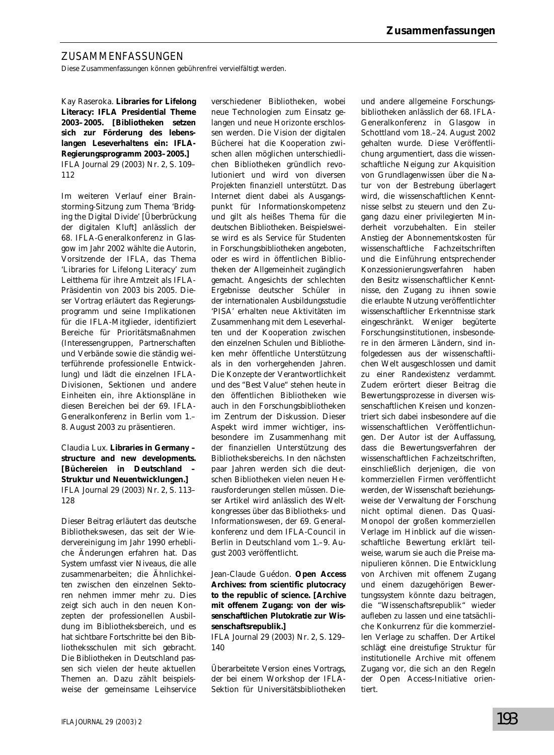# ZUSAMMENFASSUNGEN

Diese Zusammenfassungen können gebührenfrei vervielfältigt werden.

Kay Raseroka. **Libraries for Lifelong Literacy: IFLA Presidential Theme 2003–2005. [Bibliotheken setzen sich zur Förderung des lebenslangen Leseverhaltens ein: IFLA-Regierungsprogramm 2003–2005.]** IFLA Journal 29 (2003) Nr. 2, S. 109– 112

Im weiteren Verlauf einer Brainstorming-Sitzung zum Thema 'Bridging the Digital Divide' [Überbrückung der digitalen Kluft] anlässlich der 68. IFLA-Generalkonferenz in Glasgow im Jahr 2002 wählte die Autorin, Vorsitzende der IFLA, das Thema 'Libraries for Lifelong Literacy' zum Leitthema für ihre Amtzeit als IFLA-Präsidentin von 2003 bis 2005. Dieser Vortrag erläutert das Regierungsprogramm und seine Implikationen für die IFLA-Mitglieder, identifiziert Bereiche für Prioritätsmaßnahmen (Interessengruppen, Partnerschaften und Verbände sowie die ständig weiterführende professionelle Entwicklung) und lädt die einzelnen IFLA-Divisionen, Sektionen und andere Einheiten ein, ihre Aktionspläne in diesen Bereichen bei der 69. IFLA-Generalkonferenz in Berlin vom 1.– 8. August 2003 zu präsentieren.

Claudia Lux. **Libraries in Germany – structure and new developments. [Büchereien in Deutschland – Struktur und Neuentwicklungen.]**  IFLA Journal 29 (2003) Nr. 2, S. 113– 128

Dieser Beitrag erläutert das deutsche Bibliothekswesen, das seit der Wiedervereinigung im Jahr 1990 erhebliche Änderungen erfahren hat. Das System umfasst vier Niveaus, die alle zusammenarbeiten; die Ähnlichkeiten zwischen den einzelnen Sektoren nehmen immer mehr zu. Dies zeigt sich auch in den neuen Konzepten der professionellen Ausbildung im Bibliotheksbereich, und es hat sichtbare Fortschritte bei den Bibliotheksschulen mit sich gebracht. Die Bibliotheken in Deutschland passen sich vielen der heute aktuellen Themen an. Dazu zählt beispielsweise der gemeinsame Leihservice

verschiedener Bibliotheken, wobei neue Technologien zum Einsatz gelangen und neue Horizonte erschlossen werden. Die Vision der digitalen Bücherei hat die Kooperation zwischen allen möglichen unterschiedlichen Bibliotheken gründlich revolutioniert und wird von diversen Projekten finanziell unterstützt. Das Internet dient dabei als Ausgangspunkt für Informationskompetenz und gilt als heißes Thema für die deutschen Bibliotheken. Beispielsweise wird es als Service für Studenten in Forschungsbibliotheken angeboten, oder es wird in öffentlichen Bibliotheken der Allgemeinheit zugänglich gemacht. Angesichts der schlechten Ergebnisse deutscher Schüler in der internationalen Ausbildungsstudie 'PISA' erhalten neue Aktivitäten im Zusammenhang mit dem Leseverhalten und der Kooperation zwischen den einzelnen Schulen und Bibliotheken mehr öffentliche Unterstützung als in den vorhergehenden Jahren. Die Konzepte der Verantwortlichkeit und des "Best Value" stehen heute in den öffentlichen Bibliotheken wie auch in den Forschungsbibliotheken im Zentrum der Diskussion. Dieser Aspekt wird immer wichtiger, insbesondere im Zusammenhang mit der finanziellen Unterstützung des Bibliotheksbereichs. In den nächsten paar Jahren werden sich die deutschen Bibliotheken vielen neuen Herausforderungen stellen müssen. Dieser Artikel wird anlässlich des Weltkongresses über das Bibliotheks- und Informationswesen, der 69. Generalkonferenz und dem IFLA-Council in Berlin in Deutschland vom 1.–9. August 2003 veröffentlicht.

## Jean-Claude Guédon. **Open Access Archives: from scientific plutocracy to the republic of science. [Archive mit offenem Zugang: von der wissenschaftlichen Plutokratie zur Wissenschaftsrepublik.]**

IFLA Journal 29 (2003) Nr. 2, S. 129– 140

Überarbeitete Version eines Vortrags, der bei einem Workshop der IFLA-Sektion für Universitätsbibliotheken

und andere allgemeine Forschungsbibliotheken anlässlich der 68. IFLA-Generalkonferenz in Glasgow in Schottland vom 18.–24. August 2002 gehalten wurde. Diese Veröffentlichung argumentiert, dass die wissenschaftliche Neigung zur Akquisition von Grundlagenwissen über die Natur von der Bestrebung überlagert wird, die wissenschaftlichen Kenntnisse selbst zu steuern und den Zugang dazu einer privilegierten Minderheit vorzubehalten. Ein steiler Anstieg der Abonnementskosten für wissenschaftliche Fachzeitschriften und die Einführung entsprechender Konzessionierungsverfahren haben den Besitz wissenschaftlicher Kenntnisse, den Zugang zu ihnen sowie die erlaubte Nutzung veröffentlichter wissenschaftlicher Erkenntnisse stark eingeschränkt. Weniger begüterte Forschungsinstitutionen, insbesondere in den ärmeren Ländern, sind infolgedessen aus der wissenschaftlichen Welt ausgeschlossen und damit zu einer Randexistenz verdammt. Zudem erörtert dieser Beitrag die Bewertungsprozesse in diversen wissenschaftlichen Kreisen und konzentriert sich dabei insbesondere auf die wissenschaftlichen Veröffentlichungen. Der Autor ist der Auffassung, dass die Bewertungsverfahren der wissenschaftlichen Fachzeitschriften, einschließlich derjenigen, die von kommerziellen Firmen veröffentlicht werden, der Wissenschaft beziehungsweise der Verwaltung der Forschung nicht optimal dienen. Das Quasi-Monopol der großen kommerziellen Verlage im Hinblick auf die wissenschaftliche Bewertung erklärt teilweise, warum sie auch die Preise manipulieren können. Die Entwicklung von Archiven mit offenem Zugang und einem dazugehörigen Bewertungssystem könnte dazu beitragen, die "Wissenschaftsrepublik" wieder aufleben zu lassen und eine tatsächliche Konkurrenz für die kommerziellen Verlage zu schaffen. Der Artikel schlägt eine dreistufige Struktur für institutionelle Archive mit offenem Zugang vor, die sich an den Regeln der Open Access-Initiative orientiert.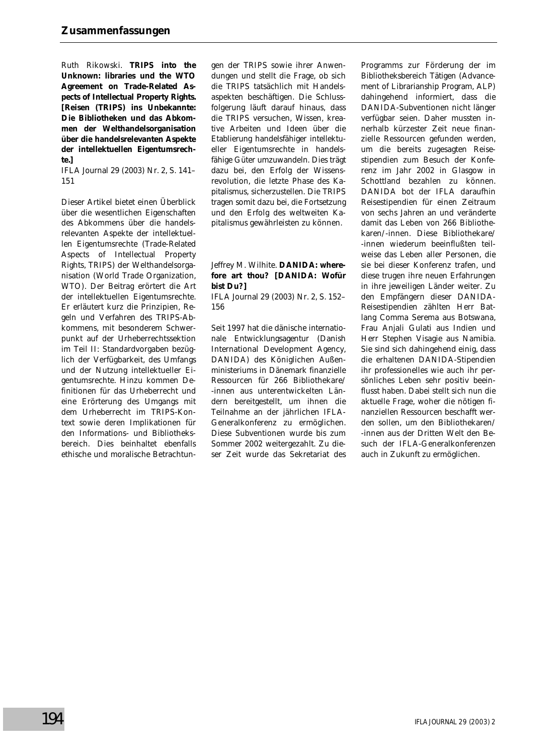Ruth Rikowski. **TRIPS into the Unknown: libraries und the WTO Agreement on Trade-Related Aspects of Intellectual Property Rights. [Reisen (TRIPS) ins Unbekannte: Die Bibliotheken und das Abkommen der Welthandelsorganisation über die handelsrelevanten Aspekte der intellektuellen Eigentumsrechte.]** 

IFLA Journal 29 (2003) Nr. 2, S. 141– 151

Dieser Artikel bietet einen Überblick über die wesentlichen Eigenschaften des Abkommens über die handelsrelevanten Aspekte der intellektuellen Eigentumsrechte (Trade-Related Aspects of Intellectual Property Rights, TRIPS) der Welthandelsorganisation (World Trade Organization, WTO). Der Beitrag erörtert die Art der intellektuellen Eigentumsrechte. Er erläutert kurz die Prinzipien, Regeln und Verfahren des TRIPS-Abkommens, mit besonderem Schwerpunkt auf der Urheberrechtssektion im Teil II: Standardvorgaben bezüglich der Verfügbarkeit, des Umfangs und der Nutzung intellektueller Eigentumsrechte. Hinzu kommen Definitionen für das Urheberrecht und eine Erörterung des Umgangs mit dem Urheberrecht im TRIPS-Kontext sowie deren Implikationen für den Informations- und Bibliotheksbereich. Dies beinhaltet ebenfalls ethische und moralische Betrachtungen der TRIPS sowie ihrer Anwendungen und stellt die Frage, ob sich die TRIPS tatsächlich mit Handelsaspekten beschäftigen. Die Schlussfolgerung läuft darauf hinaus, dass die TRIPS versuchen, Wissen, kreative Arbeiten und Ideen über die Etablierung handelsfähiger intellektueller Eigentumsrechte in handelsfähige Güter umzuwandeln. Dies trägt dazu bei, den Erfolg der Wissensrevolution, die letzte Phase des Kapitalismus, sicherzustellen. Die TRIPS tragen somit dazu bei, die Fortsetzung und den Erfolg des weltweiten Kapitalismus gewährleisten zu können.

## Jeffrey M. Wilhite. **DANIDA: wherefore art thou? [DANIDA: Wofür bist Du?]**

IFLA Journal 29 (2003) Nr. 2, S. 152– 156

Seit 1997 hat die dänische internationale Entwicklungsagentur (Danish International Development Agency, DANIDA) des Königlichen Außenministeriums in Dänemark finanzielle Ressourcen für 266 Bibliothekare/ -innen aus unterentwickelten Ländern bereitgestellt, um ihnen die Teilnahme an der jährlichen IFLA-Generalkonferenz zu ermöglichen. Diese Subventionen wurde bis zum Sommer 2002 weitergezahlt. Zu dieser Zeit wurde das Sekretariat des

Programms zur Förderung der im Bibliotheksbereich Tätigen (Advancement of Librarianship Program, ALP) dahingehend informiert, dass die DANIDA-Subventionen nicht länger verfügbar seien. Daher mussten innerhalb kürzester Zeit neue finanzielle Ressourcen gefunden werden, um die bereits zugesagten Reisestipendien zum Besuch der Konferenz im Jahr 2002 in Glasgow in Schottland bezahlen zu können. DANIDA bot der IFLA daraufhin Reisestipendien für einen Zeitraum von sechs Jahren an und veränderte damit das Leben von 266 Bibliothekaren/-innen. Diese Bibliothekare/ -innen wiederum beeinflußten teilweise das Leben aller Personen, die sie bei dieser Konferenz trafen, und diese trugen ihre neuen Erfahrungen in ihre jeweiligen Länder weiter. Zu den Empfängern dieser DANIDA-Reisestipendien zählten Herr Batlang Comma Serema aus Botswana, Frau Anjali Gulati aus Indien und Herr Stephen Visagie aus Namibia. Sie sind sich dahingehend einig, dass die erhaltenen DANIDA-Stipendien ihr professionelles wie auch ihr persönliches Leben sehr positiv beeinflusst haben. Dabei stellt sich nun die aktuelle Frage, woher die nötigen finanziellen Ressourcen beschafft werden sollen, um den Bibliothekaren/ -innen aus der Dritten Welt den Besuch der IFLA-Generalkonferenzen auch in Zukunft zu ermöglichen.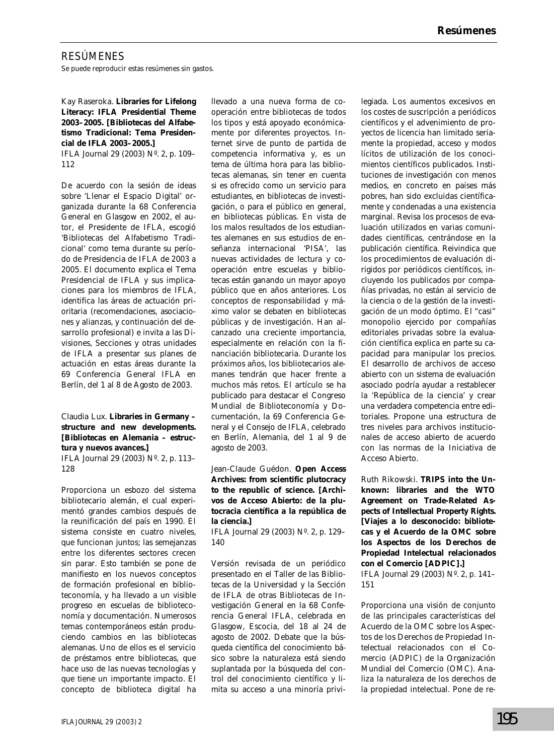# RESÚMENES

Se puede reproducir estas resúmenes sin gastos.

### Kay Raseroka. **Libraries for Lifelong Literacy: IFLA Presidential Theme 2003–2005. [Bibliotecas del Alfabetismo Tradicional: Tema Presidencial de IFLA 2003–2005.]**

IFLA Journal 29 (2003) Nº. 2, p. 109– 112

De acuerdo con la sesión de ideas sobre 'Llenar el Espacio Digital' organizada durante la 68 Conferencia General en Glasgow en 2002, el autor, el Presidente de IFLA, escogió 'Bibliotecas del Alfabetismo Tradicional' como tema durante su período de Presidencia de IFLA de 2003 a 2005. El documento explica el Tema Presidencial de IFLA y sus implicaciones para los miembros de IFLA, identifica las áreas de actuación prioritaria (recomendaciones, asociaciones y alianzas, y continuación del desarrollo profesional) e invita a las Divisiones, Secciones y otras unidades de IFLA a presentar sus planes de actuación en estas áreas durante la 69 Conferencia General IFLA en Berlín, del 1 al 8 de Agosto de 2003.

### Claudia Lux. **Libraries in Germany – structure and new developments. [Bibliotecas en Alemania – estructura y nuevos avances.]**

IFLA Journal 29 (2003) Nº. 2, p. 113– 128

Proporciona un esbozo del sistema bibliotecario alemán, el cual experimentó grandes cambios después de la reunificación del país en 1990. El sistema consiste en cuatro niveles, que funcionan juntos; las semejanzas entre los diferentes sectores crecen sin parar. Esto también se pone de manifiesto en los nuevos conceptos de formación profesional en biblioteconomía, y ha llevado a un visible progreso en escuelas de biblioteconomía y documentación. Numerosos temas contemporáneos están produciendo cambios en las bibliotecas alemanas. Uno de ellos es el servicio de préstamos entre bibliotecas, que hace uso de las nuevas tecnologías y que tiene un importante impacto. El concepto de biblioteca digital ha

llevado a una nueva forma de cooperación entre bibliotecas de todos los tipos y está apoyado económicamente por diferentes proyectos. Internet sirve de punto de partida de competencia informativa y, es un tema de última hora para las bibliotecas alemanas, sin tener en cuenta si es ofrecido como un servicio para estudiantes, en bibliotecas de investigación, o para el público en general, en bibliotecas públicas. En vista de los malos resultados de los estudiantes alemanes en sus estudios de enseñanza internacional 'PISA', las nuevas actividades de lectura y cooperación entre escuelas y bibliotecas están ganando un mayor apoyo público que en años anteriores. Los conceptos de responsabilidad y máximo valor se debaten en bibliotecas públicas y de investigación. Han alcanzado una creciente importancia, especialmente en relación con la financiación bibliotecaria. Durante los próximos años, los bibliotecarios alemanes tendrán que hacer frente a muchos más retos. El artículo se ha publicado para destacar el Congreso Mundial de Biblioteconomía y Documentación, la 69 Conferencia General y el Consejo de IFLA, celebrado en Berlín, Alemania, del 1 al 9 de agosto de 2003.

### Jean-Claude Guédon. **Open Access Archives: from scientific plutocracy to the republic of science. [Archivos de Acceso Abierto: de la plutocracia científica a la república de la ciencia.]**

IFLA Journal 29 (2003) Nº. 2, p. 129– 140

Versión revisada de un periódico presentado en el Taller de las Bibliotecas de la Universidad y la Sección de IFLA de otras Bibliotecas de Investigación General en la 68 Conferencia General IFLA, celebrada en Glasgow, Escocia, del 18 al 24 de agosto de 2002. Debate que la búsqueda científica del conocimiento básico sobre la naturaleza está siendo suplantada por la búsqueda del control del conocimiento científico y limita su acceso a una minoría privi-

legiada. Los aumentos excesivos en los costes de suscripción a periódicos científicos y el advenimiento de proyectos de licencia han limitado seriamente la propiedad, acceso y modos lícitos de utilización de los conocimientos científicos publicados. Instituciones de investigación con menos medios, en concreto en países más pobres, han sido excluidas científicamente y condenadas a una existencia marginal. Revisa los procesos de evaluación utilizados en varias comunidades científicas, centrándose en la publicación científica. Reivindica que los procedimientos de evaluación dirigidos por periódicos científicos, incluyendo los publicados por compañías privadas, no están al servicio de la ciencia o de la gestión de la investigación de un modo óptimo. El "casi" monopolio ejercido por compañías editoriales privadas sobre la evaluación científica explica en parte su capacidad para manipular los precios. El desarrollo de archivos de acceso abierto con un sistema de evaluación asociado podría ayudar a restablecer la 'República de la ciencia' y crear una verdadera competencia entre editoriales. Propone una estructura de tres niveles para archivos institucionales de acceso abierto de acuerdo con las normas de la Iniciativa de Acceso Abierto.

Ruth Rikowski. **TRIPS into the Unknown: libraries and the WTO Agreement on Trade-Related Aspects of Intellectual Property Rights. [Viajes a lo desconocido: bibliotecas y el Acuerdo de la OMC sobre los Aspectos de los Derechos de Propiedad Intelectual relacionados con el Comercio [ADPIC].]**  IFLA Journal 29 (2003) Nº. 2, p. 141–

151

Proporciona una visión de conjunto de las principales características del Acuerdo de la OMC sobre los Aspectos de los Derechos de Propiedad Intelectual relacionados con el Comercio (ADPIC) de la Organización Mundial del Comercio (OMC). Analiza la naturaleza de los derechos de la propiedad intelectual. Pone de re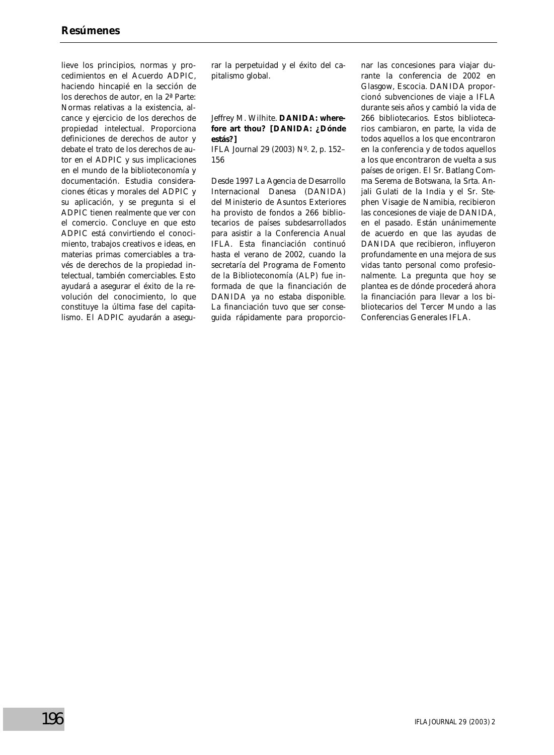lieve los principios, normas y procedimientos en el Acuerdo ADPIC, haciendo hincapié en la sección de los derechos de autor, en la 2ª Parte: Normas relativas a la existencia, alcance y ejercicio de los derechos de propiedad intelectual. Proporciona definiciones de derechos de autor y debate el trato de los derechos de autor en el ADPIC y sus implicaciones en el mundo de la biblioteconomía y documentación. Estudia consideraciones éticas y morales del ADPIC y su aplicación, y se pregunta si el ADPIC tienen realmente que ver con el comercio. Concluye en que esto ADPIC está convirtiendo el conocimiento, trabajos creativos e ideas, en materias primas comerciables a través de derechos de la propiedad intelectual, también comerciables. Esto ayudará a asegurar el éxito de la revolución del conocimiento, lo que constituye la última fase del capitalismo. El ADPIC ayudarán a asegurar la perpetuidad y el éxito del capitalismo global.

### Jeffrey M. Wilhite. **DANIDA: wherefore art thou? [DANIDA: ¿Dónde estás?]**

IFLA Journal 29 (2003) Nº. 2, p. 152– 156

Desde 1997 La Agencia de Desarrollo Internacional Danesa (DANIDA) del Ministerio de Asuntos Exteriores ha provisto de fondos a 266 bibliotecarios de países subdesarrollados para asistir a la Conferencia Anual IFLA. Esta financiación continuó hasta el verano de 2002, cuando la secretaría del Programa de Fomento de la Biblioteconomía (ALP) fue informada de que la financiación de DANIDA ya no estaba disponible. La financiación tuvo que ser conseguida rápidamente para proporcio-

nar las concesiones para viajar durante la conferencia de 2002 en Glasgow, Escocia. DANIDA proporcionó subvenciones de viaje a IFLA durante seis años y cambió la vida de 266 bibliotecarios. Estos bibliotecarios cambiaron, en parte, la vida de todos aquellos a los que encontraron en la conferencia y de todos aquellos a los que encontraron de vuelta a sus países de origen. El Sr. Batlang Comma Serema de Botswana, la Srta. Anjali Gulati de la India y el Sr. Stephen Visagie de Namibia, recibieron las concesiones de viaje de DANIDA, en el pasado. Están unánimemente de acuerdo en que las ayudas de DANIDA que recibieron, influyeron profundamente en una mejora de sus vidas tanto personal como profesionalmente. La pregunta que hoy se plantea es de dónde procederá ahora la financiación para llevar a los bibliotecarios del Tercer Mundo a las Conferencias Generales IFLA.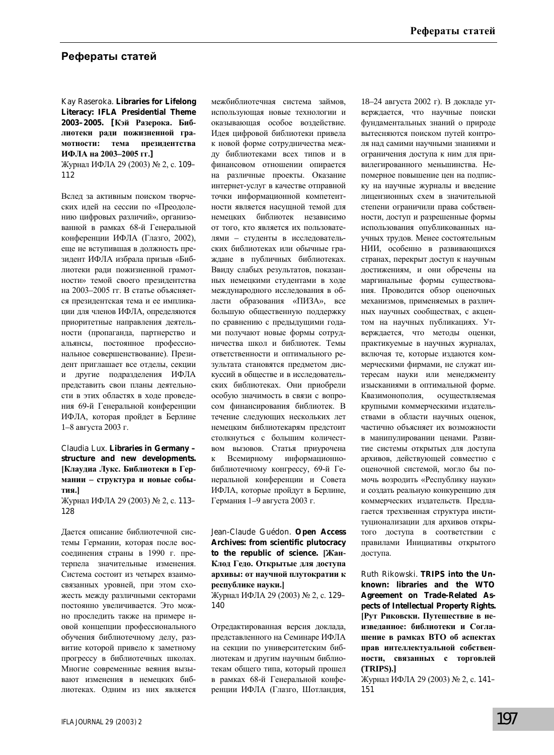# Рефераты статей

Kay Raseroka. **Libraries for Lifelong Literacy: IFLA Presidential Theme 2003–2005.** [Кэй Разерока. Библиотеки ради пожизненной грамотности: тема ма презилентства **ИФЛА на 2003–2005 гг.]** 

Журнал ИФЛА 29 (2003) № 2, с. 109-112

Вслед за активным поиском творческих идей на сессии по «Преодолению цифровых различий», организованной в рамках 68-й Генеральной конференции ИФЛА (Глазго, 2002), еще не вступившая в должность президент ИФЛА избрала призыв «Библиотеки ради пожизненной грамотности» темой своего президентства на 2003-2005 гг. В статье объясняется президентская тема и ее импликации для членов ИФЛА, определяются приоритетные направления деятельности (пропаганда, партнерство и альянсы, постоянное профессиональное совершенствование). Президент приглашает все отделы, секции и другие подразделения ИФЛА представить свои планы деятельности в этих областях в ходе проведения 69-й Генеральной конференции ИФЛА, которая пройдет в Берлине 1-8 августа 2003 г.

## Claudia Lux. **Libraries in Germany – structure and new developments.**  [Клаудиа Лукс. Библиотеки в Германии - структура и новые события.]

Журнал ИФЛА 29 (2003) № 2, с. 113-128

Дается описание библиотечной системы Германии, которая после воссоединения страны в 1990 г. претерпела значительные изменения. Система состоит из четырех взаимосвязанных уровней, при этом схожесть между различными секторами постоянно увеличивается. Это можно проследить также на примере новой концепции профессионального обучения библиотечному делу, развитие которой привело к заметному прогрессу в библиотечных школах. Многие современные веяния вызывают изменения в немецких библиотеках. Одним из них является

межбиблиотечная система займов, использующая новые технологии и оказывающая особое воздействие. Идея цифровой библиотеки привела к новой форме сотрудничества межлу библиотеками всех типов и в финансовом отношении опирается на различные проекты. Оказание интернет-услуг в качестве отправной точки информационной компетентности является насушной темой лля немецких библиотек независимо от того, кто является их пользователями – студенты в исследовательских библиотеках или обычные граждане в публичных библиотеках. Ввиду слабых результатов, показанных неменкими стулентами в холе международного исследования в области образования «ПИЗА», все большую общественную поддержку по сравнению с предыдущими годами получают новые формы сотрудничества школ и библиотек. Темы ответственности и оптимального результата становятся предметом дискуссий в обществе и в исследовательских библиотеках. Они приобрели особую значимость в связи с вопросом финансирования библиотек. В течение слелующих нескольких лет немецким библиотекарям предстоит столкнуться с большим количеством вызовов. Статья приурочена к Всемирному информационнобиблиотечному конгрессу, 69-й Генеральной конференции и Совета ИФЛА, которые пройдут в Берлине, Германия 1-9 августа 2003 г.

Jean-Claude Guédon. **Open Access Archives: from scientific plutocracy**  to the republic of science. [Жан-Клод Гедо. Открытые для доступа архивы: от научной плутократии к республике науки.] Журнал ИФЛА 29 (2003) № 2, с. 129-140

Отрелактированная версия локлала. представленного на Семинаре ИФЛА на секции по университетским библиотекам и другим научным библиотекам общего типа, который прошел в рамках 68-й Генеральной конференции ИФЛА (Глазго, Шотландия,

18-24 августа 2002 г). В докладе утверждается, что научные поиски .<br>фунламентальных знаний о природе --<br>вытесняются поиском путей контроля нал самими научными знаниями и ограничения доступа к ним для привилегированного меньшинства. Непомерное повышение цен на подписку на научные журналы и ввеление лицензионных схем в значительной степени ограничили права собственности, доступ и разрешенные формы использования опубликованных научных трудов. Менее состоятельным НИИ, особенно в развивающихся странах, перекрыт доступ к научным достижениям, и они обречены на маргинальные формы существования. Проводится обзор оценочных механизмов, применяемых в различных научных сообществах, с акцентом на научных публикациях. Утверждается, что методы оценки, практикуемые в научных журналах, включая те, которые издаются коммерческими фирмами, не служат интересам науки или менеджменту изысканиями в оптимальной форме. Квазимонополия, осуществляемая крупными коммерческими издательствами в области научных оценок, частично объясняет их возможности в манипулировании ценами. Разви-.<br>Тие системы открытых лля лоступа архивов, действующей совместно с оценочной системой, могло бы помочь возродить «Республику науки» и созлать реальную конкуренцию лля коммерческих издательств. Предлагается трехзвенная структура институционализации для архивов открытого лоступа в соответствии с правилами Инициативы открытого \_<br>доступа.

Ruth Rikowski. **TRIPS into the Unknown: libraries and the WTO Agreement on Trade-Related Aspects of Intellectual Property Rights.**  [Рут Риковски. Путешествие в неизведанное: библиотеки и Соглашение в рамках ВТО об аспектах прав интеллектуальной собствен-.<br>ности, связанных с торговлей **(TRIPS).]** 

Журнал ИФЛА 29 (2003) № 2, с. 141-151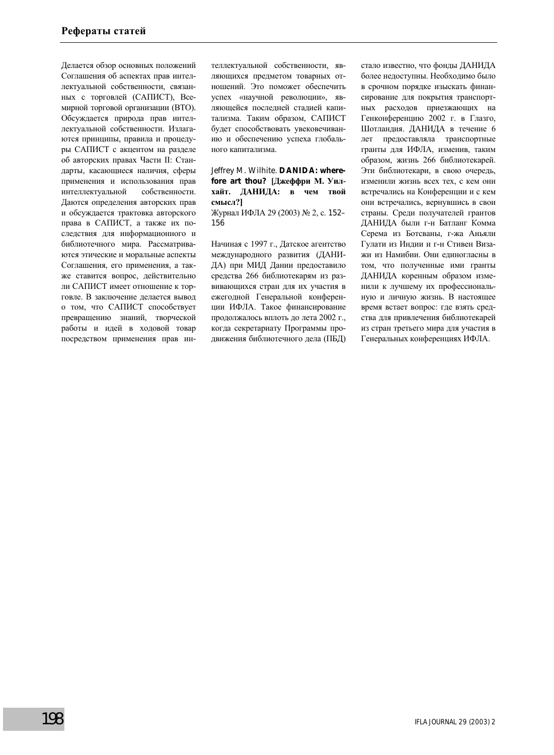Делается обзор основных положений Соглашения об аспектах прав интеллектуальной собственности, связанных с торговлей (САПИСТ), Всемирной торговой организации (ВТО). Обсуждается природа прав интеллектуальной собственности. Излагаются принципы, правила и процедуры САПИСТ с акцентом на разделе об авторских правах Части II: Стандарты, касающиеся наличия, сферы применения и использования прав интеллектуальной собственности. Даются определения авторских прав и обсуждается трактовка авторского права в САПИСТ, а также их последствия для информационного и библиотечного мира. Рассматриваются этические и моральные аспекты Соглашения, его применения, а также ставится вопрос, действительно ли САПИСТ имеет отношение к торговле. В заключение делается вывод о том, что САПИСТ способствует превращению знаний, творческой работы и идей в ходовой товар посредством применения прав интеллектуальной собственности, являющихся предметом товарных отношений. Это поможет обеспечить успех «научной революции», являющейся последней стадией капитализма. Таким образом, САПИСТ будет способствовать увековечиванию и обеспечению успеха глобального капитализма.

Jeffrey M. Wilhite. DANIDA: wherefore art thou? [Джеффри М. Уилхайт. ДАНИДА: в чем твой смысл?]

Журнал ИФЛА 29 (2003) № 2, с. 152-156

Начиная с 1997 г., Латское агентство международного развития (ДАНИ-ДА) при МИД Дании предоставило средства 266 библиотекарям из развивающихся стран для их участия в ежегодной Генеральной конференции ИФЛА. Такое финансирование продолжалось вплоть до лета 2002 г., когда секретариату Программы продвижения библиотечного дела (ПБД)

стало известно, что фонды ДАНИДА более нелоступны. Необходимо было в срочном порядке изыскать финансирование для покрытия транспортных расходов приезжающих на Генконференцию 2002 г. в Глазго, Шотландия. ДАНИДА в течение 6 лет предоставляла транспортные гранты для ИФЛА, изменив, таким образом, жизнь 266 библиотекарей. Эти библиотекари, в свою очередь, изменили жизнь всех тех, с кем они встречались на Конференции и с кем они встречались, вернувшись в свои страны. Среди получателей грантов ДАНИДА были г-н Батланг Комма Серема из Ботсваны, г-жа Аньяли Гулати из Инлии и г-н Стивен Визажи из Намибии. Они единогласны в том, что полученные ими гранты ДАНИДА коренным образом изменили к лучшему их профессиональную и личную жизнь. В настоящее время встает вопрос: где взять средства для привлечения библиотекарей из стран третьего мира для участия в Генеральных конференциях ИФЛА.